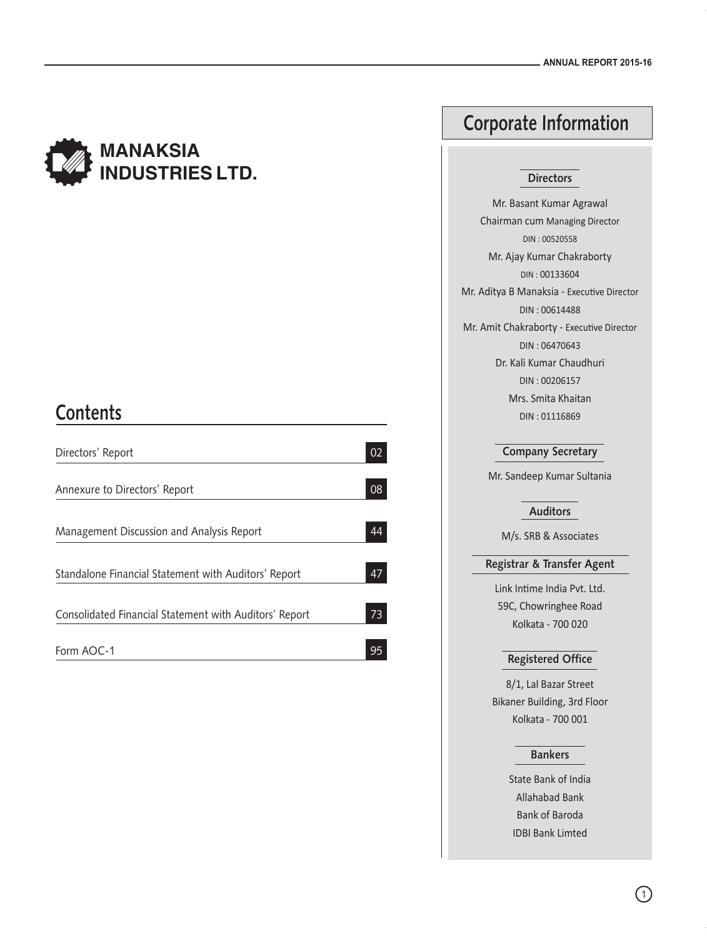# **Manaksia Industries Ltd.**

# **Contents**

| Directors' Report                                      |    |
|--------------------------------------------------------|----|
| Annexure to Directors' Report                          | 08 |
| Management Discussion and Analysis Report              |    |
| Standalone Financial Statement with Auditors' Report   | 47 |
| Consolidated Financial Statement with Auditors' Report | 73 |
| Form AOC-1                                             | 95 |

# **Corporate Information**

### **Directors**

Mr. Basant Kumar Agrawal Chairman cum Managing Director DIN : 00520558 Mr. Ajay Kumar Chakraborty DIN : 00133604 Mr. Aditya B Manaksia - Executive Director DIN : 00614488 Mr. Amit Chakraborty - Executive Director DIN : 06470643 Dr. Kali Kumar Chaudhuri DIN : 00206157 Mrs. Smita Khaitan DIN : 01116869

### **Company Secretary**

Mr. Sandeep Kumar Sultania

#### **Auditors**

M/s. SRB & Associates

#### **Registrar & Transfer Agent**

Link Intime India Pvt. Ltd. 59C, Chowringhee Road Kolkata - 700 020

#### **Registered Office**

8/1, Lal Bazar Street Bikaner Building, 3rd Floor Kolkata - 700 001

#### **Bankers**

State Bank of India Allahabad Bank Bank of Baroda IDBI Bank Limted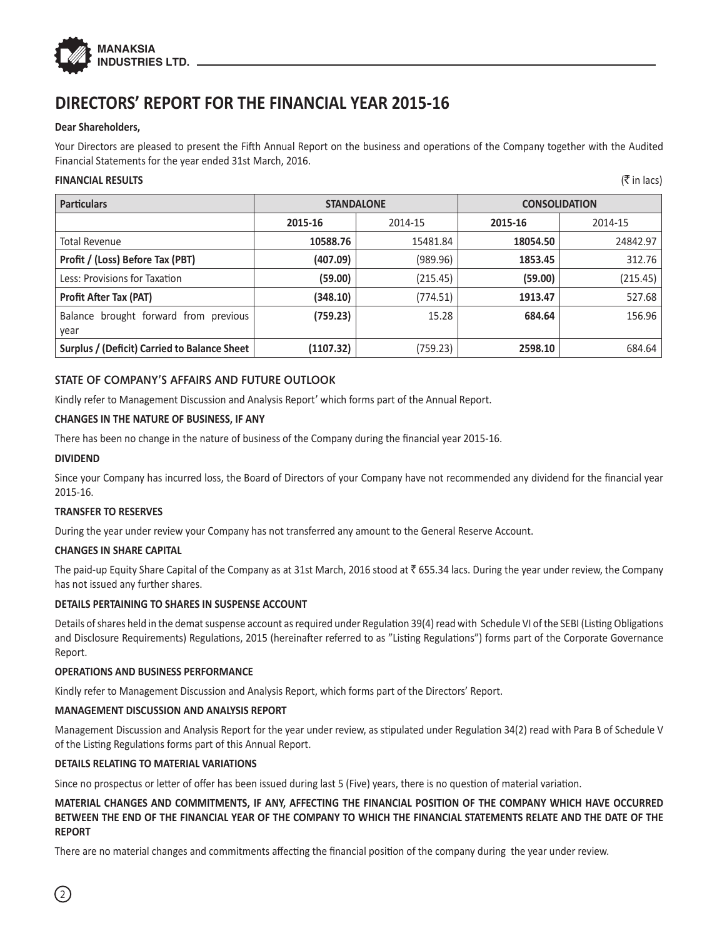

# **DIRECTORS' REPORT FOR THE FINANCIAL YEAR 2015-16**

#### **Dear Shareholders,**

Your Directors are pleased to present the Fifth Annual Report on the business and operations of the Company together with the Audited Financial Statements for the year ended 31st March, 2016.

#### **FINANCIAL RESULTS** (` in lacs)

|           |          | <b>CONSOLIDATION</b> |          |  |  |
|-----------|----------|----------------------|----------|--|--|
| 2015-16   | 2014-15  | 2015-16              | 2014-15  |  |  |
| 10588.76  | 15481.84 | 18054.50             | 24842.97 |  |  |
| (407.09)  | (989.96) | 1853.45              | 312.76   |  |  |
| (59.00)   | (215.45) | (59.00)              | (215.45) |  |  |
| (348.10)  | (774.51) | 1913.47              | 527.68   |  |  |
| (759.23)  | 15.28    | 684.64               | 156.96   |  |  |
| (1107.32) | (759.23) | 2598.10              | 684.64   |  |  |
|           |          | <b>STANDALONE</b>    |          |  |  |

# **STATE OF COMPANY'S AFFAIRS AND FUTURE OUTLOOK**

Kindly refer to Management Discussion and Analysis Report' which forms part of the Annual Report.

#### **CHANGES IN THE NATURE OF BUSINESS, IF ANY**

There has been no change in the nature of business of the Company during the financial year 2015-16.

#### **DIVIDEND**

Since your Company has incurred loss, the Board of Directors of your Company have not recommended any dividend for the financial year 2015-16.

#### **TRANSFER TO RESERVES**

During the year under review your Company has not transferred any amount to the General Reserve Account.

#### **CHANGES IN SHARE CAPITAL**

The paid-up Equity Share Capital of the Company as at 31st March, 2016 stood at  $\bar{\tau}$  655.34 lacs. During the year under review, the Company has not issued any further shares.

#### **DETAILS PERTAINING TO SHARES IN SUSPENSE ACCOUNT**

Details of shares held in the demat suspense account as required under Regulation 39(4) read with Schedule VI of the SEBI (Listing Obligations and Disclosure Requirements) Regulations, 2015 (hereinafter referred to as "Listing Regulations") forms part of the Corporate Governance Report.

#### **OPERATIONS AND BUSINESS PERFORMANCE**

Kindly refer to Management Discussion and Analysis Report, which forms part of the Directors' Report.

#### **MANAGEMENT DISCUSSION AND ANALYSIS REPORT**

Management Discussion and Analysis Report for the year under review, as stipulated under Regulation 34(2) read with Para B of Schedule V of the Listing Regulations forms part of this Annual Report.

#### **DETAILS RELATING TO MATERIAL VARIATIONS**

Since no prospectus or letter of offer has been issued during last 5 (Five) years, there is no question of material variation.

#### **MATERIAL CHANGES AND COMMITMENTS, IF ANY, AFFECTING THE FINANCIAL POSITION OF THE COMPANY WHICH HAVE OCCURRED BETWEEN THE END OF THE FINANCIAL YEAR OF THE COMPANY TO WHICH THE FINANCIAL STATEMENTS RELATE AND THE DATE OF THE REPORT**

There are no material changes and commitments affecting the financial position of the company during the year under review.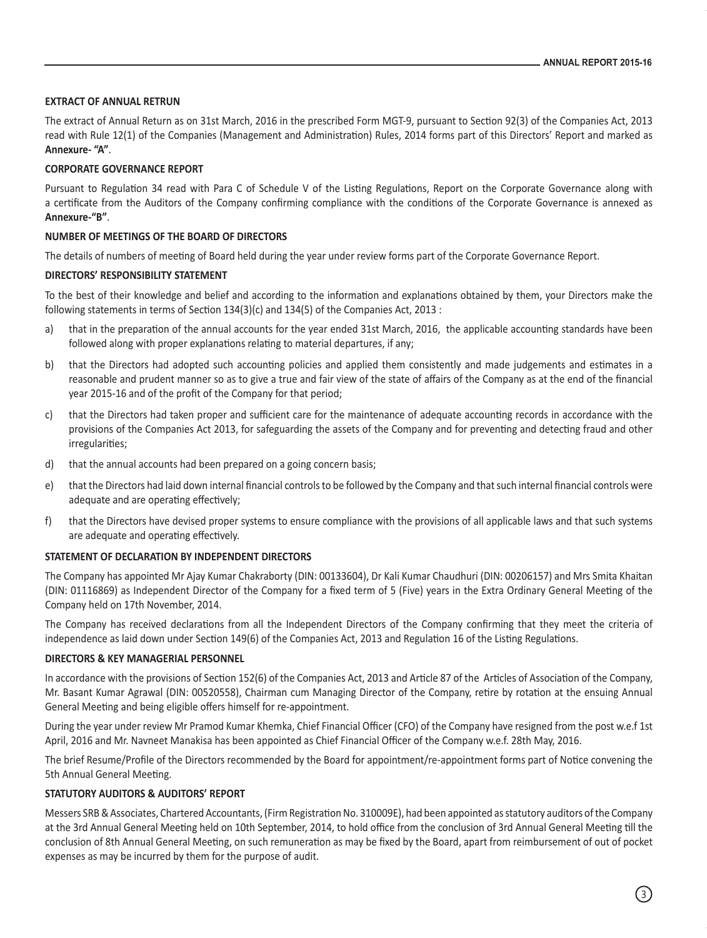#### **EXTRACT OF ANNUAL RETRUN**

The extract of Annual Return as on 31st March, 2016 in the prescribed Form MGT-9, pursuant to Section 92(3) of the Companies Act, 2013 read with Rule 12(1) of the Companies (Management and Administration) Rules, 2014 forms part of this Directors' Report and marked as **Annexure- "A"**.

#### **CORPORATE GOVERNANCE REPORT**

Pursuant to Regulation 34 read with Para C of Schedule V of the Listing Regulations, Report on the Corporate Governance along with a certificate from the Auditors of the Company confirming compliance with the conditions of the Corporate Governance is annexed as **Annexure-"B"**.

#### **NUMBER OF MEETINGS OF THE BOARD OF DIRECTORS**

The details of numbers of meeting of Board held during the year under review forms part of the Corporate Governance Report.

#### **DIRECTORS' RESPONSIBILITY STATEMENT**

To the best of their knowledge and belief and according to the information and explanations obtained by them, your Directors make the following statements in terms of Section 134(3)(c) and 134(5) of the Companies Act, 2013 :

- a) that in the preparation of the annual accounts for the year ended 31st March, 2016, the applicable accounting standards have been followed along with proper explanations relating to material departures, if any;
- b) that the Directors had adopted such accounting policies and applied them consistently and made judgements and estimates in a reasonable and prudent manner so as to give a true and fair view of the state of affairs of the Company as at the end of the financial year 2015-16 and of the profit of the Company for that period;
- c) that the Directors had taken proper and sufficient care for the maintenance of adequate accounting records in accordance with the provisions of the Companies Act 2013, for safeguarding the assets of the Company and for preventing and detecting fraud and other irregularities;
- d) that the annual accounts had been prepared on a going concern basis;
- e) that the Directors had laid down internal financial controls to be followed by the Company and that such internal financial controls were adequate and are operating effectively;
- f) that the Directors have devised proper systems to ensure compliance with the provisions of all applicable laws and that such systems are adequate and operating effectively.

#### **STATEMENT OF DECLARATION BY INDEPENDENT DIRECTORS**

The Company has appointed Mr Ajay Kumar Chakraborty (DIN: 00133604), Dr Kali Kumar Chaudhuri (DIN: 00206157) and Mrs Smita Khaitan (DIN: 01116869) as Independent Director of the Company for a fixed term of 5 (Five) years in the Extra Ordinary General Meeting of the Company held on 17th November, 2014.

The Company has received declarations from all the Independent Directors of the Company confirming that they meet the criteria of independence as laid down under Section 149(6) of the Companies Act, 2013 and Regulation 16 of the Listing Regulations.

#### **DIRECTORS & KEY MANAGERIAL PERSONNEL**

In accordance with the provisions of Section 152(6) of the Companies Act, 2013 and Article 87 of the Articles of Association of the Company, Mr. Basant Kumar Agrawal (DIN: 00520558), Chairman cum Managing Director of the Company, retire by rotation at the ensuing Annual General Meeting and being eligible offers himself for re-appointment.

During the year under review Mr Pramod Kumar Khemka, Chief Financial Officer (CFO) of the Company have resigned from the post w.e.f 1st April, 2016 and Mr. Navneet Manakisa has been appointed as Chief Financial Officer of the Company w.e.f. 28th May, 2016.

The brief Resume/Profile of the Directors recommended by the Board for appointment/re-appointment forms part of Notice convening the 5th Annual General Meeting.

#### **STATUTORY AUDITORS & AUDITORS' REPORT**

Messers SRB & Associates, Chartered Accountants, (Firm Registration No. 310009E), had been appointed as statutory auditors of the Company at the 3rd Annual General Meeting held on 10th September, 2014, to hold office from the conclusion of 3rd Annual General Meeting till the conclusion of 8th Annual General Meeting, on such remuneration as may be fixed by the Board, apart from reimbursement of out of pocket expenses as may be incurred by them for the purpose of audit.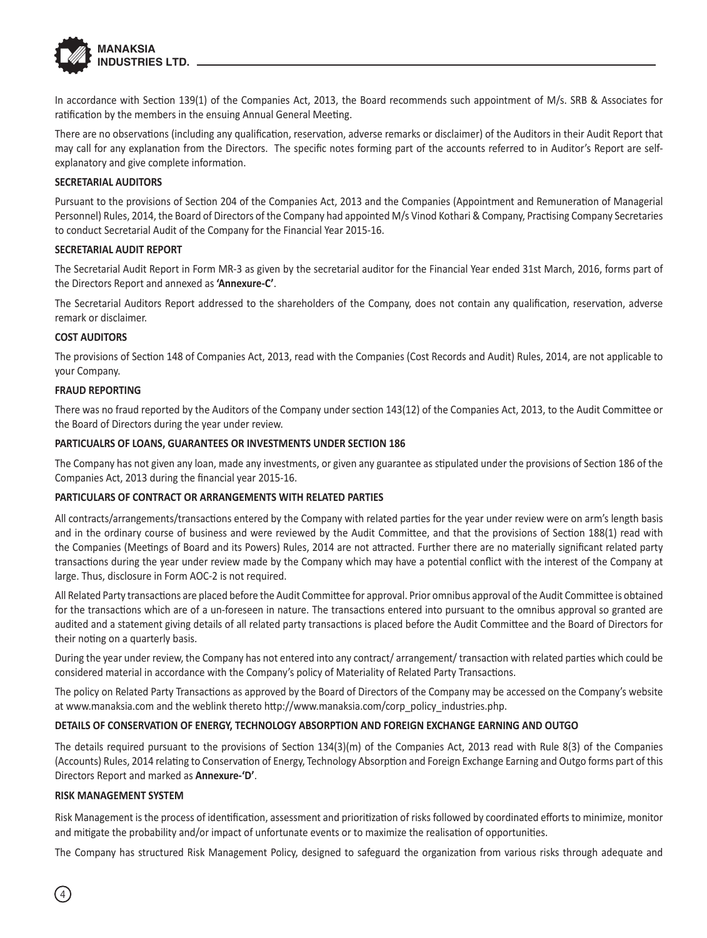

In accordance with Section 139(1) of the Companies Act, 2013, the Board recommends such appointment of M/s. SRB & Associates for ratification by the members in the ensuing Annual General Meeting.

There are no observations (including any qualification, reservation, adverse remarks or disclaimer) of the Auditors in their Audit Report that may call for any explanation from the Directors. The specific notes forming part of the accounts referred to in Auditor's Report are selfexplanatory and give complete information.

#### **SECRETARIAL AUDITORS**

Pursuant to the provisions of Section 204 of the Companies Act, 2013 and the Companies (Appointment and Remuneration of Managerial Personnel) Rules, 2014, the Board of Directors of the Company had appointed M/s Vinod Kothari & Company, Practising Company Secretaries to conduct Secretarial Audit of the Company for the Financial Year 2015-16.

#### **SECRETARIAL AUDIT REPORT**

The Secretarial Audit Report in Form MR-3 as given by the secretarial auditor for the Financial Year ended 31st March, 2016, forms part of the Directors Report and annexed as **'Annexure-C'**.

The Secretarial Auditors Report addressed to the shareholders of the Company, does not contain any qualification, reservation, adverse remark or disclaimer.

#### **COST AUDITORS**

The provisions of Section 148 of Companies Act, 2013, read with the Companies (Cost Records and Audit) Rules, 2014, are not applicable to your Company.

#### **FRAUD REPORTING**

There was no fraud reported by the Auditors of the Company under section 143(12) of the Companies Act, 2013, to the Audit Committee or the Board of Directors during the year under review.

#### **PARTICUALRS OF LOANS, GUARANTEES OR INVESTMENTS UNDER SECTION 186**

The Company has not given any loan, made any investments, or given any guarantee as stipulated under the provisions of Section 186 of the Companies Act, 2013 during the financial year 2015-16.

#### **PARTICULARS OF CONTRACT OR ARRANGEMENTS WITH RELATED PARTIES**

All contracts/arrangements/transactions entered by the Company with related parties for the year under review were on arm's length basis and in the ordinary course of business and were reviewed by the Audit Committee, and that the provisions of Section 188(1) read with the Companies (Meetings of Board and its Powers) Rules, 2014 are not attracted. Further there are no materially significant related party transactions during the year under review made by the Company which may have a potential conflict with the interest of the Company at large. Thus, disclosure in Form AOC-2 is not required.

All Related Party transactions are placed before the Audit Committee for approval. Prior omnibus approval of the Audit Committee is obtained for the transactions which are of a un-foreseen in nature. The transactions entered into pursuant to the omnibus approval so granted are audited and a statement giving details of all related party transactions is placed before the Audit Committee and the Board of Directors for their noting on a quarterly basis.

During the year under review, the Company has not entered into any contract/ arrangement/ transaction with related parties which could be considered material in accordance with the Company's policy of Materiality of Related Party Transactions.

The policy on Related Party Transactions as approved by the Board of Directors of the Company may be accessed on the Company's website at www.manaksia.com and the weblink thereto http://www.manaksia.com/corp\_policy\_industries.php.

#### **DETAILS OF CONSERVATION OF ENERGY, TECHNOLOGY ABSORPTION AND FOREIGN EXCHANGE EARNING AND OUTGO**

The details required pursuant to the provisions of Section 134(3)(m) of the Companies Act, 2013 read with Rule 8(3) of the Companies (Accounts) Rules, 2014 relating to Conservation of Energy, Technology Absorption and Foreign Exchange Earning and Outgo forms part of this Directors Report and marked as **Annexure-'D'**.

#### **RISK MANAGEMENT SYSTEM**

Risk Management is the process of identification, assessment and prioritization of risks followed by coordinated efforts to minimize, monitor and mitigate the probability and/or impact of unfortunate events or to maximize the realisation of opportunities.

The Company has structured Risk Management Policy, designed to safeguard the organization from various risks through adequate and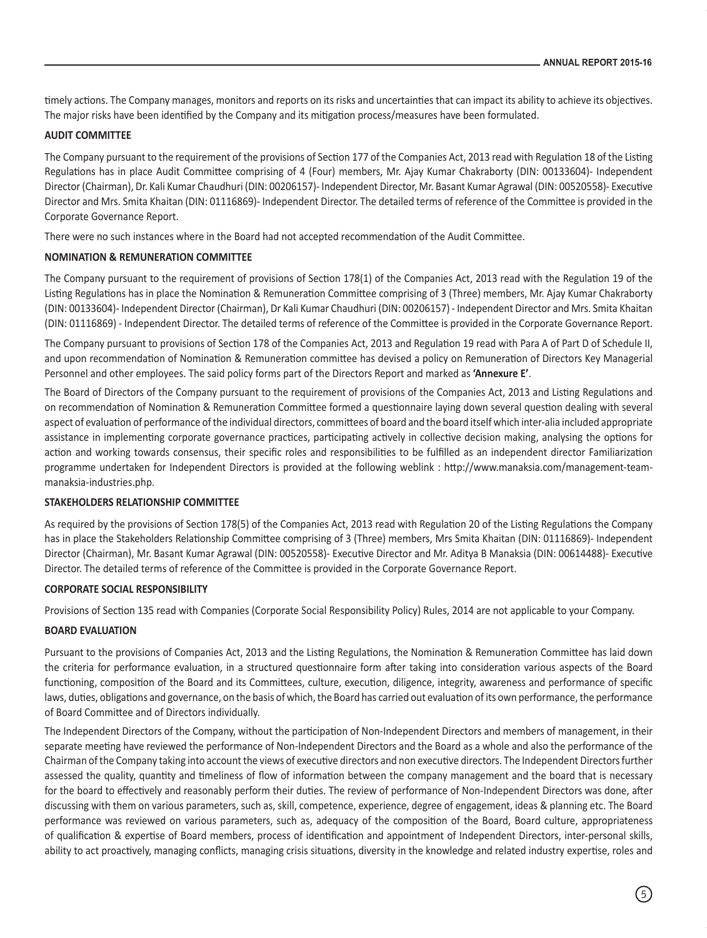timely actions. The Company manages, monitors and reports on its risks and uncertainties that can impact its ability to achieve its objectives. The major risks have been identified by the Company and its mitigation process/measures have been formulated.

#### **AUDIT COMMITTEE**

The Company pursuant to the requirement of the provisions of Section 177 of the Companies Act, 2013 read with Regulation 18 of the Listing Regulations has in place Audit Committee comprising of 4 (Four) members, Mr. Ajay Kumar Chakraborty (DIN: 00133604)- Independent Director (Chairman), Dr. Kali Kumar Chaudhuri (DIN: 00206157)- Independent Director, Mr. Basant Kumar Agrawal (DIN: 00520558)- Executive Director and Mrs. Smita Khaitan (DIN: 01116869)- Independent Director. The detailed terms of reference of the Committee is provided in the Corporate Governance Report.

There were no such instances where in the Board had not accepted recommendation of the Audit Committee.

#### **NOMINATION & REMUNERATION COMMITTEE**

The Company pursuant to the requirement of provisions of Section 178(1) of the Companies Act, 2013 read with the Regulation 19 of the Listing Regulations has in place the Nomination & Remuneration Committee comprising of 3 (Three) members, Mr. Ajay Kumar Chakraborty (DIN: 00133604)- Independent Director (Chairman), Dr Kali Kumar Chaudhuri (DIN: 00206157) - Independent Director and Mrs. Smita Khaitan (DIN: 01116869) - Independent Director. The detailed terms of reference of the Committee is provided in the Corporate Governance Report.

The Company pursuant to provisions of Section 178 of the Companies Act, 2013 and Regulation 19 read with Para A of Part D of Schedule II, and upon recommendation of Nomination & Remuneration committee has devised a policy on Remuneration of Directors Key Managerial Personnel and other employees. The said policy forms part of the Directors Report and marked as **'Annexure E'**.

The Board of Directors of the Company pursuant to the requirement of provisions of the Companies Act, 2013 and Listing Regulations and on recommendation of Nomination & Remuneration Committee formed a questionnaire laying down several question dealing with several aspect of evaluation of performance of the individual directors, committees of board and the board itself which inter-alia included appropriate assistance in implementing corporate governance practices, participating actively in collective decision making, analysing the options for action and working towards consensus, their specific roles and responsibilities to be fulfilled as an independent director Familiarization programme undertaken for Independent Directors is provided at the following weblink : http://www.manaksia.com/management-teammanaksia-industries.php.

#### **STAKEHOLDERS RELATIONSHIP COMMITTEE**

As required by the provisions of Section 178(5) of the Companies Act, 2013 read with Regulation 20 of the Listing Regulations the Company has in place the Stakeholders Relationship Committee comprising of 3 (Three) members, Mrs Smita Khaitan (DIN: 01116869)- Independent Director (Chairman), Mr. Basant Kumar Agrawal (DIN: 00520558)- Executive Director and Mr. Aditya B Manaksia (DIN: 00614488)- Executive Director. The detailed terms of reference of the Committee is provided in the Corporate Governance Report.

#### **CORPORATE SOCIAL RESPONSIBILITY**

Provisions of Section 135 read with Companies (Corporate Social Responsibility Policy) Rules, 2014 are not applicable to your Company.

#### **BOARD EVALUATION**

Pursuant to the provisions of Companies Act, 2013 and the Listing Regulations, the Nomination & Remuneration Committee has laid down the criteria for performance evaluation, in a structured questionnaire form after taking into consideration various aspects of the Board functioning, composition of the Board and its Committees, culture, execution, diligence, integrity, awareness and performance of specific laws, duties, obligations and governance, on the basis of which, the Board has carried out evaluation of its own performance, the performance of Board Committee and of Directors individually.

The Independent Directors of the Company, without the participation of Non-Independent Directors and members of management, in their separate meeting have reviewed the performance of Non-Independent Directors and the Board as a whole and also the performance of the Chairman of the Company taking into account the views of executive directors and non executive directors. The Independent Directors further assessed the quality, quantity and timeliness of flow of information between the company management and the board that is necessary for the board to effectively and reasonably perform their duties. The review of performance of Non-Independent Directors was done, after discussing with them on various parameters, such as, skill, competence, experience, degree of engagement, ideas & planning etc. The Board performance was reviewed on various parameters, such as, adequacy of the composition of the Board, Board culture, appropriateness of qualification & expertise of Board members, process of identification and appointment of Independent Directors, inter-personal skills, ability to act proactively, managing conflicts, managing crisis situations, diversity in the knowledge and related industry expertise, roles and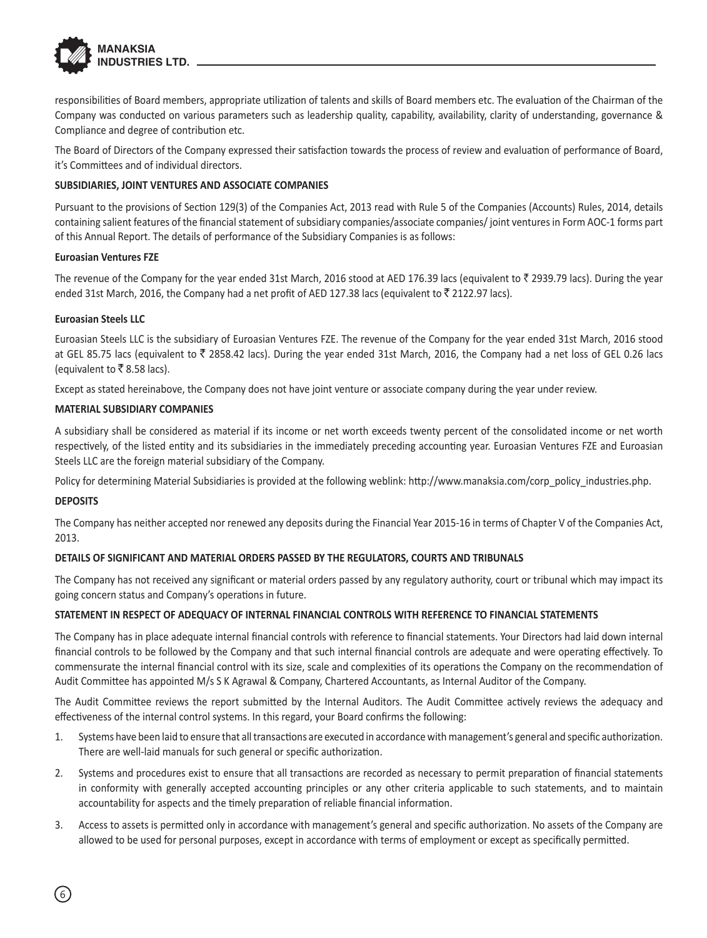

responsibilities of Board members, appropriate utilization of talents and skills of Board members etc. The evaluation of the Chairman of the Company was conducted on various parameters such as leadership quality, capability, availability, clarity of understanding, governance & Compliance and degree of contribution etc.

The Board of Directors of the Company expressed their satisfaction towards the process of review and evaluation of performance of Board, it's Committees and of individual directors.

#### **SUBSIDIARIES, JOINT VENTURES AND ASSOCIATE COMPANIES**

Pursuant to the provisions of Section 129(3) of the Companies Act, 2013 read with Rule 5 of the Companies (Accounts) Rules, 2014, details containing salient features of the financial statement of subsidiary companies/associate companies/ joint ventures in Form AOC-1 forms part of this Annual Report. The details of performance of the Subsidiary Companies is as follows:

#### **Euroasian Ventures FZE**

The revenue of the Company for the year ended 31st March, 2016 stood at AED 176.39 lacs (equivalent to  $\bar{\tau}$  2939.79 lacs). During the year ended 31st March, 2016, the Company had a net profit of AED 127.38 lacs (equivalent to  $\bar{z}$  2122.97 lacs).

#### **Euroasian Steels LLC**

Euroasian Steels LLC is the subsidiary of Euroasian Ventures FZE. The revenue of the Company for the year ended 31st March, 2016 stood at GEL 85.75 lacs (equivalent to ₹ 2858.42 lacs). During the year ended 31st March, 2016, the Company had a net loss of GEL 0.26 lacs (equivalent to  $\bar{\mathfrak{c}}$  8.58 lacs).

Except as stated hereinabove, the Company does not have joint venture or associate company during the year under review.

#### **MATERIAL SUBSIDIARY COMPANIES**

A subsidiary shall be considered as material if its income or net worth exceeds twenty percent of the consolidated income or net worth respectively, of the listed entity and its subsidiaries in the immediately preceding accounting year. Euroasian Ventures FZE and Euroasian Steels LLC are the foreign material subsidiary of the Company.

Policy for determining Material Subsidiaries is provided at the following weblink: http://www.manaksia.com/corp\_policy\_industries.php.

#### **DEPOSITS**

The Company has neither accepted nor renewed any deposits during the Financial Year 2015-16 in terms of Chapter V of the Companies Act, 2013.

#### **DETAILS OF SIGNIFICANT AND MATERIAL ORDERS PASSED BY THE REGULATORS, COURTS AND TRIBUNALS**

The Company has not received any significant or material orders passed by any regulatory authority, court or tribunal which may impact its going concern status and Company's operations in future.

#### **STATEMENT IN RESPECT OF ADEQUACY OF INTERNAL FINANCIAL CONTROLS WITH REFERENCE TO FINANCIAL STATEMENTS**

The Company has in place adequate internal financial controls with reference to financial statements. Your Directors had laid down internal financial controls to be followed by the Company and that such internal financial controls are adequate and were operating effectively. To commensurate the internal financial control with its size, scale and complexities of its operations the Company on the recommendation of Audit Committee has appointed M/s S K Agrawal & Company, Chartered Accountants, as Internal Auditor of the Company.

The Audit Committee reviews the report submitted by the Internal Auditors. The Audit Committee actively reviews the adequacy and effectiveness of the internal control systems. In this regard, your Board confirms the following:

- 1. Systems have been laid to ensure that all transactions are executed in accordance with management's general and specific authorization. There are well-laid manuals for such general or specific authorization.
- 2. Systems and procedures exist to ensure that all transactions are recorded as necessary to permit preparation of financial statements in conformity with generally accepted accounting principles or any other criteria applicable to such statements, and to maintain accountability for aspects and the timely preparation of reliable financial information.
- 3. Access to assets is permitted only in accordance with management's general and specific authorization. No assets of the Company are allowed to be used for personal purposes, except in accordance with terms of employment or except as specifically permitted.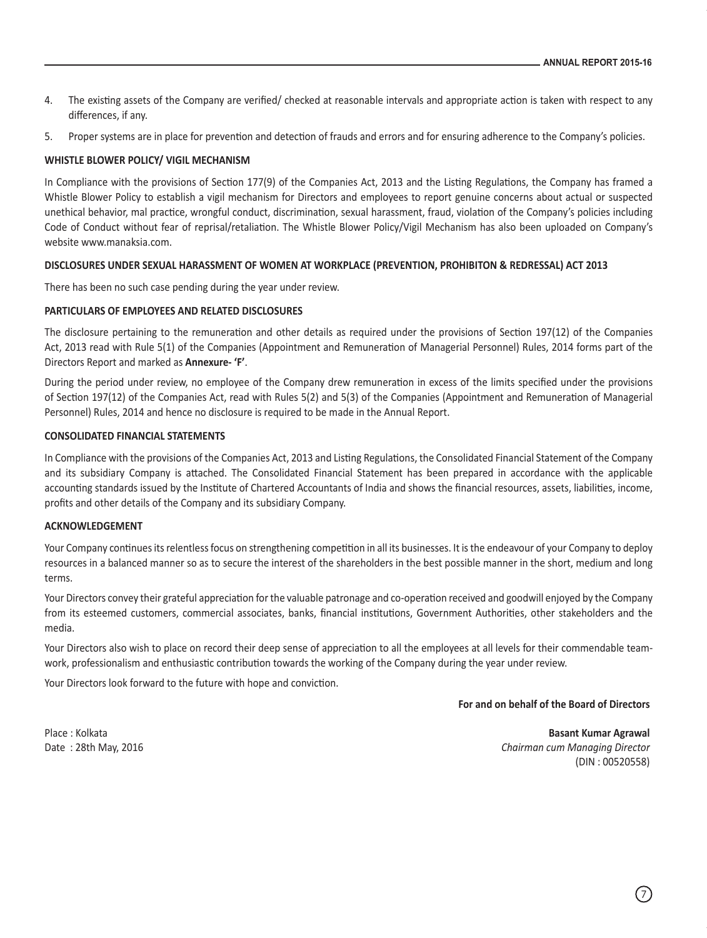- 4. The existing assets of the Company are verified/ checked at reasonable intervals and appropriate action is taken with respect to any differences, if any.
- 5. Proper systems are in place for prevention and detection of frauds and errors and for ensuring adherence to the Company's policies.

#### **WHISTLE BLOWER POLICY/ VIGIL MECHANISM**

In Compliance with the provisions of Section 177(9) of the Companies Act, 2013 and the Listing Regulations, the Company has framed a Whistle Blower Policy to establish a vigil mechanism for Directors and employees to report genuine concerns about actual or suspected unethical behavior, mal practice, wrongful conduct, discrimination, sexual harassment, fraud, violation of the Company's policies including Code of Conduct without fear of reprisal/retaliation. The Whistle Blower Policy/Vigil Mechanism has also been uploaded on Company's website www.manaksia.com.

#### **DISCLOSURES UNDER SEXUAL HARASSMENT OF WOMEN AT WORKPLACE (PREVENTION, PROHIBITON & REDRESSAL) ACT 2013**

There has been no such case pending during the year under review.

#### **PARTICULARS OF EMPLOYEES AND RELATED DISCLOSURES**

The disclosure pertaining to the remuneration and other details as required under the provisions of Section 197(12) of the Companies Act, 2013 read with Rule 5(1) of the Companies (Appointment and Remuneration of Managerial Personnel) Rules, 2014 forms part of the Directors Report and marked as **Annexure- 'F'**.

During the period under review, no employee of the Company drew remuneration in excess of the limits specified under the provisions of Section 197(12) of the Companies Act, read with Rules 5(2) and 5(3) of the Companies (Appointment and Remuneration of Managerial Personnel) Rules, 2014 and hence no disclosure is required to be made in the Annual Report.

#### **CONSOLIDATED FINANCIAL STATEMENTS**

In Compliance with the provisions of the Companies Act, 2013 and Listing Regulations, the Consolidated Financial Statement of the Company and its subsidiary Company is attached. The Consolidated Financial Statement has been prepared in accordance with the applicable accounting standards issued by the Institute of Chartered Accountants of India and shows the financial resources, assets, liabilities, income, profits and other details of the Company and its subsidiary Company.

#### **ACKNOWLEDGEMENT**

Your Company continues its relentless focus on strengthening competition in all its businesses. It is the endeavour of your Company to deploy resources in a balanced manner so as to secure the interest of the shareholders in the best possible manner in the short, medium and long terms.

Your Directors convey their grateful appreciation for the valuable patronage and co-operation received and goodwill enjoyed by the Company from its esteemed customers, commercial associates, banks, financial institutions, Government Authorities, other stakeholders and the media.

Your Directors also wish to place on record their deep sense of appreciation to all the employees at all levels for their commendable teamwork, professionalism and enthusiastic contribution towards the working of the Company during the year under review.

Your Directors look forward to the future with hope and conviction.

**For and on behalf of the Board of Directors**

Place : Kolkata **Basant Kumar Agrawal**  Date : 28th May, 2016 *Chairman cum Managing Director* (DIN : 00520558)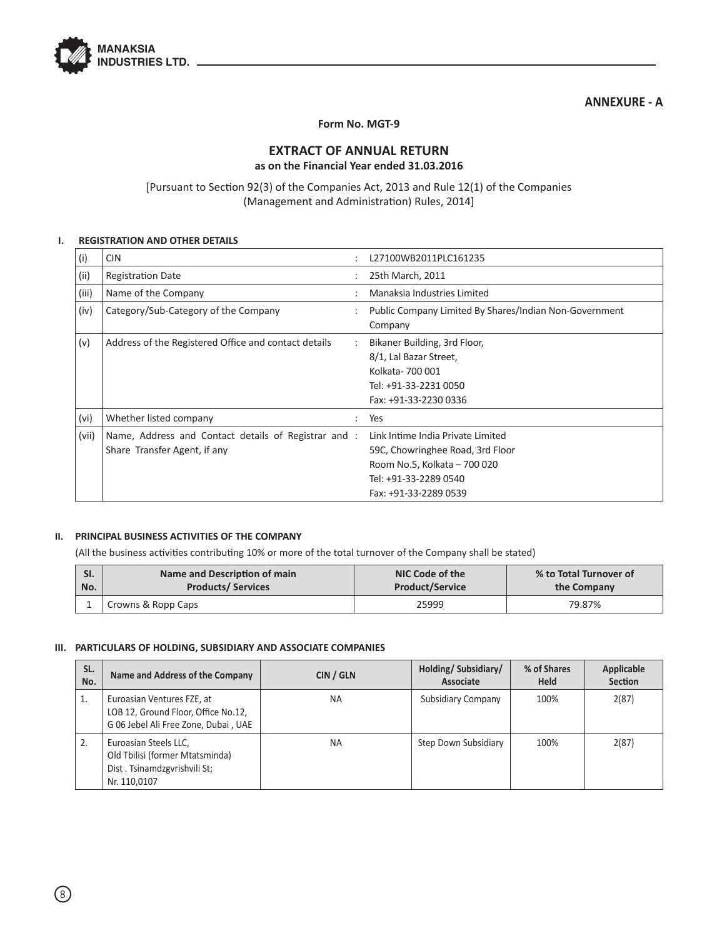

**ANNEXURE - A**

**Form No. MGT-9**

### **EXTRACT OF ANNUAL RETURN as on the Financial Year ended 31.03.2016**

[Pursuant to Section 92(3) of the Companies Act, 2013 and Rule 12(1) of the Companies (Management and Administration) Rules, 2014]

#### **I. REGISTRATION AND OTHER DETAILS**

| (i)   | <b>CIN</b>                                           |                           | L27100WB2011PLC161235                                  |
|-------|------------------------------------------------------|---------------------------|--------------------------------------------------------|
| (ii)  | <b>Registration Date</b>                             |                           | 25th March, 2011                                       |
| (iii) | Name of the Company                                  |                           | Manaksia Industries Limited                            |
| (iv)  | Category/Sub-Category of the Company                 |                           | Public Company Limited By Shares/Indian Non-Government |
|       |                                                      |                           | Company                                                |
| (v)   | Address of the Registered Office and contact details | $\mathbb{R}^{\mathbb{Z}}$ | Bikaner Building, 3rd Floor,                           |
|       |                                                      |                           | 8/1, Lal Bazar Street,                                 |
|       |                                                      |                           | Kolkata- 700 001                                       |
|       |                                                      |                           | Tel: +91-33-2231 0050                                  |
|       |                                                      |                           | Fax: +91-33-2230 0336                                  |
| (vi)  | Whether listed company                               |                           | Yes                                                    |
| (vii) | Name, Address and Contact details of Registrar and : |                           | Link Intime India Private Limited                      |
|       | Share Transfer Agent, if any                         |                           | 59C, Chowringhee Road, 3rd Floor                       |
|       |                                                      |                           | Room No.5, Kolkata - 700 020                           |
|       |                                                      |                           | Tel: +91-33-2289 0540                                  |
|       |                                                      |                           | Fax: +91-33-2289 0539                                  |

### **II. PRINCIPAL BUSINESS ACTIVITIES OF THE COMPANY**

(All the business activities contributing 10% or more of the total turnover of the Company shall be stated)

| SI. | Name and Description of main | NIC Code of the        | % to Total Turnover of |
|-----|------------------------------|------------------------|------------------------|
| No. | <b>Products/Services</b>     | <b>Product/Service</b> | the Company            |
|     | Crowns & Ropp Caps           | 25999                  | 79.87%                 |

#### **III. PARTICULARS OF HOLDING, SUBSIDIARY AND ASSOCIATE COMPANIES**

| SL.<br>No. | Name and Address of the Company                                                                           | CIN / GLN | Holding/Subsidiary/<br>Associate | % of Shares<br><b>Held</b> | Applicable<br><b>Section</b> |
|------------|-----------------------------------------------------------------------------------------------------------|-----------|----------------------------------|----------------------------|------------------------------|
| 1.         | Euroasian Ventures FZE, at<br>LOB 12, Ground Floor, Office No.12,<br>G 06 Jebel Ali Free Zone, Dubai, UAE | <b>NA</b> | Subsidiary Company               | 100%                       | 2(87)                        |
| 2.         | Euroasian Steels LLC,<br>Old Tbilisi (former Mtatsminda)<br>Dist. Tsinamdzgyrishvili St;<br>Nr. 110.0107  | <b>NA</b> | Step Down Subsidiary             | 100%                       | 2(87)                        |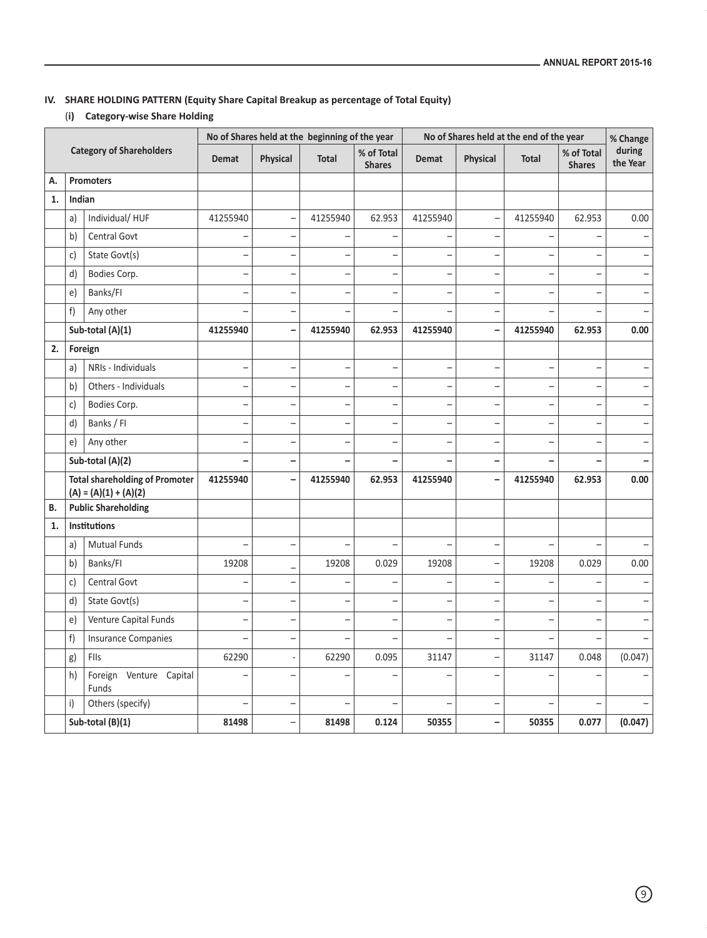# **IV. SHARE HOLDING PATTERN (Equity Share Capital Breakup as percentage of Total Equity)**

# (**i) Category-wise Share Holding**

|    |        |                                                                  |                          |                          | No of Shares held at the beginning of the year |                             |                          |                          | No of Shares held at the end of the year |                             | % Change                 |
|----|--------|------------------------------------------------------------------|--------------------------|--------------------------|------------------------------------------------|-----------------------------|--------------------------|--------------------------|------------------------------------------|-----------------------------|--------------------------|
|    |        | <b>Category of Shareholders</b>                                  | Demat                    | Physical                 | <b>Total</b>                                   | % of Total<br><b>Shares</b> | <b>Demat</b>             | Physical                 | <b>Total</b>                             | % of Total<br><b>Shares</b> | during<br>the Year       |
| А. |        | <b>Promoters</b>                                                 |                          |                          |                                                |                             |                          |                          |                                          |                             |                          |
| 1. | Indian |                                                                  |                          |                          |                                                |                             |                          |                          |                                          |                             |                          |
|    | a)     | Individual/HUF                                                   | 41255940                 | $\overline{\phantom{0}}$ | 41255940                                       | 62.953                      | 41255940                 | -                        | 41255940                                 | 62.953                      | 0.00                     |
|    | b)     | Central Govt                                                     |                          | $\overline{\phantom{0}}$ |                                                |                             |                          | -                        |                                          |                             |                          |
|    | c)     | State Govt(s)                                                    | $\overline{\phantom{0}}$ | $\overline{\phantom{0}}$ | $\equiv$                                       | $\overline{a}$              |                          | $\overline{\phantom{0}}$ | $\overline{\phantom{0}}$                 | $\overline{a}$              |                          |
|    | d)     | Bodies Corp.                                                     | $\overline{\phantom{0}}$ | $\overline{\phantom{0}}$ | $\overline{\phantom{0}}$                       | $\overline{\phantom{0}}$    | $\overline{\phantom{0}}$ | -                        | $\overline{\phantom{0}}$                 | $\overline{\phantom{0}}$    | $\qquad \qquad -$        |
|    | e)     | Banks/FI                                                         | $\overline{\phantom{0}}$ | $\overline{\phantom{0}}$ | $\qquad \qquad -$                              | $\overline{\phantom{0}}$    | $\qquad \qquad -$        | $\overline{\phantom{0}}$ | $\overline{\phantom{0}}$                 |                             | -                        |
|    | f)     | Any other                                                        |                          | $\overline{\phantom{0}}$ |                                                |                             |                          | $\overline{\phantom{0}}$ |                                          |                             |                          |
|    |        | Sub-total (A)(1)                                                 | 41255940                 | $\overline{\phantom{0}}$ | 41255940                                       | 62.953                      | 41255940                 | $\overline{a}$           | 41255940                                 | 62.953                      | 0.00                     |
| 2. |        | Foreign                                                          |                          |                          |                                                |                             |                          |                          |                                          |                             |                          |
|    | a)     | NRIs - Individuals                                               |                          | -                        | $\qquad \qquad -$                              | <sup>-</sup>                |                          | <sup>-</sup>             | $\overline{\phantom{0}}$                 | <sup>-</sup>                |                          |
|    | b)     | Others - Individuals                                             | $\overline{\phantom{0}}$ | $\overline{\phantom{0}}$ | $\overline{\phantom{0}}$                       | $\overline{\phantom{0}}$    | $\overline{\phantom{0}}$ | -                        | $\overline{\phantom{0}}$                 | $\overline{\phantom{0}}$    |                          |
|    | c)     | Bodies Corp.                                                     | $\overline{\phantom{0}}$ | $\overline{\phantom{0}}$ | $\overline{a}$                                 | $\overline{\phantom{0}}$    | $\overline{\phantom{0}}$ | $\overline{\phantom{0}}$ | $\overline{\phantom{0}}$                 | $\equiv$                    | $\overline{\phantom{0}}$ |
|    | d)     | Banks / FI                                                       |                          | -                        |                                                | -                           |                          | -                        | $\overline{\phantom{0}}$                 | $\overline{\phantom{0}}$    |                          |
|    | e)     | Any other                                                        |                          | $\overline{\phantom{0}}$ | $\overline{a}$                                 | $\overline{\phantom{0}}$    |                          | $\overline{\phantom{0}}$ | $\overline{\phantom{0}}$                 | $\overline{\phantom{0}}$    |                          |
|    |        | Sub-total (A)(2)                                                 |                          | ۳                        |                                                | $\overline{\phantom{0}}$    |                          | -                        |                                          |                             |                          |
|    |        | <b>Total shareholding of Promoter</b><br>$(A) = (A)(1) + (A)(2)$ | 41255940                 | -                        | 41255940                                       | 62.953                      | 41255940                 | -                        | 41255940                                 | 62.953                      | 0.00                     |
| В. |        | <b>Public Shareholding</b>                                       |                          |                          |                                                |                             |                          |                          |                                          |                             |                          |
| 1. |        | <b>Institutions</b>                                              |                          |                          |                                                |                             |                          |                          |                                          |                             |                          |
|    | a)     | <b>Mutual Funds</b>                                              |                          |                          |                                                | $\overline{\phantom{0}}$    |                          | $\overline{\phantom{0}}$ |                                          |                             |                          |
|    | b)     | Banks/FI                                                         | 19208                    | ÷                        | 19208                                          | 0.029                       | 19208                    | $\overline{\phantom{0}}$ | 19208                                    | 0.029                       | 0.00                     |
|    | c)     | Central Govt                                                     | $\overline{\phantom{a}}$ | $\overline{\phantom{0}}$ | $\overline{a}$                                 |                             |                          | $\overline{\phantom{a}}$ | $\overline{\phantom{0}}$                 | $\overline{a}$              | $\overline{\phantom{0}}$ |
|    | d)     | State Govt(s)                                                    |                          | $\overline{\phantom{0}}$ | $\overline{\phantom{0}}$                       |                             |                          | -                        | $\overline{\phantom{0}}$                 |                             |                          |
|    | e)     | Venture Capital Funds                                            |                          | $\overline{\phantom{0}}$ | $\overline{\phantom{0}}$                       | $\overline{\phantom{0}}$    |                          | -                        | $\overline{\phantom{0}}$                 | $\overline{\phantom{0}}$    |                          |
|    | f)     | <b>Insurance Companies</b>                                       |                          | ۳                        |                                                |                             |                          | $\overline{a}$           |                                          |                             |                          |
|    | g)     | FIIs                                                             | 62290                    | ÷,                       | 62290                                          | 0.095                       | 31147                    | $\overline{a}$           | 31147                                    | 0.048                       | (0.047)                  |
|    | h)     | Foreign Venture Capital<br>Funds                                 |                          | -                        |                                                | $\overline{\phantom{0}}$    |                          | L                        | $\overline{\phantom{0}}$                 | $\overline{\phantom{0}}$    |                          |
|    | i)     | Others (specify)                                                 | $\overline{\phantom{a}}$ | $\overline{\phantom{0}}$ | $\overline{a}$                                 | $\overline{\phantom{0}}$    |                          | $\overline{\phantom{a}}$ |                                          |                             |                          |
|    |        | Sub-total (B)(1)                                                 | 81498                    |                          | 81498                                          | 0.124                       | 50355                    | -                        | 50355                                    | 0.077                       | (0.047)                  |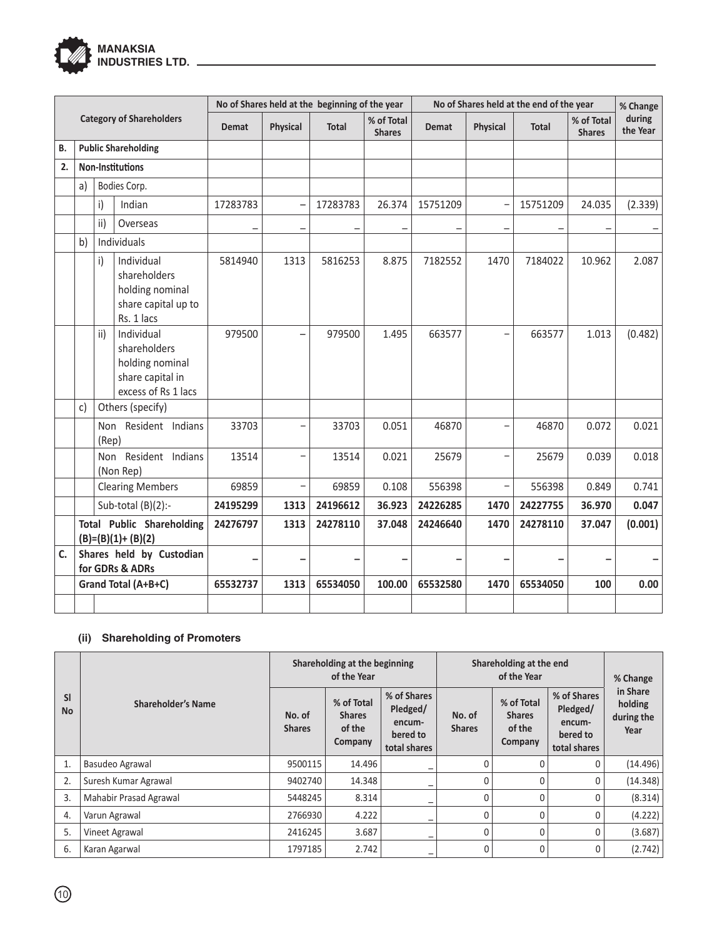

|    |                                             |       |                                                                                          |              | No of Shares held at the beginning of the year |              |                             |              | No of Shares held at the end of the year |              | % Change                    |                    |
|----|---------------------------------------------|-------|------------------------------------------------------------------------------------------|--------------|------------------------------------------------|--------------|-----------------------------|--------------|------------------------------------------|--------------|-----------------------------|--------------------|
|    |                                             |       | <b>Category of Shareholders</b>                                                          | <b>Demat</b> | Physical                                       | <b>Total</b> | % of Total<br><b>Shares</b> | <b>Demat</b> | <b>Physical</b>                          | <b>Total</b> | % of Total<br><b>Shares</b> | during<br>the Year |
| В. |                                             |       | <b>Public Shareholding</b>                                                               |              |                                                |              |                             |              |                                          |              |                             |                    |
| 2. |                                             |       | <b>Non-Institutions</b>                                                                  |              |                                                |              |                             |              |                                          |              |                             |                    |
|    | Bodies Corp.<br>a)                          |       |                                                                                          |              |                                                |              |                             |              |                                          |              |                             |                    |
|    |                                             | i)    | Indian                                                                                   | 17283783     | $\overline{\phantom{0}}$                       | 17283783     | 26.374                      | 15751209     | $\overline{\phantom{0}}$                 | 15751209     | 24.035                      | (2.339)            |
|    |                                             | ii)   | Overseas                                                                                 |              | $\overline{\phantom{0}}$                       |              |                             |              |                                          |              |                             |                    |
|    | b)                                          |       | Individuals                                                                              |              |                                                |              |                             |              |                                          |              |                             |                    |
|    |                                             | i)    | Individual<br>shareholders<br>holding nominal<br>share capital up to<br>Rs. 1 lacs       | 5814940      | 1313                                           | 5816253      | 8.875                       | 7182552      | 1470                                     | 7184022      | 10.962                      | 2.087              |
|    |                                             | ii)   | Individual<br>shareholders<br>holding nominal<br>share capital in<br>excess of Rs 1 lacs | 979500       | $\overline{\phantom{0}}$                       | 979500       | 1.495                       | 663577       | $\overline{\phantom{0}}$                 | 663577       | 1.013                       | (0.482)            |
|    | c)                                          |       | Others (specify)                                                                         |              |                                                |              |                             |              |                                          |              |                             |                    |
|    |                                             | (Rep) | Non Resident Indians                                                                     | 33703        | <sup>-</sup>                                   | 33703        | 0.051                       | 46870        | -                                        | 46870        | 0.072                       | 0.021              |
|    |                                             |       | Non Resident Indians<br>(Non Rep)                                                        | 13514        | -                                              | 13514        | 0.021                       | 25679        | $\overline{\phantom{0}}$                 | 25679        | 0.039                       | 0.018              |
|    |                                             |       | <b>Clearing Members</b>                                                                  | 69859        | $\overline{\phantom{0}}$                       | 69859        | 0.108                       | 556398       | $\overline{\phantom{0}}$                 | 556398       | 0.849                       | 0.741              |
|    |                                             |       | Sub-total $(B)(2)$ :-                                                                    | 24195299     | 1313                                           | 24196612     | 36.923                      | 24226285     | 1470                                     | 24227755     | 36.970                      | 0.047              |
|    |                                             |       | <b>Total Public Shareholding</b><br>$(B)=(B)(1)+(B)(2)$                                  | 24276797     | 1313                                           | 24278110     | 37.048                      | 24246640     | 1470                                     | 24278110     | 37.047                      | (0.001)            |
| C. | Shares held by Custodian<br>for GDRs & ADRs |       |                                                                                          |              | -                                              |              |                             |              |                                          |              |                             |                    |
|    |                                             |       | Grand Total (A+B+C)                                                                      | 65532737     | 1313                                           | 65534050     | 100.00                      | 65532580     | 1470                                     | 65534050     | 100                         | 0.00               |
|    |                                             |       |                                                                                          |              |                                                |              |                             |              |                                          |              |                             |                    |

# **(ii) Shareholding of Promoters**

|                        |                           |                         | Shareholding at the beginning<br>of the Year     |                                                               | Shareholding at the end | % Change                                         |                                                               |                                           |
|------------------------|---------------------------|-------------------------|--------------------------------------------------|---------------------------------------------------------------|-------------------------|--------------------------------------------------|---------------------------------------------------------------|-------------------------------------------|
| <b>SI</b><br><b>No</b> | <b>Shareholder's Name</b> | No. of<br><b>Shares</b> | % of Total<br><b>Shares</b><br>of the<br>Company | % of Shares<br>Pledged/<br>encum-<br>bered to<br>total shares | No. of<br><b>Shares</b> | % of Total<br><b>Shares</b><br>of the<br>Company | % of Shares<br>Pledged/<br>encum-<br>bered to<br>total shares | in Share<br>holding<br>during the<br>Year |
| 1.                     | Basudeo Agrawal           | 9500115                 | 14.496                                           |                                                               |                         |                                                  | $\Omega$                                                      | (14.496)                                  |
| 2.                     | Suresh Kumar Agrawal      | 9402740                 | 14.348                                           |                                                               |                         | 0                                                | $\Omega$                                                      | (14.348)                                  |
| 3.                     | Mahabir Prasad Agrawal    | 5448245                 | 8.314                                            |                                                               |                         | 0                                                | $\Omega$                                                      | (8.314)                                   |
| $\overline{4}$ .       | Varun Agrawal             | 2766930                 | 4.222                                            |                                                               |                         | $\Omega$                                         | $\Omega$                                                      | (4.222)                                   |
| 5.                     | Vineet Agrawal            | 2416245                 | 3.687                                            |                                                               | 0                       | $\Omega$                                         | $\Omega$                                                      | (3.687)                                   |
| 6.                     | Karan Agarwal             | 1797185                 | 2.742                                            |                                                               |                         | $\Omega$                                         | $\Omega$                                                      | (2.742)                                   |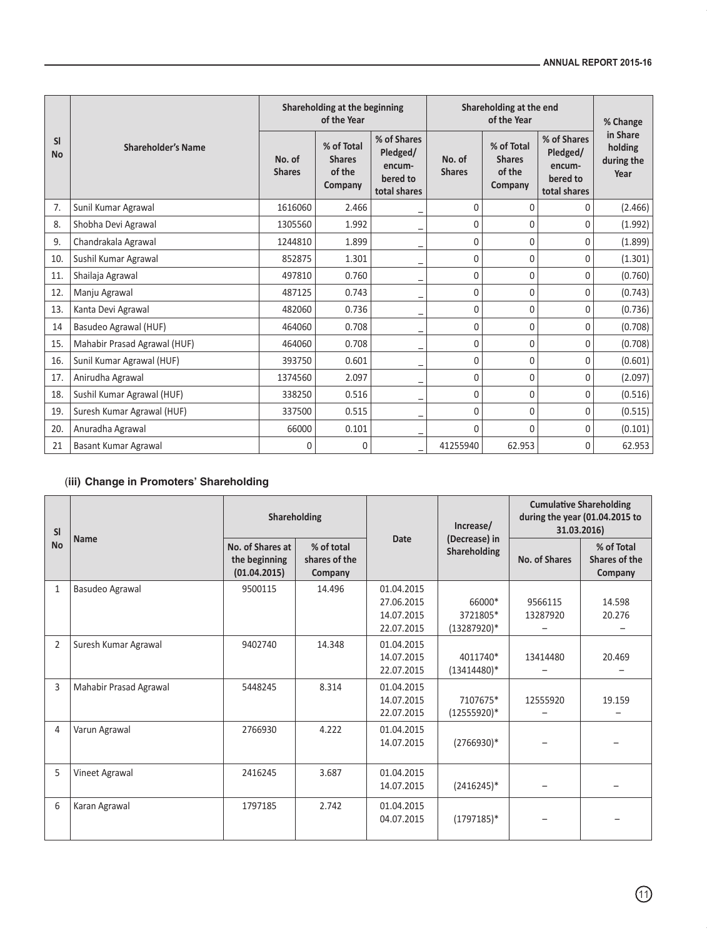|                 |                              |                         | Shareholding at the beginning<br>of the Year     |                                                               | Shareholding at the end | % Change                                         |                                                               |                                           |
|-----------------|------------------------------|-------------------------|--------------------------------------------------|---------------------------------------------------------------|-------------------------|--------------------------------------------------|---------------------------------------------------------------|-------------------------------------------|
| SI<br><b>No</b> | <b>Shareholder's Name</b>    | No. of<br><b>Shares</b> | % of Total<br><b>Shares</b><br>of the<br>Company | % of Shares<br>Pledged/<br>encum-<br>bered to<br>total shares | No. of<br><b>Shares</b> | % of Total<br><b>Shares</b><br>of the<br>Company | % of Shares<br>Pledged/<br>encum-<br>bered to<br>total shares | in Share<br>holding<br>during the<br>Year |
| 7.              | Sunil Kumar Agrawal          | 1616060                 | 2.466                                            |                                                               | $\mathbf 0$             | $\Omega$                                         | 0                                                             | (2.466)                                   |
| 8.              | Shobha Devi Agrawal          | 1305560                 | 1.992                                            |                                                               | $\Omega$                | $\Omega$                                         | 0                                                             | (1.992)                                   |
| 9.              | Chandrakala Agrawal          | 1244810                 | 1.899                                            |                                                               | 0                       | $\mathbf 0$                                      | 0                                                             | (1.899)                                   |
| 10.             | Sushil Kumar Agrawal         | 852875                  | 1.301                                            |                                                               | 0                       | 0                                                | 0                                                             | (1.301)                                   |
| 11.             | Shailaja Agrawal             | 497810                  | 0.760                                            |                                                               | 0                       | 0                                                | 0                                                             | (0.760)                                   |
| 12.             | Manju Agrawal                | 487125                  | 0.743                                            |                                                               | $\Omega$                | $\mathbf{0}$                                     | $\Omega$                                                      | (0.743)                                   |
| 13.             | Kanta Devi Agrawal           | 482060                  | 0.736                                            |                                                               | 0                       | 0                                                | 0                                                             | (0.736)                                   |
| 14              | Basudeo Agrawal (HUF)        | 464060                  | 0.708                                            |                                                               | 0                       | $\Omega$                                         | $\Omega$                                                      | (0.708)                                   |
| 15.             | Mahabir Prasad Agrawal (HUF) | 464060                  | 0.708                                            |                                                               | 0                       | 0                                                | 0                                                             | (0.708)                                   |
| 16.             | Sunil Kumar Agrawal (HUF)    | 393750                  | 0.601                                            |                                                               | 0                       | $\mathbf{0}$                                     | $\Omega$                                                      | (0.601)                                   |
| 17.             | Anirudha Agrawal             | 1374560                 | 2.097                                            |                                                               | 0                       | $\mathbf{0}$                                     | $\Omega$                                                      | (2.097)                                   |
| 18.             | Sushil Kumar Agrawal (HUF)   | 338250                  | 0.516                                            |                                                               | 0                       | $\mathbf 0$                                      | 0                                                             | (0.516)                                   |
| 19.             | Suresh Kumar Agrawal (HUF)   | 337500                  | 0.515                                            |                                                               | 0                       | 0                                                | 0                                                             | (0.515)                                   |
| 20.             | Anuradha Agrawal             | 66000                   | 0.101                                            |                                                               | 0                       | $\Omega$                                         | 0                                                             | (0.101)                                   |
| 21              | Basant Kumar Agrawal         | $\mathbf 0$             | 0                                                |                                                               | 41255940                | 62.953                                           | 0                                                             | 62.953                                    |

# (**iii) Change in Promoters' Shareholding**

| <b>SI</b>      | <b>Name</b>            | Shareholding                                      |                                        | <b>Date</b>                                          | Increase/<br>(Decrease) in          | <b>Cumulative Shareholding</b><br>during the year (01.04.2015 to<br>31.03.2016) |                                        |  |
|----------------|------------------------|---------------------------------------------------|----------------------------------------|------------------------------------------------------|-------------------------------------|---------------------------------------------------------------------------------|----------------------------------------|--|
| <b>No</b>      |                        | No. of Shares at<br>the beginning<br>(01.04.2015) | % of total<br>shares of the<br>Company |                                                      | Shareholding                        | No. of Shares                                                                   | % of Total<br>Shares of the<br>Company |  |
| 1              | Basudeo Agrawal        | 9500115                                           | 14.496                                 | 01.04.2015<br>27.06.2015<br>14.07.2015<br>22.07.2015 | 66000*<br>3721805*<br>$(13287920)*$ | 9566115<br>13287920                                                             | 14.598<br>20.276                       |  |
| $\overline{2}$ | Suresh Kumar Agrawal   | 9402740                                           | 14.348                                 | 01.04.2015<br>14.07.2015<br>22.07.2015               | 4011740*<br>$(13414480)*$           | 13414480                                                                        | 20.469                                 |  |
| 3              | Mahabir Prasad Agrawal | 5448245                                           | 8.314                                  | 01.04.2015<br>14.07.2015<br>22.07.2015               | 7107675*<br>$(12555920)^*$          | 12555920                                                                        | 19.159                                 |  |
| 4              | Varun Agrawal          | 2766930                                           | 4.222                                  | 01.04.2015<br>14.07.2015                             | $(2766930)^*$                       |                                                                                 |                                        |  |
| 5              | Vineet Agrawal         | 2416245                                           | 3.687                                  | 01.04.2015<br>14.07.2015                             | $(2416245)^*$                       |                                                                                 |                                        |  |
| 6              | Karan Agrawal          | 1797185                                           | 2.742                                  | 01.04.2015<br>04.07.2015                             | $(1797185)*$                        |                                                                                 |                                        |  |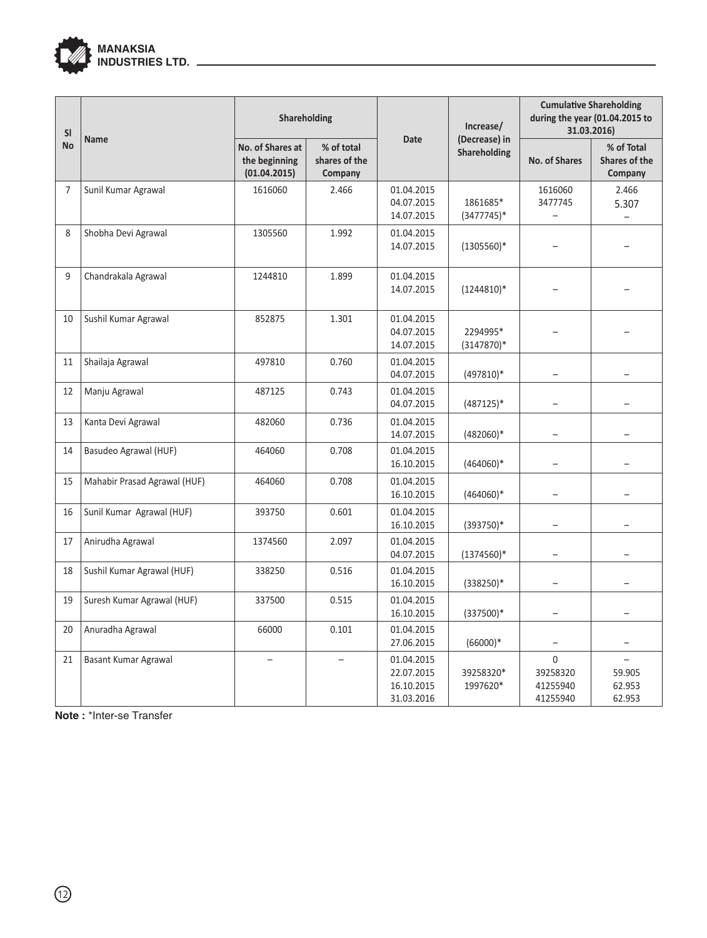

| SI             | <b>Name</b>                  | Shareholding                                      |                                        |                                                      | Increase/<br>(Decrease) in | <b>Cumulative Shareholding</b><br>during the year (01.04.2015 to<br>31.03.2016) |                                        |  |
|----------------|------------------------------|---------------------------------------------------|----------------------------------------|------------------------------------------------------|----------------------------|---------------------------------------------------------------------------------|----------------------------------------|--|
| <b>No</b>      |                              | No. of Shares at<br>the beginning<br>(01.04.2015) | % of total<br>shares of the<br>Company | <b>Date</b>                                          | Shareholding               | <b>No. of Shares</b>                                                            | % of Total<br>Shares of the<br>Company |  |
| $\overline{7}$ | Sunil Kumar Agrawal          | 1616060                                           | 2.466                                  | 01.04.2015<br>04.07.2015<br>14.07.2015               | 1861685*<br>$(3477745)^*$  | 1616060<br>3477745                                                              | 2.466<br>5.307                         |  |
| 8              | Shobha Devi Agrawal          | 1305560                                           | 1.992                                  | 01.04.2015<br>14.07.2015                             | $(1305560)*$               |                                                                                 |                                        |  |
| 9              | Chandrakala Agrawal          | 1244810                                           | 1.899                                  | 01.04.2015<br>14.07.2015                             | $(1244810)*$               |                                                                                 |                                        |  |
| 10             | Sushil Kumar Agrawal         | 852875                                            | 1.301                                  | 01.04.2015<br>04.07.2015<br>14.07.2015               | 2294995*<br>$(3147870)*$   |                                                                                 |                                        |  |
| 11             | Shailaja Agrawal             | 497810                                            | 0.760                                  | 01.04.2015<br>04.07.2015                             | $(497810)*$                |                                                                                 |                                        |  |
| 12             | Manju Agrawal                | 487125                                            | 0.743                                  | 01.04.2015<br>04.07.2015                             | $(487125)*$                |                                                                                 |                                        |  |
| 13             | Kanta Devi Agrawal           | 482060                                            | 0.736                                  | 01.04.2015<br>14.07.2015                             | $(482060)*$                | $\qquad \qquad -$                                                               |                                        |  |
| 14             | Basudeo Agrawal (HUF)        | 464060                                            | 0.708                                  | 01.04.2015<br>16.10.2015                             | $(464060)*$                |                                                                                 |                                        |  |
| 15             | Mahabir Prasad Agrawal (HUF) | 464060                                            | 0.708                                  | 01.04.2015<br>16.10.2015                             | $(464060)*$                |                                                                                 |                                        |  |
| 16             | Sunil Kumar Agrawal (HUF)    | 393750                                            | 0.601                                  | 01.04.2015<br>16.10.2015                             | $(393750)*$                | $\overline{\phantom{a}}$                                                        | $\overline{\phantom{0}}$               |  |
| 17             | Anirudha Agrawal             | 1374560                                           | 2.097                                  | 01.04.2015<br>04.07.2015                             | $(1374560)*$               |                                                                                 |                                        |  |
| 18             | Sushil Kumar Agrawal (HUF)   | 338250                                            | 0.516                                  | 01.04.2015<br>16.10.2015                             | $(338250)*$                |                                                                                 |                                        |  |
| 19             | Suresh Kumar Agrawal (HUF)   | 337500                                            | 0.515                                  | 01.04.2015<br>16.10.2015                             | $(337500)*$                | $\qquad \qquad -$                                                               | $\qquad \qquad -$                      |  |
| 20             | Anuradha Agrawal             | 66000                                             | 0.101                                  | 01.04.2015<br>27.06.2015                             | $(66000)*$                 | $\overline{\phantom{0}}$                                                        | $\overline{\phantom{0}}$               |  |
| 21             | Basant Kumar Agrawal         |                                                   |                                        | 01.04.2015<br>22.07.2015<br>16.10.2015<br>31.03.2016 | 39258320*<br>1997620*      | $\mathbf{0}$<br>39258320<br>41255940<br>41255940                                | 59.905<br>62.953<br>62.953             |  |

**Note :** \*Inter-se Transfer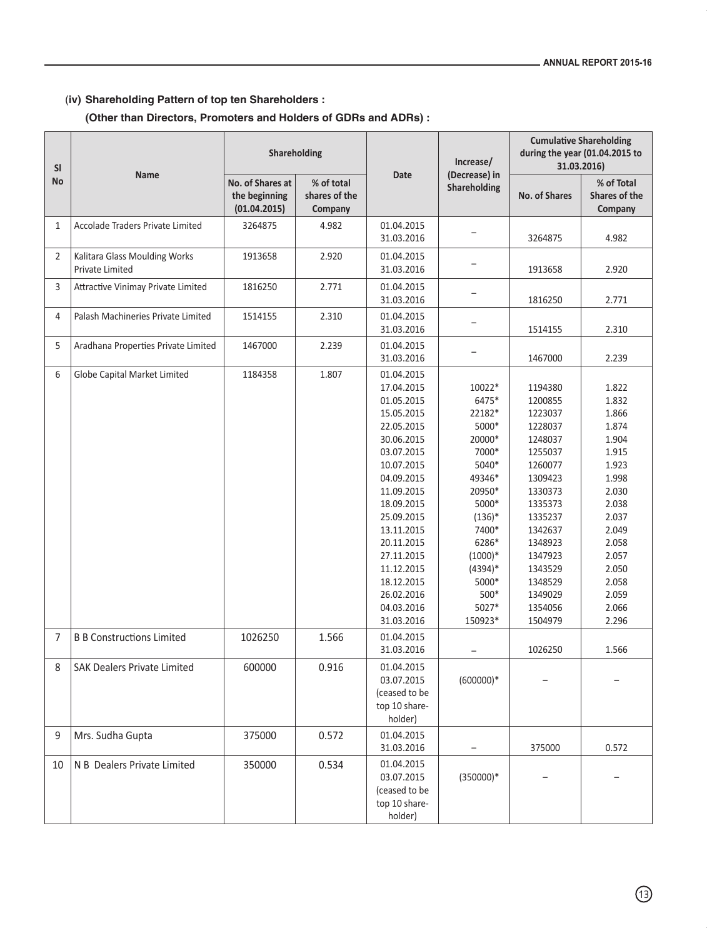# (**iv) Shareholding Pattern of top ten Shareholders :**

### **(Other than Directors, Promoters and Holders of GDRs and ADRs) :**

| <b>SI</b>      |                                                         | Shareholding                                      |                                        |                                                                                                                                                                                                                                                                                      | Increase/                                                                                                                                                                                   | <b>Cumulative Shareholding</b><br>during the year (01.04.2015 to<br>31.03.2016)                                                                                                                               |                                                                                                                                                                         |  |
|----------------|---------------------------------------------------------|---------------------------------------------------|----------------------------------------|--------------------------------------------------------------------------------------------------------------------------------------------------------------------------------------------------------------------------------------------------------------------------------------|---------------------------------------------------------------------------------------------------------------------------------------------------------------------------------------------|---------------------------------------------------------------------------------------------------------------------------------------------------------------------------------------------------------------|-------------------------------------------------------------------------------------------------------------------------------------------------------------------------|--|
| <b>No</b>      | Name                                                    | No. of Shares at<br>the beginning<br>(01.04.2015) | % of total<br>shares of the<br>Company | <b>Date</b>                                                                                                                                                                                                                                                                          | (Decrease) in<br>Shareholding                                                                                                                                                               | No. of Shares                                                                                                                                                                                                 | % of Total<br>Shares of the<br>Company                                                                                                                                  |  |
| 1              | Accolade Traders Private Limited                        | 3264875                                           | 4.982                                  | 01.04.2015<br>31.03.2016                                                                                                                                                                                                                                                             |                                                                                                                                                                                             | 3264875                                                                                                                                                                                                       | 4.982                                                                                                                                                                   |  |
| $\overline{2}$ | Kalitara Glass Moulding Works<br><b>Private Limited</b> | 1913658                                           | 2.920                                  | 01.04.2015<br>31.03.2016                                                                                                                                                                                                                                                             |                                                                                                                                                                                             | 1913658                                                                                                                                                                                                       | 2.920                                                                                                                                                                   |  |
| 3              | Attractive Vinimay Private Limited                      | 1816250                                           | 2.771                                  | 01.04.2015<br>31.03.2016                                                                                                                                                                                                                                                             |                                                                                                                                                                                             | 1816250                                                                                                                                                                                                       | 2.771                                                                                                                                                                   |  |
| 4              | Palash Machineries Private Limited                      | 1514155                                           | 2.310                                  | 01.04.2015<br>31.03.2016                                                                                                                                                                                                                                                             |                                                                                                                                                                                             | 1514155                                                                                                                                                                                                       | 2.310                                                                                                                                                                   |  |
| 5              | Aradhana Properties Private Limited                     | 1467000                                           | 2.239                                  | 01.04.2015<br>31.03.2016                                                                                                                                                                                                                                                             |                                                                                                                                                                                             | 1467000                                                                                                                                                                                                       | 2.239                                                                                                                                                                   |  |
| 6              | Globe Capital Market Limited                            | 1184358                                           | 1.807                                  | 01.04.2015<br>17.04.2015<br>01.05.2015<br>15.05.2015<br>22.05.2015<br>30.06.2015<br>03.07.2015<br>10.07.2015<br>04.09.2015<br>11.09.2015<br>18.09.2015<br>25.09.2015<br>13.11.2015<br>20.11.2015<br>27.11.2015<br>11.12.2015<br>18.12.2015<br>26.02.2016<br>04.03.2016<br>31.03.2016 | 10022*<br>6475*<br>22182*<br>5000*<br>20000*<br>7000*<br>5040*<br>49346*<br>20950*<br>5000*<br>$(136)^*$<br>7400*<br>6286*<br>$(1000)*$<br>$(4394)*$<br>5000*<br>$500*$<br>5027*<br>150923* | 1194380<br>1200855<br>1223037<br>1228037<br>1248037<br>1255037<br>1260077<br>1309423<br>1330373<br>1335373<br>1335237<br>1342637<br>1348923<br>1347923<br>1343529<br>1348529<br>1349029<br>1354056<br>1504979 | 1.822<br>1.832<br>1.866<br>1.874<br>1.904<br>1.915<br>1.923<br>1.998<br>2.030<br>2.038<br>2.037<br>2.049<br>2.058<br>2.057<br>2.050<br>2.058<br>2.059<br>2.066<br>2.296 |  |
| $\overline{7}$ | <b>B B Constructions Limited</b>                        | 1026250                                           | 1.566                                  | 01.04.2015<br>31.03.2016                                                                                                                                                                                                                                                             | $\qquad \qquad -$                                                                                                                                                                           | 1026250                                                                                                                                                                                                       | 1.566                                                                                                                                                                   |  |
| 8              | <b>SAK Dealers Private Limited</b>                      | 600000                                            | 0.916                                  | 01.04.2015<br>03.07.2015<br>(ceased to be<br>top 10 share-<br>holder)                                                                                                                                                                                                                | $(600000)*$                                                                                                                                                                                 |                                                                                                                                                                                                               |                                                                                                                                                                         |  |
| 9              | Mrs. Sudha Gupta                                        | 375000                                            | 0.572                                  | 01.04.2015<br>31.03.2016                                                                                                                                                                                                                                                             |                                                                                                                                                                                             | 375000                                                                                                                                                                                                        | 0.572                                                                                                                                                                   |  |
| 10             | N B Dealers Private Limited                             | 350000                                            | 0.534                                  | 01.04.2015<br>03.07.2015<br>(ceased to be<br>top 10 share-<br>holder)                                                                                                                                                                                                                | $(350000)*$                                                                                                                                                                                 |                                                                                                                                                                                                               |                                                                                                                                                                         |  |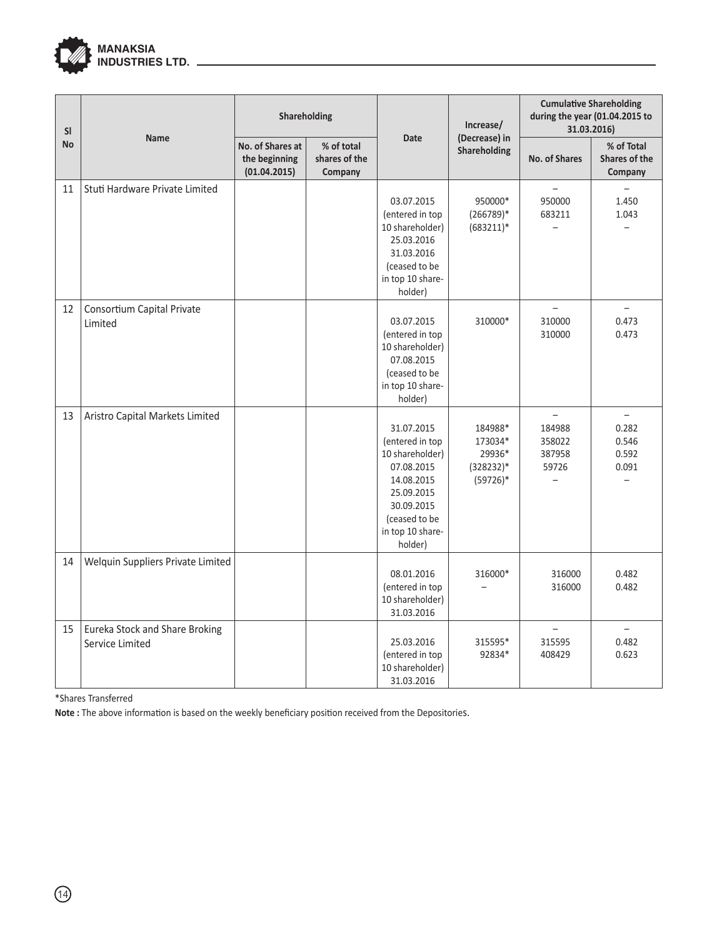

| <b>SI</b> |                                                   | Shareholding                                      |                                        |                                                                                                                                                          | Increase/<br>(Decrease) in                                | 31.03.2016)                                                                                 | <b>Cumulative Shareholding</b><br>during the year (01.04.2015 to |
|-----------|---------------------------------------------------|---------------------------------------------------|----------------------------------------|----------------------------------------------------------------------------------------------------------------------------------------------------------|-----------------------------------------------------------|---------------------------------------------------------------------------------------------|------------------------------------------------------------------|
| <b>No</b> | <b>Name</b>                                       | No. of Shares at<br>the beginning<br>(01.04.2015) | % of total<br>shares of the<br>Company | <b>Date</b>                                                                                                                                              | Shareholding                                              | <b>No. of Shares</b>                                                                        | % of Total<br>Shares of the<br>Company                           |
| 11        | Stuti Hardware Private Limited                    |                                                   |                                        | 03.07.2015<br>(entered in top<br>10 shareholder)<br>25.03.2016<br>31.03.2016<br>(ceased to be<br>in top 10 share-<br>holder)                             | 950000*<br>$(266789)*$<br>$(683211)*$                     | 950000<br>683211                                                                            | $\overline{\phantom{0}}$<br>1.450<br>1.043                       |
| 12        | Consortium Capital Private<br>Limited             |                                                   |                                        | 03.07.2015<br>(entered in top<br>10 shareholder)<br>07.08.2015<br>(ceased to be<br>in top 10 share-<br>holder)                                           | 310000*                                                   | 310000<br>310000                                                                            | 0.473<br>0.473                                                   |
| 13        | Aristro Capital Markets Limited                   |                                                   |                                        | 31.07.2015<br>(entered in top<br>10 shareholder)<br>07.08.2015<br>14.08.2015<br>25.09.2015<br>30.09.2015<br>(ceased to be<br>in top 10 share-<br>holder) | 184988*<br>173034*<br>29936*<br>$(328232)*$<br>$(59726)*$ | $\overline{\phantom{0}}$<br>184988<br>358022<br>387958<br>59726<br>$\overline{\phantom{0}}$ | $\overline{\phantom{0}}$<br>0.282<br>0.546<br>0.592<br>0.091     |
| 14        | Welquin Suppliers Private Limited                 |                                                   |                                        | 08.01.2016<br>(entered in top<br>10 shareholder)<br>31.03.2016                                                                                           | 316000*                                                   | 316000<br>316000                                                                            | 0.482<br>0.482                                                   |
| 15        | Eureka Stock and Share Broking<br>Service Limited |                                                   |                                        | 25.03.2016<br>(entered in top<br>10 shareholder)<br>31.03.2016                                                                                           | 315595*<br>92834*                                         | 315595<br>408429                                                                            | 0.482<br>0.623                                                   |

\*Shares Transferred

**Note :** The above information is based on the weekly beneficiary position received from the Depositories.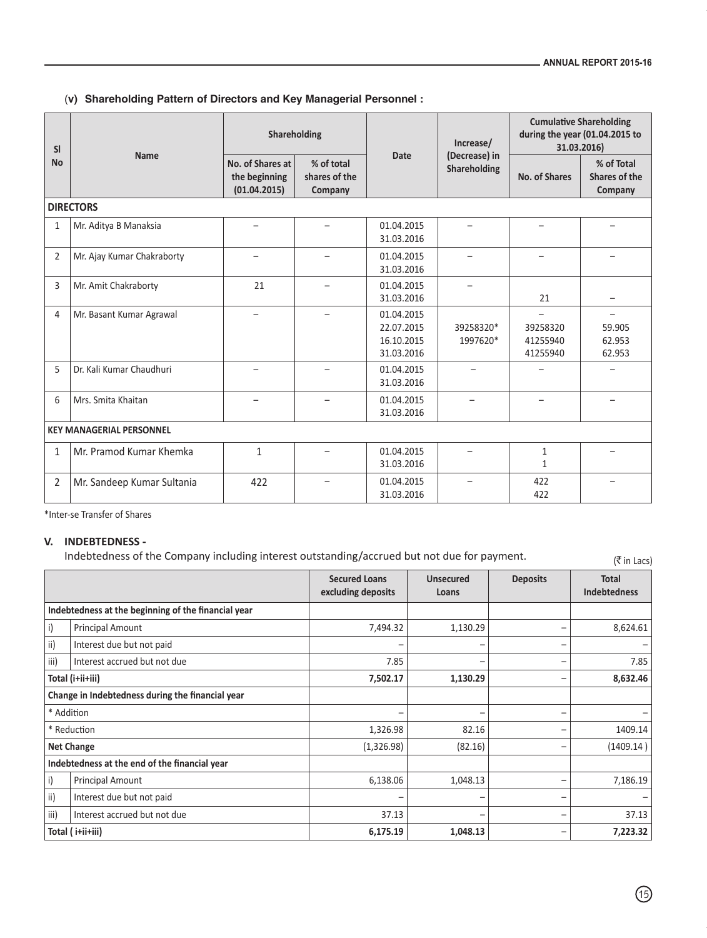### (**v) Shareholding Pattern of Directors and Key Managerial Personnel :**

| SI             | <b>Name</b>                     | Shareholding                                      |                                        | <b>Date</b>                                          | Increase/<br>(Decrease) in |                                                              | <b>Cumulative Shareholding</b><br>during the year (01.04.2015 to<br>31.03.2016) |  |
|----------------|---------------------------------|---------------------------------------------------|----------------------------------------|------------------------------------------------------|----------------------------|--------------------------------------------------------------|---------------------------------------------------------------------------------|--|
| <b>No</b>      |                                 | No. of Shares at<br>the beginning<br>(01.04.2015) | % of total<br>shares of the<br>Company |                                                      | Shareholding               | No. of Shares                                                | % of Total<br>Shares of the<br>Company                                          |  |
|                | <b>DIRECTORS</b>                |                                                   |                                        |                                                      |                            |                                                              |                                                                                 |  |
| $\mathbf{1}$   | Mr. Aditya B Manaksia           |                                                   |                                        | 01.04.2015<br>31.03.2016                             |                            |                                                              |                                                                                 |  |
| $\overline{2}$ | Mr. Ajay Kumar Chakraborty      |                                                   |                                        | 01.04.2015<br>31.03.2016                             |                            |                                                              |                                                                                 |  |
| $\overline{3}$ | Mr. Amit Chakraborty            | 21                                                |                                        | 01.04.2015<br>31.03.2016                             |                            | 21                                                           |                                                                                 |  |
| 4              | Mr. Basant Kumar Agrawal        |                                                   |                                        | 01.04.2015<br>22.07.2015<br>16.10.2015<br>31.03.2016 | 39258320*<br>1997620*      | $\overline{\phantom{0}}$<br>39258320<br>41255940<br>41255940 | 59.905<br>62.953<br>62.953                                                      |  |
| 5              | Dr. Kali Kumar Chaudhuri        |                                                   |                                        | 01.04.2015<br>31.03.2016                             |                            |                                                              |                                                                                 |  |
| 6              | Mrs. Smita Khaitan              |                                                   |                                        | 01.04.2015<br>31.03.2016                             |                            |                                                              |                                                                                 |  |
|                | <b>KEY MANAGERIAL PERSONNEL</b> |                                                   |                                        |                                                      |                            |                                                              |                                                                                 |  |
| $\mathbf{1}$   | Mr. Pramod Kumar Khemka         | $\mathbf{1}$                                      |                                        | 01.04.2015<br>31.03.2016                             |                            | $\mathbf{1}$<br>$\mathbf{1}$                                 |                                                                                 |  |
| $\overline{2}$ | Mr. Sandeep Kumar Sultania      | 422                                               |                                        | 01.04.2015<br>31.03.2016                             |                            | 422<br>422                                                   |                                                                                 |  |

\*Inter-se Transfer of Shares

# **V. INDEBTEDNESS -**

Indebtedness of the Company including interest outstanding/accrued but not due for payment.

(₹ in Lacs)

|            |                                                     | <b>Secured Loans</b><br>excluding deposits | <b>Unsecured</b><br>Loans | <b>Deposits</b> | <b>Total</b><br>Indebtedness |
|------------|-----------------------------------------------------|--------------------------------------------|---------------------------|-----------------|------------------------------|
|            | Indebtedness at the beginning of the financial year |                                            |                           |                 |                              |
| i)         | <b>Principal Amount</b>                             | 7,494.32                                   | 1,130.29                  |                 | 8,624.61                     |
| ii)        | Interest due but not paid                           |                                            |                           |                 |                              |
| iii)       | Interest accrued but not due                        | 7.85                                       |                           |                 | 7.85                         |
|            | Total (i+ii+iii)                                    | 7,502.17                                   | 1,130.29                  |                 | 8,632.46                     |
|            | Change in Indebtedness during the financial year    |                                            |                           |                 |                              |
| * Addition |                                                     |                                            |                           | -               |                              |
|            | * Reduction                                         | 1,326.98                                   | 82.16                     | -               | 1409.14                      |
|            | <b>Net Change</b>                                   | (1,326.98)                                 | (82.16)                   |                 | (1409.14)                    |
|            | Indebtedness at the end of the financial year       |                                            |                           |                 |                              |
| i)         | <b>Principal Amount</b>                             | 6,138.06                                   | 1,048.13                  |                 | 7,186.19                     |
| ii)        | Interest due but not paid                           |                                            |                           |                 |                              |
| iii)       | Interest accrued but not due                        | 37.13                                      | -                         |                 | 37.13                        |
|            | Total ( i+ii+iii)                                   | 6,175.19                                   | 1,048.13                  |                 | 7,223.32                     |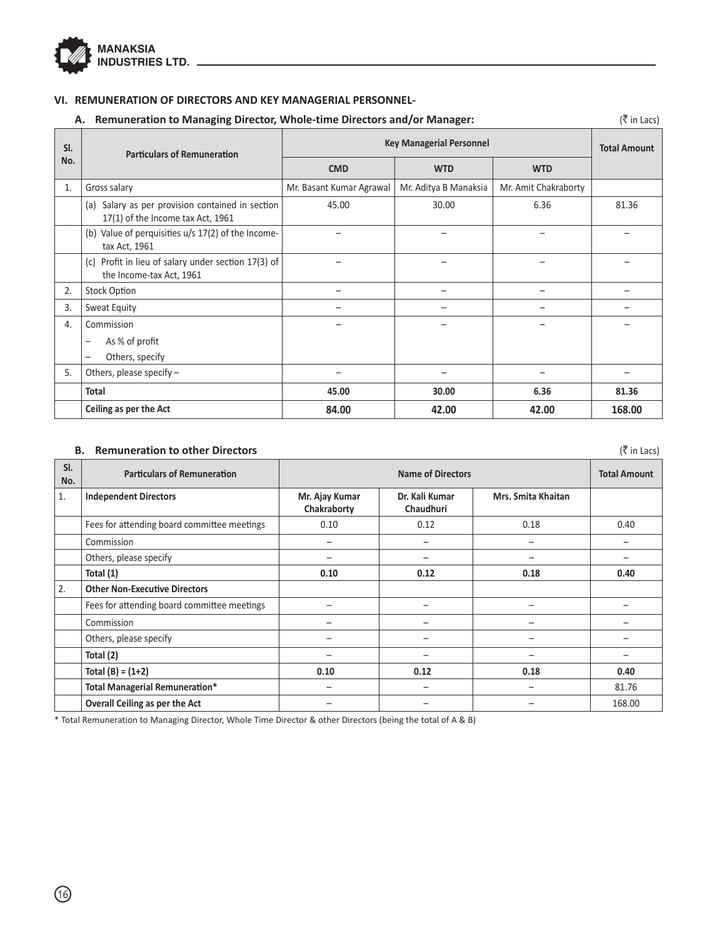

#### **VI. REMUNERATION OF DIRECTORS AND KEY MANAGERIAL PERSONNEL-**

#### **A.** Remuneration to Managing Director, Whole-time Directors and/or Manager:  $(\bar{\zeta} \text{ in } \text{Lacs})$

| SI. | <b>Particulars of Remuneration</b>                                                       | <b>Key Managerial Personnel</b> |                       |                      | <b>Total Amount</b> |
|-----|------------------------------------------------------------------------------------------|---------------------------------|-----------------------|----------------------|---------------------|
| No. |                                                                                          | <b>CMD</b>                      | <b>WTD</b>            | <b>WTD</b>           |                     |
| 1.  | Gross salary                                                                             | Mr. Basant Kumar Agrawal        | Mr. Aditya B Manaksia | Mr. Amit Chakraborty |                     |
|     | Salary as per provision contained in section<br>(a)<br>17(1) of the Income tax Act, 1961 | 45.00                           | 30.00                 | 6.36                 | 81.36               |
|     | Value of perquisities u/s 17(2) of the Income-<br>(b)<br>tax Act, 1961                   |                                 |                       |                      |                     |
|     | Profit in lieu of salary under section 17(3) of<br>(c)<br>the Income-tax Act, 1961       |                                 |                       |                      |                     |
| 2.  | <b>Stock Option</b>                                                                      |                                 |                       |                      |                     |
| 3.  | Sweat Equity                                                                             |                                 |                       |                      |                     |
| 4.  | Commission                                                                               |                                 |                       |                      |                     |
|     | As % of profit<br>-                                                                      |                                 |                       |                      |                     |
|     | Others, specify<br>-                                                                     |                                 |                       |                      |                     |
| 5.  | Others, please specify $-$                                                               |                                 |                       |                      |                     |
|     | Total                                                                                    | 45.00                           | 30.00                 | 6.36                 | 81.36               |
|     | Ceiling as per the Act                                                                   | 84.00                           | 42.00                 | 42.00                | 168.00              |

# **B.** Remuneration to other Directors  $(\bar{z})$  in Lacs)

**Sl. No. Particulars of Remuneration Name of Directors Name of Directors Name of Directors Total Amount** 1. **Independent Directors Mr. Ajay Kumar Chakraborty Dr. Kali Kumar Chaudhuri Mrs. Smita Khaitan** Fees for attending board committee meetings  $\begin{array}{|c|c|c|c|c|c|c|c|c|} \hline 0.12 & 0.12 & 0.18 & 0.40 \\ \hline \end{array}$ Commission – – – – Others, please specify  $\qquad \qquad \qquad \qquad \qquad \qquad \qquad \qquad -$ **Total (1) 0.10 0.12 0.18 0.40** 2. **Other Non-Executive Directors** Fees for attending board committee meetings  $\begin{vmatrix} - & - & \cdot & \cdot \\ \cdot & - & \cdot & \cdot \\ \cdot & \cdot & \cdot & \cdot \end{vmatrix}$   $\begin{vmatrix} - & - & \cdot & \cdot \\ \cdot & \cdot & \cdot & \cdot \\ \cdot & \cdot & \cdot & \cdot \end{vmatrix}$ Commission – – – – Others, please specify – – – – **Total (2)** – – – – **Total (B) = (1+2) 0.10 0.12 0.18 0.40 Total Managerial Remuneration\*** – – – 81.76 **Overall Ceiling as per the Act discription in the act discription in the set of the set of the set of the set of the set of the set of the set of the set of the set of the set of the set of the set of the set of the s** 

\* Total Remuneration to Managing Director, Whole Time Director & other Directors (being the total of A & B)

 $(16)$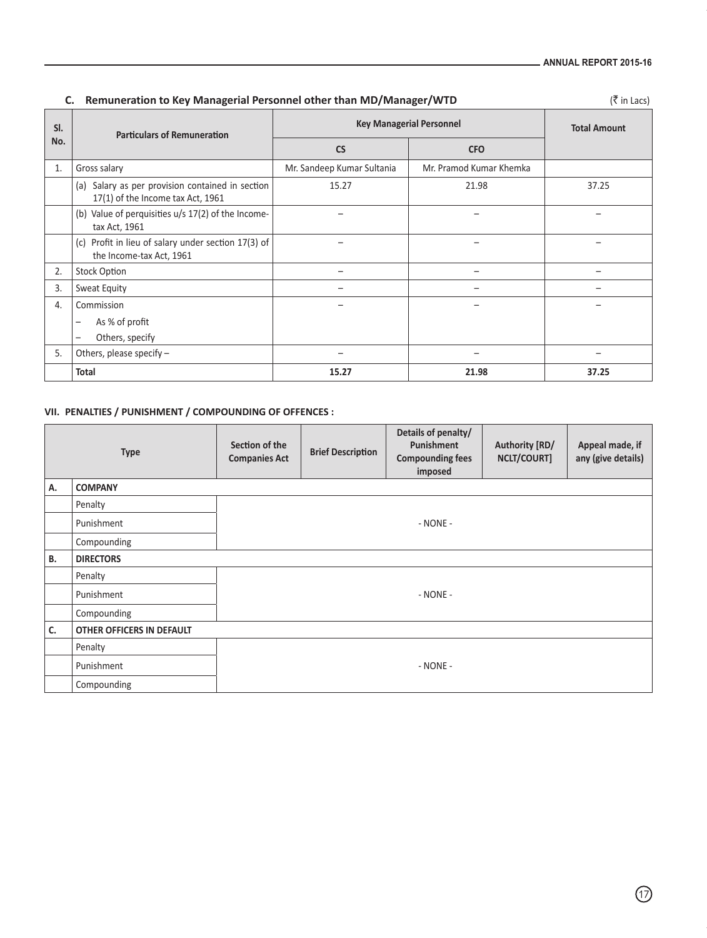| SI. | <b>Particulars of Remuneration</b>                                                    | <b>Key Managerial Personnel</b> | <b>Total Amount</b>     |       |
|-----|---------------------------------------------------------------------------------------|---------------------------------|-------------------------|-------|
| No. |                                                                                       | <b>CS</b>                       | <b>CFO</b>              |       |
| 1.  | Gross salary                                                                          | Mr. Sandeep Kumar Sultania      | Mr. Pramod Kumar Khemka |       |
|     | (a) Salary as per provision contained in section<br>17(1) of the Income tax Act, 1961 | 15.27                           | 21.98                   | 37.25 |
|     | (b) Value of perquisities u/s 17(2) of the Income-<br>tax Act, 1961                   |                                 |                         |       |
|     | (c) Profit in lieu of salary under section 17(3) of<br>the Income-tax Act, 1961       |                                 |                         |       |
| 2.  | <b>Stock Option</b>                                                                   |                                 |                         |       |
| 3.  | Sweat Equity                                                                          |                                 |                         |       |
| 4.  | Commission                                                                            |                                 |                         |       |
|     | As % of profit<br>-                                                                   |                                 |                         |       |
|     | Others, specify<br>-                                                                  |                                 |                         |       |
| 5.  | Others, please specify $-$                                                            |                                 |                         |       |
|     | Total                                                                                 | 15.27                           | 21.98                   | 37.25 |

### **C. Remuneration to Key Managerial Personnel other than MD/Manager/WTD** ( $\bar{\tau}$  in Lacs)

# **VII. PENALTIES / PUNISHMENT / COMPOUNDING OF OFFENCES :**

|    | <b>Type</b>               | Section of the<br><b>Companies Act</b> | <b>Brief Description</b> | Details of penalty/<br>Punishment<br><b>Compounding fees</b><br>imposed | Authority [RD/<br>NCLT/COURT] | Appeal made, if<br>any (give details) |
|----|---------------------------|----------------------------------------|--------------------------|-------------------------------------------------------------------------|-------------------------------|---------------------------------------|
| А. | <b>COMPANY</b>            |                                        |                          |                                                                         |                               |                                       |
|    | Penalty                   |                                        |                          |                                                                         |                               |                                       |
|    | Punishment                |                                        |                          | - NONE -                                                                |                               |                                       |
|    | Compounding               |                                        |                          |                                                                         |                               |                                       |
| В. | <b>DIRECTORS</b>          |                                        |                          |                                                                         |                               |                                       |
|    | Penalty                   |                                        |                          |                                                                         |                               |                                       |
|    | Punishment                | $-$ NONE $-$                           |                          |                                                                         |                               |                                       |
|    | Compounding               |                                        |                          |                                                                         |                               |                                       |
| C. | OTHER OFFICERS IN DEFAULT |                                        |                          |                                                                         |                               |                                       |
|    | Penalty                   |                                        |                          |                                                                         |                               |                                       |
|    | Punishment                | - NONE -                               |                          |                                                                         |                               |                                       |
|    | Compounding               |                                        |                          |                                                                         |                               |                                       |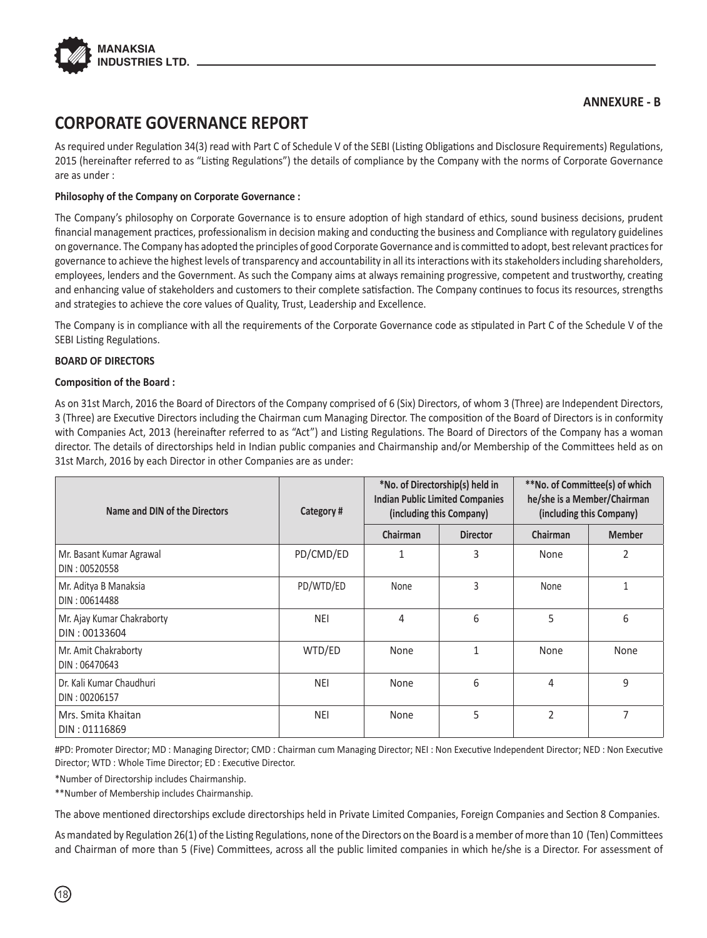

# **ANNEXURE - B**

# **CORPORATE GOVERNANCE REPORT**

As required under Regulation 34(3) read with Part C of Schedule V of the SEBI (Listing Obligations and Disclosure Requirements) Regulations, 2015 (hereinafter referred to as "Listing Regulations") the details of compliance by the Company with the norms of Corporate Governance are as under :

#### **Philosophy of the Company on Corporate Governance :**

The Company's philosophy on Corporate Governance is to ensure adoption of high standard of ethics, sound business decisions, prudent financial management practices, professionalism in decision making and conducting the business and Compliance with regulatory guidelines on governance. The Company has adopted the principles of good Corporate Governance and is committed to adopt, best relevant practices for governance to achieve the highest levels of transparency and accountability in all its interactions with its stakeholders including shareholders, employees, lenders and the Government. As such the Company aims at always remaining progressive, competent and trustworthy, creating and enhancing value of stakeholders and customers to their complete satisfaction. The Company continues to focus its resources, strengths and strategies to achieve the core values of Quality, Trust, Leadership and Excellence.

The Company is in compliance with all the requirements of the Corporate Governance code as stipulated in Part C of the Schedule V of the SEBI Listing Regulations.

#### **BOARD OF DIRECTORS**

#### **Composition of the Board :**

As on 31st March, 2016 the Board of Directors of the Company comprised of 6 (Six) Directors, of whom 3 (Three) are Independent Directors, 3 (Three) are Executive Directors including the Chairman cum Managing Director. The composition of the Board of Directors is in conformity with Companies Act, 2013 (hereinafter referred to as "Act") and Listing Regulations. The Board of Directors of the Company has a woman director. The details of directorships held in Indian public companies and Chairmanship and/or Membership of the Committees held as on 31st March, 2016 by each Director in other Companies are as under:

| Name and DIN of the Directors               | Category#  | *No. of Directorship(s) held in<br><b>Indian Public Limited Companies</b><br>(including this Company) |                 | **No. of Committee(s) of which<br>he/she is a Member/Chairman<br>(including this Company) |               |
|---------------------------------------------|------------|-------------------------------------------------------------------------------------------------------|-----------------|-------------------------------------------------------------------------------------------|---------------|
|                                             |            | Chairman                                                                                              | <b>Director</b> | Chairman                                                                                  | <b>Member</b> |
| Mr. Basant Kumar Agrawal<br>DIN: 00520558   | PD/CMD/ED  | 1                                                                                                     | 3               | None                                                                                      | 2             |
| Mr. Aditya B Manaksia<br>DIN: 00614488      | PD/WTD/ED  | None                                                                                                  | 3               | None                                                                                      |               |
| Mr. Ajay Kumar Chakraborty<br>DIN: 00133604 | <b>NEI</b> | 4                                                                                                     | 6               | 5                                                                                         | 6             |
| Mr. Amit Chakraborty<br>DIN: 06470643       | WTD/ED     | None                                                                                                  | $\mathbf{1}$    | None                                                                                      | None          |
| Dr. Kali Kumar Chaudhuri<br>DIN: 00206157   | <b>NEI</b> | <b>None</b>                                                                                           | 6               | 4                                                                                         | 9             |
| Mrs. Smita Khaitan<br>DIN: 01116869         | <b>NEI</b> | None                                                                                                  | 5               | $\overline{\mathcal{L}}$                                                                  | 7             |

#PD: Promoter Director; MD : Managing Director; CMD : Chairman cum Managing Director; NEI : Non Executive Independent Director; NED : Non Executive Director; WTD : Whole Time Director; ED : Executive Director.

\*Number of Directorship includes Chairmanship.

\*\*Number of Membership includes Chairmanship.

The above mentioned directorships exclude directorships held in Private Limited Companies, Foreign Companies and Section 8 Companies.

As mandated by Regulation 26(1) of the Listing Regulations, none of the Directors on the Board is a member of more than 10 (Ten) Committees and Chairman of more than 5 (Five) Committees, across all the public limited companies in which he/she is a Director. For assessment of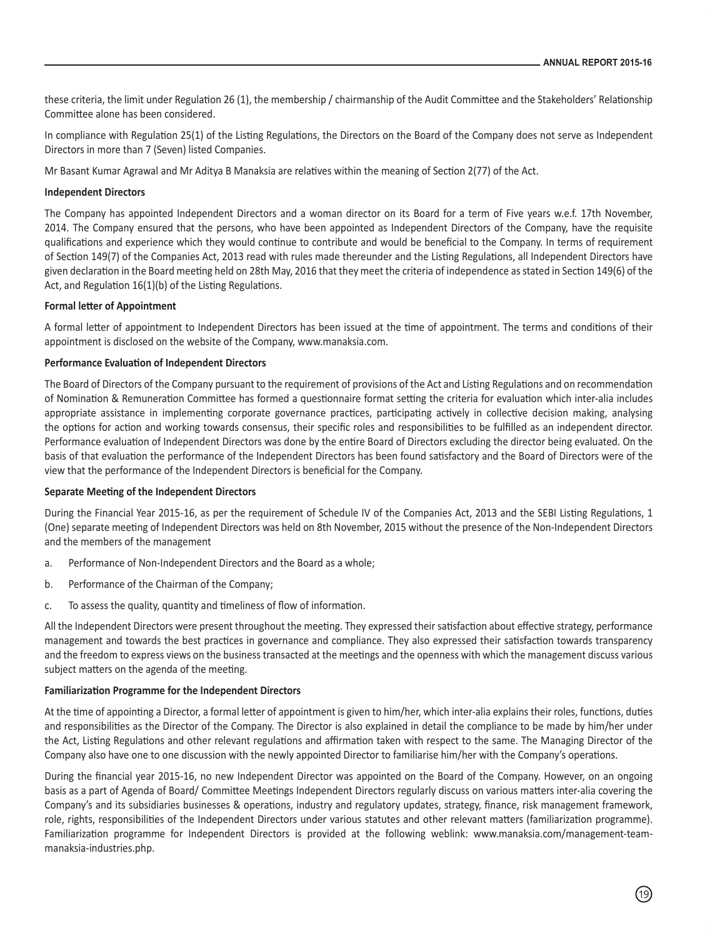these criteria, the limit under Regulation 26 (1), the membership / chairmanship of the Audit Committee and the Stakeholders' Relationship Committee alone has been considered.

In compliance with Regulation 25(1) of the Listing Regulations, the Directors on the Board of the Company does not serve as Independent Directors in more than 7 (Seven) listed Companies.

Mr Basant Kumar Agrawal and Mr Aditya B Manaksia are relatives within the meaning of Section 2(77) of the Act.

#### **Independent Directors**

The Company has appointed Independent Directors and a woman director on its Board for a term of Five years w.e.f. 17th November, 2014. The Company ensured that the persons, who have been appointed as Independent Directors of the Company, have the requisite qualifications and experience which they would continue to contribute and would be beneficial to the Company. In terms of requirement of Section 149(7) of the Companies Act, 2013 read with rules made thereunder and the Listing Regulations, all Independent Directors have given declaration in the Board meeting held on 28th May, 2016 that they meet the criteria of independence as stated in Section 149(6) of the Act, and Regulation 16(1)(b) of the Listing Regulations.

#### **Formal letter of Appointment**

A formal letter of appointment to Independent Directors has been issued at the time of appointment. The terms and conditions of their appointment is disclosed on the website of the Company, www.manaksia.com.

#### **Performance Evaluation of Independent Directors**

The Board of Directors of the Company pursuant to the requirement of provisions of the Act and Listing Regulations and on recommendation of Nomination & Remuneration Committee has formed a questionnaire format setting the criteria for evaluation which inter-alia includes appropriate assistance in implementing corporate governance practices, participating actively in collective decision making, analysing the options for action and working towards consensus, their specific roles and responsibilities to be fulfilled as an independent director. Performance evaluation of Independent Directors was done by the entire Board of Directors excluding the director being evaluated. On the basis of that evaluation the performance of the Independent Directors has been found satisfactory and the Board of Directors were of the view that the performance of the Independent Directors is beneficial for the Company.

#### **Separate Meeting of the Independent Directors**

During the Financial Year 2015-16, as per the requirement of Schedule IV of the Companies Act, 2013 and the SEBI Listing Regulations, 1 (One) separate meeting of Independent Directors was held on 8th November, 2015 without the presence of the Non-Independent Directors and the members of the management

- a. Performance of Non-Independent Directors and the Board as a whole;
- b. Performance of the Chairman of the Company;
- c. To assess the quality, quantity and timeliness of flow of information.

All the Independent Directors were present throughout the meeting. They expressed their satisfaction about effective strategy, performance management and towards the best practices in governance and compliance. They also expressed their satisfaction towards transparency and the freedom to express views on the business transacted at the meetings and the openness with which the management discuss various subject matters on the agenda of the meeting.

#### **Familiarization Programme for the Independent Directors**

At the time of appointing a Director, a formal letter of appointment is given to him/her, which inter-alia explains their roles, functions, duties and responsibilities as the Director of the Company. The Director is also explained in detail the compliance to be made by him/her under the Act, Listing Regulations and other relevant regulations and affirmation taken with respect to the same. The Managing Director of the Company also have one to one discussion with the newly appointed Director to familiarise him/her with the Company's operations.

During the financial year 2015-16, no new Independent Director was appointed on the Board of the Company. However, on an ongoing basis as a part of Agenda of Board/ Committee Meetings Independent Directors regularly discuss on various matters inter-alia covering the Company's and its subsidiaries businesses & operations, industry and regulatory updates, strategy, finance, risk management framework, role, rights, responsibilities of the Independent Directors under various statutes and other relevant matters (familiarization programme). Familiarization programme for Independent Directors is provided at the following weblink: www.manaksia.com/management-teammanaksia-industries.php.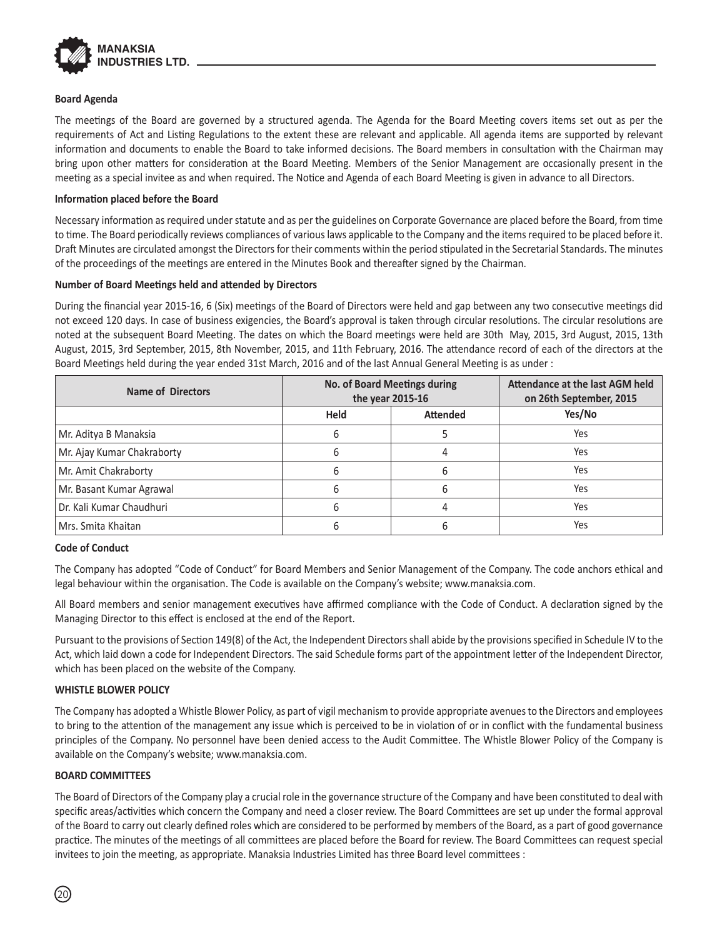

#### **Board Agenda**

The meetings of the Board are governed by a structured agenda. The Agenda for the Board Meeting covers items set out as per the requirements of Act and Listing Regulations to the extent these are relevant and applicable. All agenda items are supported by relevant information and documents to enable the Board to take informed decisions. The Board members in consultation with the Chairman may bring upon other matters for consideration at the Board Meeting. Members of the Senior Management are occasionally present in the meeting as a special invitee as and when required. The Notice and Agenda of each Board Meeting is given in advance to all Directors.

#### **Information placed before the Board**

Necessary information as required under statute and as per the guidelines on Corporate Governance are placed before the Board, from time to time. The Board periodically reviews compliances of various laws applicable to the Company and the items required to be placed before it. Draft Minutes are circulated amongst the Directors for their comments within the period stipulated in the Secretarial Standards. The minutes of the proceedings of the meetings are entered in the Minutes Book and thereafter signed by the Chairman.

#### **Number of Board Meetings held and attended by Directors**

During the financial year 2015-16, 6 (Six) meetings of the Board of Directors were held and gap between any two consecutive meetings did not exceed 120 days. In case of business exigencies, the Board's approval is taken through circular resolutions. The circular resolutions are noted at the subsequent Board Meeting. The dates on which the Board meetings were held are 30th May, 2015, 3rd August, 2015, 13th August, 2015, 3rd September, 2015, 8th November, 2015, and 11th February, 2016. The attendance record of each of the directors at the Board Meetings held during the year ended 31st March, 2016 and of the last Annual General Meeting is as under :

| Name of Directors          | <b>No. of Board Meetings during</b><br>the year 2015-16 |                 | Attendance at the last AGM held<br>on 26th September, 2015 |
|----------------------------|---------------------------------------------------------|-----------------|------------------------------------------------------------|
|                            | Held                                                    | <b>Attended</b> | Yes/No                                                     |
| Mr. Aditya B Manaksia      | 6                                                       |                 | Yes                                                        |
| Mr. Ajay Kumar Chakraborty | 6                                                       | 4               | Yes                                                        |
| Mr. Amit Chakraborty       | 6                                                       | h               | Yes                                                        |
| Mr. Basant Kumar Agrawal   |                                                         | b               | Yes                                                        |
| Dr. Kali Kumar Chaudhuri   | h                                                       | 4               | Yes                                                        |
| Mrs. Smita Khaitan         |                                                         |                 | Yes                                                        |

#### **Code of Conduct**

The Company has adopted "Code of Conduct" for Board Members and Senior Management of the Company. The code anchors ethical and legal behaviour within the organisation. The Code is available on the Company's website; www.manaksia.com.

All Board members and senior management executives have affirmed compliance with the Code of Conduct. A declaration signed by the Managing Director to this effect is enclosed at the end of the Report.

Pursuant to the provisions of Section 149(8) of the Act, the Independent Directors shall abide by the provisions specified in Schedule IV to the Act, which laid down a code for Independent Directors. The said Schedule forms part of the appointment letter of the Independent Director, which has been placed on the website of the Company.

#### **WHISTLE BLOWER POLICY**

The Company has adopted a Whistle Blower Policy, as part of vigil mechanism to provide appropriate avenues to the Directors and employees to bring to the attention of the management any issue which is perceived to be in violation of or in conflict with the fundamental business principles of the Company. No personnel have been denied access to the Audit Committee. The Whistle Blower Policy of the Company is available on the Company's website; www.manaksia.com.

#### **BOARD COMMITTEES**

The Board of Directors of the Company play a crucial role in the governance structure of the Company and have been constituted to deal with specific areas/activities which concern the Company and need a closer review. The Board Committees are set up under the formal approval of the Board to carry out clearly defined roles which are considered to be performed by members of the Board, as a part of good governance practice. The minutes of the meetings of all committees are placed before the Board for review. The Board Committees can request special invitees to join the meeting, as appropriate. Manaksia Industries Limited has three Board level committees :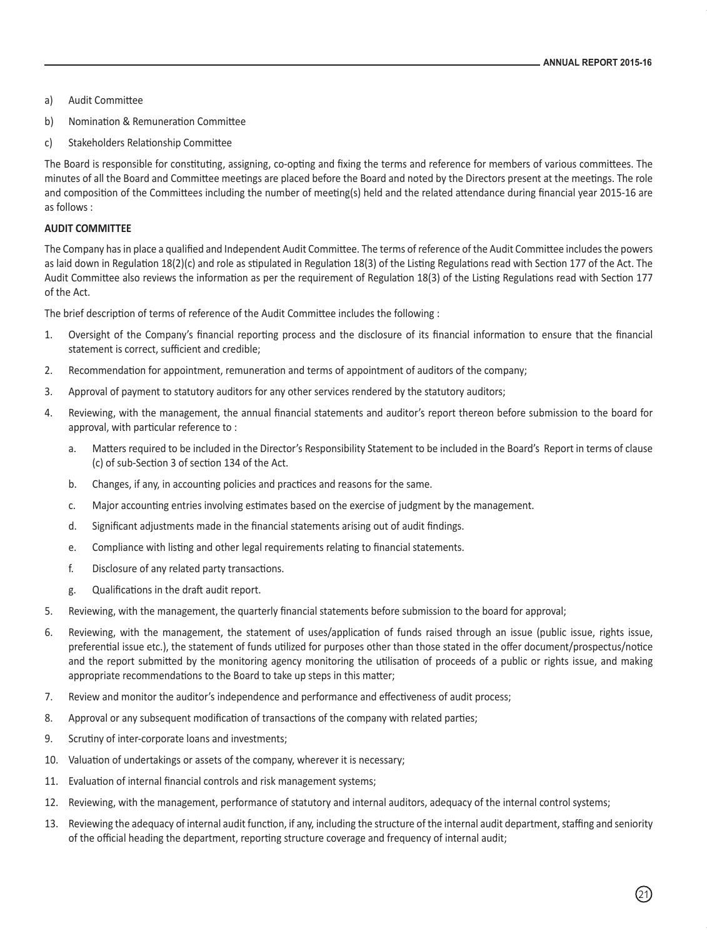- a) Audit Committee
- b) Nomination & Remuneration Committee
- c) Stakeholders Relationship Committee

The Board is responsible for constituting, assigning, co-opting and fixing the terms and reference for members of various committees. The minutes of all the Board and Committee meetings are placed before the Board and noted by the Directors present at the meetings. The role and composition of the Committees including the number of meeting(s) held and the related attendance during financial year 2015-16 are as follows :

#### **AUDIT COMMITTEE**

The Company has in place a qualified and Independent Audit Committee. The terms of reference of the Audit Committee includes the powers as laid down in Regulation 18(2)(c) and role as stipulated in Regulation 18(3) of the Listing Regulations read with Section 177 of the Act. The Audit Committee also reviews the information as per the requirement of Regulation 18(3) of the Listing Regulations read with Section 177 of the Act.

The brief description of terms of reference of the Audit Committee includes the following :

- 1. Oversight of the Company's financial reporting process and the disclosure of its financial information to ensure that the financial statement is correct, sufficient and credible;
- 2. Recommendation for appointment, remuneration and terms of appointment of auditors of the company;
- 3. Approval of payment to statutory auditors for any other services rendered by the statutory auditors;
- 4. Reviewing, with the management, the annual financial statements and auditor's report thereon before submission to the board for approval, with particular reference to :
	- a. Matters required to be included in the Director's Responsibility Statement to be included in the Board's Report in terms of clause (c) of sub-Section 3 of section 134 of the Act.
	- b. Changes, if any, in accounting policies and practices and reasons for the same.
	- c. Major accounting entries involving estimates based on the exercise of judgment by the management.
	- d. Significant adjustments made in the financial statements arising out of audit findings.
	- e. Compliance with listing and other legal requirements relating to financial statements.
	- f. Disclosure of any related party transactions.
	- g. Qualifications in the draft audit report.
- 5. Reviewing, with the management, the quarterly financial statements before submission to the board for approval;
- 6. Reviewing, with the management, the statement of uses/application of funds raised through an issue (public issue, rights issue, preferential issue etc.), the statement of funds utilized for purposes other than those stated in the offer document/prospectus/notice and the report submitted by the monitoring agency monitoring the utilisation of proceeds of a public or rights issue, and making appropriate recommendations to the Board to take up steps in this matter;
- 7. Review and monitor the auditor's independence and performance and effectiveness of audit process;
- 8. Approval or any subsequent modification of transactions of the company with related parties;
- 9. Scrutiny of inter-corporate loans and investments;
- 10. Valuation of undertakings or assets of the company, wherever it is necessary;
- 11. Evaluation of internal financial controls and risk management systems;
- 12. Reviewing, with the management, performance of statutory and internal auditors, adequacy of the internal control systems;
- 13. Reviewing the adequacy of internal audit function, if any, including the structure of the internal audit department, staffing and seniority of the official heading the department, reporting structure coverage and frequency of internal audit;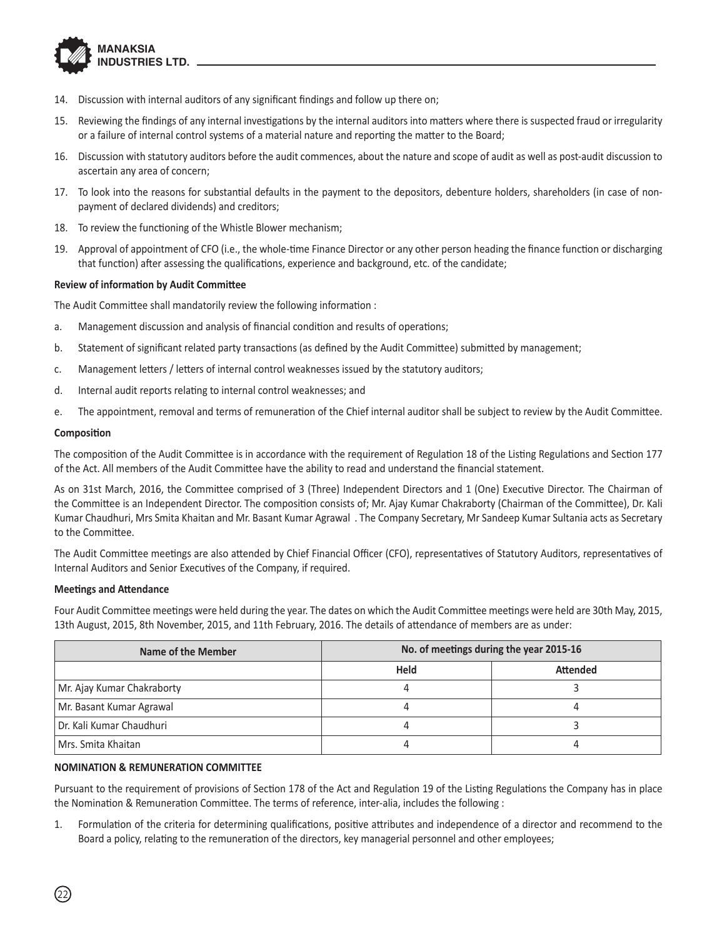

- 14. Discussion with internal auditors of any significant findings and follow up there on;
- 15. Reviewing the findings of any internal investigations by the internal auditors into matters where there is suspected fraud or irregularity or a failure of internal control systems of a material nature and reporting the matter to the Board;
- 16. Discussion with statutory auditors before the audit commences, about the nature and scope of audit as well as post-audit discussion to ascertain any area of concern;
- 17. To look into the reasons for substantial defaults in the payment to the depositors, debenture holders, shareholders (in case of nonpayment of declared dividends) and creditors;
- 18. To review the functioning of the Whistle Blower mechanism;
- 19. Approval of appointment of CFO (i.e., the whole-time Finance Director or any other person heading the finance function or discharging that function) after assessing the qualifications, experience and background, etc. of the candidate;

#### **Review of information by Audit Committee**

The Audit Committee shall mandatorily review the following information :

- a. Management discussion and analysis of financial condition and results of operations;
- b. Statement of significant related party transactions (as defined by the Audit Committee) submitted by management;
- c. Management letters / letters of internal control weaknesses issued by the statutory auditors;
- d. Internal audit reports relating to internal control weaknesses; and
- e. The appointment, removal and terms of remuneration of the Chief internal auditor shall be subject to review by the Audit Committee.

#### **Composition**

The composition of the Audit Committee is in accordance with the requirement of Regulation 18 of the Listing Regulations and Section 177 of the Act. All members of the Audit Committee have the ability to read and understand the financial statement.

As on 31st March, 2016, the Committee comprised of 3 (Three) Independent Directors and 1 (One) Executive Director. The Chairman of the Committee is an Independent Director. The composition consists of; Mr. Ajay Kumar Chakraborty (Chairman of the Committee), Dr. Kali Kumar Chaudhuri, Mrs Smita Khaitan and Mr. Basant Kumar Agrawal . The Company Secretary, Mr Sandeep Kumar Sultania acts as Secretary to the Committee.

The Audit Committee meetings are also attended by Chief Financial Officer (CFO), representatives of Statutory Auditors, representatives of Internal Auditors and Senior Executives of the Company, if required.

#### **Meetings and Attendance**

Four Audit Committee meetings were held during the year. The dates on which the Audit Committee meetings were held are 30th May, 2015, 13th August, 2015, 8th November, 2015, and 11th February, 2016. The details of attendance of members are as under:

| Name of the Member         | No. of meetings during the year 2015-16 |                 |  |
|----------------------------|-----------------------------------------|-----------------|--|
|                            | <b>Held</b>                             | <b>Attended</b> |  |
| Mr. Ajay Kumar Chakraborty |                                         |                 |  |
| Mr. Basant Kumar Agrawal   |                                         |                 |  |
| Dr. Kali Kumar Chaudhuri   |                                         |                 |  |
| Mrs. Smita Khaitan         |                                         |                 |  |

### **NOMINATION & REMUNERATION COMMITTEE**

Pursuant to the requirement of provisions of Section 178 of the Act and Regulation 19 of the Listing Regulations the Company has in place the Nomination & Remuneration Committee. The terms of reference, inter-alia, includes the following :

1. Formulation of the criteria for determining qualifications, positive attributes and independence of a director and recommend to the Board a policy, relating to the remuneration of the directors, key managerial personnel and other employees;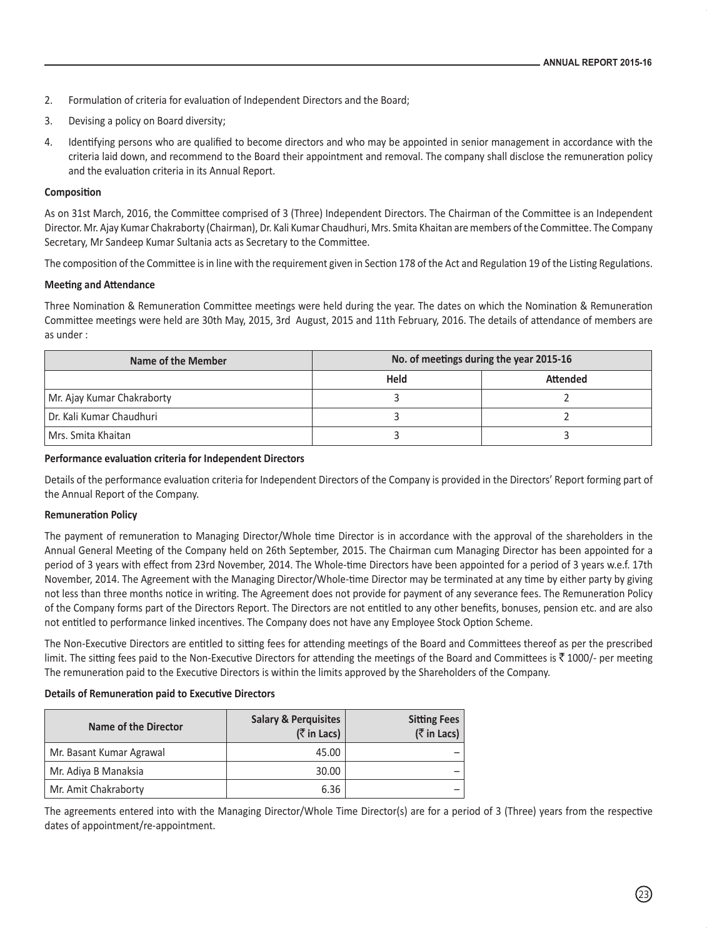- 2. Formulation of criteria for evaluation of Independent Directors and the Board;
- 3. Devising a policy on Board diversity;
- 4. Identifying persons who are qualified to become directors and who may be appointed in senior management in accordance with the criteria laid down, and recommend to the Board their appointment and removal. The company shall disclose the remuneration policy and the evaluation criteria in its Annual Report.

#### **Composition**

As on 31st March, 2016, the Committee comprised of 3 (Three) Independent Directors. The Chairman of the Committee is an Independent Director. Mr. Ajay Kumar Chakraborty (Chairman), Dr. Kali Kumar Chaudhuri, Mrs. Smita Khaitan are members of the Committee. The Company Secretary, Mr Sandeep Kumar Sultania acts as Secretary to the Committee.

The composition of the Committee is in line with the requirement given in Section 178 of the Act and Regulation 19 of the Listing Regulations.

#### **Meeting and Attendance**

Three Nomination & Remuneration Committee meetings were held during the year. The dates on which the Nomination & Remuneration Committee meetings were held are 30th May, 2015, 3rd August, 2015 and 11th February, 2016. The details of attendance of members are as under :

| Name of the Member         | No. of meetings during the year 2015-16 |                 |  |
|----------------------------|-----------------------------------------|-----------------|--|
|                            | Held                                    | <b>Attended</b> |  |
| Mr. Ajay Kumar Chakraborty |                                         |                 |  |
| l Dr. Kali Kumar Chaudhuri |                                         |                 |  |
| Mrs. Smita Khaitan         |                                         |                 |  |

#### **Performance evaluation criteria for Independent Directors**

Details of the performance evaluation criteria for Independent Directors of the Company is provided in the Directors' Report forming part of the Annual Report of the Company.

#### **Remuneration Policy**

The payment of remuneration to Managing Director/Whole time Director is in accordance with the approval of the shareholders in the Annual General Meeting of the Company held on 26th September, 2015. The Chairman cum Managing Director has been appointed for a period of 3 years with effect from 23rd November, 2014. The Whole-time Directors have been appointed for a period of 3 years w.e.f. 17th November, 2014. The Agreement with the Managing Director/Whole-time Director may be terminated at any time by either party by giving not less than three months notice in writing. The Agreement does not provide for payment of any severance fees. The Remuneration Policy of the Company forms part of the Directors Report. The Directors are not entitled to any other benefits, bonuses, pension etc. and are also not entitled to performance linked incentives. The Company does not have any Employee Stock Option Scheme.

The Non-Executive Directors are entitled to sitting fees for attending meetings of the Board and Committees thereof as per the prescribed limit. The sitting fees paid to the Non-Executive Directors for attending the meetings of the Board and Committees is  $\bar{\tau}$  1000/- per meeting The remuneration paid to the Executive Directors is within the limits approved by the Shareholders of the Company.

#### **Details of Remuneration paid to Executive Directors**

| Name of the Director     | <b>Salary &amp; Perquisites</b><br>$(\bar{z}$ in Lacs) | <b>Sitting Fees</b><br>$(\bar{z}$ in Lacs) |
|--------------------------|--------------------------------------------------------|--------------------------------------------|
| Mr. Basant Kumar Agrawal | 45.00                                                  |                                            |
| Mr. Adiya B Manaksia     | 30.00                                                  |                                            |
| Mr. Amit Chakraborty     | 6.36                                                   |                                            |

The agreements entered into with the Managing Director/Whole Time Director(s) are for a period of 3 (Three) years from the respective dates of appointment/re-appointment.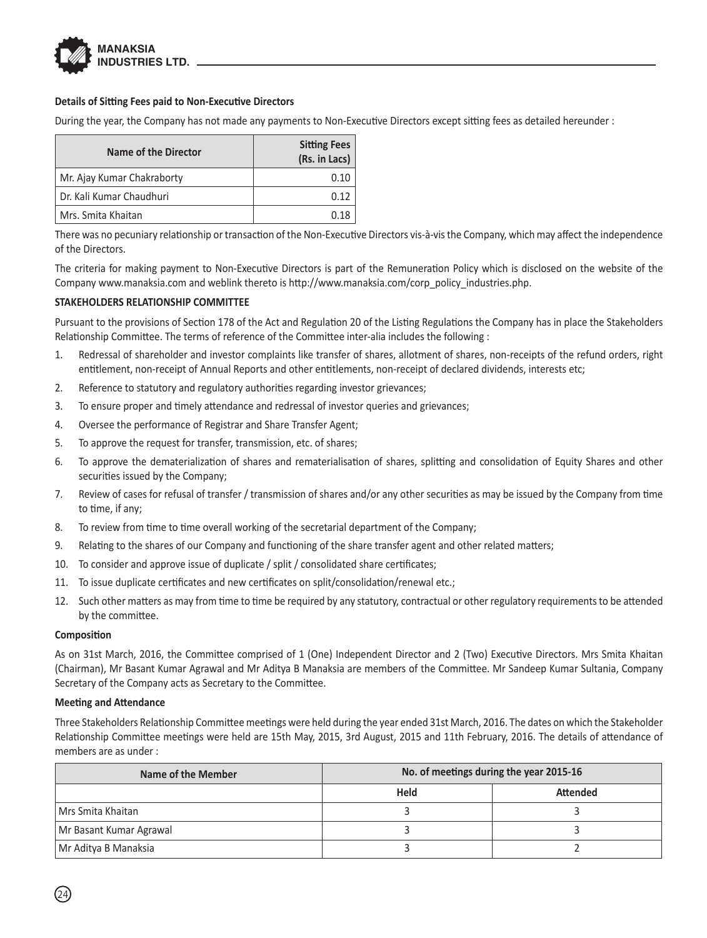

#### **Details of Sitting Fees paid to Non-Executive Directors**

During the year, the Company has not made any payments to Non-Executive Directors except sitting fees as detailed hereunder :

| Name of the Director       | <b>Sitting Fees</b><br>(Rs. in Lacs) |
|----------------------------|--------------------------------------|
| Mr. Ajay Kumar Chakraborty | 0.10                                 |
| Dr. Kali Kumar Chaudhuri   | O 12                                 |
| Mrs. Smita Khaitan         | በ 18                                 |

There was no pecuniary relationship or transaction of the Non-Executive Directors vis-à-vis the Company, which may affect the independence of the Directors.

The criteria for making payment to Non-Executive Directors is part of the Remuneration Policy which is disclosed on the website of the Company www.manaksia.com and weblink thereto is http://www.manaksia.com/corp\_policy\_industries.php.

#### **STAKEHOLDERS RELATIONSHIP COMMITTEE**

Pursuant to the provisions of Section 178 of the Act and Regulation 20 of the Listing Regulations the Company has in place the Stakeholders Relationship Committee. The terms of reference of the Committee inter-alia includes the following :

- 1. Redressal of shareholder and investor complaints like transfer of shares, allotment of shares, non-receipts of the refund orders, right entitlement, non-receipt of Annual Reports and other entitlements, non-receipt of declared dividends, interests etc;
- 2. Reference to statutory and regulatory authorities regarding investor grievances;
- 3. To ensure proper and timely attendance and redressal of investor queries and grievances;
- 4. Oversee the performance of Registrar and Share Transfer Agent;
- 5. To approve the request for transfer, transmission, etc. of shares;
- 6. To approve the dematerialization of shares and rematerialisation of shares, splitting and consolidation of Equity Shares and other securities issued by the Company;
- 7. Review of cases for refusal of transfer / transmission of shares and/or any other securities as may be issued by the Company from time to time, if any;
- 8. To review from time to time overall working of the secretarial department of the Company;
- 9. Relating to the shares of our Company and functioning of the share transfer agent and other related matters;
- 10. To consider and approve issue of duplicate / split / consolidated share certificates;
- 11. To issue duplicate certificates and new certificates on split/consolidation/renewal etc.;
- 12. Such other matters as may from time to time be required by any statutory, contractual or other regulatory requirements to be attended by the committee.

#### **Composition**

As on 31st March, 2016, the Committee comprised of 1 (One) Independent Director and 2 (Two) Executive Directors. Mrs Smita Khaitan (Chairman), Mr Basant Kumar Agrawal and Mr Aditya B Manaksia are members of the Committee. Mr Sandeep Kumar Sultania, Company Secretary of the Company acts as Secretary to the Committee.

#### **Meeting and Attendance**

Three Stakeholders Relationship Committee meetings were held during the year ended 31st March, 2016. The dates on which the Stakeholder Relationship Committee meetings were held are 15th May, 2015, 3rd August, 2015 and 11th February, 2016. The details of attendance of members are as under :

| Name of the Member      | No. of meetings during the year 2015-16 |                 |
|-------------------------|-----------------------------------------|-----------------|
|                         | <b>Held</b>                             | <b>Attended</b> |
| l Mrs Smita Khaitan     |                                         |                 |
| Mr Basant Kumar Agrawal |                                         |                 |
| Mr Aditya B Manaksia    |                                         |                 |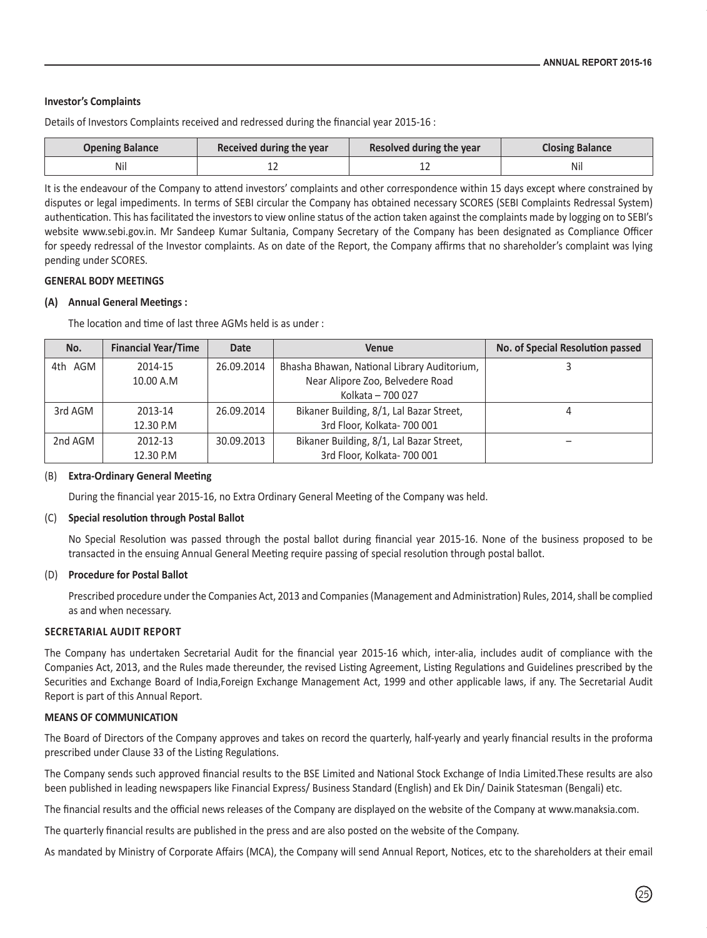#### **Investor's Complaints**

Details of Investors Complaints received and redressed during the financial year 2015-16 :

| <b>Opening Balance</b> | Received during the year | Resolved during the year | <b>Closing Balance</b> |
|------------------------|--------------------------|--------------------------|------------------------|
| Nil                    | --                       | --                       | Nil                    |

It is the endeavour of the Company to attend investors' complaints and other correspondence within 15 days except where constrained by disputes or legal impediments. In terms of SEBI circular the Company has obtained necessary SCORES (SEBI Complaints Redressal System) authentication. This has facilitated the investors to view online status of the action taken against the complaints made by logging on to SEBI's website www.sebi.gov.in. Mr Sandeep Kumar Sultania, Company Secretary of the Company has been designated as Compliance Officer for speedy redressal of the Investor complaints. As on date of the Report, the Company affirms that no shareholder's complaint was lying pending under SCORES.

#### **GENERAL BODY MEETINGS**

#### **(A) Annual General Meetings :**

The location and time of last three AGMs held is as under :

| No.     | <b>Financial Year/Time</b> | Date       | Venue                                       | No. of Special Resolution passed |
|---------|----------------------------|------------|---------------------------------------------|----------------------------------|
| 4th AGM | 2014-15                    | 26.09.2014 | Bhasha Bhawan, National Library Auditorium, |                                  |
|         | 10.00 A.M                  |            | Near Alipore Zoo, Belvedere Road            |                                  |
|         |                            |            | Kolkata - 700 027                           |                                  |
| 3rd AGM | 2013-14                    | 26.09.2014 | Bikaner Building, 8/1, Lal Bazar Street,    | 4                                |
|         | 12.30 P.M                  |            | 3rd Floor, Kolkata- 700 001                 |                                  |
| 2nd AGM | 2012-13                    | 30.09.2013 | Bikaner Building, 8/1, Lal Bazar Street,    |                                  |
|         | 12.30 P.M                  |            | 3rd Floor, Kolkata- 700 001                 |                                  |

#### (B) **Extra-Ordinary General Meeting**

During the financial year 2015-16, no Extra Ordinary General Meeting of the Company was held.

#### (C) **Special resolution through Postal Ballot**

No Special Resolution was passed through the postal ballot during financial year 2015-16. None of the business proposed to be transacted in the ensuing Annual General Meeting require passing of special resolution through postal ballot.

#### (D) **Procedure for Postal Ballot**

Prescribed procedure under the Companies Act, 2013 and Companies (Management and Administration) Rules, 2014, shall be complied as and when necessary.

#### **Secretarial Audit Report**

The Company has undertaken Secretarial Audit for the financial year 2015-16 which, inter-alia, includes audit of compliance with the Companies Act, 2013, and the Rules made thereunder, the revised Listing Agreement, Listing Regulations and Guidelines prescribed by the Securities and Exchange Board of India,Foreign Exchange Management Act, 1999 and other applicable laws, if any. The Secretarial Audit Report is part of this Annual Report.

#### **MEANS OF COMMUNICATION**

The Board of Directors of the Company approves and takes on record the quarterly, half-yearly and yearly financial results in the proforma prescribed under Clause 33 of the Listing Regulations.

The Company sends such approved financial results to the BSE Limited and National Stock Exchange of India Limited.These results are also been published in leading newspapers like Financial Express/ Business Standard (English) and Ek Din/ Dainik Statesman (Bengali) etc.

The financial results and the official news releases of the Company are displayed on the website of the Company at www.manaksia.com.

The quarterly financial results are published in the press and are also posted on the website of the Company.

As mandated by Ministry of Corporate Affairs (MCA), the Company will send Annual Report, Notices, etc to the shareholders at their email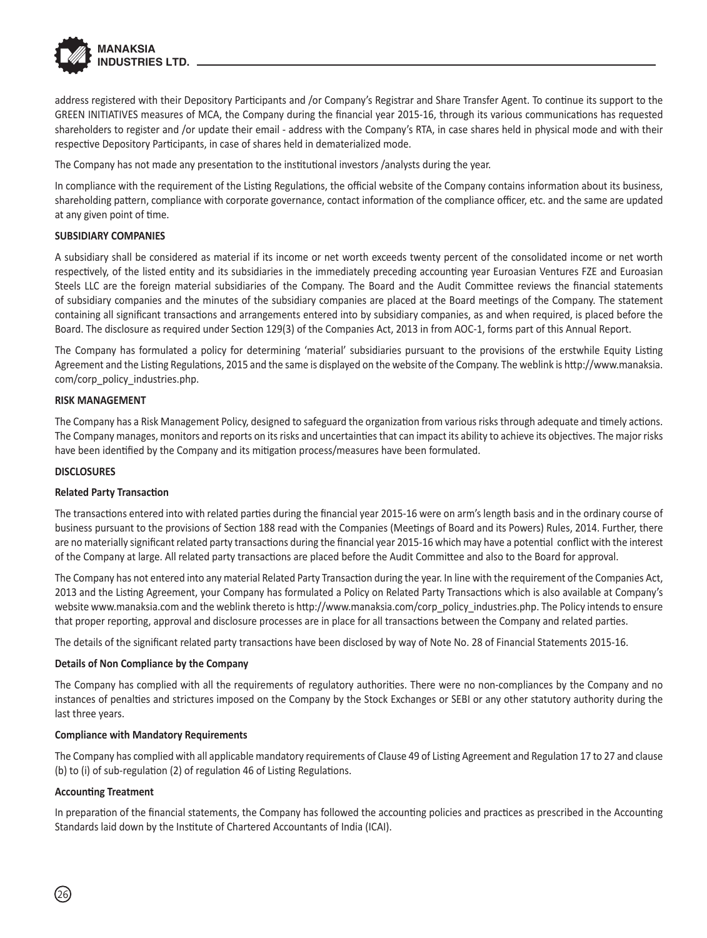

address registered with their Depository Participants and /or Company's Registrar and Share Transfer Agent. To continue its support to the GREEN INITIATIVES measures of MCA, the Company during the financial year 2015-16, through its various communications has requested shareholders to register and /or update their email - address with the Company's RTA, in case shares held in physical mode and with their respective Depository Participants, in case of shares held in dematerialized mode.

The Company has not made any presentation to the institutional investors /analysts during the year.

In compliance with the requirement of the Listing Regulations, the official website of the Company contains information about its business, shareholding pattern, compliance with corporate governance, contact information of the compliance officer, etc. and the same are updated at any given point of time.

#### **SUBSIDIARY COMPANIES**

A subsidiary shall be considered as material if its income or net worth exceeds twenty percent of the consolidated income or net worth respectively, of the listed entity and its subsidiaries in the immediately preceding accounting year Euroasian Ventures FZE and Euroasian Steels LLC are the foreign material subsidiaries of the Company. The Board and the Audit Committee reviews the financial statements of subsidiary companies and the minutes of the subsidiary companies are placed at the Board meetings of the Company. The statement containing all significant transactions and arrangements entered into by subsidiary companies, as and when required, is placed before the Board. The disclosure as required under Section 129(3) of the Companies Act, 2013 in from AOC-1, forms part of this Annual Report.

The Company has formulated a policy for determining 'material' subsidiaries pursuant to the provisions of the erstwhile Equity Listing Agreement and the Listing Regulations, 2015 and the same is displayed on the website of the Company. The weblink is http://www.manaksia. com/corp\_policy\_industries.php.

#### **RISK MANAGEMENT**

The Company has a Risk Management Policy, designed to safeguard the organization from various risks through adequate and timely actions. The Company manages, monitors and reports on its risks and uncertainties that can impact its ability to achieve its objectives. The major risks have been identified by the Company and its mitigation process/measures have been formulated.

#### **DISCLOSURES**

#### **Related Party Transaction**

The transactions entered into with related parties during the financial year 2015-16 were on arm's length basis and in the ordinary course of business pursuant to the provisions of Section 188 read with the Companies (Meetings of Board and its Powers) Rules, 2014. Further, there are no materially significant related party transactions during the financial year 2015-16 which may have a potential conflict with the interest of the Company at large. All related party transactions are placed before the Audit Committee and also to the Board for approval.

The Company has not entered into any material Related Party Transaction during the year. In line with the requirement of the Companies Act, 2013 and the Listing Agreement, your Company has formulated a Policy on Related Party Transactions which is also available at Company's website www.manaksia.com and the weblink thereto is http://www.manaksia.com/corp\_policy\_industries.php. The Policy intends to ensure that proper reporting, approval and disclosure processes are in place for all transactions between the Company and related parties.

The details of the significant related party transactions have been disclosed by way of Note No. 28 of Financial Statements 2015-16.

#### **Details of Non Compliance by the Company**

The Company has complied with all the requirements of regulatory authorities. There were no non-compliances by the Company and no instances of penalties and strictures imposed on the Company by the Stock Exchanges or SEBI or any other statutory authority during the last three years.

#### **Compliance with Mandatory Requirements**

The Company has complied with all applicable mandatory requirements of Clause 49 of Listing Agreement and Regulation 17 to 27 and clause (b) to (i) of sub-regulation (2) of regulation 46 of Listing Regulations.

#### **Accounting Treatment**

In preparation of the financial statements, the Company has followed the accounting policies and practices as prescribed in the Accounting Standards laid down by the Institute of Chartered Accountants of India (ICAI).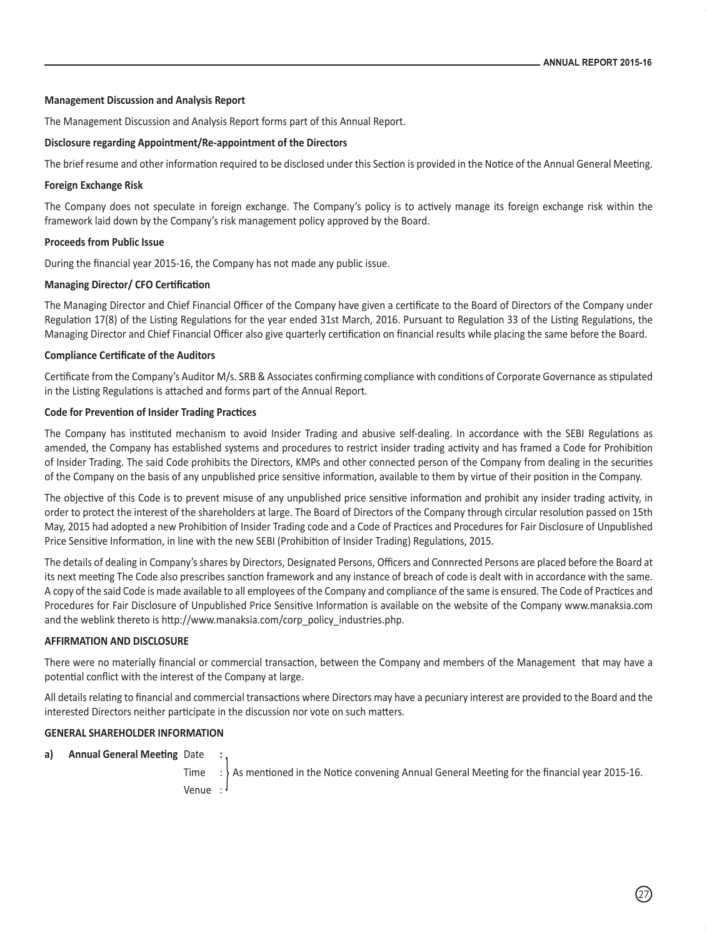#### **Management Discussion and Analysis Report**

The Management Discussion and Analysis Report forms part of this Annual Report.

#### **Disclosure regarding Appointment/Re-appointment of the Directors**

The brief resume and other information required to be disclosed under this Section is provided in the Notice of the Annual General Meeting.

#### **Foreign Exchange Risk**

The Company does not speculate in foreign exchange. The Company's policy is to actively manage its foreign exchange risk within the framework laid down by the Company's risk management policy approved by the Board.

#### **Proceeds from Public Issue**

During the financial year 2015-16, the Company has not made any public issue.

#### **Managing Director/ CFO Certification**

The Managing Director and Chief Financial Officer of the Company have given a certificate to the Board of Directors of the Company under Regulation 17(8) of the Listing Regulations for the year ended 31st March, 2016. Pursuant to Regulation 33 of the Listing Regulations, the Managing Director and Chief Financial Officer also give quarterly certification on financial results while placing the same before the Board.

#### **Compliance Certificate of the Auditors**

Certificate from the Company's Auditor M/s. SRB & Associates confirming compliance with conditions of Corporate Governance as stipulated in the Listing Regulations is attached and forms part of the Annual Report.

#### **Code for Prevention of Insider Trading Practices**

The Company has instituted mechanism to avoid Insider Trading and abusive self-dealing. In accordance with the SEBI Regulations as amended, the Company has established systems and procedures to restrict insider trading activity and has framed a Code for Prohibition of Insider Trading. The said Code prohibits the Directors, KMPs and other connected person of the Company from dealing in the securities of the Company on the basis of any unpublished price sensitive information, available to them by virtue of their position in the Company.

The objective of this Code is to prevent misuse of any unpublished price sensitive information and prohibit any insider trading activity, in order to protect the interest of the shareholders at large. The Board of Directors of the Company through circular resolution passed on 15th May, 2015 had adopted a new Prohibition of Insider Trading code and a Code of Practices and Procedures for Fair Disclosure of Unpublished Price Sensitive Information, in line with the new SEBI (Prohibition of Insider Trading) Regulations, 2015.

The details of dealing in Company's shares by Directors, Designated Persons, Officers and Connrected Persons are placed before the Board at its next meeting The Code also prescribes sanction framework and any instance of breach of code is dealt with in accordance with the same. A copy of the said Code is made available to all employees of the Company and compliance of the same is ensured. The Code of Practices and Procedures for Fair Disclosure of Unpublished Price Sensitive Information is available on the website of the Company www.manaksia.com and the weblink thereto is http://www.manaksia.com/corp\_policy\_industries.php.

#### **AFFIRMATION AND DISCLOSURE**

There were no materially financial or commercial transaction, between the Company and members of the Management that may have a potential conflict with the interest of the Company at large.

All details relating to financial and commercial transactions where Directors may have a pecuniary interest are provided to the Board and the interested Directors neither participate in the discussion nor vote on such matters.

#### **GENERAL SHAREHOLDER INFORMATION**

**a) Annual General Meeting** Date **:**

Time : As mentioned in the Notice convening Annual General Meeting for the financial year 2015-16. Venue : }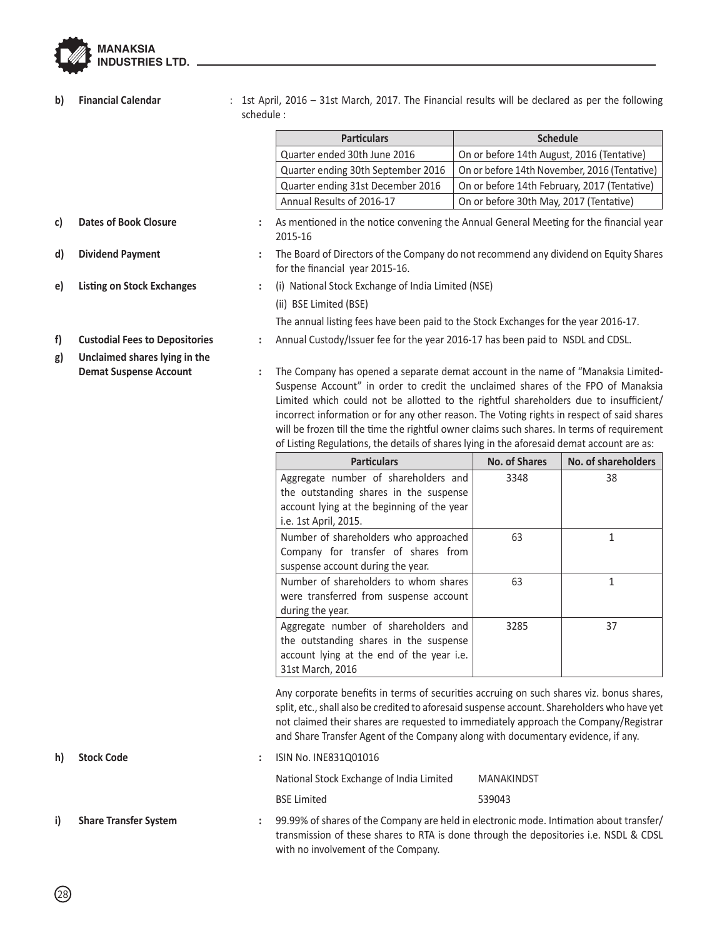

| b) | <b>Financial Calendar</b>                                      | : 1st April, 2016 - 31st March, 2017. The Financial results will be declared as per the following<br>schedule:                                                                                                                                                                                                                                                                                                                                                       |                                              |                     |
|----|----------------------------------------------------------------|----------------------------------------------------------------------------------------------------------------------------------------------------------------------------------------------------------------------------------------------------------------------------------------------------------------------------------------------------------------------------------------------------------------------------------------------------------------------|----------------------------------------------|---------------------|
|    |                                                                | <b>Particulars</b>                                                                                                                                                                                                                                                                                                                                                                                                                                                   | <b>Schedule</b>                              |                     |
|    |                                                                | Quarter ended 30th June 2016                                                                                                                                                                                                                                                                                                                                                                                                                                         | On or before 14th August, 2016 (Tentative)   |                     |
|    |                                                                | Quarter ending 30th September 2016                                                                                                                                                                                                                                                                                                                                                                                                                                   | On or before 14th November, 2016 (Tentative) |                     |
|    |                                                                | Quarter ending 31st December 2016                                                                                                                                                                                                                                                                                                                                                                                                                                    | On or before 14th February, 2017 (Tentative) |                     |
|    |                                                                | Annual Results of 2016-17                                                                                                                                                                                                                                                                                                                                                                                                                                            | On or before 30th May, 2017 (Tentative)      |                     |
| c) | <b>Dates of Book Closure</b>                                   | As mentioned in the notice convening the Annual General Meeting for the financial year<br>2015-16                                                                                                                                                                                                                                                                                                                                                                    |                                              |                     |
| d) | <b>Dividend Payment</b>                                        | The Board of Directors of the Company do not recommend any dividend on Equity Shares<br>for the financial year 2015-16.                                                                                                                                                                                                                                                                                                                                              |                                              |                     |
| e) | <b>Listing on Stock Exchanges</b>                              | (i) National Stock Exchange of India Limited (NSE)                                                                                                                                                                                                                                                                                                                                                                                                                   |                                              |                     |
|    |                                                                | (ii) BSE Limited (BSE)                                                                                                                                                                                                                                                                                                                                                                                                                                               |                                              |                     |
|    |                                                                | The annual listing fees have been paid to the Stock Exchanges for the year 2016-17.                                                                                                                                                                                                                                                                                                                                                                                  |                                              |                     |
| f) | <b>Custodial Fees to Depositories</b>                          | Annual Custody/Issuer fee for the year 2016-17 has been paid to NSDL and CDSL.                                                                                                                                                                                                                                                                                                                                                                                       |                                              |                     |
| g) | Unclaimed shares lying in the<br><b>Demat Suspense Account</b> | The Company has opened a separate demat account in the name of "Manaksia Limited-                                                                                                                                                                                                                                                                                                                                                                                    |                                              |                     |
|    |                                                                | Suspense Account" in order to credit the unclaimed shares of the FPO of Manaksia<br>Limited which could not be allotted to the rightful shareholders due to insufficient/<br>incorrect information or for any other reason. The Voting rights in respect of said shares<br>will be frozen till the time the rightful owner claims such shares. In terms of requirement<br>of Listing Regulations, the details of shares lying in the aforesaid demat account are as: |                                              |                     |
|    |                                                                | <b>Particulars</b>                                                                                                                                                                                                                                                                                                                                                                                                                                                   | <b>No. of Shares</b>                         | No. of shareholders |
|    |                                                                | Aggregate number of shareholders and                                                                                                                                                                                                                                                                                                                                                                                                                                 | 3348                                         | 38                  |
|    |                                                                | the outstanding shares in the suspense<br>account lying at the beginning of the year<br>i.e. 1st April, 2015.                                                                                                                                                                                                                                                                                                                                                        |                                              |                     |
|    |                                                                | Number of shareholders who approached<br>Company for transfer of shares from<br>suspense account during the year.                                                                                                                                                                                                                                                                                                                                                    | 63                                           | 1                   |
|    |                                                                | Number of shareholders to whom shares<br>were transferred from suspense account<br>during the year.                                                                                                                                                                                                                                                                                                                                                                  | 63                                           | $\mathbf{1}$        |
|    |                                                                | Aggregate number of shareholders and<br>the outstanding shares in the suspense<br>account lying at the end of the year i.e.<br>31st March, 2016                                                                                                                                                                                                                                                                                                                      | 3285                                         | 37                  |
|    |                                                                | Any corporate benefits in terms of securities accruing on such shares viz. bonus shares,<br>split, etc., shall also be credited to aforesaid suspense account. Shareholders who have yet<br>not claimed their shares are requested to immediately approach the Company/Registrar<br>and Share Transfer Agent of the Company along with documentary evidence, if any.                                                                                                 |                                              |                     |
| h) | <b>Stock Code</b>                                              | ISIN No. INE831Q01016                                                                                                                                                                                                                                                                                                                                                                                                                                                |                                              |                     |
|    |                                                                | National Stock Exchange of India Limited                                                                                                                                                                                                                                                                                                                                                                                                                             | MANAKINDST                                   |                     |
|    |                                                                | <b>BSE Limited</b>                                                                                                                                                                                                                                                                                                                                                                                                                                                   | 539043                                       |                     |
| i) | <b>Share Transfer System</b>                                   | 99.99% of shares of the Company are held in electronic mode. Intimation about transfer/<br>transmission of these shares to RTA is done through the depositories i.e. NSDL & CDSL<br>with no involvement of the Company.                                                                                                                                                                                                                                              |                                              |                     |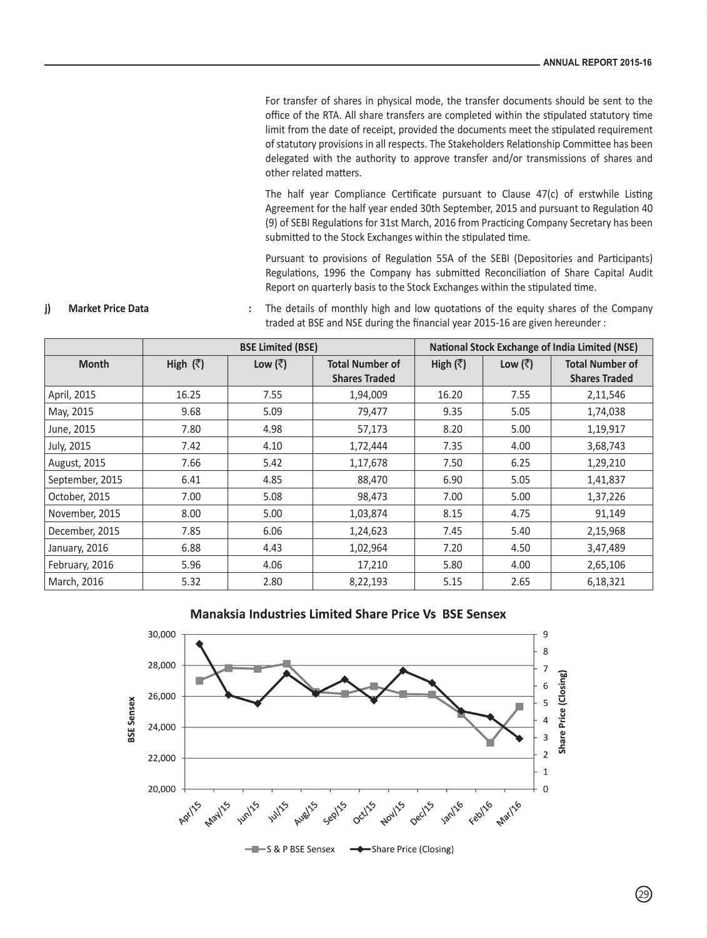For transfer of shares in physical mode, the transfer documents should be sent to the office of the RTA. All share transfers are completed within the stipulated statutory time limit from the date of receipt, provided the documents meet the stipulated requirement of statutory provisions in all respects. The Stakeholders Relationship Committee has been delegated with the authority to approve transfer and/or transmissions of shares and other related matters.

The half year Compliance Certificate pursuant to Clause 47(c) of erstwhile Listing Agreement for the half year ended 30th September, 2015 and pursuant to Regulation 40 (9) of SEBI Regulations for 31st March, 2016 from Practicing Company Secretary has been submitted to the Stock Exchanges within the stipulated time.

Pursuant to provisions of Regulation 55A of the SEBI (Depositories and Participants) Regulations, 1996 the Company has submitted Reconciliation of Share Capital Audit Report on quarterly basis to the Stock Exchanges within the stipulated time.

|                 |                            | <b>BSE Limited (BSE)</b> |                        |                           |                                 | <b>National Stock Exchange of India Limited (NSE)</b> |
|-----------------|----------------------------|--------------------------|------------------------|---------------------------|---------------------------------|-------------------------------------------------------|
| <b>Month</b>    | High $(\bar{\bar{\zeta}})$ | Low $(\overline{\zeta})$ | <b>Total Number of</b> | High $(\overline{\zeta})$ | Low $(\overline{\overline{z}})$ | <b>Total Number of</b>                                |
|                 |                            |                          | <b>Shares Traded</b>   |                           |                                 | <b>Shares Traded</b>                                  |
| April, 2015     | 16.25                      | 7.55                     | 1,94,009               | 16.20                     | 7.55                            | 2,11,546                                              |
| May, 2015       | 9.68                       | 5.09                     | 79,477                 | 9.35                      | 5.05                            | 1,74,038                                              |
| June, 2015      | 7.80                       | 4.98                     | 57,173                 | 8.20                      | 5.00                            | 1,19,917                                              |
| July, 2015      | 7.42                       | 4.10                     | 1,72,444               | 7.35                      | 4.00                            | 3,68,743                                              |
| August, 2015    | 7.66                       | 5.42                     | 1,17,678               | 7.50                      | 6.25                            | 1,29,210                                              |
| September, 2015 | 6.41                       | 4.85                     | 88,470                 | 6.90                      | 5.05                            | 1,41,837                                              |
| October, 2015   | 7.00                       | 5.08                     | 98,473                 | 7.00                      | 5.00                            | 1,37,226                                              |
| November, 2015  | 8.00                       | 5.00                     | 1,03,874               | 8.15                      | 4.75                            | 91,149                                                |
| December, 2015  | 7.85                       | 6.06                     | 1,24,623               | 7.45                      | 5.40                            | 2,15,968                                              |
| January, 2016   | 6.88                       | 4.43                     | 1,02,964               | 7.20                      | 4.50                            | 3,47,489                                              |
| February, 2016  | 5.96                       | 4.06                     | 17,210                 | 5.80                      | 4.00                            | 2,65,106                                              |
| March, 2016     | 5.32                       | 2.80                     | 8,22,193               | 5.15                      | 2.65                            | 6,18,321                                              |

**j) Market Price Data :** The details of monthly high and low quotations of the equity shares of the Company traded at BSE and NSE during the financial year 2015-16 are given hereunder :

### **Manaksia Industries Limited Share Price Vs BSE Sensex**

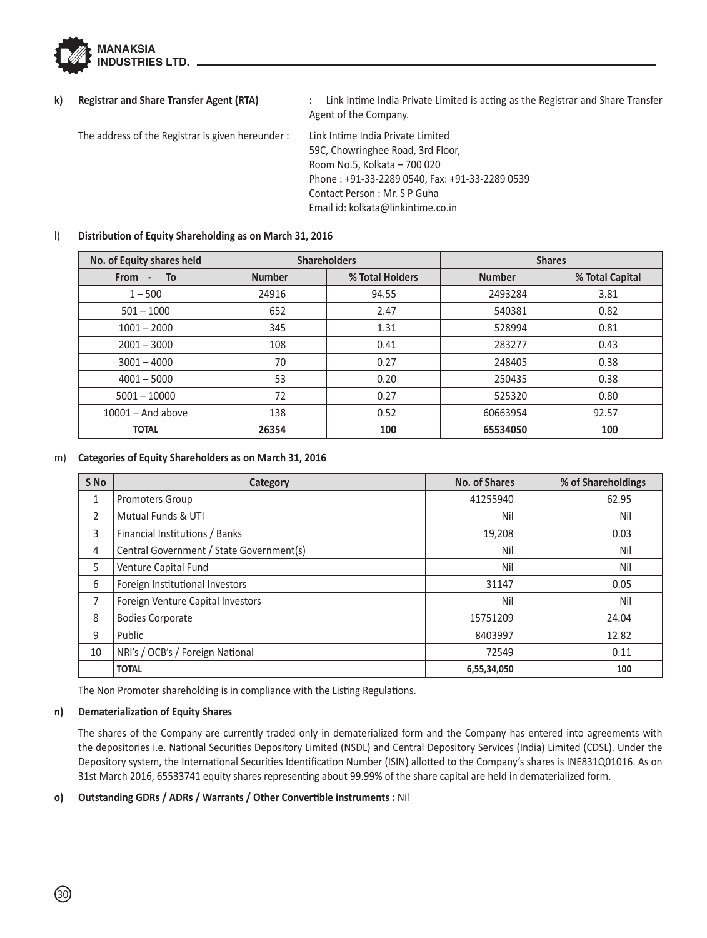

**k) Registrar and Share Transfer Agent (RTA) :** Link Intime India Private Limited is acting as the Registrar and Share Transfer Agent of the Company.

The address of the Registrar is given hereunder : Link Intime India Private Limited

 59C, Chowringhee Road, 3rd Floor, Room No.5, Kolkata – 700 020 Phone : +91-33-2289 0540, Fax: +91-33-2289 0539 Contact Person : Mr. S P Guha Email id: kolkata@linkintime.co.in

### l) **Distribution of Equity Shareholding as on March 31, 2016**

| No. of Equity shares held                            | <b>Shareholders</b> |                 | <b>Shares</b> |                 |
|------------------------------------------------------|---------------------|-----------------|---------------|-----------------|
| <b>To</b><br><b>From</b><br>$\overline{\phantom{a}}$ | <b>Number</b>       | % Total Holders | <b>Number</b> | % Total Capital |
| $1 - 500$                                            | 24916               | 94.55           | 2493284       | 3.81            |
| $501 - 1000$                                         | 652                 | 2.47            | 540381        | 0.82            |
| $1001 - 2000$                                        | 345                 | 1.31            | 528994        | 0.81            |
| $2001 - 3000$                                        | 108                 | 0.41            | 283277        | 0.43            |
| $3001 - 4000$                                        | 70                  | 0.27            | 248405        | 0.38            |
| $4001 - 5000$                                        | 53                  | 0.20            | 250435        | 0.38            |
| $5001 - 10000$                                       | 72                  | 0.27            | 525320        | 0.80            |
| $10001 -$ And above                                  | 138                 | 0.52            | 60663954      | 92.57           |
| <b>TOTAL</b>                                         | 26354               | 100             | 65534050      | 100             |

#### m) **Categories of Equity Shareholders as on March 31, 2016**

| S <sub>No</sub> | <b>Category</b>                          | No. of Shares | % of Shareholdings |
|-----------------|------------------------------------------|---------------|--------------------|
| 1               | <b>Promoters Group</b>                   | 41255940      | 62.95              |
| 2               | Mutual Funds & UTI                       | Nil           | Nil                |
| 3               | Financial Institutions / Banks           | 19,208        | 0.03               |
| 4               | Central Government / State Government(s) | Nil           | Nil                |
| 5               | Venture Capital Fund                     | Nil           | Nil                |
| 6               | Foreign Institutional Investors          | 31147         | 0.05               |
| 7               | Foreign Venture Capital Investors        | Nil           | Nil                |
| 8               | <b>Bodies Corporate</b>                  | 15751209      | 24.04              |
| 9               | Public                                   | 8403997       | 12.82              |
| 10              | NRI's / OCB's / Foreign National         | 72549         | 0.11               |
|                 | <b>TOTAL</b>                             | 6,55,34,050   | 100                |

The Non Promoter shareholding is in compliance with the Listing Regulations.

#### **n) Dematerialization of Equity Shares**

The shares of the Company are currently traded only in dematerialized form and the Company has entered into agreements with the depositories i.e. National Securities Depository Limited (NSDL) and Central Depository Services (India) Limited (CDSL). Under the Depository system, the International Securities Identification Number (ISIN) allotted to the Company's shares is INE831Q01016. As on 31st March 2016, 65533741 equity shares representing about 99.99% of the share capital are held in dematerialized form.

#### **o) Outstanding GDRs / ADRs / Warrants / Other Convertible instruments :** Nil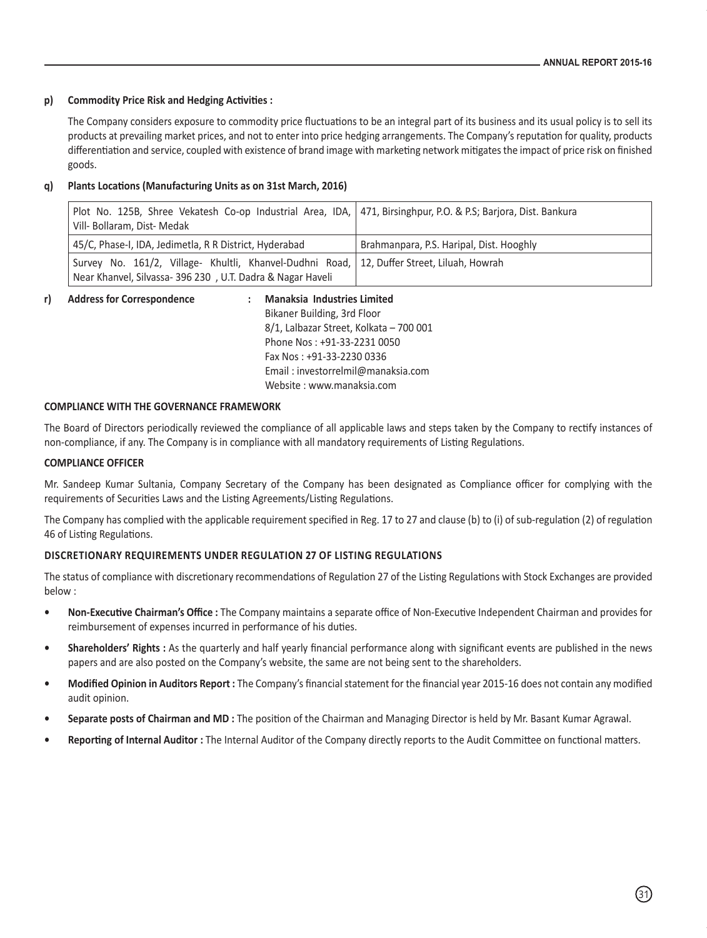#### **p) Commodity Price Risk and Hedging Activities :**

The Company considers exposure to commodity price fluctuations to be an integral part of its business and its usual policy is to sell its products at prevailing market prices, and not to enter into price hedging arrangements. The Company's reputation for quality, products differentiation and service, coupled with existence of brand image with marketing network mitigates the impact of price risk on finished goods.

#### **q) Plants Locations (Manufacturing Units as on 31st March, 2016)**

| Plot No. 125B, Shree Vekatesh Co-op Industrial Area, IDA, 471, Birsinghpur, P.O. & P.S; Barjora, Dist. Bankura<br>Vill- Bollaram, Dist- Medak            |                                          |
|----------------------------------------------------------------------------------------------------------------------------------------------------------|------------------------------------------|
| 45/C, Phase-I, IDA, Jedimetla, R R District, Hyderabad                                                                                                   | Brahmanpara, P.S. Haripal, Dist. Hooghly |
| Survey No. 161/2, Village- Khultli, Khanvel-Dudhni Road, 12, Duffer Street, Liluah, Howrah<br>Near Khanvel, Silvassa- 396 230, U.T. Dadra & Nagar Haveli |                                          |

#### **r) Address for Correspondence : Manaksia Industries Limited**

Bikaner Building, 3rd Floor 8/1, Lalbazar Street, Kolkata – 700 001 Phone Nos : +91-33-2231 0050 Fax Nos : +91-33-2230 0336 Email : investorrelmil@manaksia.com Website : www.manaksia.com

#### **COMPLIANCE WITH THE GOVERNANCE FRAMEWORK**

The Board of Directors periodically reviewed the compliance of all applicable laws and steps taken by the Company to rectify instances of non-compliance, if any. The Company is in compliance with all mandatory requirements of Listing Regulations.

#### **COMPLIANCE OFFICER**

Mr. Sandeep Kumar Sultania, Company Secretary of the Company has been designated as Compliance officer for complying with the requirements of Securities Laws and the Listing Agreements/Listing Regulations.

The Company has complied with the applicable requirement specified in Reg. 17 to 27 and clause (b) to (i) of sub-regulation (2) of regulation 46 of Listing Regulations.

#### **Discretionary Requirements under Regulation 27 of Listing Regulations**

The status of compliance with discretionary recommendations of Regulation 27 of the Listing Regulations with Stock Exchanges are provided below :

- **• Non-Executive Chairman's Office :** The Company maintains a separate office of Non-Executive Independent Chairman and provides for reimbursement of expenses incurred in performance of his duties.
- **• Shareholders' Rights :** As the quarterly and half yearly financial performance along with significant events are published in the news papers and are also posted on the Company's website, the same are not being sent to the shareholders.
- **• Modified Opinion in Auditors Report :** The Company's financial statement for the financial year 2015-16 does not contain any modified audit opinion.
- **• Separate posts of Chairman and MD :** The position of the Chairman and Managing Director is held by Mr. Basant Kumar Agrawal.
- **• Reporting of Internal Auditor :** The Internal Auditor of the Company directly reports to the Audit Committee on functional matters.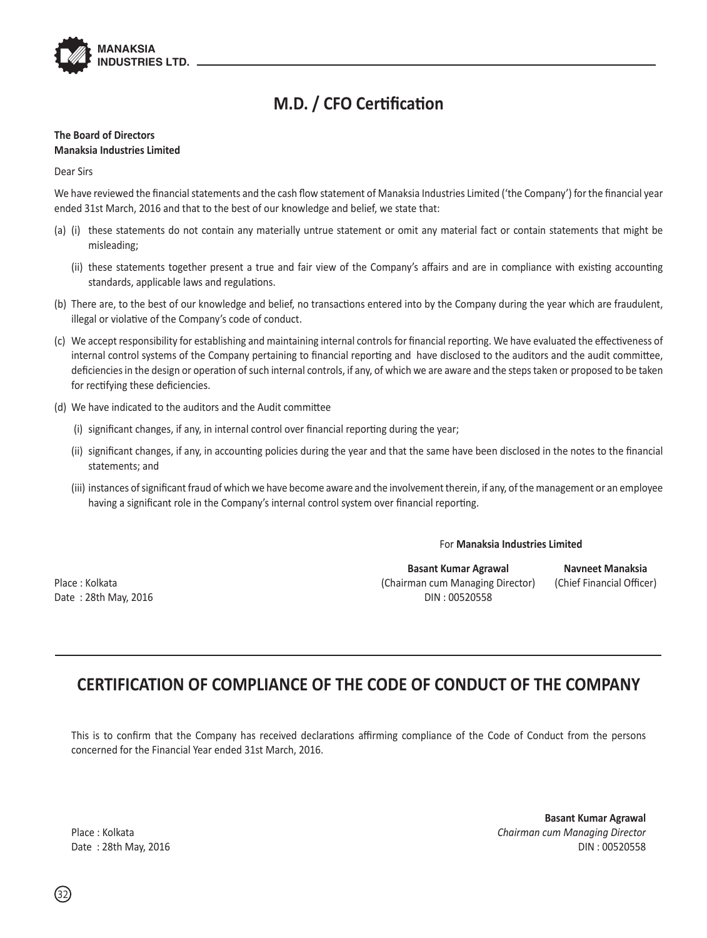

# **M.D. / CFO Certification**

#### **The Board of Directors Manaksia Industries Limited**

Dear Sirs

We have reviewed the financial statements and the cash flow statement of Manaksia Industries Limited ('the Company') for the financial year ended 31st March, 2016 and that to the best of our knowledge and belief, we state that:

- (a) (i) these statements do not contain any materially untrue statement or omit any material fact or contain statements that might be misleading;
	- (ii) these statements together present a true and fair view of the Company's affairs and are in compliance with existing accounting standards, applicable laws and regulations.
- (b) There are, to the best of our knowledge and belief, no transactions entered into by the Company during the year which are fraudulent, illegal or violative of the Company's code of conduct.
- (c) We accept responsibility for establishing and maintaining internal controls for financial reporting. We have evaluated the effectiveness of internal control systems of the Company pertaining to financial reporting and have disclosed to the auditors and the audit committee, deficiencies in the design or operation of such internal controls, if any, of which we are aware and the steps taken or proposed to be taken for rectifying these deficiencies.
- (d) We have indicated to the auditors and the Audit committee
	- (i) significant changes, if any, in internal control over financial reporting during the year;
	- (ii) significant changes, if any, in accounting policies during the year and that the same have been disclosed in the notes to the financial statements; and
	- (iii) instances of significant fraud of which we have become aware and the involvement therein, if any, of the management or an employee having a significant role in the Company's internal control system over financial reporting.

For **Manaksia Industries Limited**

 **Basant Kumar Agrawal Navneet Manaksia** Place : Kolkata (Chairman cum Managing Director) (Chief Financial Officer) Date : 28th May, 2016 **Discussion Contract Contract Contract Contract Contract Contract Contract Contract Contract Contract Contract Contract Contract Contract Contract Contract Contract Contract Contract Contract Contract** 

# **CERTIFICATION OF COMPLIANCE OF THE CODE OF CONDUCT OF THE COMPANY**

This is to confirm that the Company has received declarations affirming compliance of the Code of Conduct from the persons concerned for the Financial Year ended 31st March, 2016.

**Basant Kumar Agrawal** Place : Kolkata *Chairman cum Managing Director* Date : 28th May, 2016 DIN : 00520558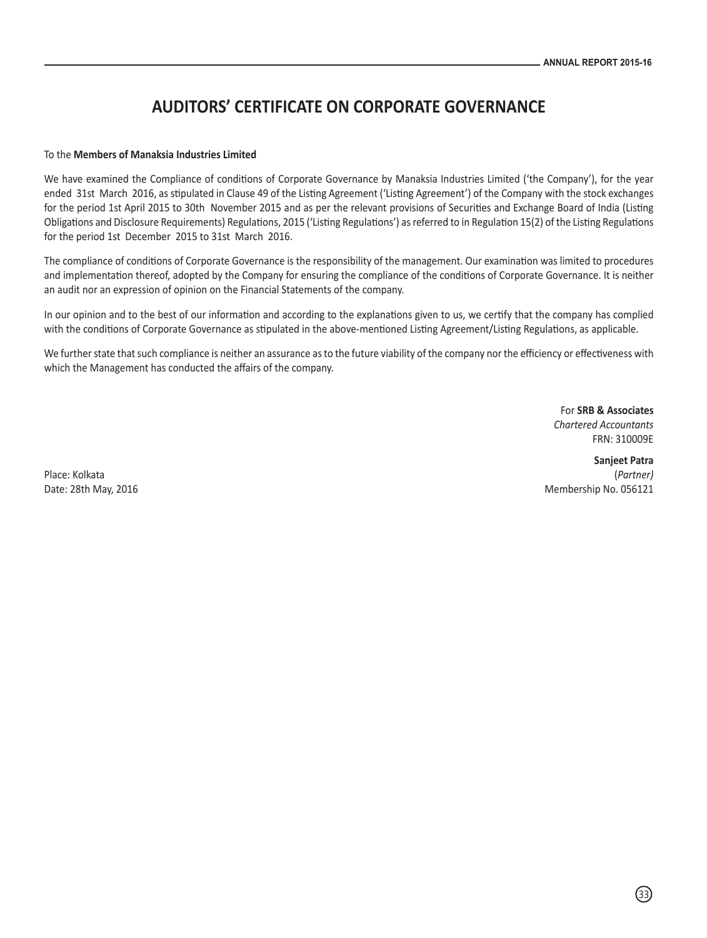# **AUDITORS' CERTIFICATE ON CORPORATE GOVERNANCE**

#### To the **Members of Manaksia Industries Limited**

We have examined the Compliance of conditions of Corporate Governance by Manaksia Industries Limited ('the Company'), for the year ended 31st March 2016, as stipulated in Clause 49 of the Listing Agreement ('Listing Agreement') of the Company with the stock exchanges for the period 1st April 2015 to 30th November 2015 and as per the relevant provisions of Securities and Exchange Board of India (Listing Obligations and Disclosure Requirements) Regulations, 2015 ('Listing Regulations') as referred to in Regulation 15(2) of the Listing Regulations for the period 1st December 2015 to 31st March 2016.

The compliance of conditions of Corporate Governance is the responsibility of the management. Our examination was limited to procedures and implementation thereof, adopted by the Company for ensuring the compliance of the conditions of Corporate Governance. It is neither an audit nor an expression of opinion on the Financial Statements of the company.

In our opinion and to the best of our information and according to the explanations given to us, we certify that the company has complied with the conditions of Corporate Governance as stipulated in the above-mentioned Listing Agreement/Listing Regulations, as applicable.

We further state that such compliance is neither an assurance as to the future viability of the company nor the efficiency or effectiveness with which the Management has conducted the affairs of the company.

> For **SRB & Associates** *Chartered Accountants* FRN: 310009E

 **Sanjeet Patra** Place: Kolkata (*Partner)* Date: 28th May, 2016 May, 2016 Membership No. 056121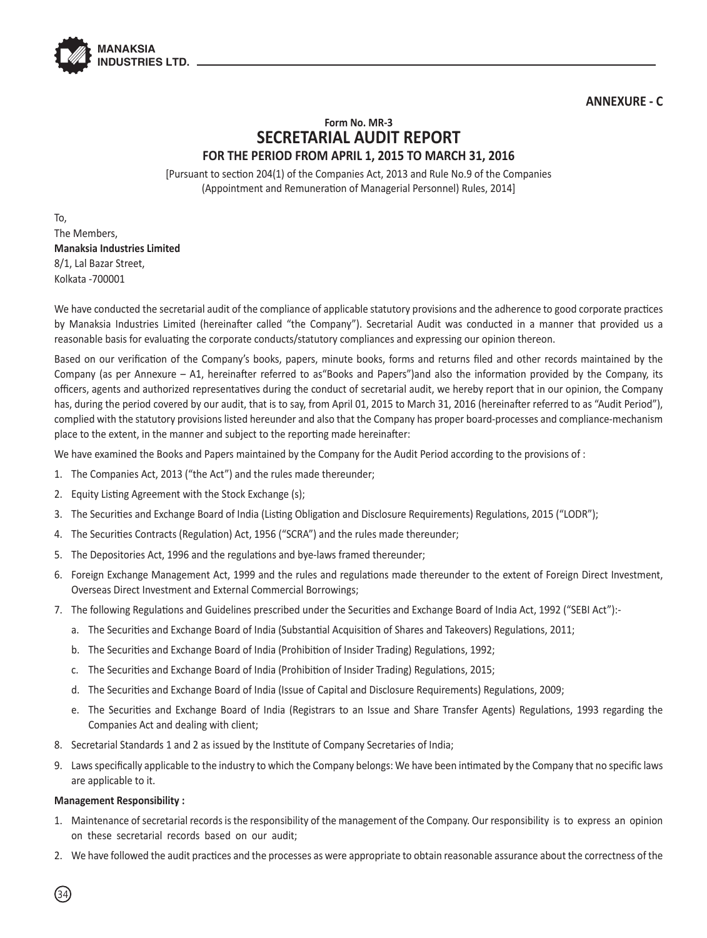

**ANNEXURE - C**

# **Form No. MR-3 SECRETARIAL AUDIT REPORT FOR THE PERIOD FROM APRIL 1, 2015 TO MARCH 31, 2016**

[Pursuant to section 204(1) of the Companies Act, 2013 and Rule No.9 of the Companies (Appointment and Remuneration of Managerial Personnel) Rules, 2014]

To, The Members, **Manaksia Industries Limited** 8/1, Lal Bazar Street, Kolkata -700001

We have conducted the secretarial audit of the compliance of applicable statutory provisions and the adherence to good corporate practices by Manaksia Industries Limited (hereinafter called "the Company"). Secretarial Audit was conducted in a manner that provided us a reasonable basis for evaluating the corporate conducts/statutory compliances and expressing our opinion thereon.

Based on our verification of the Company's books, papers, minute books, forms and returns filed and other records maintained by the Company (as per Annexure – A1, hereinafter referred to as"Books and Papers")and also the information provided by the Company, its officers, agents and authorized representatives during the conduct of secretarial audit, we hereby report that in our opinion, the Company has, during the period covered by our audit, that is to say, from April 01, 2015 to March 31, 2016 (hereinafter referred to as "Audit Period"), complied with the statutory provisions listed hereunder and also that the Company has proper board-processes and compliance-mechanism place to the extent, in the manner and subject to the reporting made hereinafter:

We have examined the Books and Papers maintained by the Company for the Audit Period according to the provisions of :

- 1. The Companies Act, 2013 ("the Act") and the rules made thereunder;
- 2. Equity Listing Agreement with the Stock Exchange (s);
- 3. The Securities and Exchange Board of India (Listing Obligation and Disclosure Requirements) Regulations, 2015 ("LODR");
- 4. The Securities Contracts (Regulation) Act, 1956 ("SCRA") and the rules made thereunder;
- 5. The Depositories Act, 1996 and the regulations and bye-laws framed thereunder;
- 6. Foreign Exchange Management Act, 1999 and the rules and regulations made thereunder to the extent of Foreign Direct Investment, Overseas Direct Investment and External Commercial Borrowings;
- 7. The following Regulations and Guidelines prescribed under the Securities and Exchange Board of India Act, 1992 ("SEBI Act"):
	- a. The Securities and Exchange Board of India (Substantial Acquisition of Shares and Takeovers) Regulations, 2011;
	- b. The Securities and Exchange Board of India (Prohibition of Insider Trading) Regulations, 1992;
	- c. The Securities and Exchange Board of India (Prohibition of Insider Trading) Regulations, 2015;
	- d. The Securities and Exchange Board of India (Issue of Capital and Disclosure Requirements) Regulations, 2009;
	- e. The Securities and Exchange Board of India (Registrars to an Issue and Share Transfer Agents) Regulations, 1993 regarding the Companies Act and dealing with client;
- 8. Secretarial Standards 1 and 2 as issued by the Institute of Company Secretaries of India;
- 9. Laws specifically applicable to the industry to which the Company belongs: We have been intimated by the Company that no specific laws are applicable to it.

#### **Management Responsibility :**

- 1. Maintenance of secretarial records is the responsibility of the management of the Company. Our responsibility is to express an opinion on these secretarial records based on our audit;
- 2. We have followed the audit practices and the processes as were appropriate to obtain reasonable assurance about the correctness of the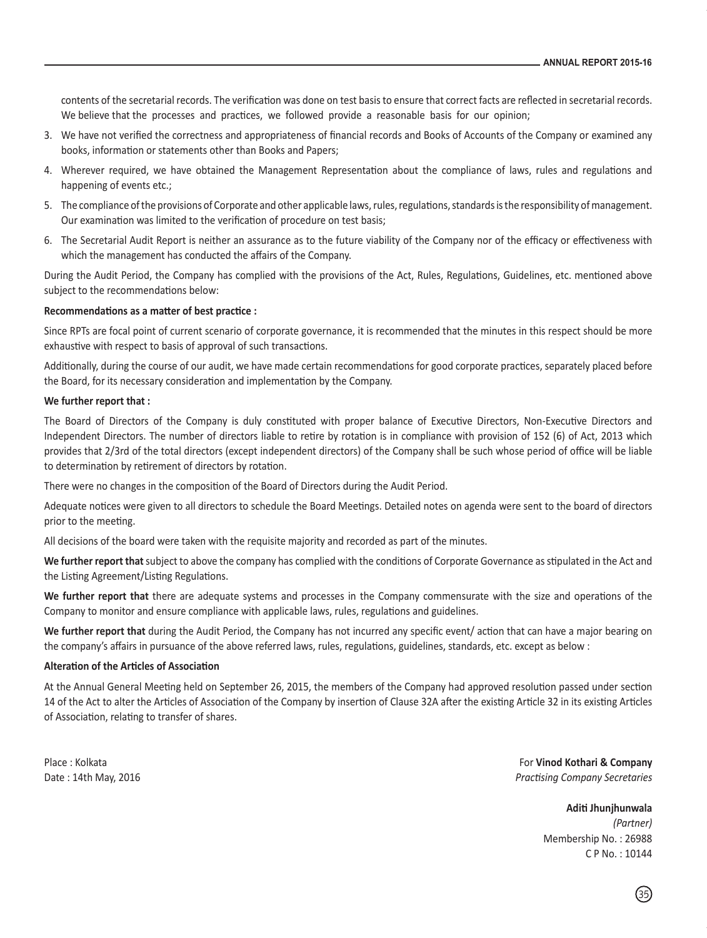contents of the secretarial records. The verification was done on test basis to ensure that correct facts are reflected in secretarial records. We believe that the processes and practices, we followed provide a reasonable basis for our opinion;

- 3. We have not verified the correctness and appropriateness of financial records and Books of Accounts of the Company or examined any books, information or statements other than Books and Papers;
- 4. Wherever required, we have obtained the Management Representation about the compliance of laws, rules and regulations and happening of events etc.;
- 5. The compliance of the provisions of Corporate and other applicable laws, rules, regulations, standards is the responsibility of management. Our examination was limited to the verification of procedure on test basis;
- 6. The Secretarial Audit Report is neither an assurance as to the future viability of the Company nor of the efficacy or effectiveness with which the management has conducted the affairs of the Company.

During the Audit Period, the Company has complied with the provisions of the Act, Rules, Regulations, Guidelines, etc. mentioned above subject to the recommendations below:

#### **Recommendations as a matter of best practice :**

Since RPTs are focal point of current scenario of corporate governance, it is recommended that the minutes in this respect should be more exhaustive with respect to basis of approval of such transactions.

Additionally, during the course of our audit, we have made certain recommendations for good corporate practices, separately placed before the Board, for its necessary consideration and implementation by the Company.

#### **We further report that :**

The Board of Directors of the Company is duly constituted with proper balance of Executive Directors, Non-Executive Directors and Independent Directors. The number of directors liable to retire by rotation is in compliance with provision of 152 (6) of Act, 2013 which provides that 2/3rd of the total directors (except independent directors) of the Company shall be such whose period of office will be liable to determination by retirement of directors by rotation.

There were no changes in the composition of the Board of Directors during the Audit Period.

Adequate notices were given to all directors to schedule the Board Meetings. Detailed notes on agenda were sent to the board of directors prior to the meeting.

All decisions of the board were taken with the requisite majority and recorded as part of the minutes.

**We further report that** subject to above the company has complied with the conditions of Corporate Governance as stipulated in the Act and the Listing Agreement/Listing Regulations.

**We further report that** there are adequate systems and processes in the Company commensurate with the size and operations of the Company to monitor and ensure compliance with applicable laws, rules, regulations and guidelines.

**We further report that** during the Audit Period, the Company has not incurred any specific event/ action that can have a major bearing on the company's affairs in pursuance of the above referred laws, rules, regulations, guidelines, standards, etc. except as below :

#### **Alteration of the Articles of Association**

At the Annual General Meeting held on September 26, 2015, the members of the Company had approved resolution passed under section 14 of the Act to alter the Articles of Association of the Company by insertion of Clause 32A after the existing Article 32 in its existing Articles of Association, relating to transfer of shares.

Place : Kolkata For **Vinod Kothari & Company** Date : 14th May, 2016 *Practising Company Secretaries*

**Aditi Jhunjhunwala**

 *(Partner)* Membership No. : 26988 C P No. : 10144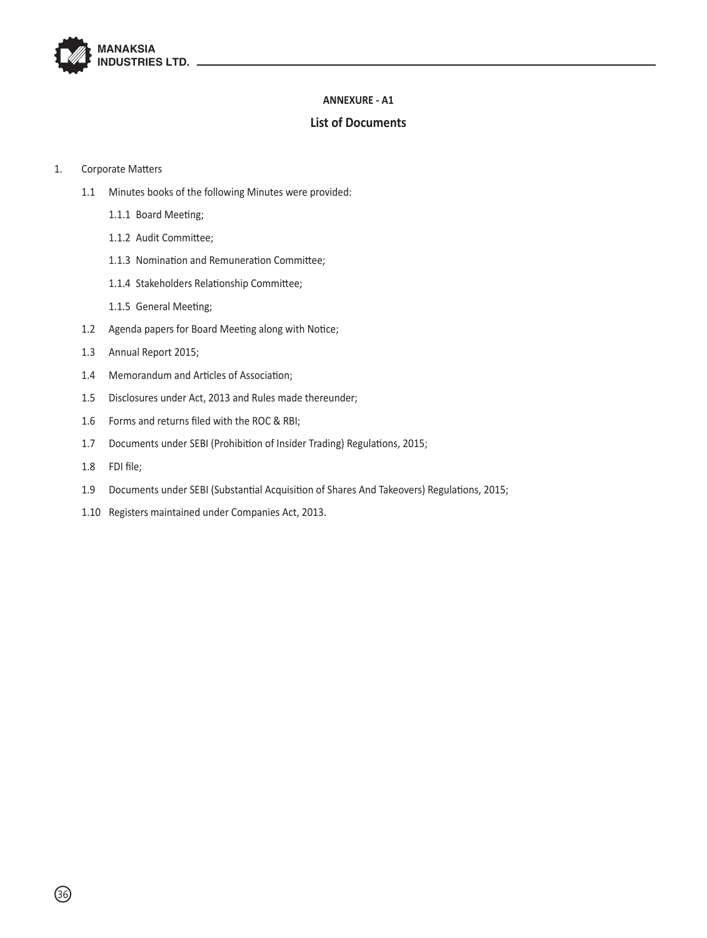

#### **ANNEXURE - A1**

### **List of Documents**

#### 1. Corporate Matters

- 1.1 Minutes books of the following Minutes were provided:
	- 1.1.1 Board Meeting;
	- 1.1.2 Audit Committee;
	- 1.1.3 Nomination and Remuneration Committee;
	- 1.1.4 Stakeholders Relationship Committee;
	- 1.1.5 General Meeting;
- 1.2 Agenda papers for Board Meeting along with Notice;
- 1.3 Annual Report 2015;
- 1.4 Memorandum and Articles of Association;
- 1.5 Disclosures under Act, 2013 and Rules made thereunder;
- 1.6 Forms and returns filed with the ROC & RBI;
- 1.7 Documents under SEBI (Prohibition of Insider Trading) Regulations, 2015;
- 1.8 FDI file;
- 1.9 Documents under SEBI (Substantial Acquisition of Shares And Takeovers) Regulations, 2015;
- 1.10 Registers maintained under Companies Act, 2013.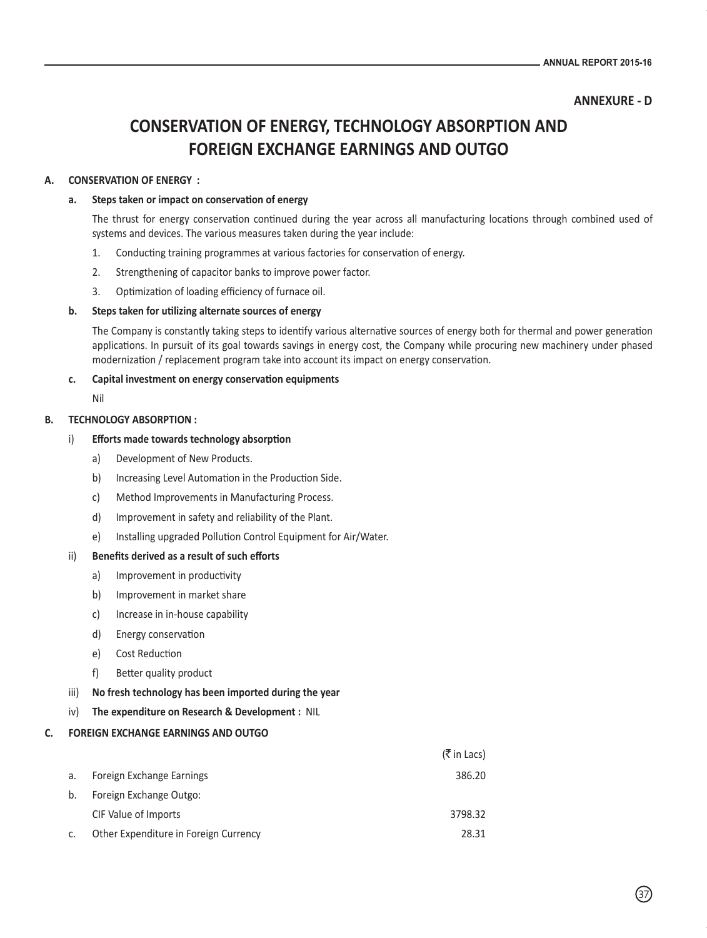#### **ANNEXURE - D**

# **CONSERVATION OF ENERGY, TECHNOLOGY ABSORPTION AND FOREIGN EXCHANGE EARNINGS AND OUTGO**

#### **A. CONSERVATION OF ENERGY :**

#### **a. Steps taken or impact on conservation of energy**

The thrust for energy conservation continued during the year across all manufacturing locations through combined used of systems and devices. The various measures taken during the year include:

- 1. Conducting training programmes at various factories for conservation of energy.
- 2. Strengthening of capacitor banks to improve power factor.
- 3. Optimization of loading efficiency of furnace oil.

#### **b. Steps taken for utilizing alternate sources of energy**

The Company is constantly taking steps to identify various alternative sources of energy both for thermal and power generation applications. In pursuit of its goal towards savings in energy cost, the Company while procuring new machinery under phased modernization / replacement program take into account its impact on energy conservation.

#### **c. Capital investment on energy conservation equipments**

Nil

#### **B. TECHNOLOGY ABSORPTION :**

#### i) **Efforts made towards technology absorption**

- a) Development of New Products.
- b) Increasing Level Automation in the Production Side.
- c) Method Improvements in Manufacturing Process.
- d) Improvement in safety and reliability of the Plant.
- e) Installing upgraded Pollution Control Equipment for Air/Water.

#### ii) **Benefits derived as a result of such efforts**

- a) Improvement in productivity
- b) Improvement in market share
- c) Increase in in-house capability
- d) Energy conservation
- e) Cost Reduction
- f) Better quality product
- iii) **No fresh technology has been imported during the year**
- iv) **The expenditure on Research & Development :** NIL

#### **C. FOREIGN EXCHANGE EARNINGS AND OUTGO**

|    |                                       | (₹ in Lacs) |
|----|---------------------------------------|-------------|
| а. | Foreign Exchange Earnings             | 386.20      |
| b. | Foreign Exchange Outgo:               |             |
|    | CIF Value of Imports                  | 3798.32     |
|    | Other Expenditure in Foreign Currency | 28.31       |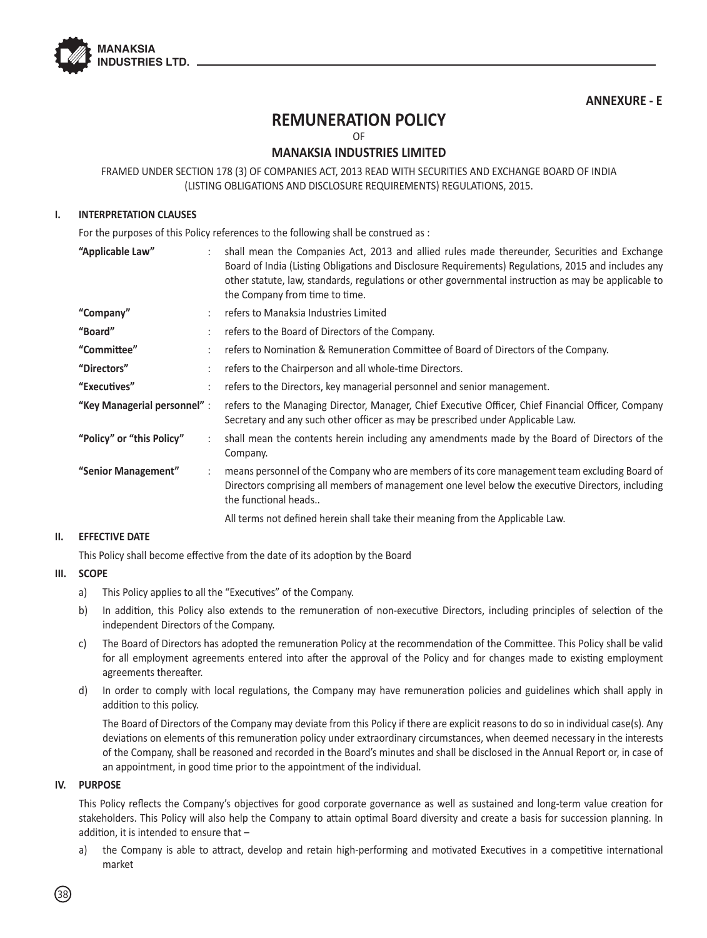

**ANNEXURE - E**

### **REMUNERATION POLICY**

OF

#### **MANAKSIA INDUSTRIES LIMITED**

FRAMED UNDER SECTION 178 (3) OF COMPANIES ACT, 2013 READ WITH SECURITIES AND EXCHANGE BOARD OF INDIA (LISTING OBLIGATIONS AND DISCLOSURE REQUIREMENTS) REGULATIONS, 2015.

#### **I. INTERPRETATION CLAUSES**

For the purposes of this Policy references to the following shall be construed as :

| "Applicable Law"             | shall mean the Companies Act, 2013 and allied rules made thereunder, Securities and Exchange<br>Board of India (Listing Obligations and Disclosure Requirements) Regulations, 2015 and includes any<br>other statute, law, standards, regulations or other governmental instruction as may be applicable to<br>the Company from time to time. |
|------------------------------|-----------------------------------------------------------------------------------------------------------------------------------------------------------------------------------------------------------------------------------------------------------------------------------------------------------------------------------------------|
| "Company"                    | refers to Manaksia Industries Limited                                                                                                                                                                                                                                                                                                         |
| "Board"                      | refers to the Board of Directors of the Company.                                                                                                                                                                                                                                                                                              |
| "Committee"                  | refers to Nomination & Remuneration Committee of Board of Directors of the Company.                                                                                                                                                                                                                                                           |
| "Directors"                  | refers to the Chairperson and all whole-time Directors.                                                                                                                                                                                                                                                                                       |
| "Executives"                 | refers to the Directors, key managerial personnel and senior management.                                                                                                                                                                                                                                                                      |
| "Key Managerial personnel" : | refers to the Managing Director, Manager, Chief Executive Officer, Chief Financial Officer, Company<br>Secretary and any such other officer as may be prescribed under Applicable Law.                                                                                                                                                        |
| "Policy" or "this Policy"    | shall mean the contents herein including any amendments made by the Board of Directors of the<br>Company.                                                                                                                                                                                                                                     |
| "Senior Management"          | means personnel of the Company who are members of its core management team excluding Board of<br>Directors comprising all members of management one level below the executive Directors, including<br>the functional heads                                                                                                                    |

All terms not defined herein shall take their meaning from the Applicable Law.

#### **II. EFFECTIVE DATE**

This Policy shall become effective from the date of its adoption by the Board

#### **III. SCOPE**

- a) This Policy applies to all the "Executives" of the Company.
- b) In addition, this Policy also extends to the remuneration of non-executive Directors, including principles of selection of the independent Directors of the Company.
- c) The Board of Directors has adopted the remuneration Policy at the recommendation of the Committee. This Policy shall be valid for all employment agreements entered into after the approval of the Policy and for changes made to existing employment agreements thereafter.
- d) In order to comply with local regulations, the Company may have remuneration policies and guidelines which shall apply in addition to this policy.

The Board of Directors of the Company may deviate from this Policy if there are explicit reasons to do so in individual case(s). Any deviations on elements of this remuneration policy under extraordinary circumstances, when deemed necessary in the interests of the Company, shall be reasoned and recorded in the Board's minutes and shall be disclosed in the Annual Report or, in case of an appointment, in good time prior to the appointment of the individual.

#### **IV. PURPOSE**

This Policy reflects the Company's objectives for good corporate governance as well as sustained and long-term value creation for stakeholders. This Policy will also help the Company to attain optimal Board diversity and create a basis for succession planning. In addition, it is intended to ensure that –

a) the Company is able to attract, develop and retain high-performing and motivated Executives in a competitive international market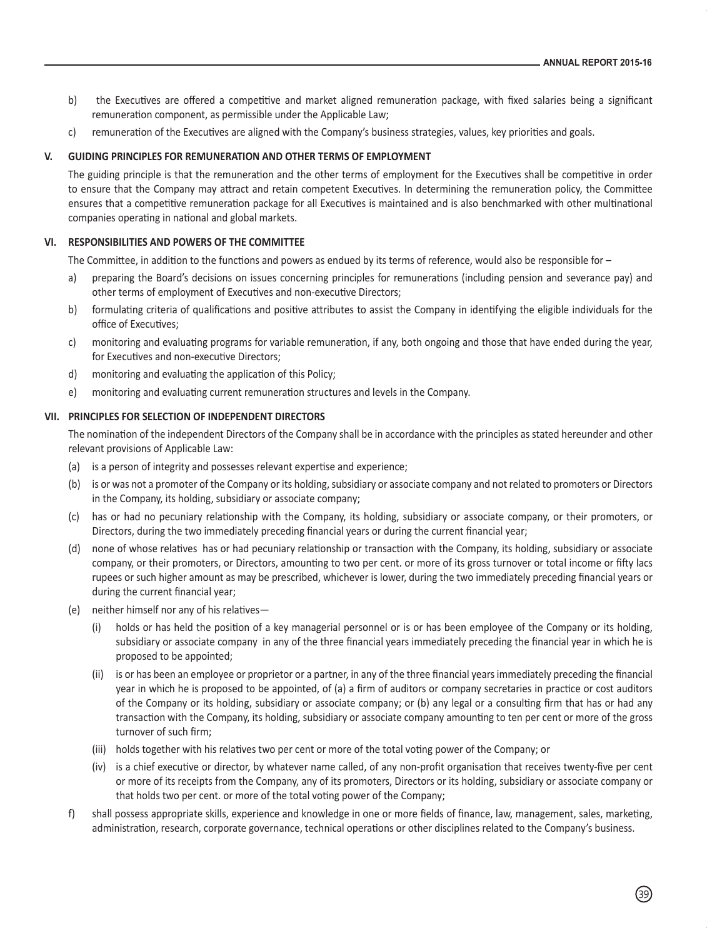- b) the Executives are offered a competitive and market aligned remuneration package, with fixed salaries being a significant remuneration component, as permissible under the Applicable Law;
- c) remuneration of the Executives are aligned with the Company's business strategies, values, key priorities and goals.

#### **V. GUIDING PRINCIPLES FOR REMUNERATION AND OTHER TERMS OF EMPLOYMENT**

The guiding principle is that the remuneration and the other terms of employment for the Executives shall be competitive in order to ensure that the Company may attract and retain competent Executives. In determining the remuneration policy, the Committee ensures that a competitive remuneration package for all Executives is maintained and is also benchmarked with other multinational companies operating in national and global markets.

#### **VI. RESPONSIBILITIES AND POWERS OF THE COMMITTEE**

The Committee, in addition to the functions and powers as endued by its terms of reference, would also be responsible for –

- a) preparing the Board's decisions on issues concerning principles for remunerations (including pension and severance pay) and other terms of employment of Executives and non-executive Directors;
- b) formulating criteria of qualifications and positive attributes to assist the Company in identifying the eligible individuals for the office of Executives;
- c) monitoring and evaluating programs for variable remuneration, if any, both ongoing and those that have ended during the year, for Executives and non-executive Directors;
- d) monitoring and evaluating the application of this Policy;
- e) monitoring and evaluating current remuneration structures and levels in the Company.

#### **VII. PRINCIPLES FOR SELECTION OF INDEPENDENT DIRECTORS**

The nomination of the independent Directors of the Company shall be in accordance with the principles as stated hereunder and other relevant provisions of Applicable Law:

- (a) is a person of integrity and possesses relevant expertise and experience;
- (b) is or was not a promoter of the Company or its holding, subsidiary or associate company and not related to promoters or Directors in the Company, its holding, subsidiary or associate company;
- (c) has or had no pecuniary relationship with the Company, its holding, subsidiary or associate company, or their promoters, or Directors, during the two immediately preceding financial years or during the current financial year;
- (d) none of whose relatives has or had pecuniary relationship or transaction with the Company, its holding, subsidiary or associate company, or their promoters, or Directors, amounting to two per cent. or more of its gross turnover or total income or fifty lacs rupees or such higher amount as may be prescribed, whichever is lower, during the two immediately preceding financial years or during the current financial year;
- (e) neither himself nor any of his relatives—
	- (i) holds or has held the position of a key managerial personnel or is or has been employee of the Company or its holding, subsidiary or associate company in any of the three financial years immediately preceding the financial year in which he is proposed to be appointed;
	- (ii) is or has been an employee or proprietor or a partner, in any of the three financial years immediately preceding the financial year in which he is proposed to be appointed, of (a) a firm of auditors or company secretaries in practice or cost auditors of the Company or its holding, subsidiary or associate company; or (b) any legal or a consulting firm that has or had any transaction with the Company, its holding, subsidiary or associate company amounting to ten per cent or more of the gross turnover of such firm;
	- (iii) holds together with his relatives two per cent or more of the total voting power of the Company; or
	- (iv) is a chief executive or director, by whatever name called, of any non-profit organisation that receives twenty-five per cent or more of its receipts from the Company, any of its promoters, Directors or its holding, subsidiary or associate company or that holds two per cent. or more of the total voting power of the Company;
- f) shall possess appropriate skills, experience and knowledge in one or more fields of finance, law, management, sales, marketing, administration, research, corporate governance, technical operations or other disciplines related to the Company's business.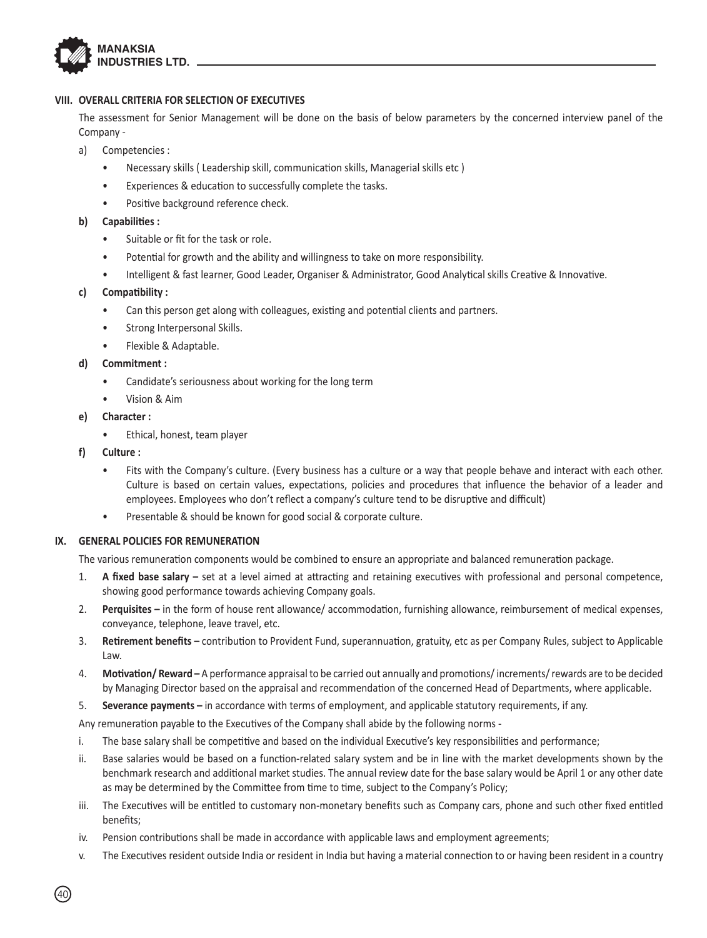

#### **VIII. OVERALL CRITERIA FOR SELECTION OF EXECUTIVES**

The assessment for Senior Management will be done on the basis of below parameters by the concerned interview panel of the Company -

- a) Competencies :
	- Necessary skills ( Leadership skill, communication skills, Managerial skills etc )
	- Experiences & education to successfully complete the tasks.
	- Positive background reference check.
- **b) Capabilities :**
	- Suitable or fit for the task or role.
	- Potential for growth and the ability and willingness to take on more responsibility.
	- Intelligent & fast learner, Good Leader, Organiser & Administrator, Good Analytical skills Creative & Innovative.

#### **c) Compatibility :**

- Can this person get along with colleagues, existing and potential clients and partners.
- Strong Interpersonal Skills.
- Flexible & Adaptable.
- **d) Commitment :**
	- Candidate's seriousness about working for the long term
	- Vision & Aim
- **e) Character :**
	- Ethical, honest, team player
- **f) Culture :**

(40)

- Fits with the Company's culture. (Every business has a culture or a way that people behave and interact with each other. Culture is based on certain values, expectations, policies and procedures that influence the behavior of a leader and employees. Employees who don't reflect a company's culture tend to be disruptive and difficult)
- Presentable & should be known for good social & corporate culture.

#### **IX. GENERAL POLICIES FOR REMUNERATION**

The various remuneration components would be combined to ensure an appropriate and balanced remuneration package.

- 1. **A fixed base salary** set at a level aimed at attracting and retaining executives with professional and personal competence, showing good performance towards achieving Company goals.
- 2. **Perquisites** in the form of house rent allowance/ accommodation, furnishing allowance, reimbursement of medical expenses, conveyance, telephone, leave travel, etc.
- 3. **Retirement benefits –** contribution to Provident Fund, superannuation, gratuity, etc as per Company Rules, subject to Applicable Law.
- 4. **Motivation/ Reward** A performance appraisal to be carried out annually and promotions/ increments/ rewards are to be decided by Managing Director based on the appraisal and recommendation of the concerned Head of Departments, where applicable.
- 5. **Severance payments** in accordance with terms of employment, and applicable statutory requirements, if any.

Any remuneration payable to the Executives of the Company shall abide by the following norms -

- i. The base salary shall be competitive and based on the individual Executive's key responsibilities and performance;
- ii. Base salaries would be based on a function-related salary system and be in line with the market developments shown by the benchmark research and additional market studies. The annual review date for the base salary would be April 1 or any other date as may be determined by the Committee from time to time, subject to the Company's Policy;
- iii. The Executives will be entitled to customary non-monetary benefits such as Company cars, phone and such other fixed entitled benefits;
- iv. Pension contributions shall be made in accordance with applicable laws and employment agreements;
- v. The Executives resident outside India or resident in India but having a material connection to or having been resident in a country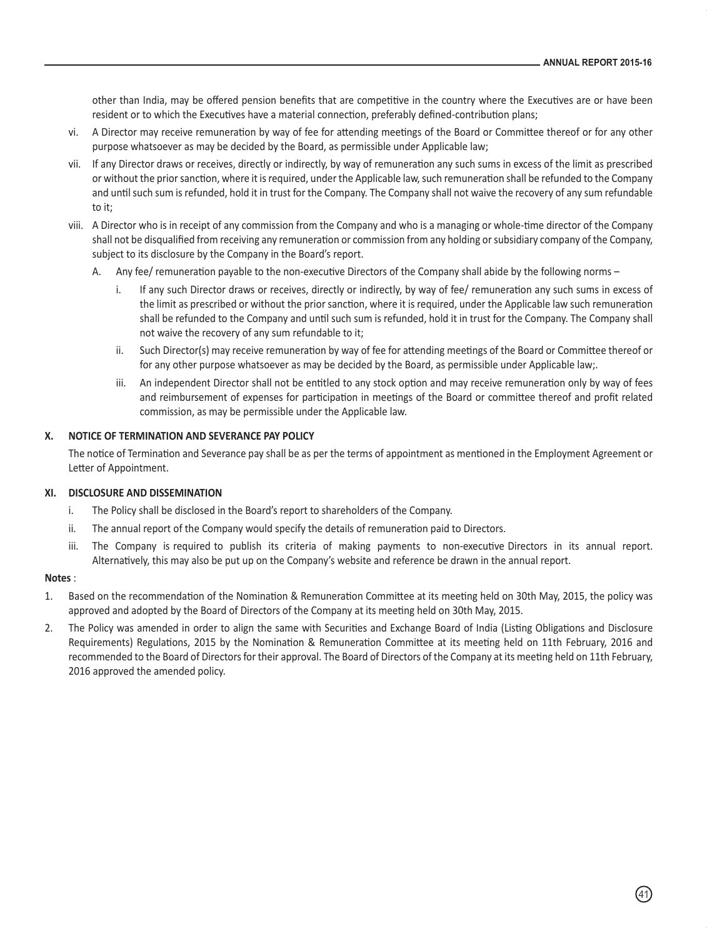other than India, may be offered pension benefits that are competitive in the country where the Executives are or have been resident or to which the Executives have a material connection, preferably defined-contribution plans;

- vi. A Director may receive remuneration by way of fee for attending meetings of the Board or Committee thereof or for any other purpose whatsoever as may be decided by the Board, as permissible under Applicable law;
- vii. If any Director draws or receives, directly or indirectly, by way of remuneration any such sums in excess of the limit as prescribed or without the prior sanction, where it is required, under the Applicable law, such remuneration shall be refunded to the Company and until such sum is refunded, hold it in trust for the Company. The Company shall not waive the recovery of any sum refundable to it;
- viii. A Director who is in receipt of any commission from the Company and who is a managing or whole-time director of the Company shall not be disqualified from receiving any remuneration or commission from any holding or subsidiary company of the Company, subject to its disclosure by the Company in the Board's report.
	- A. Any fee/ remuneration payable to the non-executive Directors of the Company shall abide by the following norms
		- i. If any such Director draws or receives, directly or indirectly, by way of fee/ remuneration any such sums in excess of the limit as prescribed or without the prior sanction, where it is required, under the Applicable law such remuneration shall be refunded to the Company and until such sum is refunded, hold it in trust for the Company. The Company shall not waive the recovery of any sum refundable to it;
		- ii. Such Director(s) may receive remuneration by way of fee for attending meetings of the Board or Committee thereof or for any other purpose whatsoever as may be decided by the Board, as permissible under Applicable law;.
		- iii. An independent Director shall not be entitled to any stock option and may receive remuneration only by way of fees and reimbursement of expenses for participation in meetings of the Board or committee thereof and profit related commission, as may be permissible under the Applicable law.

#### **X. NOTICE OF TERMINATION AND SEVERANCE PAY POLICY**

The notice of Termination and Severance pay shall be as per the terms of appointment as mentioned in the Employment Agreement or Letter of Appointment.

#### **XI. DISCLOSURE AND DISSEMINATION**

- i. The Policy shall be disclosed in the Board's report to shareholders of the Company.
- ii. The annual report of the Company would specify the details of remuneration paid to Directors.
- iii. The Company is required to publish its criteria of making payments to non-executive Directors in its annual report. Alternatively, this may also be put up on the Company's website and reference be drawn in the annual report.

#### **Notes** :

- 1. Based on the recommendation of the Nomination & Remuneration Committee at its meeting held on 30th May, 2015, the policy was approved and adopted by the Board of Directors of the Company at its meeting held on 30th May, 2015.
- 2. The Policy was amended in order to align the same with Securities and Exchange Board of India (Listing Obligations and Disclosure Requirements) Regulations, 2015 by the Nomination & Remuneration Committee at its meeting held on 11th February, 2016 and recommended to the Board of Directors for their approval. The Board of Directors of the Company at its meeting held on 11th February, 2016 approved the amended policy.

 $(41)$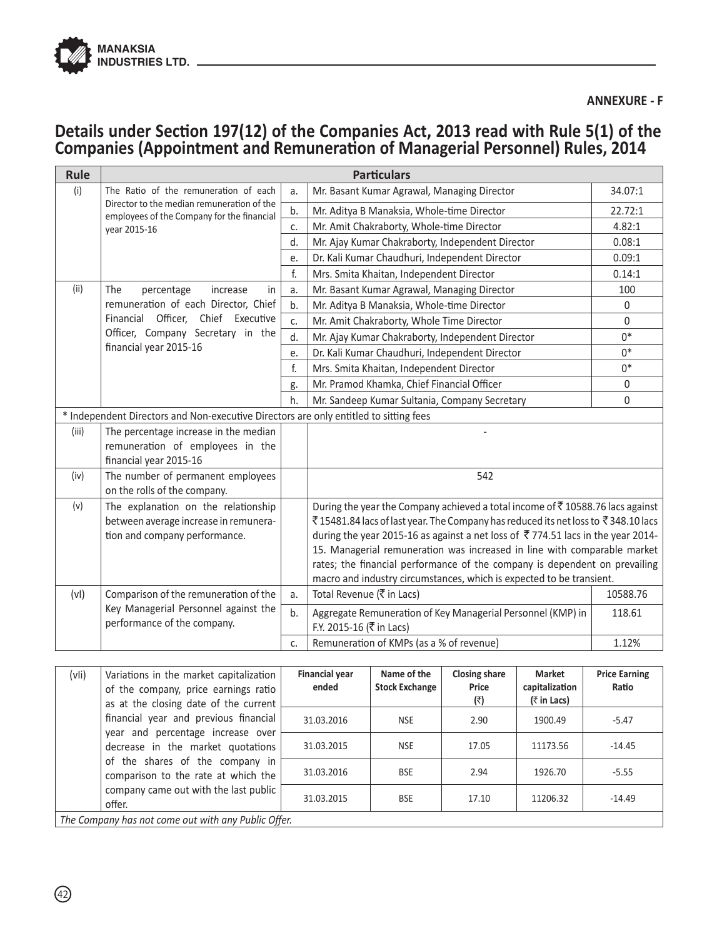

### **Details under Section 197(12) of the Companies Act, 2013 read with Rule 5(1) of the Companies (Appointment and Remuneration of Managerial Personnel) Rules, 2014**

| (i)<br>The Ratio of the remuneration of each<br>Mr. Basant Kumar Agrawal, Managing Director<br>34.07:1<br>a.<br>Director to the median remuneration of the<br>22.72:1<br>Mr. Aditya B Manaksia, Whole-time Director<br>b.<br>employees of the Company for the financial<br>4.82:1<br>Mr. Amit Chakraborty, Whole-time Director<br>c.<br>vear 2015-16<br>d.<br>Mr. Ajay Kumar Chakraborty, Independent Director<br>0.08:1<br>Dr. Kali Kumar Chaudhuri, Independent Director<br>0.09:1<br>e.<br>f.<br>0.14:1<br>Mrs. Smita Khaitan, Independent Director<br>(ii)<br>Mr. Basant Kumar Agrawal, Managing Director<br>100<br><b>The</b><br>percentage<br>increase<br>in<br>a.<br>remuneration of each Director, Chief<br>b.<br>Mr. Aditya B Manaksia, Whole-time Director<br>$\mathbf 0$<br>Financial Officer, Chief Executive<br>Mr. Amit Chakraborty, Whole Time Director<br>$\mathbf 0$<br>c.<br>Officer, Company Secretary in the<br>$0*$<br>d.<br>Mr. Ajay Kumar Chakraborty, Independent Director<br>financial year 2015-16<br>$0*$<br>Dr. Kali Kumar Chaudhuri, Independent Director<br>e.<br>f.<br>$0*$<br>Mrs. Smita Khaitan, Independent Director<br>Mr. Pramod Khamka, Chief Financial Officer<br>$\mathbf 0$<br>g.<br>Mr. Sandeep Kumar Sultania, Company Secretary<br>0<br>h.<br>* Independent Directors and Non-executive Directors are only entitled to sitting fees<br>The percentage increase in the median<br>(iii)<br>remuneration of employees in the<br>financial year 2015-16<br>(iv)<br>The number of permanent employees<br>542<br>on the rolls of the company.<br>The explanation on the relationship<br>During the year the Company achieved a total income of $\overline{5}$ 10588.76 lacs against<br>(v)<br>between average increase in remunera-<br>₹15481.84 lacs of last year. The Company has reduced its net loss to ₹348.10 lacs<br>during the year 2015-16 as against a net loss of ₹774.51 lacs in the year 2014-<br>tion and company performance.<br>15. Managerial remuneration was increased in line with comparable market<br>rates; the financial performance of the company is dependent on prevailing<br>macro and industry circumstances, which is expected to be transient.<br>Total Revenue (₹ in Lacs)<br>Comparison of the remuneration of the<br>(vI)<br>10588.76<br>a.<br>Key Managerial Personnel against the<br>Aggregate Remuneration of Key Managerial Personnel (KMP) in<br>$b$ .<br>118.61<br>performance of the company.<br>F.Y. 2015-16 (₹ in Lacs)<br>Remuneration of KMPs (as a % of revenue)<br>1.12%<br>c. | Rule |  | <b>Particulars</b> |  |  |
|---------------------------------------------------------------------------------------------------------------------------------------------------------------------------------------------------------------------------------------------------------------------------------------------------------------------------------------------------------------------------------------------------------------------------------------------------------------------------------------------------------------------------------------------------------------------------------------------------------------------------------------------------------------------------------------------------------------------------------------------------------------------------------------------------------------------------------------------------------------------------------------------------------------------------------------------------------------------------------------------------------------------------------------------------------------------------------------------------------------------------------------------------------------------------------------------------------------------------------------------------------------------------------------------------------------------------------------------------------------------------------------------------------------------------------------------------------------------------------------------------------------------------------------------------------------------------------------------------------------------------------------------------------------------------------------------------------------------------------------------------------------------------------------------------------------------------------------------------------------------------------------------------------------------------------------------------------------------------------------------------------------------------------------------------------------------------------------------------------------------------------------------------------------------------------------------------------------------------------------------------------------------------------------------------------------------------------------------------------------------------------------------------------------------------------------------------------------------------------------------------------------------------------------------------------------------|------|--|--------------------|--|--|
|                                                                                                                                                                                                                                                                                                                                                                                                                                                                                                                                                                                                                                                                                                                                                                                                                                                                                                                                                                                                                                                                                                                                                                                                                                                                                                                                                                                                                                                                                                                                                                                                                                                                                                                                                                                                                                                                                                                                                                                                                                                                                                                                                                                                                                                                                                                                                                                                                                                                                                                                                                     |      |  |                    |  |  |
|                                                                                                                                                                                                                                                                                                                                                                                                                                                                                                                                                                                                                                                                                                                                                                                                                                                                                                                                                                                                                                                                                                                                                                                                                                                                                                                                                                                                                                                                                                                                                                                                                                                                                                                                                                                                                                                                                                                                                                                                                                                                                                                                                                                                                                                                                                                                                                                                                                                                                                                                                                     |      |  |                    |  |  |
|                                                                                                                                                                                                                                                                                                                                                                                                                                                                                                                                                                                                                                                                                                                                                                                                                                                                                                                                                                                                                                                                                                                                                                                                                                                                                                                                                                                                                                                                                                                                                                                                                                                                                                                                                                                                                                                                                                                                                                                                                                                                                                                                                                                                                                                                                                                                                                                                                                                                                                                                                                     |      |  |                    |  |  |
|                                                                                                                                                                                                                                                                                                                                                                                                                                                                                                                                                                                                                                                                                                                                                                                                                                                                                                                                                                                                                                                                                                                                                                                                                                                                                                                                                                                                                                                                                                                                                                                                                                                                                                                                                                                                                                                                                                                                                                                                                                                                                                                                                                                                                                                                                                                                                                                                                                                                                                                                                                     |      |  |                    |  |  |
|                                                                                                                                                                                                                                                                                                                                                                                                                                                                                                                                                                                                                                                                                                                                                                                                                                                                                                                                                                                                                                                                                                                                                                                                                                                                                                                                                                                                                                                                                                                                                                                                                                                                                                                                                                                                                                                                                                                                                                                                                                                                                                                                                                                                                                                                                                                                                                                                                                                                                                                                                                     |      |  |                    |  |  |
|                                                                                                                                                                                                                                                                                                                                                                                                                                                                                                                                                                                                                                                                                                                                                                                                                                                                                                                                                                                                                                                                                                                                                                                                                                                                                                                                                                                                                                                                                                                                                                                                                                                                                                                                                                                                                                                                                                                                                                                                                                                                                                                                                                                                                                                                                                                                                                                                                                                                                                                                                                     |      |  |                    |  |  |
|                                                                                                                                                                                                                                                                                                                                                                                                                                                                                                                                                                                                                                                                                                                                                                                                                                                                                                                                                                                                                                                                                                                                                                                                                                                                                                                                                                                                                                                                                                                                                                                                                                                                                                                                                                                                                                                                                                                                                                                                                                                                                                                                                                                                                                                                                                                                                                                                                                                                                                                                                                     |      |  |                    |  |  |
|                                                                                                                                                                                                                                                                                                                                                                                                                                                                                                                                                                                                                                                                                                                                                                                                                                                                                                                                                                                                                                                                                                                                                                                                                                                                                                                                                                                                                                                                                                                                                                                                                                                                                                                                                                                                                                                                                                                                                                                                                                                                                                                                                                                                                                                                                                                                                                                                                                                                                                                                                                     |      |  |                    |  |  |
|                                                                                                                                                                                                                                                                                                                                                                                                                                                                                                                                                                                                                                                                                                                                                                                                                                                                                                                                                                                                                                                                                                                                                                                                                                                                                                                                                                                                                                                                                                                                                                                                                                                                                                                                                                                                                                                                                                                                                                                                                                                                                                                                                                                                                                                                                                                                                                                                                                                                                                                                                                     |      |  |                    |  |  |
|                                                                                                                                                                                                                                                                                                                                                                                                                                                                                                                                                                                                                                                                                                                                                                                                                                                                                                                                                                                                                                                                                                                                                                                                                                                                                                                                                                                                                                                                                                                                                                                                                                                                                                                                                                                                                                                                                                                                                                                                                                                                                                                                                                                                                                                                                                                                                                                                                                                                                                                                                                     |      |  |                    |  |  |
|                                                                                                                                                                                                                                                                                                                                                                                                                                                                                                                                                                                                                                                                                                                                                                                                                                                                                                                                                                                                                                                                                                                                                                                                                                                                                                                                                                                                                                                                                                                                                                                                                                                                                                                                                                                                                                                                                                                                                                                                                                                                                                                                                                                                                                                                                                                                                                                                                                                                                                                                                                     |      |  |                    |  |  |
|                                                                                                                                                                                                                                                                                                                                                                                                                                                                                                                                                                                                                                                                                                                                                                                                                                                                                                                                                                                                                                                                                                                                                                                                                                                                                                                                                                                                                                                                                                                                                                                                                                                                                                                                                                                                                                                                                                                                                                                                                                                                                                                                                                                                                                                                                                                                                                                                                                                                                                                                                                     |      |  |                    |  |  |
|                                                                                                                                                                                                                                                                                                                                                                                                                                                                                                                                                                                                                                                                                                                                                                                                                                                                                                                                                                                                                                                                                                                                                                                                                                                                                                                                                                                                                                                                                                                                                                                                                                                                                                                                                                                                                                                                                                                                                                                                                                                                                                                                                                                                                                                                                                                                                                                                                                                                                                                                                                     |      |  |                    |  |  |
|                                                                                                                                                                                                                                                                                                                                                                                                                                                                                                                                                                                                                                                                                                                                                                                                                                                                                                                                                                                                                                                                                                                                                                                                                                                                                                                                                                                                                                                                                                                                                                                                                                                                                                                                                                                                                                                                                                                                                                                                                                                                                                                                                                                                                                                                                                                                                                                                                                                                                                                                                                     |      |  |                    |  |  |
|                                                                                                                                                                                                                                                                                                                                                                                                                                                                                                                                                                                                                                                                                                                                                                                                                                                                                                                                                                                                                                                                                                                                                                                                                                                                                                                                                                                                                                                                                                                                                                                                                                                                                                                                                                                                                                                                                                                                                                                                                                                                                                                                                                                                                                                                                                                                                                                                                                                                                                                                                                     |      |  |                    |  |  |
|                                                                                                                                                                                                                                                                                                                                                                                                                                                                                                                                                                                                                                                                                                                                                                                                                                                                                                                                                                                                                                                                                                                                                                                                                                                                                                                                                                                                                                                                                                                                                                                                                                                                                                                                                                                                                                                                                                                                                                                                                                                                                                                                                                                                                                                                                                                                                                                                                                                                                                                                                                     |      |  |                    |  |  |
|                                                                                                                                                                                                                                                                                                                                                                                                                                                                                                                                                                                                                                                                                                                                                                                                                                                                                                                                                                                                                                                                                                                                                                                                                                                                                                                                                                                                                                                                                                                                                                                                                                                                                                                                                                                                                                                                                                                                                                                                                                                                                                                                                                                                                                                                                                                                                                                                                                                                                                                                                                     |      |  |                    |  |  |
|                                                                                                                                                                                                                                                                                                                                                                                                                                                                                                                                                                                                                                                                                                                                                                                                                                                                                                                                                                                                                                                                                                                                                                                                                                                                                                                                                                                                                                                                                                                                                                                                                                                                                                                                                                                                                                                                                                                                                                                                                                                                                                                                                                                                                                                                                                                                                                                                                                                                                                                                                                     |      |  |                    |  |  |
|                                                                                                                                                                                                                                                                                                                                                                                                                                                                                                                                                                                                                                                                                                                                                                                                                                                                                                                                                                                                                                                                                                                                                                                                                                                                                                                                                                                                                                                                                                                                                                                                                                                                                                                                                                                                                                                                                                                                                                                                                                                                                                                                                                                                                                                                                                                                                                                                                                                                                                                                                                     |      |  |                    |  |  |
|                                                                                                                                                                                                                                                                                                                                                                                                                                                                                                                                                                                                                                                                                                                                                                                                                                                                                                                                                                                                                                                                                                                                                                                                                                                                                                                                                                                                                                                                                                                                                                                                                                                                                                                                                                                                                                                                                                                                                                                                                                                                                                                                                                                                                                                                                                                                                                                                                                                                                                                                                                     |      |  |                    |  |  |
|                                                                                                                                                                                                                                                                                                                                                                                                                                                                                                                                                                                                                                                                                                                                                                                                                                                                                                                                                                                                                                                                                                                                                                                                                                                                                                                                                                                                                                                                                                                                                                                                                                                                                                                                                                                                                                                                                                                                                                                                                                                                                                                                                                                                                                                                                                                                                                                                                                                                                                                                                                     |      |  |                    |  |  |

| (vli) | Variations in the market capitalization<br>of the company, price earnings ratio | <b>Financial year</b><br>ended | Name of the<br><b>Stock Exchange</b> | <b>Closing share</b><br>Price | <b>Market</b><br>capitalization | <b>Price Earning</b><br>Ratio |  |  |  |
|-------|---------------------------------------------------------------------------------|--------------------------------|--------------------------------------|-------------------------------|---------------------------------|-------------------------------|--|--|--|
|       | as at the closing date of the current                                           |                                |                                      | (₹)                           | $($ ₹ in Lacs)                  |                               |  |  |  |
|       | financial year and previous financial                                           | 31.03.2016                     | <b>NSE</b>                           | 2.90                          | 1900.49                         | $-5.47$                       |  |  |  |
|       | year and percentage increase over                                               |                                |                                      |                               |                                 |                               |  |  |  |
|       | decrease in the market quotations                                               | 31.03.2015                     | <b>NSE</b>                           | 17.05                         | 11173.56                        | $-14.45$                      |  |  |  |
|       | of the shares of the company in<br>comparison to the rate at which the          | 31.03.2016                     | <b>BSE</b>                           | 2.94                          | 1926.70                         | $-5.55$                       |  |  |  |
|       | company came out with the last public                                           |                                |                                      |                               |                                 |                               |  |  |  |
|       | offer.                                                                          | 31.03.2015                     | <b>BSE</b>                           | 17.10                         | 11206.32                        | $-14.49$                      |  |  |  |
|       | The Company has not come out with any Public Offer.                             |                                |                                      |                               |                                 |                               |  |  |  |

 $(42)$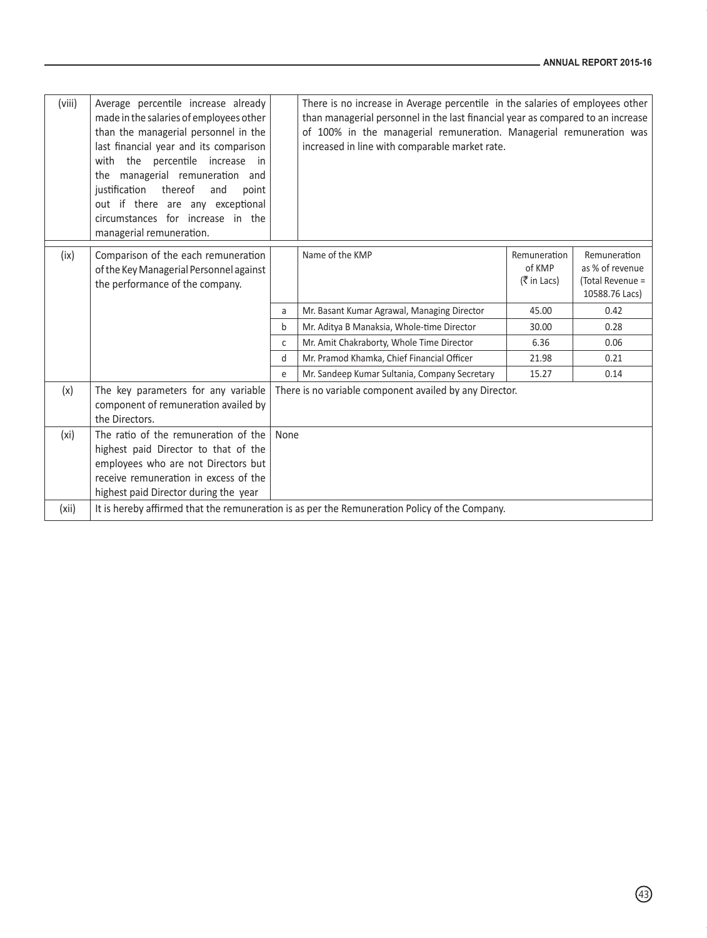| (viii) | Average percentile increase already<br>made in the salaries of employees other<br>than the managerial personnel in the<br>last financial year and its comparison<br>with the percentile increase<br>in<br>the managerial remuneration and<br>justification thereof<br>and<br>point<br>out if there are any exceptional<br>circumstances for increase in the<br>managerial remuneration. | There is no increase in Average percentile in the salaries of employees other<br>than managerial personnel in the last financial year as compared to an increase<br>of 100% in the managerial remuneration. Managerial remuneration was<br>increased in line with comparable market rate. |                                                                                               |                                       |                                                                       |
|--------|-----------------------------------------------------------------------------------------------------------------------------------------------------------------------------------------------------------------------------------------------------------------------------------------------------------------------------------------------------------------------------------------|-------------------------------------------------------------------------------------------------------------------------------------------------------------------------------------------------------------------------------------------------------------------------------------------|-----------------------------------------------------------------------------------------------|---------------------------------------|-----------------------------------------------------------------------|
| (ix)   | Comparison of the each remuneration<br>of the Key Managerial Personnel against<br>the performance of the company.                                                                                                                                                                                                                                                                       |                                                                                                                                                                                                                                                                                           | Name of the KMP                                                                               | Remuneration<br>of KMP<br>(₹ in Lacs) | Remuneration<br>as % of revenue<br>(Total Revenue =<br>10588.76 Lacs) |
|        |                                                                                                                                                                                                                                                                                                                                                                                         | a                                                                                                                                                                                                                                                                                         | Mr. Basant Kumar Agrawal, Managing Director                                                   | 45.00                                 | 0.42                                                                  |
|        |                                                                                                                                                                                                                                                                                                                                                                                         | b                                                                                                                                                                                                                                                                                         | Mr. Aditya B Manaksia, Whole-time Director                                                    | 30.00                                 | 0.28                                                                  |
|        |                                                                                                                                                                                                                                                                                                                                                                                         | $\mathsf{C}$                                                                                                                                                                                                                                                                              | Mr. Amit Chakraborty, Whole Time Director                                                     | 6.36                                  | 0.06                                                                  |
|        |                                                                                                                                                                                                                                                                                                                                                                                         | d                                                                                                                                                                                                                                                                                         | Mr. Pramod Khamka, Chief Financial Officer                                                    | 21.98                                 | 0.21                                                                  |
|        |                                                                                                                                                                                                                                                                                                                                                                                         | e                                                                                                                                                                                                                                                                                         | Mr. Sandeep Kumar Sultania, Company Secretary                                                 | 15.27                                 | 0.14                                                                  |
| (x)    | The key parameters for any variable<br>component of remuneration availed by<br>the Directors.                                                                                                                                                                                                                                                                                           |                                                                                                                                                                                                                                                                                           | There is no variable component availed by any Director.                                       |                                       |                                                                       |
| (xi)   | The ratio of the remuneration of the<br>highest paid Director to that of the<br>employees who are not Directors but<br>receive remuneration in excess of the<br>highest paid Director during the year                                                                                                                                                                                   | None                                                                                                                                                                                                                                                                                      |                                                                                               |                                       |                                                                       |
| (xii)  |                                                                                                                                                                                                                                                                                                                                                                                         |                                                                                                                                                                                                                                                                                           | It is hereby affirmed that the remuneration is as per the Remuneration Policy of the Company. |                                       |                                                                       |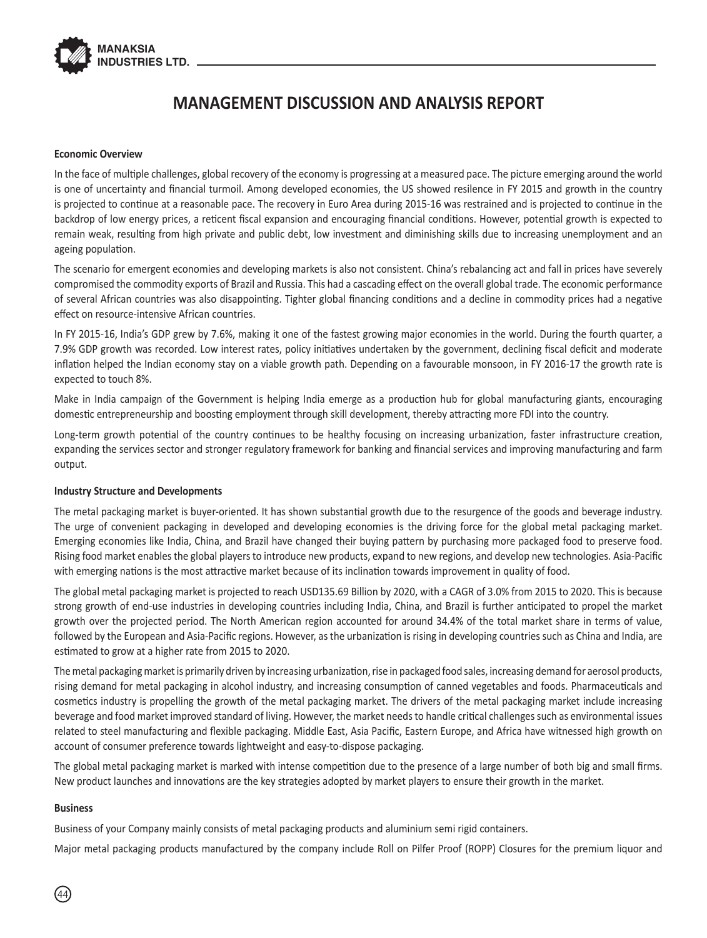

# **MANAGEMENT DISCUSSION AND ANALYSIS REPORT**

#### **Economic Overview**

In the face of multiple challenges, global recovery of the economy is progressing at a measured pace. The picture emerging around the world is one of uncertainty and financial turmoil. Among developed economies, the US showed resilence in FY 2015 and growth in the country is projected to continue at a reasonable pace. The recovery in Euro Area during 2015-16 was restrained and is projected to continue in the backdrop of low energy prices, a reticent fiscal expansion and encouraging financial conditions. However, potential growth is expected to remain weak, resulting from high private and public debt, low investment and diminishing skills due to increasing unemployment and an ageing population.

The scenario for emergent economies and developing markets is also not consistent. China's rebalancing act and fall in prices have severely compromised the commodity exports of Brazil and Russia. This had a cascading effect on the overall global trade. The economic performance of several African countries was also disappointing. Tighter global financing conditions and a decline in commodity prices had a negative effect on resource-intensive African countries.

In FY 2015-16, India's GDP grew by 7.6%, making it one of the fastest growing major economies in the world. During the fourth quarter, a 7.9% GDP growth was recorded. Low interest rates, policy initiatives undertaken by the government, declining fiscal deficit and moderate inflation helped the Indian economy stay on a viable growth path. Depending on a favourable monsoon, in FY 2016-17 the growth rate is expected to touch 8%.

Make in India campaign of the Government is helping India emerge as a production hub for global manufacturing giants, encouraging domestic entrepreneurship and boosting employment through skill development, thereby attracting more FDI into the country.

Long-term growth potential of the country continues to be healthy focusing on increasing urbanization, faster infrastructure creation, expanding the services sector and stronger regulatory framework for banking and financial services and improving manufacturing and farm output.

#### **Industry Structure and Developments**

The metal packaging market is buyer-oriented. It has shown substantial growth due to the resurgence of the goods and beverage industry. The urge of convenient packaging in developed and developing economies is the driving force for the global metal packaging market. Emerging economies like India, China, and Brazil have changed their buying pattern by purchasing more packaged food to preserve food. Rising food market enables the global players to introduce new products, expand to new regions, and develop new technologies. Asia-Pacific with emerging nations is the most attractive market because of its inclination towards improvement in quality of food.

The global metal packaging market is projected to reach USD135.69 Billion by 2020, with a CAGR of 3.0% from 2015 to 2020. This is because strong growth of end-use industries in developing countries including India, China, and Brazil is further anticipated to propel the market growth over the projected period. The North American region accounted for around 34.4% of the total market share in terms of value, followed by the European and Asia-Pacific regions. However, as the urbanization is rising in developing countries such as China and India, are estimated to grow at a higher rate from 2015 to 2020.

The metal packaging market is primarily driven by increasing urbanization, rise in packaged food sales, increasing demand for aerosol products, rising demand for metal packaging in alcohol industry, and increasing consumption of canned vegetables and foods. Pharmaceuticals and cosmetics industry is propelling the growth of the metal packaging market. The drivers of the metal packaging market include increasing beverage and food market improved standard of living. However, the market needs to handle critical challenges such as environmental issues related to steel manufacturing and flexible packaging. Middle East, Asia Pacific, Eastern Europe, and Africa have witnessed high growth on account of consumer preference towards lightweight and easy-to-dispose packaging.

The global metal packaging market is marked with intense competition due to the presence of a large number of both big and small firms. New product launches and innovations are the key strategies adopted by market players to ensure their growth in the market.

#### **Business**

Business of your Company mainly consists of metal packaging products and aluminium semi rigid containers.

Major metal packaging products manufactured by the company include Roll on Pilfer Proof (ROPP) Closures for the premium liquor and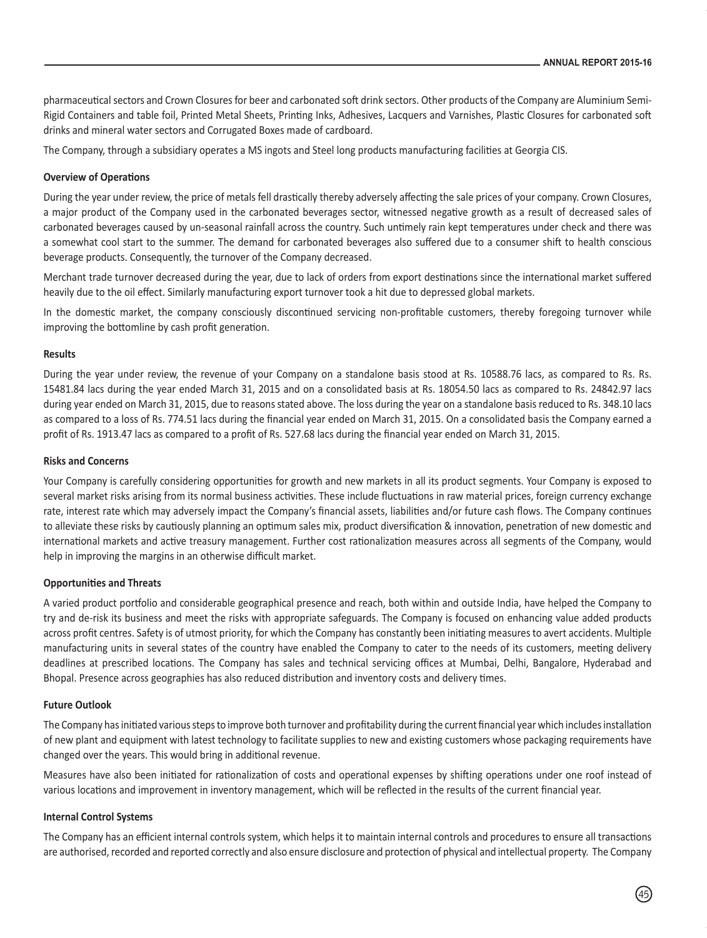pharmaceutical sectors and Crown Closures for beer and carbonated soft drink sectors. Other products of the Company are Aluminium Semi-Rigid Containers and table foil, Printed Metal Sheets, Printing Inks, Adhesives, Lacquers and Varnishes, Plastic Closures for carbonated soft drinks and mineral water sectors and Corrugated Boxes made of cardboard.

The Company, through a subsidiary operates a MS ingots and Steel long products manufacturing facilities at Georgia CIS.

#### **Overview of Operations**

During the year under review, the price of metals fell drastically thereby adversely affecting the sale prices of your company. Crown Closures, a major product of the Company used in the carbonated beverages sector, witnessed negative growth as a result of decreased sales of carbonated beverages caused by un-seasonal rainfall across the country. Such untimely rain kept temperatures under check and there was a somewhat cool start to the summer. The demand for carbonated beverages also suffered due to a consumer shift to health conscious beverage products. Consequently, the turnover of the Company decreased.

Merchant trade turnover decreased during the year, due to lack of orders from export destinations since the international market suffered heavily due to the oil effect. Similarly manufacturing export turnover took a hit due to depressed global markets.

In the domestic market, the company consciously discontinued servicing non-profitable customers, thereby foregoing turnover while improving the bottomline by cash profit generation.

#### **Results**

During the year under review, the revenue of your Company on a standalone basis stood at Rs. 10588.76 lacs, as compared to Rs. Rs. 15481.84 lacs during the year ended March 31, 2015 and on a consolidated basis at Rs. 18054.50 lacs as compared to Rs. 24842.97 lacs during year ended on March 31, 2015, due to reasons stated above. The loss during the year on a standalone basis reduced to Rs. 348.10 lacs as compared to a loss of Rs. 774.51 lacs during the financial year ended on March 31, 2015. On a consolidated basis the Company earned a profit of Rs. 1913.47 lacs as compared to a profit of Rs. 527.68 lacs during the financial year ended on March 31, 2015.

#### **Risks and Concerns**

Your Company is carefully considering opportunities for growth and new markets in all its product segments. Your Company is exposed to several market risks arising from its normal business activities. These include fluctuations in raw material prices, foreign currency exchange rate, interest rate which may adversely impact the Company's financial assets, liabilities and/or future cash flows. The Company continues to alleviate these risks by cautiously planning an optimum sales mix, product diversification & innovation, penetration of new domestic and international markets and active treasury management. Further cost rationalization measures across all segments of the Company, would help in improving the margins in an otherwise difficult market.

#### **Opportunities and Threats**

A varied product portfolio and considerable geographical presence and reach, both within and outside India, have helped the Company to try and de-risk its business and meet the risks with appropriate safeguards. The Company is focused on enhancing value added products across profit centres. Safety is of utmost priority, for which the Company has constantly been initiating measures to avert accidents. Multiple manufacturing units in several states of the country have enabled the Company to cater to the needs of its customers, meeting delivery deadlines at prescribed locations. The Company has sales and technical servicing offices at Mumbai, Delhi, Bangalore, Hyderabad and Bhopal. Presence across geographies has also reduced distribution and inventory costs and delivery times.

#### **Future Outlook**

The Company has initiated various steps to improve both turnover and profitability during the current financial year which includes installation of new plant and equipment with latest technology to facilitate supplies to new and existing customers whose packaging requirements have changed over the years. This would bring in additional revenue.

Measures have also been initiated for rationalization of costs and operational expenses by shifting operations under one roof instead of various locations and improvement in inventory management, which will be reflected in the results of the current financial year.

#### **Internal Control Systems**

The Company has an efficient internal controls system, which helps it to maintain internal controls and procedures to ensure all transactions are authorised, recorded and reported correctly and also ensure disclosure and protection of physical and intellectual property. The Company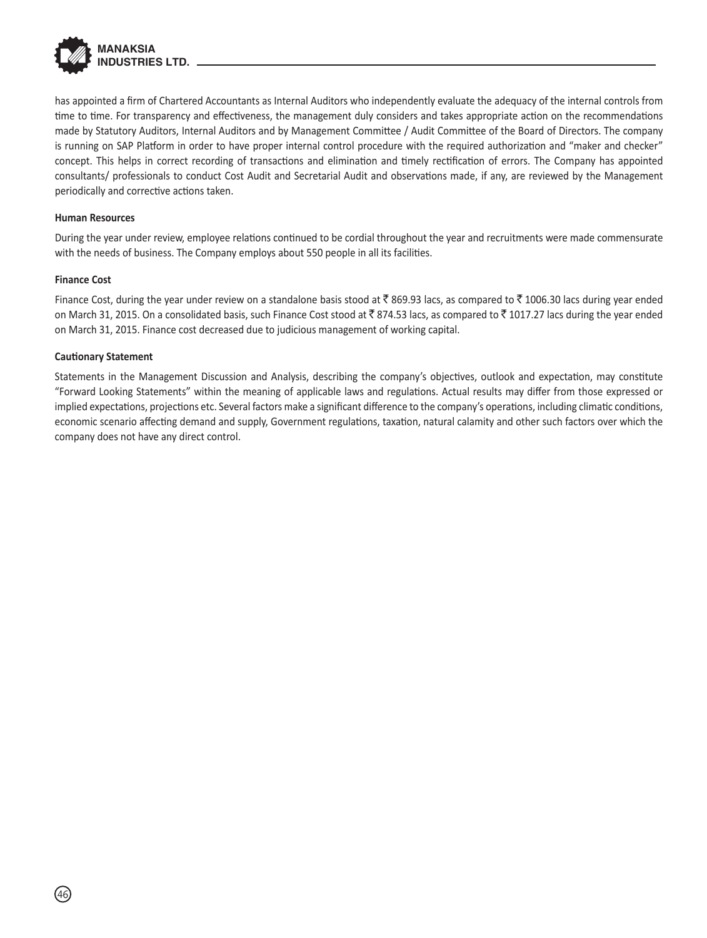

has appointed a firm of Chartered Accountants as Internal Auditors who independently evaluate the adequacy of the internal controls from time to time. For transparency and effectiveness, the management duly considers and takes appropriate action on the recommendations made by Statutory Auditors, Internal Auditors and by Management Committee / Audit Committee of the Board of Directors. The company is running on SAP Platform in order to have proper internal control procedure with the required authorization and "maker and checker" concept. This helps in correct recording of transactions and elimination and timely rectification of errors. The Company has appointed consultants/ professionals to conduct Cost Audit and Secretarial Audit and observations made, if any, are reviewed by the Management periodically and corrective actions taken.

#### **Human Resources**

During the year under review, employee relations continued to be cordial throughout the year and recruitments were made commensurate with the needs of business. The Company employs about 550 people in all its facilities.

#### **Finance Cost**

Finance Cost, during the year under review on a standalone basis stood at  $\bar{\zeta}$  869.93 lacs, as compared to  $\bar{\zeta}$  1006.30 lacs during year ended on March 31, 2015. On a consolidated basis, such Finance Cost stood at  $\bar{z}$  874.53 lacs, as compared to  $\bar{z}$  1017.27 lacs during the year ended on March 31, 2015. Finance cost decreased due to judicious management of working capital.

#### **Cautionary Statement**

Statements in the Management Discussion and Analysis, describing the company's objectives, outlook and expectation, may constitute "Forward Looking Statements" within the meaning of applicable laws and regulations. Actual results may differ from those expressed or implied expectations, projections etc. Several factors make a significant difference to the company's operations, including climatic conditions, economic scenario affecting demand and supply, Government regulations, taxation, natural calamity and other such factors over which the company does not have any direct control.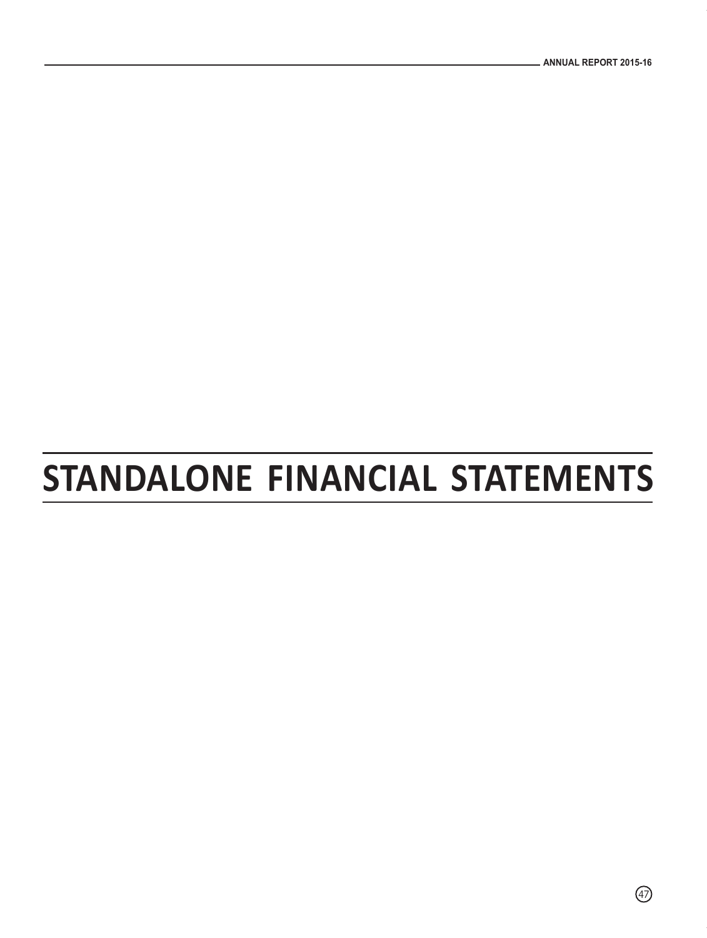# **STANDALONE FINANCIAL STATEMENTS**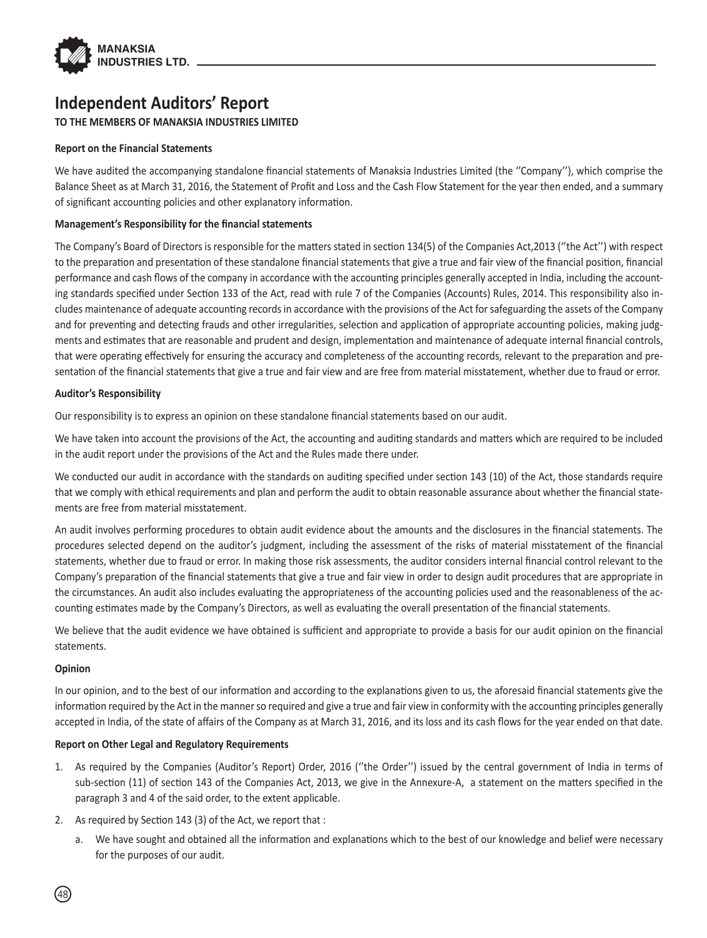

# **Independent Auditors' Report**

#### **TO THE MEMBERS OF MANAKSIA INDUSTRIES LIMITED**

#### **Report on the Financial Statements**

We have audited the accompanying standalone financial statements of Manaksia Industries Limited (the ''Company''), which comprise the Balance Sheet as at March 31, 2016, the Statement of Profit and Loss and the Cash Flow Statement for the year then ended, and a summary of significant accounting policies and other explanatory information.

#### **Management's Responsibility for the financial statements**

The Company's Board of Directors is responsible for the matters stated in section 134(5) of the Companies Act,2013 (''the Act'') with respect to the preparation and presentation of these standalone financial statements that give a true and fair view of the financial position, financial performance and cash flows of the company in accordance with the accounting principles generally accepted in India, including the accounting standards specified under Section 133 of the Act, read with rule 7 of the Companies (Accounts) Rules, 2014. This responsibility also includes maintenance of adequate accounting records in accordance with the provisions of the Act for safeguarding the assets of the Company and for preventing and detecting frauds and other irregularities, selection and application of appropriate accounting policies, making judgments and estimates that are reasonable and prudent and design, implementation and maintenance of adequate internal financial controls, that were operating effectively for ensuring the accuracy and completeness of the accounting records, relevant to the preparation and presentation of the financial statements that give a true and fair view and are free from material misstatement, whether due to fraud or error.

#### **Auditor's Responsibility**

Our responsibility is to express an opinion on these standalone financial statements based on our audit.

We have taken into account the provisions of the Act, the accounting and auditing standards and matters which are required to be included in the audit report under the provisions of the Act and the Rules made there under.

We conducted our audit in accordance with the standards on auditing specified under section 143 (10) of the Act, those standards require that we comply with ethical requirements and plan and perform the audit to obtain reasonable assurance about whether the financial statements are free from material misstatement.

An audit involves performing procedures to obtain audit evidence about the amounts and the disclosures in the financial statements. The procedures selected depend on the auditor's judgment, including the assessment of the risks of material misstatement of the financial statements, whether due to fraud or error. In making those risk assessments, the auditor considers internal financial control relevant to the Company's preparation of the financial statements that give a true and fair view in order to design audit procedures that are appropriate in the circumstances. An audit also includes evaluating the appropriateness of the accounting policies used and the reasonableness of the accounting estimates made by the Company's Directors, as well as evaluating the overall presentation of the financial statements.

We believe that the audit evidence we have obtained is sufficient and appropriate to provide a basis for our audit opinion on the financial statements.

#### **Opinion**

In our opinion, and to the best of our information and according to the explanations given to us, the aforesaid financial statements give the information required by the Act in the manner so required and give a true and fair view in conformity with the accounting principles generally accepted in India, of the state of affairs of the Company as at March 31, 2016, and its loss and its cash flows for the year ended on that date.

#### **Report on Other Legal and Regulatory Requirements**

- 1. As required by the Companies (Auditor's Report) Order, 2016 (''the Order'') issued by the central government of India in terms of sub-section (11) of section 143 of the Companies Act, 2013, we give in the Annexure-A, a statement on the matters specified in the paragraph 3 and 4 of the said order, to the extent applicable.
- 2. As required by Section 143 (3) of the Act, we report that :
	- a. We have sought and obtained all the information and explanations which to the best of our knowledge and belief were necessary for the purposes of our audit.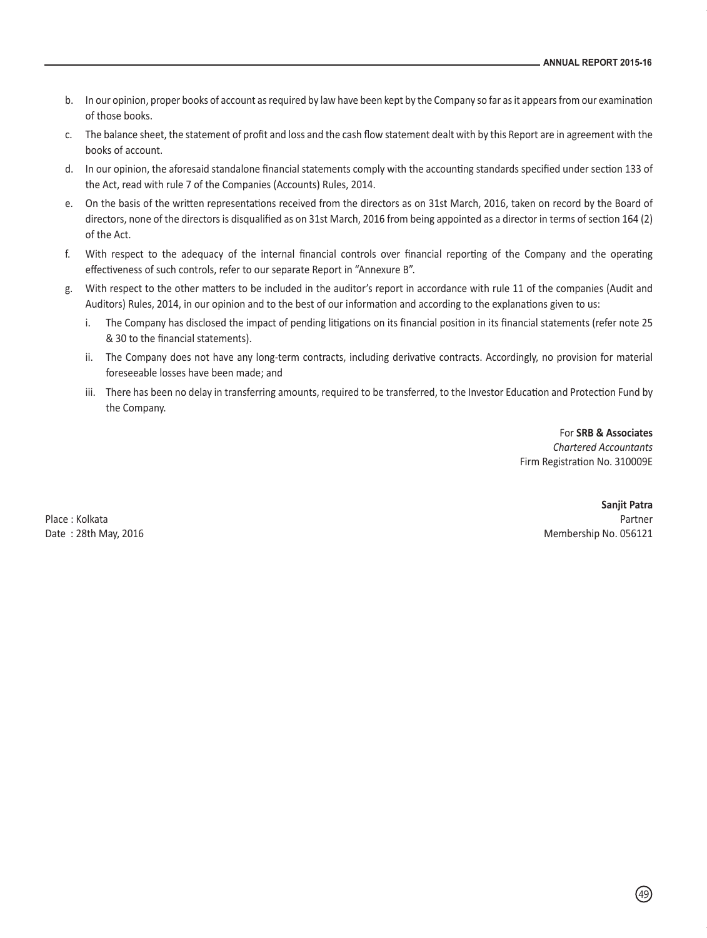- b. In our opinion, proper books of account as required by law have been kept by the Company so far as it appears from our examination of those books.
- c. The balance sheet, the statement of profit and loss and the cash flow statement dealt with by this Report are in agreement with the books of account.
- d. In our opinion, the aforesaid standalone financial statements comply with the accounting standards specified under section 133 of the Act, read with rule 7 of the Companies (Accounts) Rules, 2014.
- e. On the basis of the written representations received from the directors as on 31st March, 2016, taken on record by the Board of directors, none of the directors is disqualified as on 31st March, 2016 from being appointed as a director in terms of section 164 (2) of the Act.
- f. With respect to the adequacy of the internal financial controls over financial reporting of the Company and the operating effectiveness of such controls, refer to our separate Report in "Annexure B".
- g. With respect to the other matters to be included in the auditor's report in accordance with rule 11 of the companies (Audit and Auditors) Rules, 2014, in our opinion and to the best of our information and according to the explanations given to us:
	- i. The Company has disclosed the impact of pending litigations on its financial position in its financial statements (refer note 25 & 30 to the financial statements).
	- ii. The Company does not have any long-term contracts, including derivative contracts. Accordingly, no provision for material foreseeable losses have been made; and
	- iii. There has been no delay in transferring amounts, required to be transferred, to the Investor Education and Protection Fund by the Company.

For **SRB & Associates** *Chartered Accountants* Firm Registration No. 310009E

**Sanjit Patra** Place : Kolkata Partner Date : 28th May, 2016 Membership No. 056121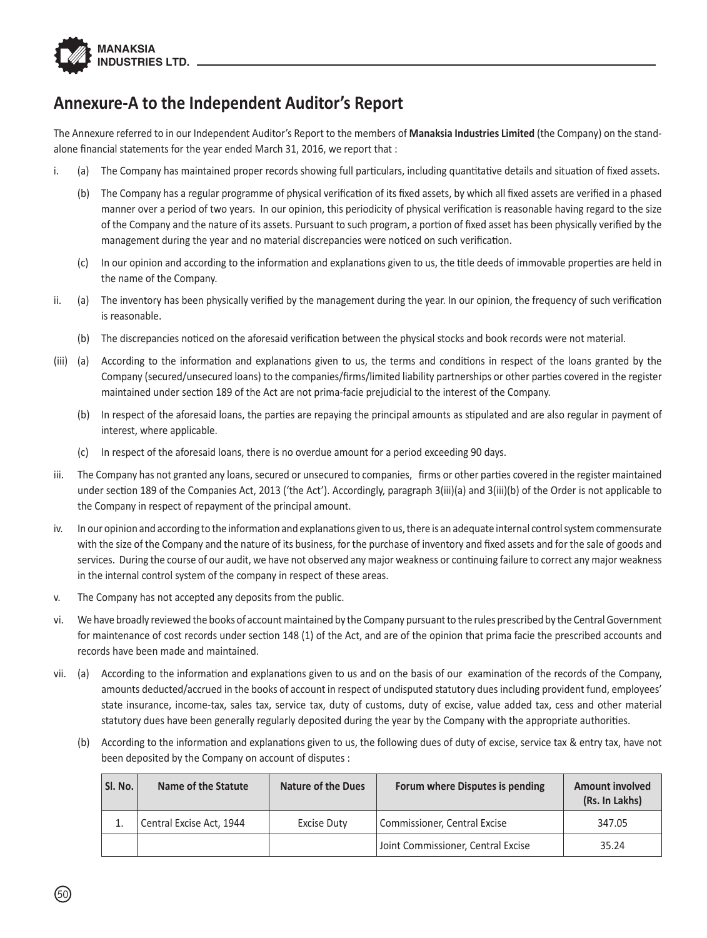

# **Annexure-A to the Independent Auditor's Report**

The Annexure referred to in our Independent Auditor's Report to the members of **Manaksia Industries Limited** (the Company) on the standalone financial statements for the year ended March 31, 2016, we report that :

- i. (a) The Company has maintained proper records showing full particulars, including quantitative details and situation of fixed assets.
	- (b) The Company has a regular programme of physical verification of its fixed assets, by which all fixed assets are verified in a phased manner over a period of two years. In our opinion, this periodicity of physical verification is reasonable having regard to the size of the Company and the nature of its assets. Pursuant to such program, a portion of fixed asset has been physically verified by the management during the year and no material discrepancies were noticed on such verification.
	- (c) In our opinion and according to the information and explanations given to us, the title deeds of immovable properties are held in the name of the Company.
- ii. (a) The inventory has been physically verified by the management during the year. In our opinion, the frequency of such verification is reasonable.
	- (b) The discrepancies noticed on the aforesaid verification between the physical stocks and book records were not material.
- (iii) (a) According to the information and explanations given to us, the terms and conditions in respect of the loans granted by the Company (secured/unsecured loans) to the companies/firms/limited liability partnerships or other parties covered in the register maintained under section 189 of the Act are not prima-facie prejudicial to the interest of the Company.
	- (b) In respect of the aforesaid loans, the parties are repaying the principal amounts as stipulated and are also regular in payment of interest, where applicable.
	- (c) In respect of the aforesaid loans, there is no overdue amount for a period exceeding 90 days.
- iii. The Company has not granted any loans, secured or unsecured to companies, firms or other parties covered in the register maintained under section 189 of the Companies Act, 2013 ('the Act'). Accordingly, paragraph 3(iii)(a) and 3(iii)(b) of the Order is not applicable to the Company in respect of repayment of the principal amount.
- iv. In our opinion and according to the information and explanations given to us, there is an adequate internal control system commensurate with the size of the Company and the nature of its business, for the purchase of inventory and fixed assets and for the sale of goods and services. During the course of our audit, we have not observed any major weakness or continuing failure to correct any major weakness in the internal control system of the company in respect of these areas.
- v. The Company has not accepted any deposits from the public.
- vi. We have broadly reviewed the books of account maintained by the Company pursuant to the rules prescribed by the Central Government for maintenance of cost records under section 148 (1) of the Act, and are of the opinion that prima facie the prescribed accounts and records have been made and maintained.
- vii. (a) According to the information and explanations given to us and on the basis of our examination of the records of the Company, amounts deducted/accrued in the books of account in respect of undisputed statutory dues including provident fund, employees' state insurance, income-tax, sales tax, service tax, duty of customs, duty of excise, value added tax, cess and other material statutory dues have been generally regularly deposited during the year by the Company with the appropriate authorities.
	- (b) According to the information and explanations given to us, the following dues of duty of excise, service tax & entry tax, have not been deposited by the Company on account of disputes :

| SI. No. | Name of the Statute      | <b>Nature of the Dues</b> | Forum where Disputes is pending    | <b>Amount involved</b><br>(Rs. In Lakhs) |
|---------|--------------------------|---------------------------|------------------------------------|------------------------------------------|
| . .     | Central Excise Act, 1944 | Excise Duty               | Commissioner, Central Excise       | 347.05                                   |
|         |                          |                           | Joint Commissioner, Central Excise | 35.24                                    |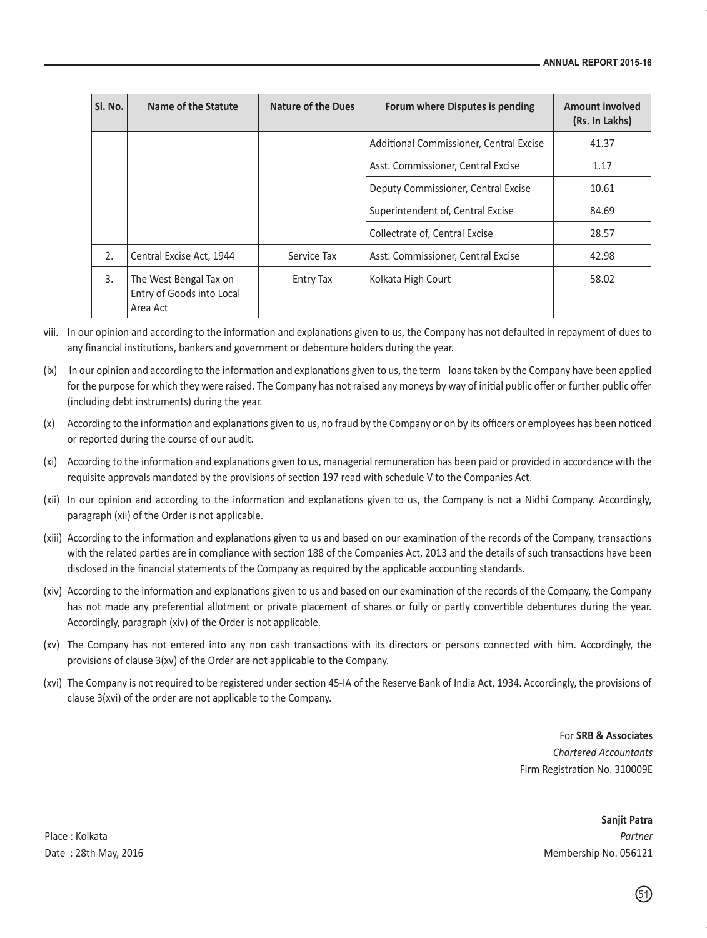| SI. No. | Name of the Statute                                             | <b>Nature of the Dues</b>          | Forum where Disputes is pending         | <b>Amount involved</b><br>(Rs. In Lakhs) |
|---------|-----------------------------------------------------------------|------------------------------------|-----------------------------------------|------------------------------------------|
|         |                                                                 |                                    | Additional Commissioner, Central Excise | 41.37                                    |
|         |                                                                 | Asst. Commissioner, Central Excise |                                         | 1.17                                     |
|         |                                                                 |                                    | Deputy Commissioner, Central Excise     | 10.61                                    |
|         |                                                                 |                                    | Superintendent of, Central Excise       | 84.69                                    |
|         |                                                                 |                                    | Collectrate of, Central Excise          | 28.57                                    |
| 2.      | Central Excise Act, 1944                                        | Service Tax                        | Asst. Commissioner, Central Excise      | 42.98                                    |
| 3.      | The West Bengal Tax on<br>Entry of Goods into Local<br>Area Act | <b>Entry Tax</b>                   | Kolkata High Court                      | 58.02                                    |

viii. In our opinion and according to the information and explanations given to us, the Company has not defaulted in repayment of dues to any financial institutions, bankers and government or debenture holders during the year.

- (ix) In our opinion and according to the information and explanations given to us, the term loans taken by the Company have been applied for the purpose for which they were raised. The Company has not raised any moneys by way of initial public offer or further public offer (including debt instruments) during the year.
- (x) According to the information and explanations given to us, no fraud by the Company or on by its officers or employees has been noticed or reported during the course of our audit.
- (xi) According to the information and explanations given to us, managerial remuneration has been paid or provided in accordance with the requisite approvals mandated by the provisions of section 197 read with schedule V to the Companies Act.
- (xii) In our opinion and according to the information and explanations given to us, the Company is not a Nidhi Company. Accordingly, paragraph (xii) of the Order is not applicable.
- (xiii) According to the information and explanations given to us and based on our examination of the records of the Company, transactions with the related parties are in compliance with section 188 of the Companies Act, 2013 and the details of such transactions have been disclosed in the financial statements of the Company as required by the applicable accounting standards.
- (xiv) According to the information and explanations given to us and based on our examination of the records of the Company, the Company has not made any preferential allotment or private placement of shares or fully or partly convertible debentures during the year. Accordingly, paragraph (xiv) of the Order is not applicable.
- (xv) The Company has not entered into any non cash transactions with its directors or persons connected with him. Accordingly, the provisions of clause 3(xv) of the Order are not applicable to the Company.
- (xvi) The Company is not required to be registered under section 45-IA of the Reserve Bank of India Act, 1934. Accordingly, the provisions of clause 3(xvi) of the order are not applicable to the Company.

For **SRB & Associates** *Chartered Accountants* Firm Registration No. 310009E

**Sanjit Patra** Place : Kolkata *Partner* Date : 28th May, 2016 Membership No. 056121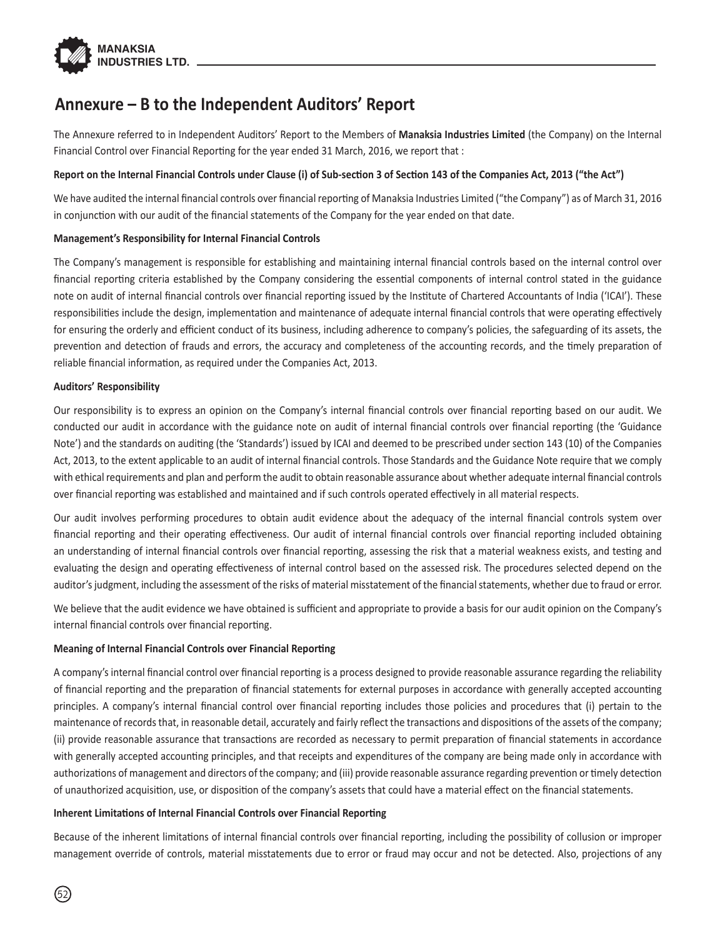

### **Annexure – B to the Independent Auditors' Report**

The Annexure referred to in Independent Auditors' Report to the Members of **Manaksia Industries Limited** (the Company) on the Internal Financial Control over Financial Reporting for the year ended 31 March, 2016, we report that :

#### **Report on the Internal Financial Controls under Clause (i) of Sub-section 3 of Section 143 of the Companies Act, 2013 ("the Act")**

We have audited the internal financial controls over financial reporting of Manaksia Industries Limited ("the Company") as of March 31, 2016 in conjunction with our audit of the financial statements of the Company for the year ended on that date.

#### **Management's Responsibility for Internal Financial Controls**

The Company's management is responsible for establishing and maintaining internal financial controls based on the internal control over financial reporting criteria established by the Company considering the essential components of internal control stated in the guidance note on audit of internal financial controls over financial reporting issued by the Institute of Chartered Accountants of India ('ICAI'). These responsibilities include the design, implementation and maintenance of adequate internal financial controls that were operating effectively for ensuring the orderly and efficient conduct of its business, including adherence to company's policies, the safeguarding of its assets, the prevention and detection of frauds and errors, the accuracy and completeness of the accounting records, and the timely preparation of reliable financial information, as required under the Companies Act, 2013.

#### **Auditors' Responsibility**

Our responsibility is to express an opinion on the Company's internal financial controls over financial reporting based on our audit. We conducted our audit in accordance with the guidance note on audit of internal financial controls over financial reporting (the 'Guidance Note') and the standards on auditing (the 'Standards') issued by ICAI and deemed to be prescribed under section 143 (10) of the Companies Act, 2013, to the extent applicable to an audit of internal financial controls. Those Standards and the Guidance Note require that we comply with ethical requirements and plan and perform the audit to obtain reasonable assurance about whether adequate internal financial controls over financial reporting was established and maintained and if such controls operated effectively in all material respects.

Our audit involves performing procedures to obtain audit evidence about the adequacy of the internal financial controls system over financial reporting and their operating effectiveness. Our audit of internal financial controls over financial reporting included obtaining an understanding of internal financial controls over financial reporting, assessing the risk that a material weakness exists, and testing and evaluating the design and operating effectiveness of internal control based on the assessed risk. The procedures selected depend on the auditor's judgment, including the assessment of the risks of material misstatement of the financial statements, whether due to fraud or error.

We believe that the audit evidence we have obtained is sufficient and appropriate to provide a basis for our audit opinion on the Company's internal financial controls over financial reporting.

#### **Meaning of Internal Financial Controls over Financial Reporting**

A company's internal financial control over financial reporting is a process designed to provide reasonable assurance regarding the reliability of financial reporting and the preparation of financial statements for external purposes in accordance with generally accepted accounting principles. A company's internal financial control over financial reporting includes those policies and procedures that (i) pertain to the maintenance of records that, in reasonable detail, accurately and fairly reflect the transactions and dispositions of the assets of the company; (ii) provide reasonable assurance that transactions are recorded as necessary to permit preparation of financial statements in accordance with generally accepted accounting principles, and that receipts and expenditures of the company are being made only in accordance with authorizations of management and directors of the company; and (iii) provide reasonable assurance regarding prevention or timely detection of unauthorized acquisition, use, or disposition of the company's assets that could have a material effect on the financial statements.

#### **Inherent Limitations of Internal Financial Controls over Financial Reporting**

Because of the inherent limitations of internal financial controls over financial reporting, including the possibility of collusion or improper management override of controls, material misstatements due to error or fraud may occur and not be detected. Also, projections of any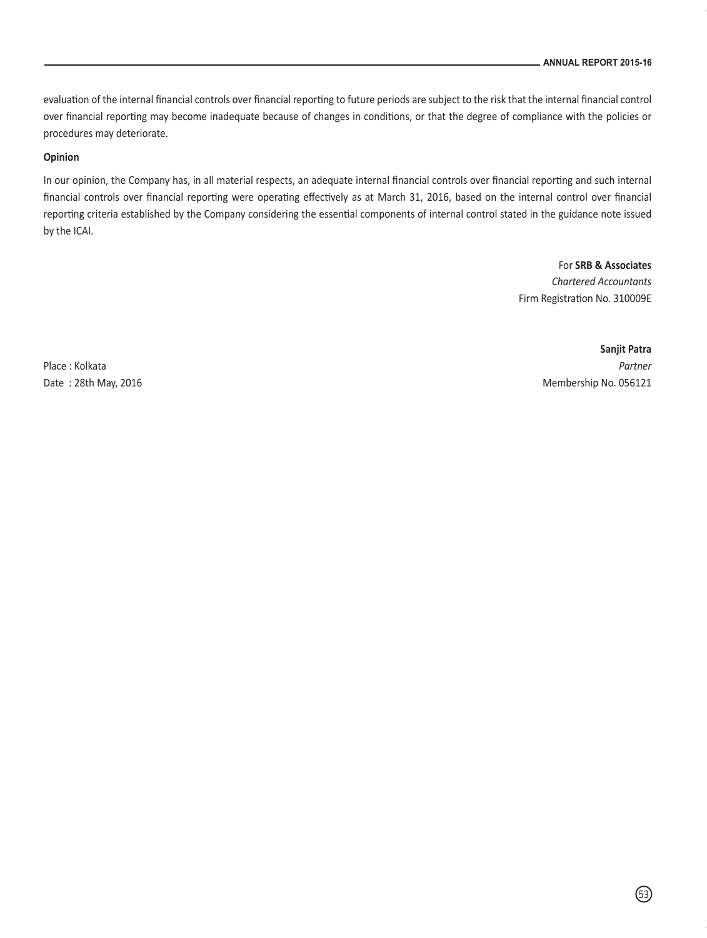evaluation of the internal financial controls over financial reporting to future periods are subject to the risk that the internal financial control over financial reporting may become inadequate because of changes in conditions, or that the degree of compliance with the policies or procedures may deteriorate.

#### **Opinion**

In our opinion, the Company has, in all material respects, an adequate internal financial controls over financial reporting and such internal financial controls over financial reporting were operating effectively as at March 31, 2016, based on the internal control over financial reporting criteria established by the Company considering the essential components of internal control stated in the guidance note issued by the ICAI.

> For **SRB & Associates** *Chartered Accountants* Firm Registration No. 310009E

**Sanjit Patra** Place : Kolkata *Partner* Date : 28th May, 2016 Membership No. 056121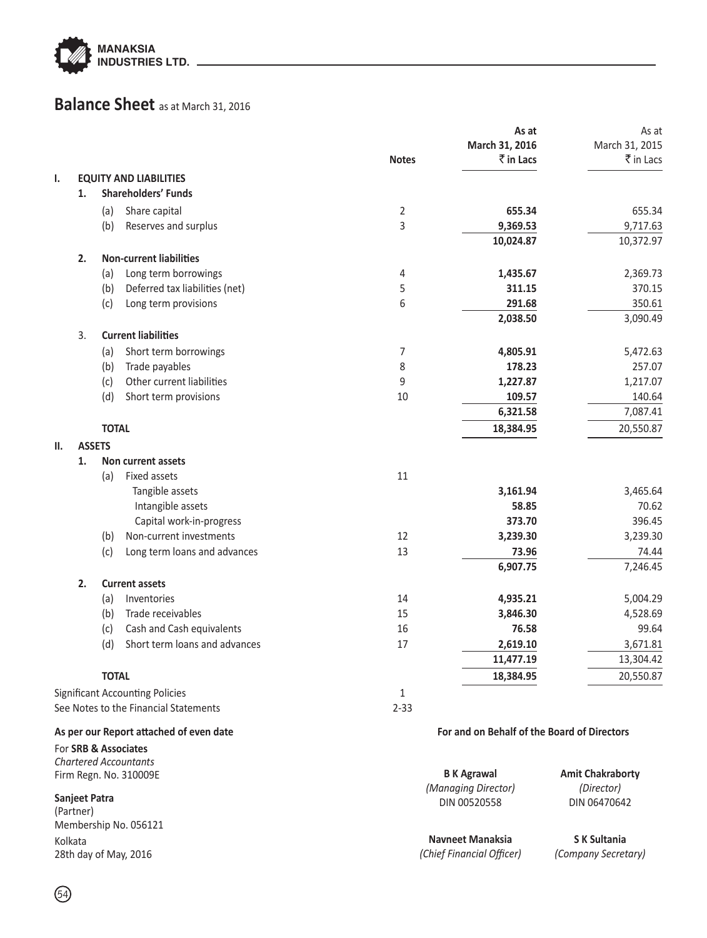

# **Balance Sheet** as at March 31, 2016

|    |    |               |                                         |              | As at                                       | As at                   |
|----|----|---------------|-----------------------------------------|--------------|---------------------------------------------|-------------------------|
|    |    |               |                                         |              | March 31, 2016                              | March 31, 2015          |
|    |    |               |                                         | <b>Notes</b> | $\bar{\tau}$ in Lacs                        | ₹ in Lacs               |
| Ι. |    |               | <b>EQUITY AND LIABILITIES</b>           |              |                                             |                         |
|    | 1. |               | <b>Shareholders' Funds</b>              |              |                                             |                         |
|    |    | (a)           | Share capital                           | 2            | 655.34                                      | 655.34                  |
|    |    | (b)           | Reserves and surplus                    | 3            | 9,369.53                                    | 9,717.63                |
|    |    |               |                                         |              | 10,024.87                                   | 10,372.97               |
|    | 2. |               | <b>Non-current liabilities</b>          |              |                                             |                         |
|    |    | (a)           | Long term borrowings                    | 4            | 1,435.67                                    | 2,369.73                |
|    |    | (b)           | Deferred tax liabilities (net)          | 5            | 311.15                                      | 370.15                  |
|    |    | (c)           | Long term provisions                    | 6            | 291.68                                      | 350.61                  |
|    |    |               |                                         |              | 2,038.50                                    | 3,090.49                |
|    | 3. |               | <b>Current liabilities</b>              |              |                                             |                         |
|    |    | (a)           | Short term borrowings                   | 7            | 4,805.91                                    | 5,472.63                |
|    |    | (b)           | Trade payables                          | 8            | 178.23                                      | 257.07                  |
|    |    | (c)           | Other current liabilities               | 9            | 1,227.87                                    | 1,217.07                |
|    |    | (d)           | Short term provisions                   | 10           | 109.57                                      | 140.64                  |
|    |    |               |                                         |              | 6,321.58                                    | 7,087.41                |
|    |    | <b>TOTAL</b>  |                                         |              | 18,384.95                                   | 20,550.87               |
| Ш. |    | <b>ASSETS</b> |                                         |              |                                             |                         |
|    | 1. |               | Non current assets                      |              |                                             |                         |
|    |    | (a)           | Fixed assets                            | 11           |                                             |                         |
|    |    |               | Tangible assets                         |              | 3,161.94                                    | 3,465.64                |
|    |    |               | Intangible assets                       |              | 58.85                                       | 70.62                   |
|    |    |               | Capital work-in-progress                |              | 373.70                                      | 396.45                  |
|    |    | (b)           | Non-current investments                 | 12           | 3,239.30                                    | 3,239.30                |
|    |    | (c)           | Long term loans and advances            | 13           | 73.96                                       | 74.44                   |
|    |    |               |                                         |              | 6,907.75                                    | 7,246.45                |
|    | 2. |               | <b>Current assets</b>                   |              |                                             |                         |
|    |    | (a)           | Inventories                             | 14           | 4,935.21                                    | 5,004.29                |
|    |    | (b)           | Trade receivables                       | 15           | 3,846.30                                    | 4,528.69                |
|    |    | (c)           | Cash and Cash equivalents               | 16           | 76.58                                       | 99.64                   |
|    |    | (d)           | Short term loans and advances           | 17           | 2,619.10                                    | 3,671.81                |
|    |    |               |                                         |              | 11,477.19                                   | 13,304.42               |
|    |    | <b>TOTAL</b>  |                                         |              | 18,384.95                                   | 20,550.87               |
|    |    |               | <b>Significant Accounting Policies</b>  | 1            |                                             |                         |
|    |    |               | See Notes to the Financial Statements   | $2 - 33$     |                                             |                         |
|    |    |               |                                         |              |                                             |                         |
|    |    |               | As per our Report attached of even date |              | For and on Behalf of the Board of Directors |                         |
|    |    |               | For SRB & Associates                    |              |                                             |                         |
|    |    |               | <b>Chartered Accountants</b>            |              |                                             |                         |
|    |    |               | Firm Regn. No. 310009E                  |              | <b>B K Agrawal</b>                          | <b>Amit Chakraborty</b> |

Firm Regn. No. 310009E

**Sanjeet Patra** (Partner) Membership No. 056121 Kolkata

28th day of May, 2016

*(Chief Financial Officer)* **S K Sultania** *(Company Secretary)*

*(Director)* DIN 06470642

*(Managing Director)* DIN 00520558

**Navneet Manaksia**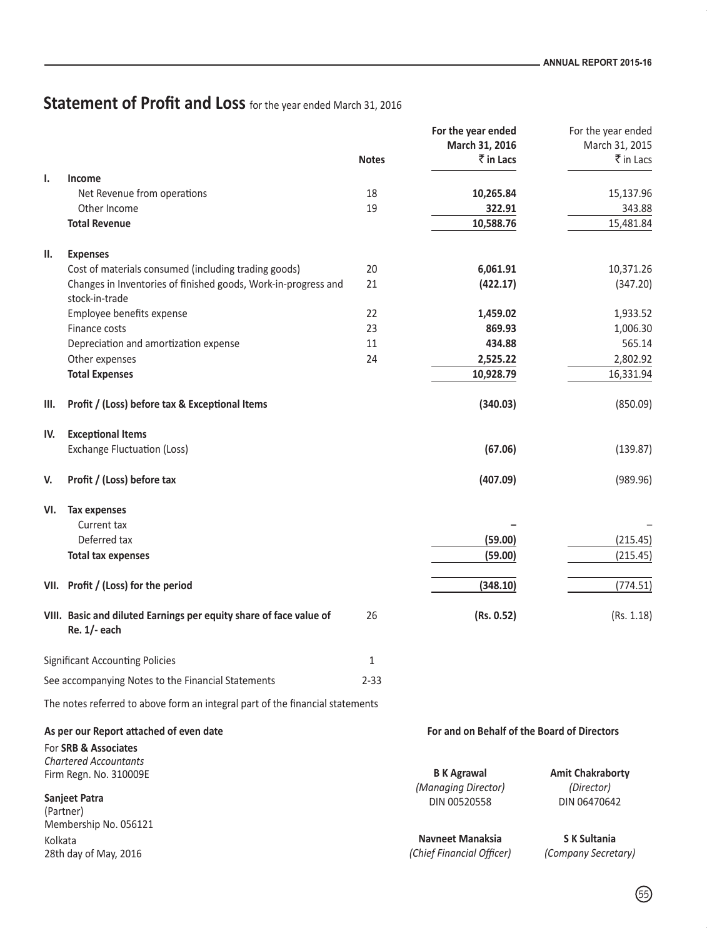# **Statement of Profit and Loss** for the year ended March 31, 2016

|         |                                                                                    |              | For the year ended                          | For the year ended          |
|---------|------------------------------------------------------------------------------------|--------------|---------------------------------------------|-----------------------------|
|         |                                                                                    |              | March 31, 2016<br>$\bar{z}$ in Lacs         | March 31, 2015<br>₹ in Lacs |
|         |                                                                                    | <b>Notes</b> |                                             |                             |
| ۱.      | Income                                                                             |              |                                             |                             |
|         | Net Revenue from operations                                                        | 18           | 10,265.84                                   | 15,137.96                   |
|         | Other Income                                                                       | 19           | 322.91                                      | 343.88                      |
|         | <b>Total Revenue</b>                                                               |              | 10,588.76                                   | 15,481.84                   |
| н.      | <b>Expenses</b>                                                                    |              |                                             |                             |
|         | Cost of materials consumed (including trading goods)                               | 20           | 6,061.91                                    | 10,371.26                   |
|         | Changes in Inventories of finished goods, Work-in-progress and<br>stock-in-trade   | 21           | (422.17)                                    | (347.20)                    |
|         | Employee benefits expense                                                          | 22           | 1,459.02                                    | 1,933.52                    |
|         | Finance costs                                                                      | 23           | 869.93                                      | 1,006.30                    |
|         | Depreciation and amortization expense                                              | 11           | 434.88                                      | 565.14                      |
|         | Other expenses                                                                     | 24           | 2,525.22                                    | 2,802.92                    |
|         | <b>Total Expenses</b>                                                              |              | 10,928.79                                   | 16,331.94                   |
| Ш.      | Profit / (Loss) before tax & Exceptional Items                                     |              | (340.03)                                    | (850.09)                    |
| IV.     | <b>Exceptional Items</b>                                                           |              |                                             |                             |
|         | <b>Exchange Fluctuation (Loss)</b>                                                 |              | (67.06)                                     | (139.87)                    |
| V.      | Profit / (Loss) before tax                                                         |              | (407.09)                                    | (989.96)                    |
| VI.     | <b>Tax expenses</b>                                                                |              |                                             |                             |
|         | Current tax                                                                        |              |                                             |                             |
|         | Deferred tax                                                                       |              | (59.00)                                     | (215.45)                    |
|         | <b>Total tax expenses</b>                                                          |              | (59.00)                                     | (215.45)                    |
|         |                                                                                    |              |                                             |                             |
|         | VII. Profit / (Loss) for the period                                                |              | (348.10)                                    | (774.51)                    |
|         | VIII. Basic and diluted Earnings per equity share of face value of<br>Re. 1/- each | 26           | (Rs. 0.52)                                  | (Rs. 1.18)                  |
|         | <b>Significant Accounting Policies</b>                                             | 1            |                                             |                             |
|         | See accompanying Notes to the Financial Statements                                 | $2 - 33$     |                                             |                             |
|         | The notes referred to above form an integral part of the financial statements      |              |                                             |                             |
|         | As per our Report attached of even date                                            |              | For and on Behalf of the Board of Directors |                             |
|         | For SRB & Associates                                                               |              |                                             |                             |
|         | <b>Chartered Accountants</b>                                                       |              |                                             |                             |
|         | Firm Regn. No. 310009E                                                             |              | <b>BK Agrawal</b>                           | <b>Amit Chakraborty</b>     |
|         | Sanjeet Patra                                                                      |              | (Managing Director)                         | (Director)                  |
|         | (Partner)                                                                          |              | DIN 00520558                                | DIN 06470642                |
|         | Membership No. 056121                                                              |              |                                             |                             |
| Kolkata |                                                                                    |              | Navneet Manaksia                            | <b>SK Sultania</b>          |
|         | 28th day of May, 2016                                                              |              | (Chief Financial Officer)                   | (Company Secretary)         |
|         |                                                                                    |              |                                             |                             |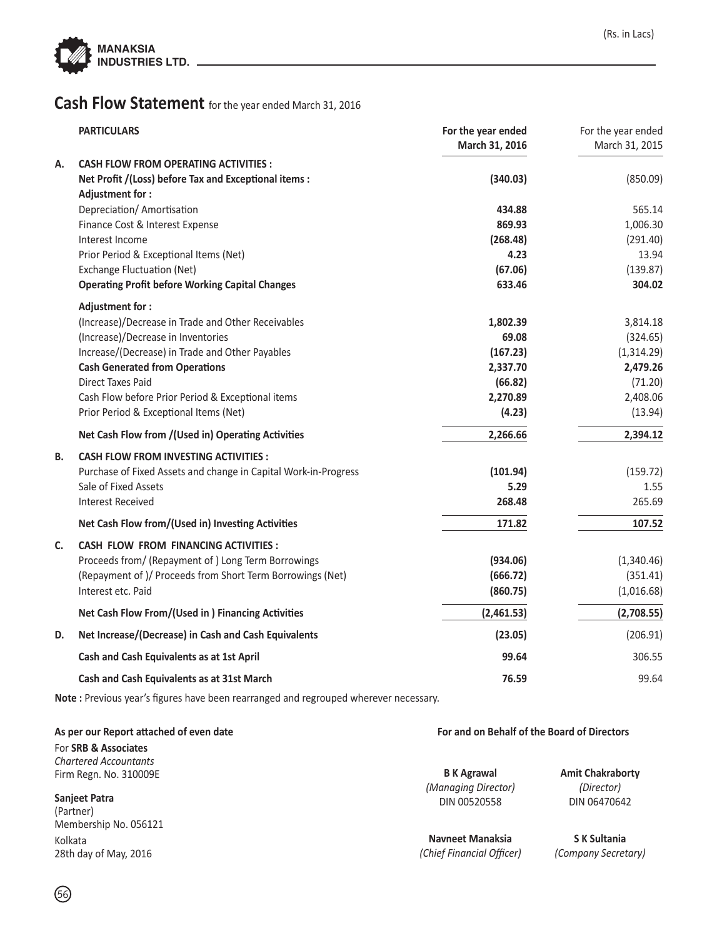

# **Cash Flow Statement** for the year ended March 31, 2016

|    | <b>PARTICULARS</b>                                              | For the year ended<br>March 31, 2016 | For the year ended<br>March 31, 2015 |
|----|-----------------------------------------------------------------|--------------------------------------|--------------------------------------|
| А. | <b>CASH FLOW FROM OPERATING ACTIVITIES:</b>                     |                                      |                                      |
|    | Net Profit /(Loss) before Tax and Exceptional items :           | (340.03)                             | (850.09)                             |
|    | <b>Adjustment for:</b>                                          |                                      |                                      |
|    | Depreciation/ Amortisation                                      | 434.88                               | 565.14                               |
|    | Finance Cost & Interest Expense                                 | 869.93                               | 1,006.30                             |
|    | Interest Income                                                 | (268.48)                             | (291.40)                             |
|    | Prior Period & Exceptional Items (Net)                          | 4.23                                 | 13.94                                |
|    | <b>Exchange Fluctuation (Net)</b>                               | (67.06)                              | (139.87)                             |
|    | <b>Operating Profit before Working Capital Changes</b>          | 633.46                               | 304.02                               |
|    | Adjustment for:                                                 |                                      |                                      |
|    | (Increase)/Decrease in Trade and Other Receivables              | 1,802.39                             | 3,814.18                             |
|    | (Increase)/Decrease in Inventories                              | 69.08                                | (324.65)                             |
|    | Increase/(Decrease) in Trade and Other Payables                 | (167.23)                             | (1,314.29)                           |
|    | <b>Cash Generated from Operations</b>                           | 2,337.70                             | 2,479.26                             |
|    | <b>Direct Taxes Paid</b>                                        | (66.82)                              | (71.20)                              |
|    | Cash Flow before Prior Period & Exceptional items               | 2,270.89                             | 2,408.06                             |
|    | Prior Period & Exceptional Items (Net)                          | (4.23)                               | (13.94)                              |
|    | Net Cash Flow from /(Used in) Operating Activities              | 2,266.66                             | 2,394.12                             |
| В. | <b>CASH FLOW FROM INVESTING ACTIVITIES:</b>                     |                                      |                                      |
|    | Purchase of Fixed Assets and change in Capital Work-in-Progress | (101.94)                             | (159.72)                             |
|    | Sale of Fixed Assets                                            | 5.29                                 | 1.55                                 |
|    | <b>Interest Received</b>                                        | 268.48                               | 265.69                               |
|    | Net Cash Flow from/(Used in) Investing Activities               | 171.82                               | 107.52                               |
| C. | CASH FLOW FROM FINANCING ACTIVITIES :                           |                                      |                                      |
|    | Proceeds from/ (Repayment of) Long Term Borrowings              | (934.06)                             | (1,340.46)                           |
|    | (Repayment of )/ Proceeds from Short Term Borrowings (Net)      | (666.72)                             | (351.41)                             |
|    | Interest etc. Paid                                              | (860.75)                             | (1,016.68)                           |
|    | Net Cash Flow From/(Used in ) Financing Activities              | (2,461.53)                           | (2,708.55)                           |
| D. | Net Increase/(Decrease) in Cash and Cash Equivalents            | (23.05)                              | (206.91)                             |
|    | Cash and Cash Equivalents as at 1st April                       | 99.64                                | 306.55                               |
|    | Cash and Cash Equivalents as at 31st March                      | 76.59                                | 99.64                                |

**Note :** Previous year's figures have been rearranged and regrouped wherever necessary.

**As per our Report attached of even date**

For **SRB & Associates** *Chartered Accountants* Firm Regn. No. 310009E

**Sanjeet Patra** (Partner) Membership No. 056121 Kolkata 28th day of May, 2016

#### **For and on Behalf of the Board of Directors**

**B K Agrawal** *(Managing Director)* DIN 00520558

**Amit Chakraborty** *(Director)* DIN 06470642

**Navneet Manaksia** *(Chief Financial Officer)* **S K Sultania** *(Company Secretary)*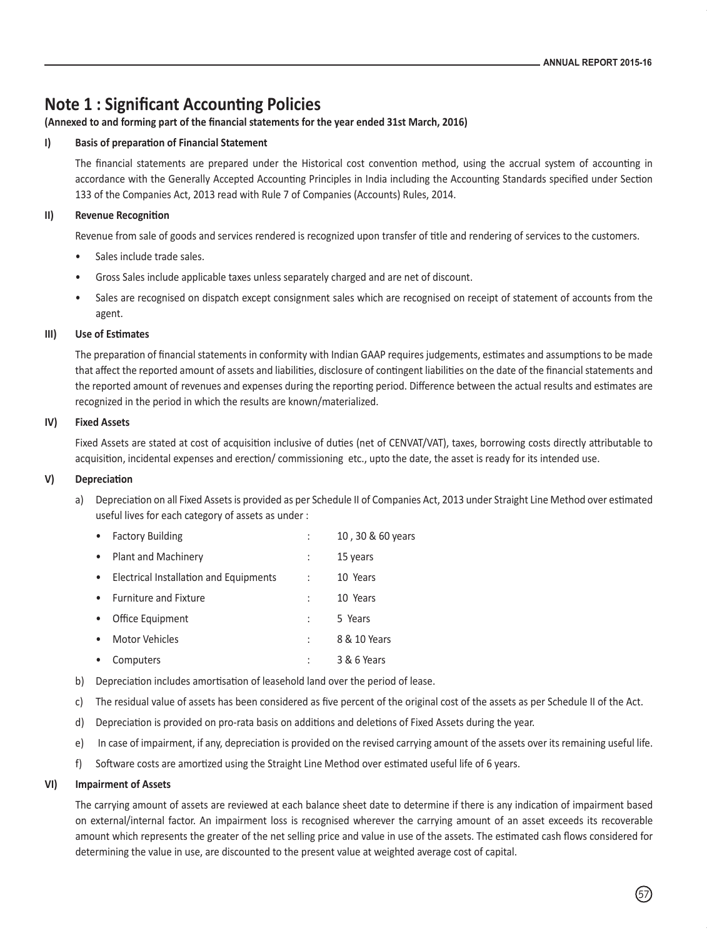### **Note 1 : Significant Accounting Policies**

#### **(Annexed to and forming part of the financial statements for the year ended 31st March, 2016)**

#### **I) Basis of preparation of Financial Statement**

The financial statements are prepared under the Historical cost convention method, using the accrual system of accounting in accordance with the Generally Accepted Accounting Principles in India including the Accounting Standards specified under Section 133 of the Companies Act, 2013 read with Rule 7 of Companies (Accounts) Rules, 2014.

#### **II) Revenue Recognition**

Revenue from sale of goods and services rendered is recognized upon transfer of title and rendering of services to the customers.

- Sales include trade sales.
- Gross Sales include applicable taxes unless separately charged and are net of discount.
- Sales are recognised on dispatch except consignment sales which are recognised on receipt of statement of accounts from the agent.

#### **III) Use of Estimates**

The preparation of financial statements in conformity with Indian GAAP requires judgements, estimates and assumptions to be made that affect the reported amount of assets and liabilities, disclosure of contingent liabilities on the date of the financial statements and the reported amount of revenues and expenses during the reporting period. Difference between the actual results and estimates are recognized in the period in which the results are known/materialized.

#### **IV) Fixed Assets**

Fixed Assets are stated at cost of acquisition inclusive of duties (net of CENVAT/VAT), taxes, borrowing costs directly attributable to acquisition, incidental expenses and erection/ commissioning etc., upto the date, the asset is ready for its intended use.

#### **V) Depreciation**

- a) Depreciation on all Fixed Assets is provided as per Schedule II of Companies Act, 2013 under Straight Line Method over estimated useful lives for each category of assets as under :
	- Factory Building  $\cdot$  10, 30 & 60 years • Plant and Machinery : 15 years • Electrical Installation and Equipments : 10 Years • Furniture and Fixture : 10 Years • Office Equipment  $\qquad \qquad$ : 5 Years
	- Motor Vehicles : 8 & 10 Years
	- Computers : 3 & 6 Years
- b) Depreciation includes amortisation of leasehold land over the period of lease.
- c) The residual value of assets has been considered as five percent of the original cost of the assets as per Schedule II of the Act.
- d) Depreciation is provided on pro-rata basis on additions and deletions of Fixed Assets during the year.
- e) In case of impairment, if any, depreciation is provided on the revised carrying amount of the assets over its remaining useful life.
- f) Software costs are amortized using the Straight Line Method over estimated useful life of 6 years.

#### **VI) Impairment of Assets**

The carrying amount of assets are reviewed at each balance sheet date to determine if there is any indication of impairment based on external/internal factor. An impairment loss is recognised wherever the carrying amount of an asset exceeds its recoverable amount which represents the greater of the net selling price and value in use of the assets. The estimated cash flows considered for determining the value in use, are discounted to the present value at weighted average cost of capital.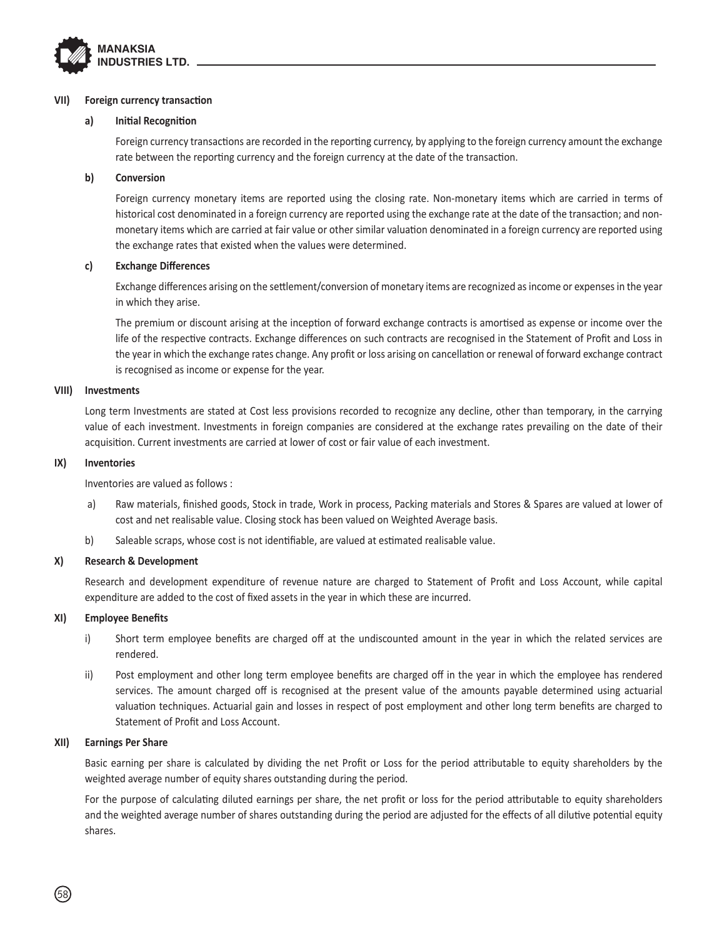

#### **VII) Foreign currency transaction**

#### **a) Initial Recognition**

Foreign currency transactions are recorded in the reporting currency, by applying to the foreign currency amount the exchange rate between the reporting currency and the foreign currency at the date of the transaction.

#### **b) Conversion**

Foreign currency monetary items are reported using the closing rate. Non-monetary items which are carried in terms of historical cost denominated in a foreign currency are reported using the exchange rate at the date of the transaction; and nonmonetary items which are carried at fair value or other similar valuation denominated in a foreign currency are reported using the exchange rates that existed when the values were determined.

#### **c) Exchange Differences**

Exchange differences arising on the settlement/conversion of monetary items are recognized as income or expenses in the year in which they arise.

The premium or discount arising at the inception of forward exchange contracts is amortised as expense or income over the life of the respective contracts. Exchange differences on such contracts are recognised in the Statement of Profit and Loss in the year in which the exchange rates change. Any profit or loss arising on cancellation or renewal of forward exchange contract is recognised as income or expense for the year.

#### **VIII) Investments**

Long term Investments are stated at Cost less provisions recorded to recognize any decline, other than temporary, in the carrying value of each investment. Investments in foreign companies are considered at the exchange rates prevailing on the date of their acquisition. Current investments are carried at lower of cost or fair value of each investment.

#### **IX) Inventories**

Inventories are valued as follows :

- a) Raw materials, finished goods, Stock in trade, Work in process, Packing materials and Stores & Spares are valued at lower of cost and net realisable value. Closing stock has been valued on Weighted Average basis.
- b) Saleable scraps, whose cost is not identifiable, are valued at estimated realisable value.

#### **X) Research & Development**

Research and development expenditure of revenue nature are charged to Statement of Profit and Loss Account, while capital expenditure are added to the cost of fixed assets in the year in which these are incurred.

#### **XI) Employee Benefits**

- i) Short term employee benefits are charged off at the undiscounted amount in the year in which the related services are rendered.
- ii) Post employment and other long term employee benefits are charged off in the year in which the employee has rendered services. The amount charged off is recognised at the present value of the amounts payable determined using actuarial valuation techniques. Actuarial gain and losses in respect of post employment and other long term benefits are charged to Statement of Profit and Loss Account.

#### **XII) Earnings Per Share**

Basic earning per share is calculated by dividing the net Profit or Loss for the period attributable to equity shareholders by the weighted average number of equity shares outstanding during the period.

For the purpose of calculating diluted earnings per share, the net profit or loss for the period attributable to equity shareholders and the weighted average number of shares outstanding during the period are adjusted for the effects of all dilutive potential equity shares.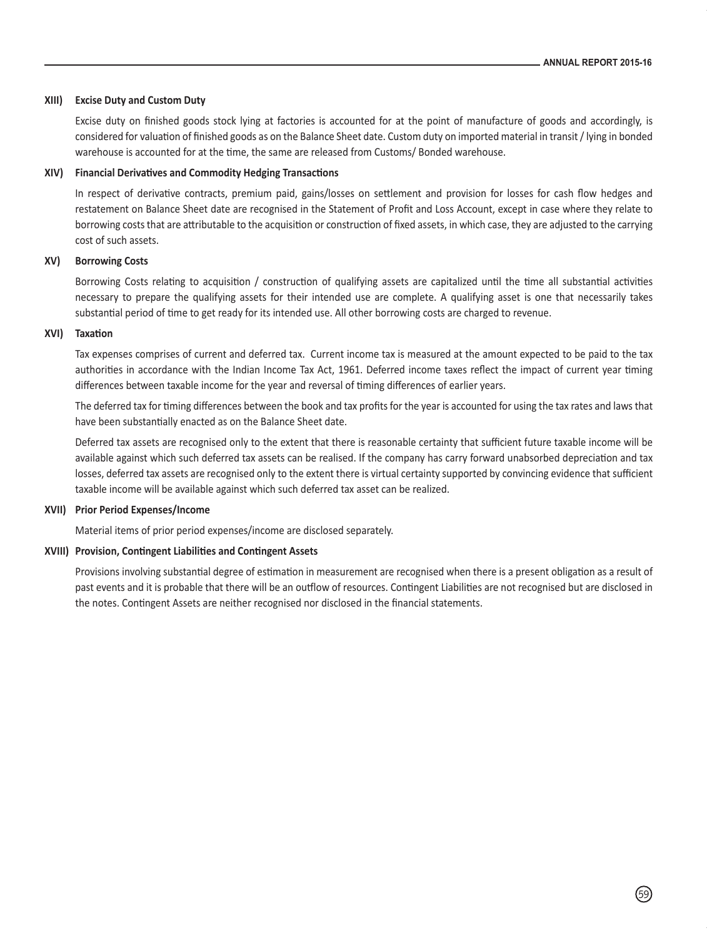#### **XIII) Excise Duty and Custom Duty**

Excise duty on finished goods stock lying at factories is accounted for at the point of manufacture of goods and accordingly, is considered for valuation of finished goods as on the Balance Sheet date. Custom duty on imported material in transit / lying in bonded warehouse is accounted for at the time, the same are released from Customs/ Bonded warehouse.

#### **XIV) Financial Derivatives and Commodity Hedging Transactions**

In respect of derivative contracts, premium paid, gains/losses on settlement and provision for losses for cash flow hedges and restatement on Balance Sheet date are recognised in the Statement of Profit and Loss Account, except in case where they relate to borrowing costs that are attributable to the acquisition or construction of fixed assets, in which case, they are adjusted to the carrying cost of such assets.

#### **XV) Borrowing Costs**

Borrowing Costs relating to acquisition / construction of qualifying assets are capitalized until the time all substantial activities necessary to prepare the qualifying assets for their intended use are complete. A qualifying asset is one that necessarily takes substantial period of time to get ready for its intended use. All other borrowing costs are charged to revenue.

#### **XVI) Taxation**

Tax expenses comprises of current and deferred tax. Current income tax is measured at the amount expected to be paid to the tax authorities in accordance with the Indian Income Tax Act, 1961. Deferred income taxes reflect the impact of current year timing differences between taxable income for the year and reversal of timing differences of earlier years.

The deferred tax for timing differences between the book and tax profits for the year is accounted for using the tax rates and laws that have been substantially enacted as on the Balance Sheet date.

Deferred tax assets are recognised only to the extent that there is reasonable certainty that sufficient future taxable income will be available against which such deferred tax assets can be realised. If the company has carry forward unabsorbed depreciation and tax losses, deferred tax assets are recognised only to the extent there is virtual certainty supported by convincing evidence that sufficient taxable income will be available against which such deferred tax asset can be realized.

#### **XVII) Prior Period Expenses/Income**

Material items of prior period expenses/income are disclosed separately.

#### **XVIII) Provision, Contingent Liabilities and Contingent Assets**

Provisions involving substantial degree of estimation in measurement are recognised when there is a present obligation as a result of past events and it is probable that there will be an outflow of resources. Contingent Liabilities are not recognised but are disclosed in the notes. Contingent Assets are neither recognised nor disclosed in the financial statements.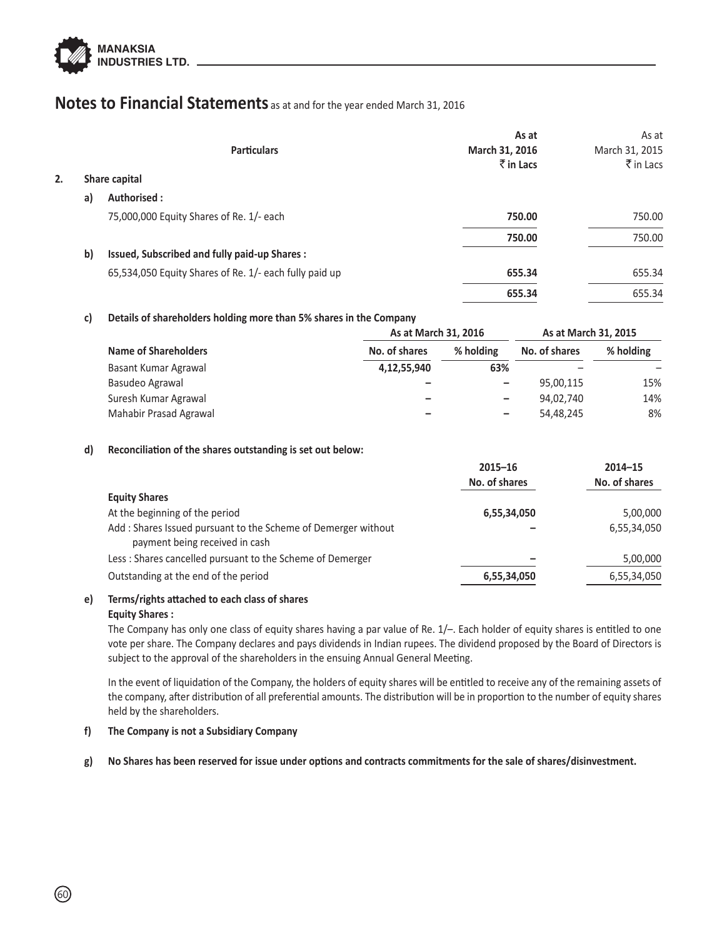

|    |    | <b>Particulars</b>                                     | As at<br>March 31, 2016<br>₹ in Lacs | As at<br>March 31, 2015<br>₹ in Lacs |
|----|----|--------------------------------------------------------|--------------------------------------|--------------------------------------|
| 2. |    | Share capital                                          |                                      |                                      |
|    | a) | Authorised:                                            |                                      |                                      |
|    |    | 75,000,000 Equity Shares of Re. 1/- each               | 750.00                               | 750.00                               |
|    |    |                                                        | 750.00                               | 750.00                               |
|    | b) | Issued, Subscribed and fully paid-up Shares:           |                                      |                                      |
|    |    | 65,534,050 Equity Shares of Re. 1/- each fully paid up | 655.34                               | 655.34                               |
|    |    |                                                        | 655.34                               | 655.34                               |

#### **c) Details of shareholders holding more than 5% shares in the Company**

|                             | As at March 31, 2016 | As at March 31, 2015     |               |           |
|-----------------------------|----------------------|--------------------------|---------------|-----------|
| <b>Name of Shareholders</b> | No. of shares        | % holding                | No. of shares | % holding |
| Basant Kumar Agrawal        | 4,12,55,940          | 63%                      |               |           |
| Basudeo Agrawal             | -                    | $\overline{\phantom{m}}$ | 95,00,115     | 15%       |
| Suresh Kumar Agrawal        | -                    | $\overline{\phantom{0}}$ | 94.02.740     | 14%       |
| Mahabir Prasad Agrawal      | -                    | $\overline{\phantom{0}}$ | 54,48,245     | 8%        |

#### **d) Reconciliation of the shares outstanding is set out below:**

|                                                                                                 | $2015 - 16$   | $2014 - 15$   |
|-------------------------------------------------------------------------------------------------|---------------|---------------|
|                                                                                                 | No. of shares | No. of shares |
| <b>Equity Shares</b>                                                                            |               |               |
| At the beginning of the period                                                                  | 6,55,34,050   | 5,00,000      |
| Add: Shares Issued pursuant to the Scheme of Demerger without<br>payment being received in cash |               | 6,55,34,050   |
| Less: Shares cancelled pursuant to the Scheme of Demerger                                       | -             | 5,00,000      |
| Outstanding at the end of the period                                                            | 6,55,34,050   | 6,55,34,050   |

**e) Terms/rights attached to each class of shares Equity Shares :**

> The Company has only one class of equity shares having a par value of Re. 1/–. Each holder of equity shares is entitled to one vote per share. The Company declares and pays dividends in Indian rupees. The dividend proposed by the Board of Directors is subject to the approval of the shareholders in the ensuing Annual General Meeting.

> In the event of liquidation of the Company, the holders of equity shares will be entitled to receive any of the remaining assets of the company, after distribution of all preferential amounts. The distribution will be in proportion to the number of equity shares held by the shareholders.

#### **f) The Company is not a Subsidiary Company**

**g) No Shares has been reserved for issue under options and contracts commitments for the sale of shares/disinvestment.**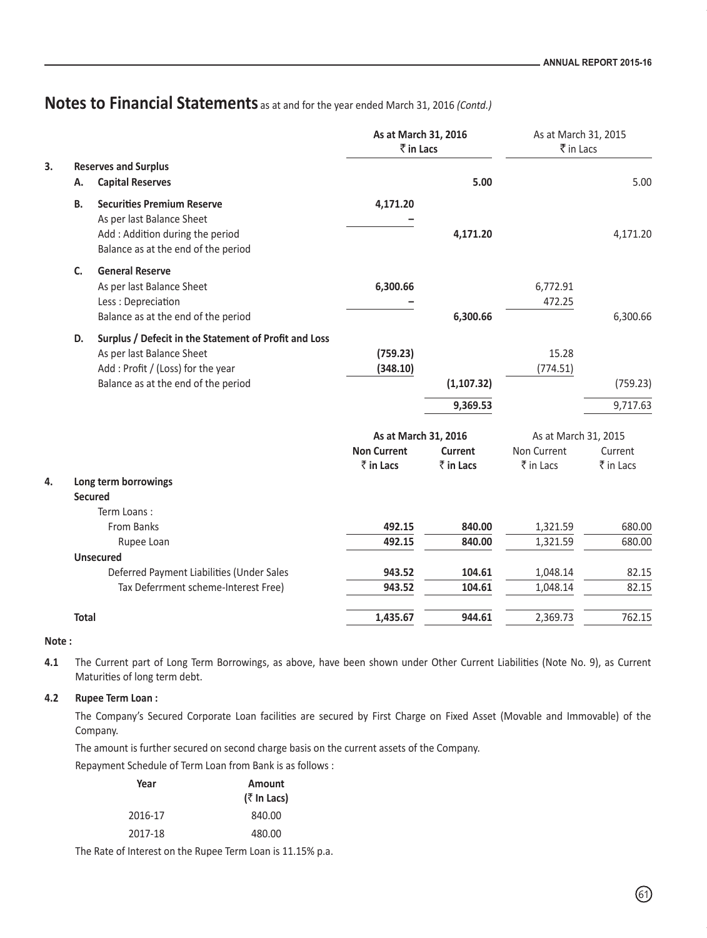|    |                |                                                               | As at March 31, 2016<br>$\bar{z}$ in Lacs |             | As at March 31, 2015<br>$\overline{\xi}$ in Lacs |                  |
|----|----------------|---------------------------------------------------------------|-------------------------------------------|-------------|--------------------------------------------------|------------------|
| 3. |                | <b>Reserves and Surplus</b><br><b>Capital Reserves</b>        |                                           | 5.00        |                                                  | 5.00             |
|    | А.             |                                                               |                                           |             |                                                  |                  |
|    | <b>B.</b>      | <b>Securities Premium Reserve</b>                             | 4,171.20                                  |             |                                                  |                  |
|    |                | As per last Balance Sheet<br>Add : Addition during the period |                                           | 4,171.20    |                                                  | 4,171.20         |
|    |                | Balance as at the end of the period                           |                                           |             |                                                  |                  |
|    | $\mathsf{C}$ . | <b>General Reserve</b>                                        |                                           |             |                                                  |                  |
|    |                | As per last Balance Sheet                                     | 6,300.66                                  |             | 6,772.91                                         |                  |
|    |                | Less: Depreciation                                            |                                           |             | 472.25                                           |                  |
|    |                | Balance as at the end of the period                           |                                           | 6,300.66    |                                                  | 6,300.66         |
|    | D.             | Surplus / Defecit in the Statement of Profit and Loss         |                                           |             |                                                  |                  |
|    |                | As per last Balance Sheet                                     | (759.23)                                  |             | 15.28                                            |                  |
|    |                | Add: Profit / (Loss) for the year                             | (348.10)                                  |             | (774.51)                                         |                  |
|    |                | Balance as at the end of the period                           |                                           | (1, 107.32) |                                                  | (759.23)         |
|    |                |                                                               |                                           | 9,369.53    |                                                  | 9,717.63         |
|    |                |                                                               | As at March 31, 2016                      |             | As at March 31, 2015                             |                  |
|    |                |                                                               | <b>Non Current</b>                        | Current     | Non Current                                      | Current          |
|    |                |                                                               | ₹ in Lacs                                 | ₹ in Lacs   | ₹ in Lacs                                        | ₹ in Lacs        |
| 4. |                | Long term borrowings                                          |                                           |             |                                                  |                  |
|    |                | <b>Secured</b>                                                |                                           |             |                                                  |                  |
|    |                | Term Loans:                                                   |                                           |             |                                                  |                  |
|    |                | From Banks                                                    | 492.15<br>492.15                          | 840.00      | 1,321.59                                         | 680.00<br>680.00 |
|    |                | Rupee Loan<br><b>Unsecured</b>                                |                                           | 840.00      | 1,321.59                                         |                  |
|    |                | Deferred Payment Liabilities (Under Sales                     | 943.52                                    | 104.61      | 1,048.14                                         | 82.15            |
|    |                | Tax Deferrment scheme-Interest Free)                          | 943.52                                    | 104.61      | 1,048.14                                         | 82.15            |
|    |                |                                                               |                                           |             |                                                  |                  |
|    | <b>Total</b>   |                                                               | 1,435.67                                  | 944.61      | 2,369.73                                         | 762.15           |

#### **Note :**

**4.1** The Current part of Long Term Borrowings, as above, have been shown under Other Current Liabilities (Note No. 9), as Current Maturities of long term debt.

#### **4.2 Rupee Term Loan :**

The Company's Secured Corporate Loan facilities are secured by First Charge on Fixed Asset (Movable and Immovable) of the Company.

The amount is further secured on second charge basis on the current assets of the Company.

Repayment Schedule of Term Loan from Bank is as follows :

| Year    | Amount<br>(₹ In Lacs) |
|---------|-----------------------|
| 2016-17 | 840.00                |
| 2017-18 | 480.00                |

The Rate of Interest on the Rupee Term Loan is 11.15% p.a.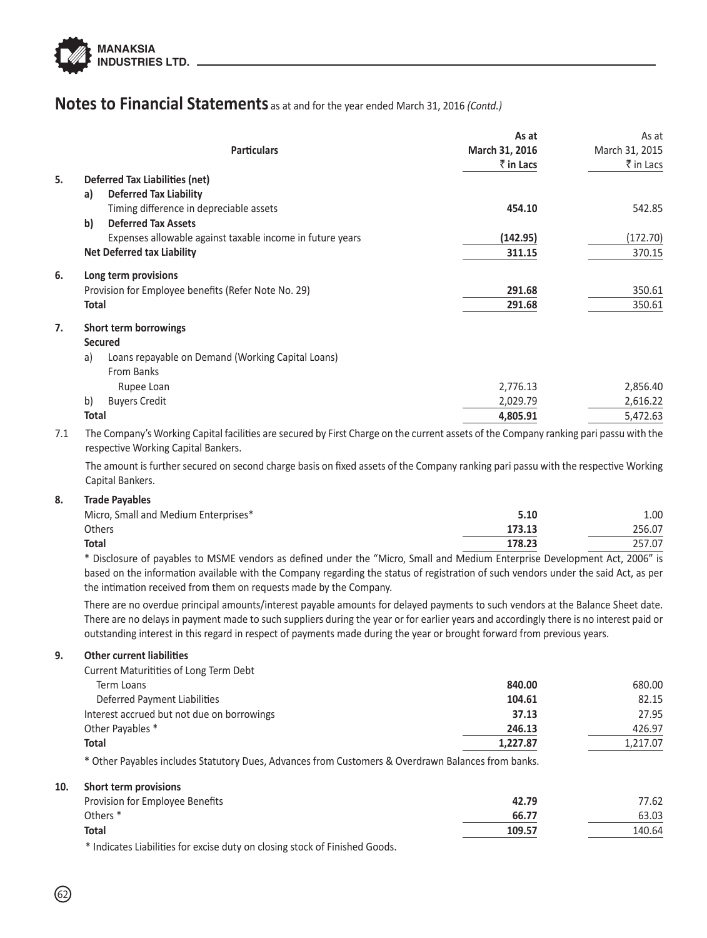

|                                                           | As at             | As at          |
|-----------------------------------------------------------|-------------------|----------------|
| <b>Particulars</b>                                        | March 31, 2016    | March 31, 2015 |
|                                                           | $\bar{z}$ in Lacs | ₹ in Lacs      |
| 5.<br>Deferred Tax Liabilities (net)                      |                   |                |
| <b>Deferred Tax Liability</b><br>a)                       |                   |                |
| Timing difference in depreciable assets                   | 454.10            | 542.85         |
| b)<br><b>Deferred Tax Assets</b>                          |                   |                |
| Expenses allowable against taxable income in future years | (142.95)          | (172.70)       |
| <b>Net Deferred tax Liability</b>                         | 311.15            | 370.15         |
| 6.<br>Long term provisions                                |                   |                |
| Provision for Employee benefits (Refer Note No. 29)       | 291.68            | 350.61         |
| Total                                                     | 291.68            | 350.61         |
| 7.<br>Short term borrowings                               |                   |                |
| <b>Secured</b>                                            |                   |                |
| Loans repayable on Demand (Working Capital Loans)<br>a)   |                   |                |
| From Banks                                                |                   |                |
| Rupee Loan                                                | 2,776.13          | 2,856.40       |
| b)<br><b>Buyers Credit</b>                                | 2,029.79          | 2,616.22       |
| Total                                                     | 4,805.91          | 5,472.63       |

7.1 The Company's Working Capital facilities are secured by First Charge on the current assets of the Company ranking pari passu with the respective Working Capital Bankers.

The amount is further secured on second charge basis on fixed assets of the Company ranking pari passu with the respective Working Capital Bankers.

#### **8. Trade Payables**

| Micro, Small and Medium Enterprises*                                                                                       |        | 00.1   |
|----------------------------------------------------------------------------------------------------------------------------|--------|--------|
| Others                                                                                                                     | 173.13 | 256.07 |
| Total                                                                                                                      | 178.23 | 257.07 |
| * Disclession of novables to MCME vanders as defined under the "Migre Cmall and Medium Enterprise Development Act 2006" is |        |        |

Disclosure of payables to MSME vendors as defined under the "Micro, Small and Medium Enterprise Development Act, 2006" is based on the information available with the Company regarding the status of registration of such vendors under the said Act, as per the intimation received from them on requests made by the Company.

There are no overdue principal amounts/interest payable amounts for delayed payments to such vendors at the Balance Sheet date. There are no delays in payment made to such suppliers during the year or for earlier years and accordingly there is no interest paid or outstanding interest in this regard in respect of payments made during the year or brought forward from previous years.

#### **9. Other current liabilities**

Current Maturitities of Long Term Debt

| Term Loans                                 | 840.00   | 680.00   |
|--------------------------------------------|----------|----------|
| Deferred Payment Liabilities               | 104.61   | 82.15    |
| Interest accrued but not due on borrowings | 37.13    | 27.95    |
| Other Payables *                           | 246.13   | 426.97   |
| Total                                      | 1,227.87 | 1,217.07 |

\* Other Payables includes Statutory Dues, Advances from Customers & Overdrawn Balances from banks.

#### **10. Short term provisions**

| Provision for Employee Benefits                                                                               | 42.79  | 77.62  |
|---------------------------------------------------------------------------------------------------------------|--------|--------|
| Others <sup>*</sup>                                                                                           | 66.77  | 63.03  |
| Total                                                                                                         | 109.57 | 140.64 |
| , Anna airseach an t-aistire se a fear constant ainm a chomhaidh ann an chomhaidh an t-aistire air Anna airso |        |        |

\* Indicates Liabilities for excise duty on closing stock of Finished Goods.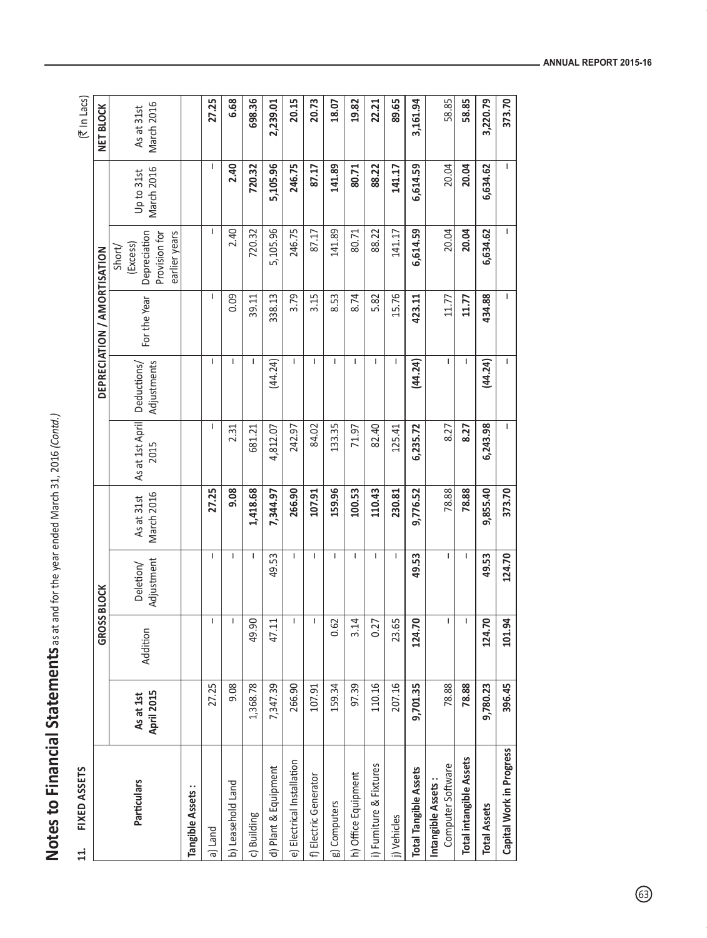| inning her the line is                                                            |
|-----------------------------------------------------------------------------------|
|                                                                                   |
|                                                                                   |
|                                                                                   |
|                                                                                   |
|                                                                                   |
|                                                                                   |
|                                                                                   |
|                                                                                   |
|                                                                                   |
|                                                                                   |
|                                                                                   |
|                                                                                   |
|                                                                                   |
|                                                                                   |
|                                                                                   |
|                                                                                   |
|                                                                                   |
|                                                                                   |
|                                                                                   |
|                                                                                   |
|                                                                                   |
|                                                                                   |
|                                                                                   |
|                                                                                   |
|                                                                                   |
|                                                                                   |
|                                                                                   |
|                                                                                   |
|                                                                                   |
|                                                                                   |
|                                                                                   |
|                                                                                   |
|                                                                                   |
|                                                                                   |
|                                                                                   |
|                                                                                   |
|                                                                                   |
|                                                                                   |
|                                                                                   |
|                                                                                   |
|                                                                                   |
|                                                                                   |
|                                                                                   |
|                                                                                   |
|                                                                                   |
|                                                                                   |
|                                                                                   |
|                                                                                   |
|                                                                                   |
|                                                                                   |
|                                                                                   |
|                                                                                   |
|                                                                                   |
|                                                                                   |
|                                                                                   |
|                                                                                   |
|                                                                                   |
|                                                                                   |
|                                                                                   |
|                                                                                   |
|                                                                                   |
|                                                                                   |
|                                                                                   |
|                                                                                   |
|                                                                                   |
|                                                                                   |
|                                                                                   |
|                                                                                   |
| Notes to Financial Statements as at and for the year ended March 31, 2016 (Contd. |

| י      |
|--------|
|        |
| t<br>Ç |
| ◅      |
|        |
|        |
|        |
| Ĺ      |
|        |
|        |
|        |
|        |

| Notes to Financial Statements as at and for the year ended March 31, 2016 (Contd.) |                         |                    |                               |                          |                         |                            |                             |                                                                      |                           |                          |
|------------------------------------------------------------------------------------|-------------------------|--------------------|-------------------------------|--------------------------|-------------------------|----------------------------|-----------------------------|----------------------------------------------------------------------|---------------------------|--------------------------|
| FIXED ASSETS<br>$\overline{11}$ .                                                  |                         |                    |                               |                          |                         |                            |                             |                                                                      |                           | (₹ In Lacs)              |
|                                                                                    |                         | <b>GROSS BLOCK</b> |                               |                          |                         |                            | DEPRECIATION / AMORTISATION |                                                                      |                           | NET BLOCK                |
| <b>Particulars</b>                                                                 | April 2015<br>As at 1st | Addition           | Adjustment<br><b>Deletion</b> | March 2016<br>As at 31st | As at 1st April<br>2015 | Adjustments<br>Deductions/ | For the Year                | Depreciation<br>earlier years<br>Provision for<br>(Excess)<br>Short/ | Vlarch 2016<br>Up to 31st | March 2016<br>As at 31st |
| Tangible Assets:                                                                   |                         |                    |                               |                          |                         |                            |                             |                                                                      |                           |                          |
| a) Land                                                                            | 27.25                   | T                  | L                             | 27.25                    | Ť                       | T                          | Ť                           | Ť                                                                    | Ť                         | 27.25                    |
| b) Leasehold Land                                                                  | 9.08                    | Т                  | L                             | 9.08                     | 2.31                    | L                          | 0.09                        | 2.40                                                                 | 2.40                      | 6.68                     |
| c) Building                                                                        | 1,368.78                | 49.90              | $\mathbf{I}$                  | 1,418.68                 | 681.21                  | $\mathbf{I}$               | 39.11                       | 720.32                                                               | 720.32                    | 698.36                   |
| d) Plant & Equipment                                                               | 7,347.39                | 47.11              | 49.53                         | 7,344.97                 | 4,812.07                | (44.24)                    | 338.13                      | 5,105.96                                                             | 5,105.96                  | 2,239.01                 |
| e) Electrical Installation                                                         | 266.90                  | T                  | т                             | 266.90                   | 242.97                  | T                          | 3.79                        | 246.75                                                               | 246.75                    | 20.15                    |
| f) Electric Generator                                                              | 107.91                  | I                  | L                             | 107.91                   | 84.02                   | L                          | 3.15                        | 87.17                                                                | 87.17                     | 20.73                    |
| g) Computers                                                                       | 159.34                  | 0.62               | $\mathbf{I}$                  | 159.96                   | 133.35                  | L                          | 8.53                        | 141.89                                                               | 141.89                    | 18.07                    |
| h) Office Equipment                                                                | 97.39                   | 3.14               | $\mathsf{I}$                  | 100.53                   | 71.97                   | $\mathsf{I}$               | 8.74                        | 80.71                                                                | 80.71                     | 19.82                    |
| i) Furniture & Fixtures                                                            | 110.16                  | 0.27               | т                             | 110.43                   | 82.40                   | т                          | 5.82                        | 88.22                                                                | 88.22                     | 22.21                    |
| j) Vehicles                                                                        | 207.16                  | 23.65              | т                             | 230.81                   | 125.41                  | T                          | 15.76                       | 141.17                                                               | 141.17                    | 89.65                    |
| <b>Total Tangible Assets</b>                                                       | 9,701.35                | 124.70             | 49.53                         | 9,776.52                 | 6,235.72                | (44.24)                    | 423.11                      | 6,614.59                                                             | 6,614.59                  | 3,161.94                 |
| Computer Software<br>Intangible Assets:                                            | 78.88                   | I                  | L                             | 78.88                    | 8.27                    | $\mathsf{I}$               | 11.77                       | 20.04                                                                | 20.04                     | 58.85                    |
| <b>Total intangible Assets</b>                                                     | 78.88                   | T                  | $\mathsf{I}$                  | 78.88                    | 8.27                    | T                          | 11.77                       | 20.04                                                                | 20.04                     | 58.85                    |
| <b>Total Assets</b>                                                                | 9,780.23                | 124.70             | 49.53                         | 9,855.40                 | 6,243.98                | (44.24)                    | 434.88                      | 6,634.62                                                             | 6,634.62                  | 3,220.79                 |
| Capital Work in Progress                                                           | 396.45                  | 101.94             | 124.70                        | 373.70                   | $\mathbf{I}$            | $\mathsf I$                | $\mathbf{I}$                | $\mathbf{I}$                                                         | $\mathbf{I}$              | 373.70                   |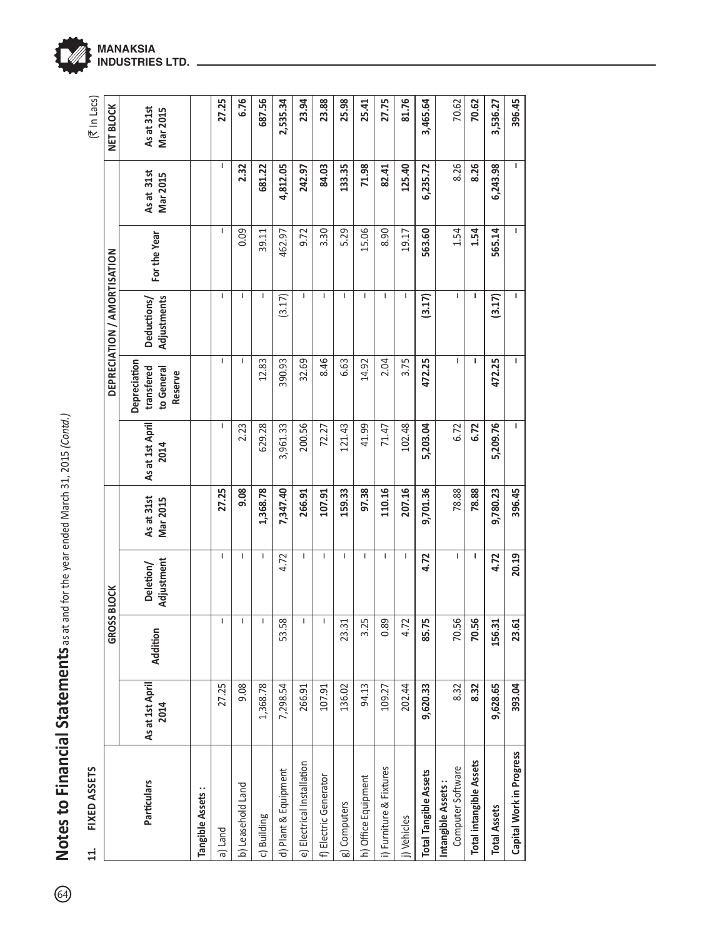Notes to Financial Statements as at and for the year ended March 31, 2015 (Contd.) **644** Notes to Financial Statements as at and for the year ended March 31, 2015 *(Contd.)* 

11. FIXED ASSETS **11. FIXED ASSETS**

 $\bigcirc$ 

| FIXED ASSETS<br>$\overline{11}$ .       |                         |                        |                         |                        |                         |                                                     |                             |              |                               | $(3 \nvert n \nvert \nvert$   |
|-----------------------------------------|-------------------------|------------------------|-------------------------|------------------------|-------------------------|-----------------------------------------------------|-----------------------------|--------------|-------------------------------|-------------------------------|
|                                         |                         | <b>GROSS BLOCK</b>     |                         |                        |                         |                                                     | DEPRECIATION / AMORTISATION |              |                               | <b>NET BLOCK</b>              |
| Particulars                             | As at 1st April<br>2014 | Addition               | Adjustment<br>Deletion/ | As at 31st<br>Mar 2015 | As at 1st April<br>2014 | Depreciation<br>transfered<br>to General<br>Reserve | Adjustments<br>Deductions/  | For the Year | As at 31st<br><b>Mar 2015</b> | As at 31st<br><b>Mar 2015</b> |
| <b>Tangible Assets:</b>                 |                         |                        |                         |                        |                         |                                                     |                             |              |                               |                               |
| bue <sub>1</sub> (e                     | 27.25                   | I                      | T                       | 27.25                  | I                       | T                                                   | T                           | п            | 1                             | 27.25                         |
| b) Leasehold Land                       | 9.08                    | I                      | $\mathsf{I}$            | 9.08                   | 2.23                    | $\mathsf{I}$                                        | $\mathsf{I}$                | 0.09         | 2.32                          | 6.76                          |
| c) Building                             | 1,368.78                | I                      | $\mathbf{I}$            | 1,368.78               | 629.28                  | 12.83                                               | T                           | 39.11        | 681.22                        | 687.56                        |
| d) Plant & Equipment                    | 7,298.54                | 58<br>ິສ               | 4.72                    | 7,347.40               | 3,961.33                | 390.93                                              | (3.17)                      | 462.97       | 4,812.05                      | 2,535.34                      |
| e) Electrical Installation              | 266.91                  | I                      | T                       | 266.91                 | 200.56                  | 32.69                                               | T                           | 9.72         | 242.97                        | 23.94                         |
| f) Electric Generator                   | 107.91                  | I                      | $\overline{1}$          | 107.91                 | 72.27                   | 8.46                                                | T                           | 3.30         | 84.03                         | 23.88                         |
| g) Computers                            | 136.02                  | $\overline{31}$<br>23. | $\mathbf{I}$            | 159.33                 | 121.43                  | 6.63                                                | $\mathbf{I}$                | 5.29         | 133.35                        | 25.98                         |
| h) Office Equipment                     | 94.13                   | 25<br>$\sim$           | T                       | 97.38                  | 41.99                   | 14.92                                               | т                           | 15.06        | 71.98                         | 25.41                         |
| i) Furniture & Fixtures                 | 109.27                  | 89<br>O                | $\mathbf{I}$            | 110.16                 | 71.47                   | 2.04                                                | T                           | 8.90         | 82.41                         | 27.75                         |
| j) Vehicles                             | 202.44                  | 72<br>4                | $\mathbf{I}$            | 207.16                 | 102.48                  | 3.75                                                | $\overline{\phantom{a}}$    | 19.17        | 125.40                        | 81.76                         |
| <b>Total Tangible Assets</b>            | 9,620.33                | Ľ,<br><u>မ္</u> က      | 4.72                    | 9,701.36               | 5,203.04                | 472.25                                              | (3.17)                      | 563.60       | 6,235.72                      | 3,465.64                      |
| Computer Software<br>Intangible Assets: | 8.32                    | 56<br>5Ċ               | T                       | 78.88                  | 6.72                    | I                                                   | ı                           | 1.54         | 8.26                          | 70.62                         |
| <b>Total intangible Assets</b>          | 8.32                    | ಀೢ<br>S.               | ı                       | 78.88                  | 6.72                    | $\mathsf I$                                         | ı                           | 1.54         | 8.26                          | 70.62                         |
| <b>Total Assets</b>                     | 9,628.65                | ភ្ន<br>156.            | 4.72                    | 9,780.23               | 5,209.76                | 472.25                                              | (3.17)                      | 565.14       | 6,243.98                      | 3,536.27                      |
| Capital Work in Progress                | 393.04                  | 23.61                  | 20.19                   | 396.45                 | I                       | I                                                   | I                           | I            | I                             | 396.45                        |

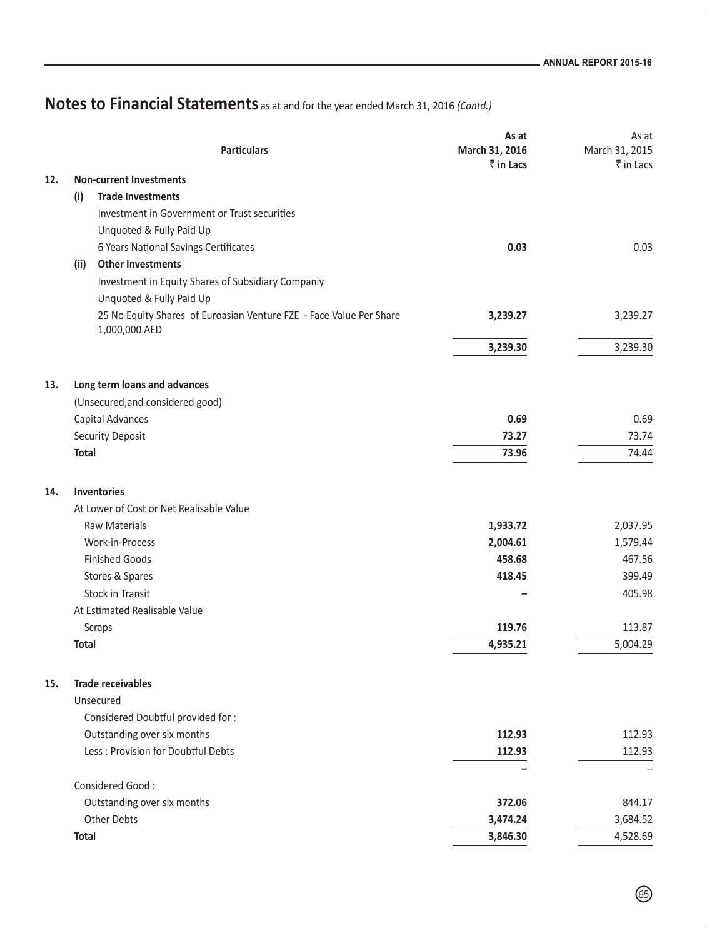|     | <b>Particulars</b>                                                                   | As at<br>March 31, 2016<br>$\bar{z}$ in Lacs | As at<br>March 31, 2015<br>₹ in Lacs |
|-----|--------------------------------------------------------------------------------------|----------------------------------------------|--------------------------------------|
| 12. | <b>Non-current Investments</b>                                                       |                                              |                                      |
|     | <b>Trade Investments</b><br>(i)                                                      |                                              |                                      |
|     | Investment in Government or Trust securities                                         |                                              |                                      |
|     | Unquoted & Fully Paid Up                                                             |                                              |                                      |
|     | 6 Years National Savings Certificates                                                | 0.03                                         | 0.03                                 |
|     | (ii)<br><b>Other Investments</b>                                                     |                                              |                                      |
|     | Investment in Equity Shares of Subsidiary Companiy                                   |                                              |                                      |
|     | Unquoted & Fully Paid Up                                                             |                                              |                                      |
|     | 25 No Equity Shares of Euroasian Venture FZE - Face Value Per Share<br>1,000,000 AED | 3,239.27                                     | 3,239.27                             |
|     |                                                                                      | 3,239.30                                     | 3,239.30                             |
| 13. | Long term loans and advances                                                         |                                              |                                      |
|     | (Unsecured, and considered good)                                                     |                                              |                                      |
|     | Capital Advances                                                                     | 0.69                                         | 0.69                                 |
|     | <b>Security Deposit</b>                                                              | 73.27                                        | 73.74                                |
|     | Total                                                                                | 73.96                                        | 74.44                                |
| 14. | Inventories                                                                          |                                              |                                      |
|     | At Lower of Cost or Net Realisable Value                                             |                                              |                                      |
|     | <b>Raw Materials</b>                                                                 | 1,933.72                                     | 2,037.95                             |
|     | Work-in-Process                                                                      | 2,004.61                                     | 1,579.44                             |
|     | <b>Finished Goods</b>                                                                | 458.68                                       | 467.56                               |
|     | Stores & Spares                                                                      | 418.45                                       | 399.49                               |
|     | <b>Stock in Transit</b>                                                              |                                              | 405.98                               |
|     | At Estimated Realisable Value                                                        |                                              |                                      |
|     | <b>Scraps</b>                                                                        | 119.76                                       | 113.87                               |
|     | <b>Total</b>                                                                         | 4,935.21                                     | 5,004.29                             |
| 15. | <b>Trade receivables</b>                                                             |                                              |                                      |
|     | Unsecured                                                                            |                                              |                                      |
|     | Considered Doubtful provided for :                                                   |                                              |                                      |
|     | Outstanding over six months                                                          | 112.93                                       | 112.93                               |
|     | Less : Provision for Doubtful Debts                                                  | 112.93                                       | 112.93                               |
|     | Considered Good:                                                                     |                                              |                                      |
|     | Outstanding over six months                                                          | 372.06                                       | 844.17                               |
|     | Other Debts                                                                          | 3,474.24                                     | 3,684.52                             |
|     | <b>Total</b>                                                                         | 3,846.30                                     | 4,528.69                             |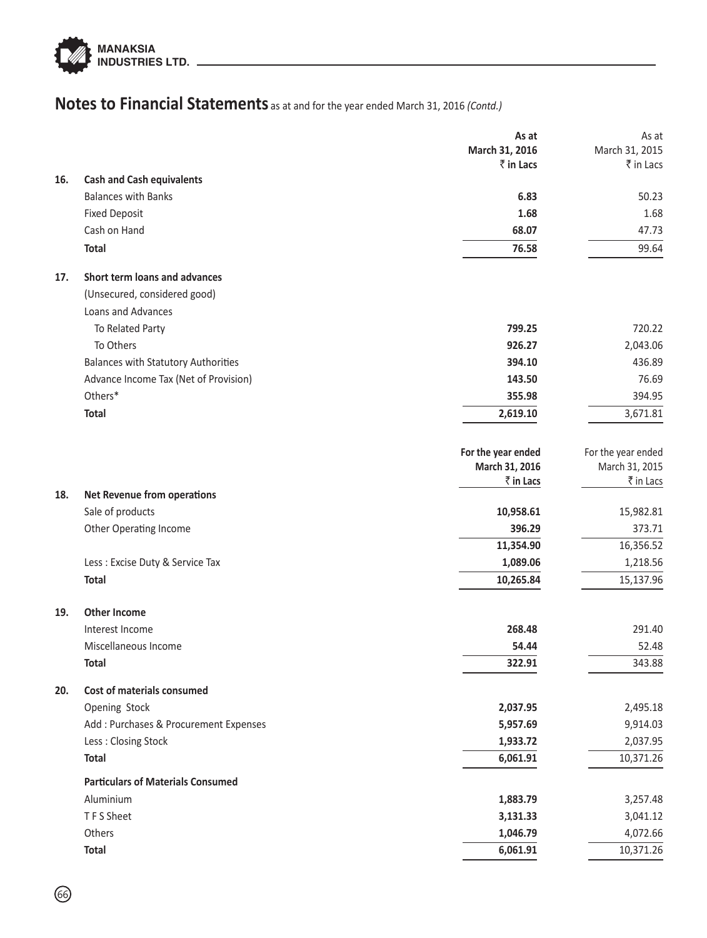

|     |                                            | As at<br>March 31, 2016 | As at<br>March 31, 2015 |
|-----|--------------------------------------------|-------------------------|-------------------------|
|     |                                            | $\bar{z}$ in Lacs       | ₹ in Lacs               |
| 16. | <b>Cash and Cash equivalents</b>           |                         |                         |
|     | <b>Balances with Banks</b>                 | 6.83                    | 50.23                   |
|     | <b>Fixed Deposit</b>                       | 1.68                    | 1.68                    |
|     | Cash on Hand                               | 68.07                   | 47.73                   |
|     | <b>Total</b>                               | 76.58                   | 99.64                   |
| 17. | Short term loans and advances              |                         |                         |
|     | (Unsecured, considered good)               |                         |                         |
|     | Loans and Advances                         |                         |                         |
|     | To Related Party                           | 799.25                  | 720.22                  |
|     | To Others                                  | 926.27                  | 2,043.06                |
|     | <b>Balances with Statutory Authorities</b> | 394.10                  | 436.89                  |
|     | Advance Income Tax (Net of Provision)      | 143.50                  | 76.69                   |
|     | Others*                                    | 355.98                  | 394.95                  |
|     | <b>Total</b>                               | 2,619.10                | 3,671.81                |
|     |                                            | For the year ended      | For the year ended      |
|     |                                            | March 31, 2016          | March 31, 2015          |
|     |                                            | ₹ in Lacs               | ₹ in Lacs               |
| 18. | Net Revenue from operations                |                         |                         |
|     | Sale of products                           | 10,958.61               | 15,982.81               |
|     | Other Operating Income                     | 396.29                  | 373.71                  |
|     |                                            | 11,354.90               | 16,356.52               |
|     | Less : Excise Duty & Service Tax           | 1,089.06                | 1,218.56                |
|     | <b>Total</b>                               | 10,265.84               | 15,137.96               |
| 19. | <b>Other Income</b>                        |                         |                         |
|     | Interest Income                            | 268.48                  | 291.40                  |
|     | Miscellaneous Income                       | 54.44                   | 52.48                   |
|     | <b>Total</b>                               | 322.91                  | 343.88                  |
| 20. | Cost of materials consumed                 |                         |                         |
|     | Opening Stock                              | 2,037.95                | 2,495.18                |
|     | Add : Purchases & Procurement Expenses     | 5,957.69                | 9,914.03                |
|     | Less: Closing Stock                        | 1,933.72                | 2,037.95                |
|     | <b>Total</b>                               | 6,061.91                | 10,371.26               |
|     | <b>Particulars of Materials Consumed</b>   |                         |                         |
|     | Aluminium                                  | 1,883.79                | 3,257.48                |
|     | TFS Sheet                                  | 3,131.33                | 3,041.12                |
|     | Others                                     | 1,046.79                | 4,072.66                |
|     | <b>Total</b>                               | 6,061.91                | 10,371.26               |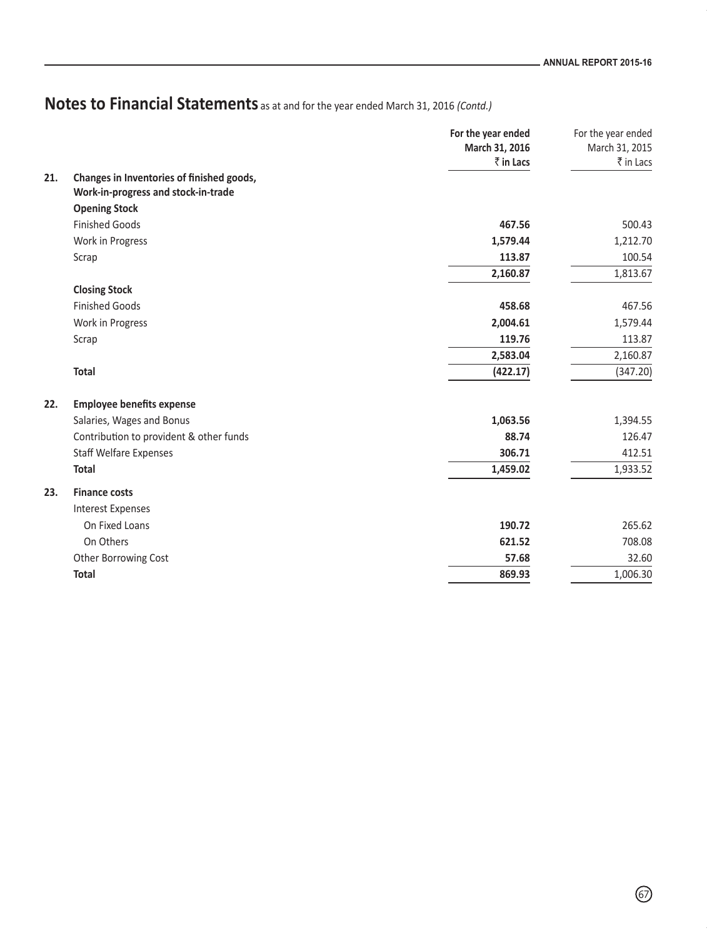| Changes in Inventories of finished goods,<br>21.<br>Work-in-progress and stock-in-trade<br><b>Opening Stock</b><br><b>Finished Goods</b><br>467.56<br>Work in Progress<br>1,579.44<br>113.87<br>Scrap<br>2,160.87<br><b>Closing Stock</b><br><b>Finished Goods</b><br>458.68<br>Work in Progress<br>2,004.61<br>119.76<br>Scrap<br>2,583.04<br>(422.17)<br><b>Total</b><br>22.<br><b>Employee benefits expense</b><br>Salaries, Wages and Bonus<br>1,063.56<br>Contribution to provident & other funds<br>88.74<br><b>Staff Welfare Expenses</b><br>306.71<br>1,459.02<br>Total<br>23.<br><b>Finance costs</b><br><b>Interest Expenses</b><br>On Fixed Loans<br>190.72<br>On Others<br>621.52<br>57.68<br>Other Borrowing Cost<br>869.93<br><b>Total</b> |  | For the year ended<br>March 31, 2016<br>$\bar{z}$ in Lacs | For the year ended<br>March 31, 2015<br>₹ in Lacs |
|----------------------------------------------------------------------------------------------------------------------------------------------------------------------------------------------------------------------------------------------------------------------------------------------------------------------------------------------------------------------------------------------------------------------------------------------------------------------------------------------------------------------------------------------------------------------------------------------------------------------------------------------------------------------------------------------------------------------------------------------------------|--|-----------------------------------------------------------|---------------------------------------------------|
|                                                                                                                                                                                                                                                                                                                                                                                                                                                                                                                                                                                                                                                                                                                                                          |  |                                                           |                                                   |
|                                                                                                                                                                                                                                                                                                                                                                                                                                                                                                                                                                                                                                                                                                                                                          |  |                                                           |                                                   |
|                                                                                                                                                                                                                                                                                                                                                                                                                                                                                                                                                                                                                                                                                                                                                          |  |                                                           | 500.43                                            |
|                                                                                                                                                                                                                                                                                                                                                                                                                                                                                                                                                                                                                                                                                                                                                          |  |                                                           | 1,212.70                                          |
|                                                                                                                                                                                                                                                                                                                                                                                                                                                                                                                                                                                                                                                                                                                                                          |  |                                                           | 100.54                                            |
|                                                                                                                                                                                                                                                                                                                                                                                                                                                                                                                                                                                                                                                                                                                                                          |  |                                                           | 1,813.67                                          |
|                                                                                                                                                                                                                                                                                                                                                                                                                                                                                                                                                                                                                                                                                                                                                          |  |                                                           |                                                   |
|                                                                                                                                                                                                                                                                                                                                                                                                                                                                                                                                                                                                                                                                                                                                                          |  |                                                           | 467.56                                            |
|                                                                                                                                                                                                                                                                                                                                                                                                                                                                                                                                                                                                                                                                                                                                                          |  |                                                           | 1,579.44                                          |
|                                                                                                                                                                                                                                                                                                                                                                                                                                                                                                                                                                                                                                                                                                                                                          |  |                                                           | 113.87                                            |
|                                                                                                                                                                                                                                                                                                                                                                                                                                                                                                                                                                                                                                                                                                                                                          |  |                                                           | 2,160.87                                          |
|                                                                                                                                                                                                                                                                                                                                                                                                                                                                                                                                                                                                                                                                                                                                                          |  |                                                           | (347.20)                                          |
|                                                                                                                                                                                                                                                                                                                                                                                                                                                                                                                                                                                                                                                                                                                                                          |  |                                                           |                                                   |
|                                                                                                                                                                                                                                                                                                                                                                                                                                                                                                                                                                                                                                                                                                                                                          |  |                                                           | 1,394.55                                          |
|                                                                                                                                                                                                                                                                                                                                                                                                                                                                                                                                                                                                                                                                                                                                                          |  |                                                           | 126.47                                            |
|                                                                                                                                                                                                                                                                                                                                                                                                                                                                                                                                                                                                                                                                                                                                                          |  |                                                           | 412.51                                            |
|                                                                                                                                                                                                                                                                                                                                                                                                                                                                                                                                                                                                                                                                                                                                                          |  |                                                           | 1,933.52                                          |
|                                                                                                                                                                                                                                                                                                                                                                                                                                                                                                                                                                                                                                                                                                                                                          |  |                                                           |                                                   |
|                                                                                                                                                                                                                                                                                                                                                                                                                                                                                                                                                                                                                                                                                                                                                          |  |                                                           |                                                   |
|                                                                                                                                                                                                                                                                                                                                                                                                                                                                                                                                                                                                                                                                                                                                                          |  |                                                           | 265.62                                            |
|                                                                                                                                                                                                                                                                                                                                                                                                                                                                                                                                                                                                                                                                                                                                                          |  |                                                           | 708.08                                            |
|                                                                                                                                                                                                                                                                                                                                                                                                                                                                                                                                                                                                                                                                                                                                                          |  |                                                           | 32.60                                             |
|                                                                                                                                                                                                                                                                                                                                                                                                                                                                                                                                                                                                                                                                                                                                                          |  |                                                           | 1,006.30                                          |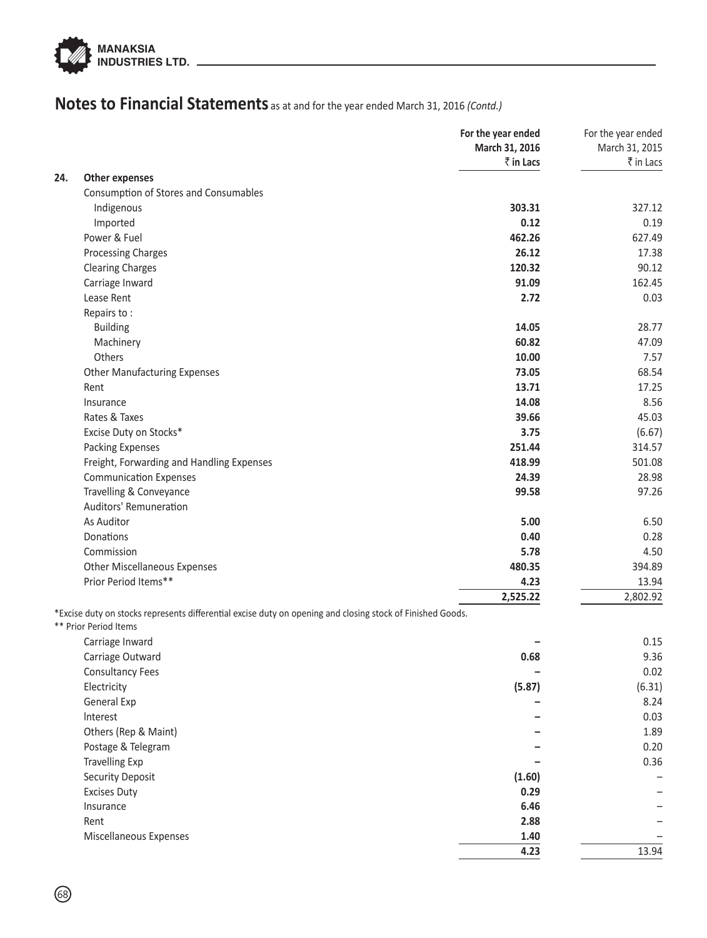

|     |                                                                                                            | For the year ended | For the year ended |
|-----|------------------------------------------------------------------------------------------------------------|--------------------|--------------------|
|     |                                                                                                            | March 31, 2016     | March 31, 2015     |
|     |                                                                                                            | $\bar{z}$ in Lacs  | ₹ in Lacs          |
| 24. | <b>Other expenses</b>                                                                                      |                    |                    |
|     | Consumption of Stores and Consumables                                                                      |                    |                    |
|     | Indigenous                                                                                                 | 303.31             | 327.12             |
|     | Imported                                                                                                   | 0.12               | 0.19               |
|     | Power & Fuel                                                                                               | 462.26             | 627.49             |
|     | <b>Processing Charges</b>                                                                                  | 26.12              | 17.38              |
|     | <b>Clearing Charges</b>                                                                                    | 120.32             | 90.12              |
|     | Carriage Inward                                                                                            | 91.09              | 162.45             |
|     | Lease Rent                                                                                                 | 2.72               | 0.03               |
|     | Repairs to:                                                                                                |                    |                    |
|     | <b>Building</b>                                                                                            | 14.05              | 28.77              |
|     | Machinery                                                                                                  | 60.82              | 47.09              |
|     | Others                                                                                                     | 10.00              | 7.57               |
|     | <b>Other Manufacturing Expenses</b>                                                                        | 73.05              | 68.54              |
|     | Rent                                                                                                       | 13.71              | 17.25              |
|     | Insurance                                                                                                  | 14.08              | 8.56               |
|     | Rates & Taxes                                                                                              | 39.66              | 45.03              |
|     | Excise Duty on Stocks*                                                                                     | 3.75               | (6.67)             |
|     | Packing Expenses                                                                                           | 251.44             | 314.57             |
|     | Freight, Forwarding and Handling Expenses                                                                  | 418.99             | 501.08             |
|     | <b>Communication Expenses</b>                                                                              | 24.39              | 28.98              |
|     | Travelling & Conveyance                                                                                    | 99.58              | 97.26              |
|     | Auditors' Remuneration                                                                                     |                    |                    |
|     | As Auditor                                                                                                 | 5.00               | 6.50               |
|     | Donations                                                                                                  | 0.40               | 0.28               |
|     | Commission                                                                                                 | 5.78               | 4.50               |
|     |                                                                                                            | 480.35             |                    |
|     | <b>Other Miscellaneous Expenses</b><br>Prior Period Items**                                                |                    | 394.89             |
|     |                                                                                                            | 4.23               | 13.94              |
|     |                                                                                                            | 2,525.22           | 2,802.92           |
|     | *Excise duty on stocks represents differential excise duty on opening and closing stock of Finished Goods. |                    |                    |
|     | ** Prior Period Items                                                                                      |                    |                    |
|     | Carriage Inward                                                                                            |                    | 0.15               |
|     | Carriage Outward                                                                                           | 0.68               | 9.36               |
|     | <b>Consultancy Fees</b>                                                                                    |                    | 0.02               |
|     | Electricity                                                                                                | (5.87)             | (6.31)             |
|     | General Exp                                                                                                |                    | 8.24               |
|     | Interest                                                                                                   |                    | 0.03               |
|     | Others (Rep & Maint)                                                                                       |                    | 1.89               |
|     | Postage & Telegram                                                                                         |                    | 0.20               |
|     | <b>Travelling Exp</b>                                                                                      |                    | 0.36               |
|     | Security Deposit                                                                                           | (1.60)             |                    |
|     | <b>Excises Duty</b>                                                                                        | 0.29               |                    |
|     | Insurance                                                                                                  | 6.46               |                    |
|     | Rent                                                                                                       | 2.88               |                    |
|     | Miscellaneous Expenses                                                                                     | 1.40               |                    |
|     |                                                                                                            | 4.23               | 13.94              |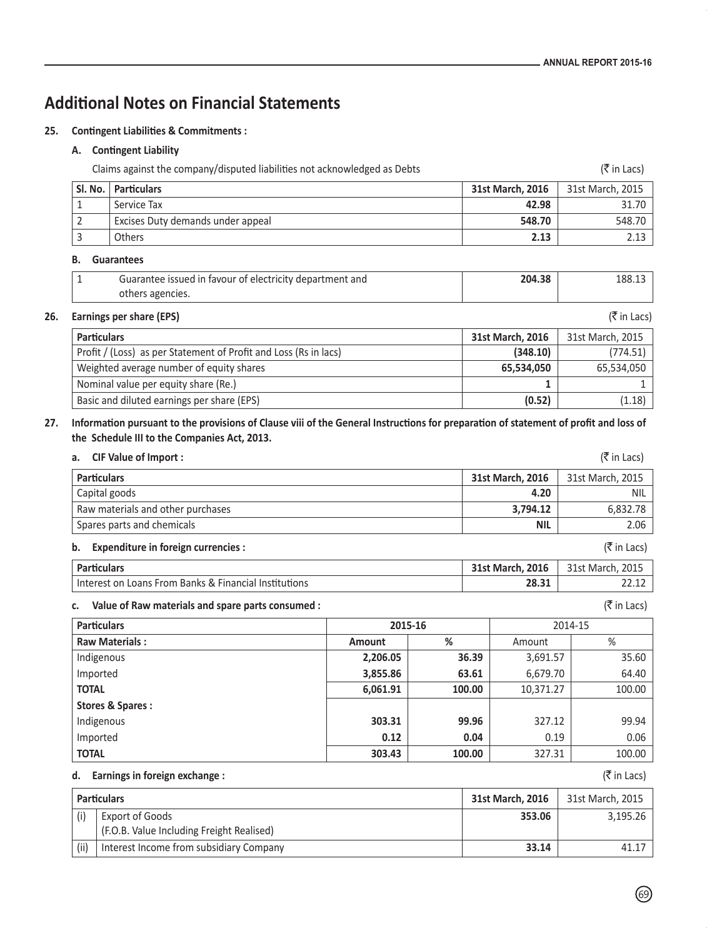# **Additional Notes on Financial Statements**

#### **25. Contingent Liabilities & Commitments :**

#### **A. Contingent Liability**

Claims against the company/disputed liabilities not acknowledged as Debts  $(\bar{\tau})$  in Lacs)

| Sl. No. l | Particulars                       | 31st March, 2016 | 31st March, 2015 |
|-----------|-----------------------------------|------------------|------------------|
|           | Service Tax                       | 42.98            | 31.70            |
|           | Excises Duty demands under appeal | 548.70           | 548.70           |
|           | <b>Others</b>                     | 2.13             |                  |

#### **B. Guarantees**

| Guarantee issued in favour of electricity department and | 204.38 | 188.1. |
|----------------------------------------------------------|--------|--------|
| others agencies.                                         |        |        |

#### **26. Earnings per share (EPS)** (` in Lacs)

| <b>Particulars</b>                                               | 31st March, 2016 | 31st March, 2015 |
|------------------------------------------------------------------|------------------|------------------|
| Profit / (Loss) as per Statement of Profit and Loss (Rs in lacs) | (348.10)         | (774.51)         |
| Weighted average number of equity shares                         | 65.534.050       | 65,534,050       |
| Nominal value per equity share (Re.)                             |                  |                  |
| Basic and diluted earnings per share (EPS)                       | (0.52)           | (1.18)           |

#### **27. Information pursuant to the provisions of Clause viii of the General Instructions for preparation of statement of profit and loss of the Schedule III to the Companies Act, 2013.**

| <b>CIF Value of Import:</b><br>a. |                  | (₹ in Lacs)      |
|-----------------------------------|------------------|------------------|
| <b>Particulars</b>                | 31st March, 2016 | 31st March, 2015 |
| Capital goods                     | 4.20             | <b>NIL</b>       |
| Raw materials and other purchases | 3.794.12         | 6,832.78         |
| Spares parts and chemicals        | <b>NIL</b>       | 2.06             |
|                                   |                  |                  |

#### **b.** Expenditure in foreign currencies :  $(\vec{\zeta})$  in Lacs)

| Particulars                                           | 31st March, 2016 | 31st March, 2015 |
|-------------------------------------------------------|------------------|------------------|
| Interest on Loans From Banks & Financial Institutions | 20.21<br>20.31   |                  |

#### **c.** Value of Raw materials and spare parts consumed :  $(\vec{\tau} \text{ in } \text{Lacs})$

| <b>Particulars</b>    | 2015-16  |        | 2014-15   |        |
|-----------------------|----------|--------|-----------|--------|
| <b>Raw Materials:</b> | Amount   | %      | Amount    | %      |
| Indigenous            | 2,206.05 | 36.39  | 3,691.57  | 35.60  |
| Imported              | 3,855.86 | 63.61  | 6,679.70  | 64.40  |
| <b>TOTAL</b>          | 6,061.91 | 100.00 | 10,371.27 | 100.00 |
| Stores & Spares:      |          |        |           |        |
| Indigenous            | 303.31   | 99.96  | 327.12    | 99.94  |
| Imported              | 0.12     | 0.04   | 0.19      | 0.06   |
| <b>TOTAL</b>          | 303.43   | 100.00 | 327.31    | 100.00 |

#### **d. Earnings in foreign exchange :** (` in Lacs)

|      | <b>Particulars</b>                        | 31st March, 2016 | 31st March, 2015 |
|------|-------------------------------------------|------------------|------------------|
|      | Export of Goods                           | 353.06           | 3.195.26         |
|      | (F.O.B. Value Including Freight Realised) |                  |                  |
| (ii) | Interest Income from subsidiary Company   | 33.14            | 41.17            |

69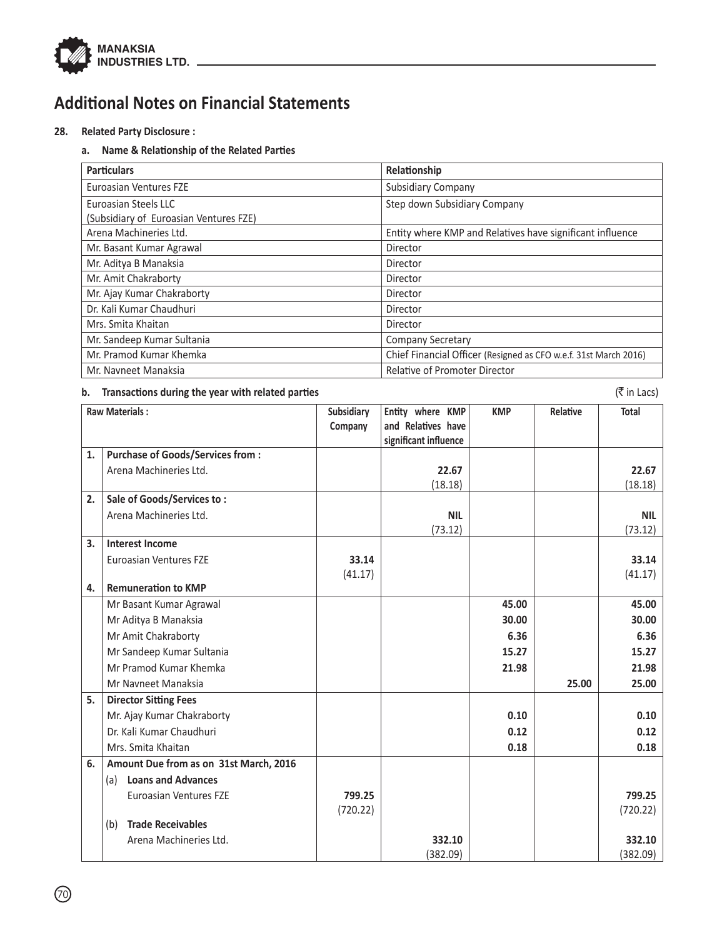

# **Additional Notes on Financial Statements**

#### **28. Related Party Disclosure :**

#### **a. Name & Relationship of the Related Parties**

| <b>Particulars</b>                     | Relationship                                                     |
|----------------------------------------|------------------------------------------------------------------|
| Euroasian Ventures FZE                 | Subsidiary Company                                               |
| Euroasian Steels LLC                   | Step down Subsidiary Company                                     |
| (Subsidiary of Euroasian Ventures FZE) |                                                                  |
| Arena Machineries Ltd.                 | Entity where KMP and Relatives have significant influence        |
| Mr. Basant Kumar Agrawal               | Director                                                         |
| Mr. Aditya B Manaksia                  | Director                                                         |
| Mr. Amit Chakraborty                   | Director                                                         |
| Mr. Ajay Kumar Chakraborty             | Director                                                         |
| Dr. Kali Kumar Chaudhuri               | Director                                                         |
| Mrs. Smita Khaitan                     | Director                                                         |
| Mr. Sandeep Kumar Sultania             | <b>Company Secretary</b>                                         |
| Mr. Pramod Kumar Khemka                | Chief Financial Officer (Resigned as CFO w.e.f. 31st March 2016) |
| Mr. Navneet Manaksia                   | Relative of Promoter Director                                    |

#### **b.** Transactions during the year with related parties  $(\bar{z})$  in Lacs) ( $\bar{z}$  in Lacs)

|    | <b>Raw Materials:</b>                   | Subsidiary<br>Company | Entity where KMP<br>and Relatives have<br>significant influence | <b>KMP</b> | Relative | <b>Total</b> |
|----|-----------------------------------------|-----------------------|-----------------------------------------------------------------|------------|----------|--------------|
| 1. | <b>Purchase of Goods/Services from:</b> |                       |                                                                 |            |          |              |
|    | Arena Machineries Ltd.                  |                       | 22.67                                                           |            |          | 22.67        |
|    |                                         |                       | (18.18)                                                         |            |          | (18.18)      |
| 2. | Sale of Goods/Services to:              |                       |                                                                 |            |          |              |
|    | Arena Machineries Ltd.                  |                       | <b>NIL</b>                                                      |            |          | <b>NIL</b>   |
|    |                                         |                       | (73.12)                                                         |            |          | (73.12)      |
| 3. | <b>Interest Income</b>                  |                       |                                                                 |            |          |              |
|    | <b>Euroasian Ventures FZE</b>           | 33.14                 |                                                                 |            |          | 33.14        |
|    |                                         | (41.17)               |                                                                 |            |          | (41.17)      |
| 4. | <b>Remuneration to KMP</b>              |                       |                                                                 |            |          |              |
|    | Mr Basant Kumar Agrawal                 |                       |                                                                 | 45.00      |          | 45.00        |
|    | Mr Aditya B Manaksia                    |                       |                                                                 | 30.00      |          | 30.00        |
|    | Mr Amit Chakraborty                     |                       |                                                                 | 6.36       |          | 6.36         |
|    | Mr Sandeep Kumar Sultania               |                       |                                                                 | 15.27      |          | 15.27        |
|    | Mr Pramod Kumar Khemka                  |                       |                                                                 | 21.98      |          | 21.98        |
|    | Mr Navneet Manaksia                     |                       |                                                                 |            | 25.00    | 25.00        |
| 5. | <b>Director Sitting Fees</b>            |                       |                                                                 |            |          |              |
|    | Mr. Ajay Kumar Chakraborty              |                       |                                                                 | 0.10       |          | 0.10         |
|    | Dr. Kali Kumar Chaudhuri                |                       |                                                                 | 0.12       |          | 0.12         |
|    | Mrs. Smita Khaitan                      |                       |                                                                 | 0.18       |          | 0.18         |
| 6. | Amount Due from as on 31st March, 2016  |                       |                                                                 |            |          |              |
|    | <b>Loans and Advances</b><br>(a)        |                       |                                                                 |            |          |              |
|    | <b>Euroasian Ventures FZE</b>           | 799.25                |                                                                 |            |          | 799.25       |
|    |                                         | (720.22)              |                                                                 |            |          | (720.22)     |
|    | <b>Trade Receivables</b><br>(b)         |                       |                                                                 |            |          |              |
|    | Arena Machineries Ltd.                  |                       | 332.10                                                          |            |          | 332.10       |
|    |                                         |                       | (382.09)                                                        |            |          | (382.09)     |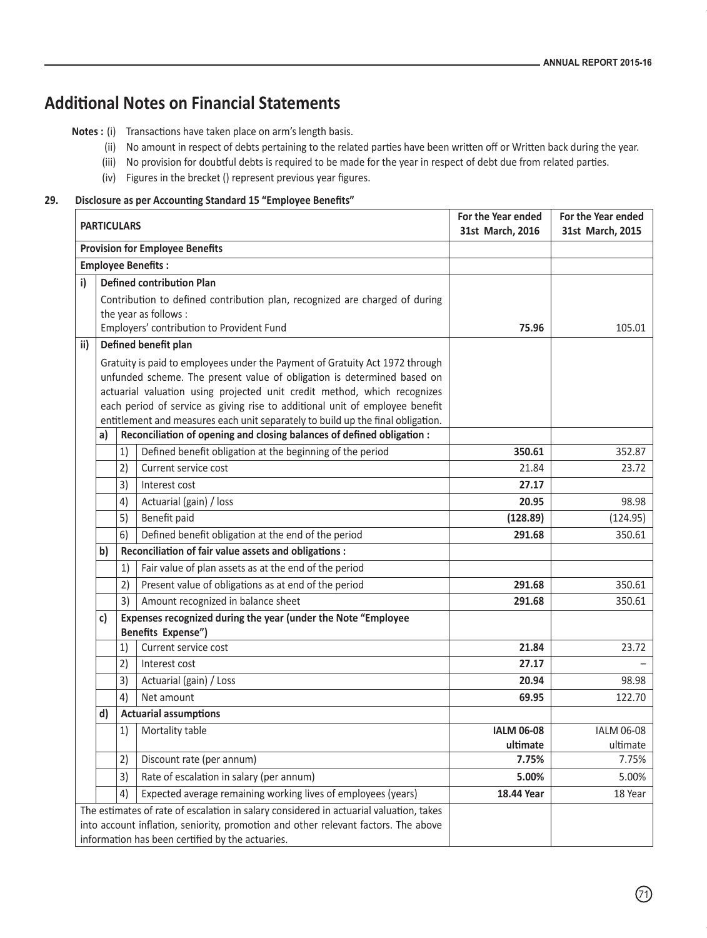# **Additional Notes on Financial Statements**

**Notes :** (i) Transactions have taken place on arm's length basis.

- (ii) No amount in respect of debts pertaining to the related parties have been written off or Written back during the year.
- (iii) No provision for doubtful debts is required to be made for the year in respect of debt due from related parties.
- (iv) Figures in the brecket () represent previous year figures.

#### **29. Disclosure as per Accounting Standard 15 "Employee Benefits"**

|                                                                                                                                                                                                                                  | <b>PARTICULARS</b>                                                                                                                                                                                                                                                                                                                                                                                     |    |                                                                                            | For the Year ended<br>31st March, 2016 | For the Year ended<br>31st March, 2015 |  |  |
|----------------------------------------------------------------------------------------------------------------------------------------------------------------------------------------------------------------------------------|--------------------------------------------------------------------------------------------------------------------------------------------------------------------------------------------------------------------------------------------------------------------------------------------------------------------------------------------------------------------------------------------------------|----|--------------------------------------------------------------------------------------------|----------------------------------------|----------------------------------------|--|--|
|                                                                                                                                                                                                                                  |                                                                                                                                                                                                                                                                                                                                                                                                        |    | <b>Provision for Employee Benefits</b>                                                     |                                        |                                        |  |  |
| <b>Employee Benefits:</b>                                                                                                                                                                                                        |                                                                                                                                                                                                                                                                                                                                                                                                        |    |                                                                                            |                                        |                                        |  |  |
| i)                                                                                                                                                                                                                               |                                                                                                                                                                                                                                                                                                                                                                                                        |    | <b>Defined contribution Plan</b>                                                           |                                        |                                        |  |  |
|                                                                                                                                                                                                                                  | Contribution to defined contribution plan, recognized are charged of during                                                                                                                                                                                                                                                                                                                            |    |                                                                                            |                                        |                                        |  |  |
|                                                                                                                                                                                                                                  |                                                                                                                                                                                                                                                                                                                                                                                                        |    | the year as follows :                                                                      |                                        |                                        |  |  |
|                                                                                                                                                                                                                                  |                                                                                                                                                                                                                                                                                                                                                                                                        |    | Employers' contribution to Provident Fund                                                  | 75.96                                  | 105.01                                 |  |  |
| ii)                                                                                                                                                                                                                              |                                                                                                                                                                                                                                                                                                                                                                                                        |    | Defined benefit plan                                                                       |                                        |                                        |  |  |
|                                                                                                                                                                                                                                  | Gratuity is paid to employees under the Payment of Gratuity Act 1972 through<br>unfunded scheme. The present value of obligation is determined based on<br>actuarial valuation using projected unit credit method, which recognizes<br>each period of service as giving rise to additional unit of employee benefit<br>entitlement and measures each unit separately to build up the final obligation. |    |                                                                                            |                                        |                                        |  |  |
|                                                                                                                                                                                                                                  | a)                                                                                                                                                                                                                                                                                                                                                                                                     |    | Reconciliation of opening and closing balances of defined obligation :                     |                                        |                                        |  |  |
|                                                                                                                                                                                                                                  |                                                                                                                                                                                                                                                                                                                                                                                                        | 1) | Defined benefit obligation at the beginning of the period                                  | 350.61                                 | 352.87                                 |  |  |
|                                                                                                                                                                                                                                  |                                                                                                                                                                                                                                                                                                                                                                                                        | 2) | Current service cost                                                                       | 21.84                                  | 23.72                                  |  |  |
|                                                                                                                                                                                                                                  |                                                                                                                                                                                                                                                                                                                                                                                                        | 3) | Interest cost                                                                              | 27.17                                  |                                        |  |  |
|                                                                                                                                                                                                                                  |                                                                                                                                                                                                                                                                                                                                                                                                        | 4) | Actuarial (gain) / loss                                                                    | 20.95                                  | 98.98                                  |  |  |
|                                                                                                                                                                                                                                  |                                                                                                                                                                                                                                                                                                                                                                                                        | 5) | Benefit paid                                                                               | (128.89)                               | (124.95)                               |  |  |
|                                                                                                                                                                                                                                  |                                                                                                                                                                                                                                                                                                                                                                                                        | 6) | Defined benefit obligation at the end of the period                                        | 291.68                                 | 350.61                                 |  |  |
|                                                                                                                                                                                                                                  | b)                                                                                                                                                                                                                                                                                                                                                                                                     |    | Reconciliation of fair value assets and obligations :                                      |                                        |                                        |  |  |
|                                                                                                                                                                                                                                  |                                                                                                                                                                                                                                                                                                                                                                                                        | 1) | Fair value of plan assets as at the end of the period                                      |                                        |                                        |  |  |
|                                                                                                                                                                                                                                  |                                                                                                                                                                                                                                                                                                                                                                                                        | 2) | Present value of obligations as at end of the period                                       | 291.68                                 | 350.61                                 |  |  |
|                                                                                                                                                                                                                                  |                                                                                                                                                                                                                                                                                                                                                                                                        | 3) | Amount recognized in balance sheet                                                         | 291.68                                 | 350.61                                 |  |  |
|                                                                                                                                                                                                                                  | c)                                                                                                                                                                                                                                                                                                                                                                                                     |    | Expenses recognized during the year (under the Note "Employee<br><b>Benefits Expense")</b> |                                        |                                        |  |  |
|                                                                                                                                                                                                                                  |                                                                                                                                                                                                                                                                                                                                                                                                        | 1) | Current service cost                                                                       | 21.84                                  | 23.72                                  |  |  |
|                                                                                                                                                                                                                                  |                                                                                                                                                                                                                                                                                                                                                                                                        | 2) | Interest cost                                                                              | 27.17                                  |                                        |  |  |
|                                                                                                                                                                                                                                  |                                                                                                                                                                                                                                                                                                                                                                                                        | 3) | Actuarial (gain) / Loss                                                                    | 20.94                                  | 98.98                                  |  |  |
|                                                                                                                                                                                                                                  |                                                                                                                                                                                                                                                                                                                                                                                                        | 4) | Net amount                                                                                 | 69.95                                  | 122.70                                 |  |  |
|                                                                                                                                                                                                                                  | d)                                                                                                                                                                                                                                                                                                                                                                                                     |    | <b>Actuarial assumptions</b>                                                               |                                        |                                        |  |  |
|                                                                                                                                                                                                                                  |                                                                                                                                                                                                                                                                                                                                                                                                        | 1) | Mortality table                                                                            | <b>IALM 06-08</b><br>ultimate          | IALM 06-08<br>ultimate                 |  |  |
|                                                                                                                                                                                                                                  |                                                                                                                                                                                                                                                                                                                                                                                                        | 2) | Discount rate (per annum)                                                                  | 7.75%                                  | 7.75%                                  |  |  |
|                                                                                                                                                                                                                                  |                                                                                                                                                                                                                                                                                                                                                                                                        | 3) | Rate of escalation in salary (per annum)                                                   | 5.00%                                  | 5.00%                                  |  |  |
|                                                                                                                                                                                                                                  |                                                                                                                                                                                                                                                                                                                                                                                                        | 4) | Expected average remaining working lives of employees (years)                              | 18.44 Year                             | 18 Year                                |  |  |
| The estimates of rate of escalation in salary considered in actuarial valuation, takes<br>into account inflation, seniority, promotion and other relevant factors. The above<br>information has been certified by the actuaries. |                                                                                                                                                                                                                                                                                                                                                                                                        |    |                                                                                            |                                        |                                        |  |  |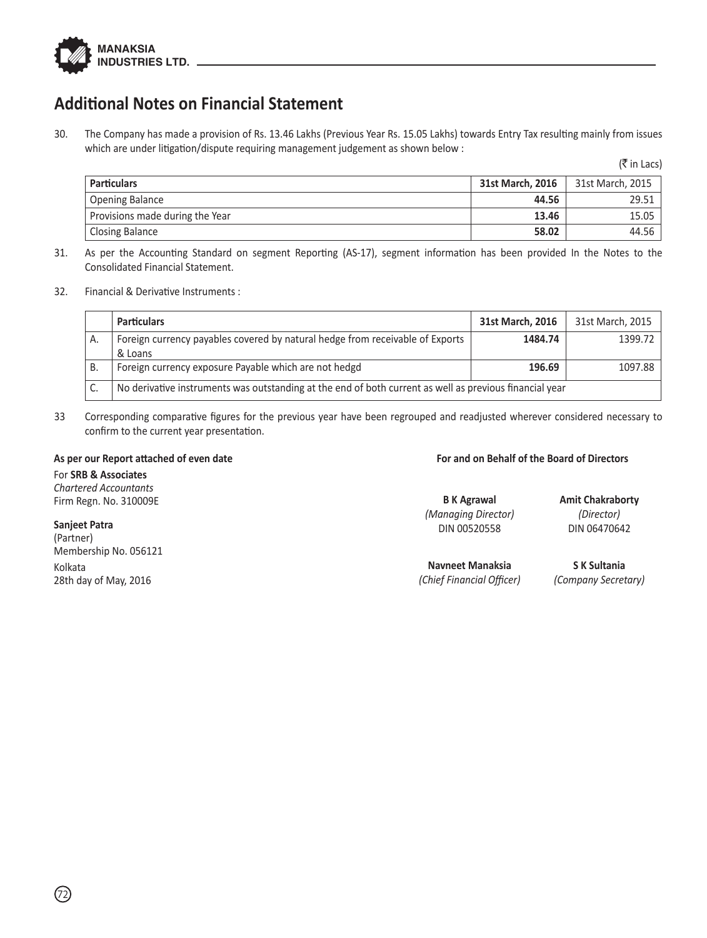

# **Additional Notes on Financial Statement**

30. The Company has made a provision of Rs. 13.46 Lakhs (Previous Year Rs. 15.05 Lakhs) towards Entry Tax resulting mainly from issues which are under litigation/dispute requiring management judgement as shown below :

(₹ in Lacs)

| <b>Particulars</b>              | 31st March, 2016 | 31st March. 2015 |
|---------------------------------|------------------|------------------|
| Opening Balance                 | 44.56            | 29.51            |
| Provisions made during the Year | 13.46            | 15.05            |
| <b>Closing Balance</b>          | 58.02            | 44.56            |

31. As per the Accounting Standard on segment Reporting (AS-17), segment information has been provided In the Notes to the Consolidated Financial Statement.

#### 32. Financial & Derivative Instruments :

|    | <b>Particulars</b>                                                                                      | 31st March, 2016 | 31st March, 2015 |  |
|----|---------------------------------------------------------------------------------------------------------|------------------|------------------|--|
| Α. | Foreign currency payables covered by natural hedge from receivable of Exports<br>& Loans                | 1484.74          | 1399.72          |  |
| B. | Foreign currency exposure Payable which are not hedgd                                                   | 196.69           | 1097.88          |  |
|    | No derivative instruments was outstanding at the end of both current as well as previous financial year |                  |                  |  |

33 Corresponding comparative figures for the previous year have been regrouped and readjusted wherever considered necessary to confirm to the current year presentation.

#### **As per our Report attached of even date**

For **SRB & Associates** *Chartered Accountants* Firm Regn. No. 310009E

**Sanjeet Patra** (Partner) Membership No. 056121 Kolkata 28th day of May, 2016

#### **For and on Behalf of the Board of Directors**

**B K Agrawal** *(Managing Director)* DIN 00520558

**Amit Chakraborty** *(Director)* DIN 06470642

**Navneet Manaksia** *(Chief Financial Officer)*

**S K Sultania** *(Company Secretary)*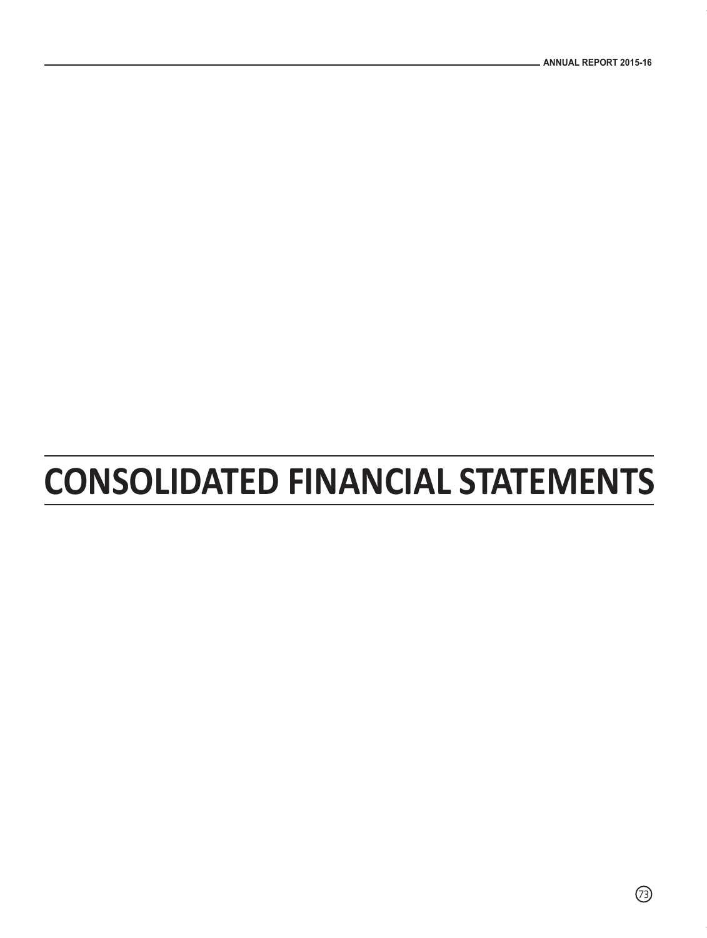# **CONSOLIDATED FINANCIAL STATEMENTS**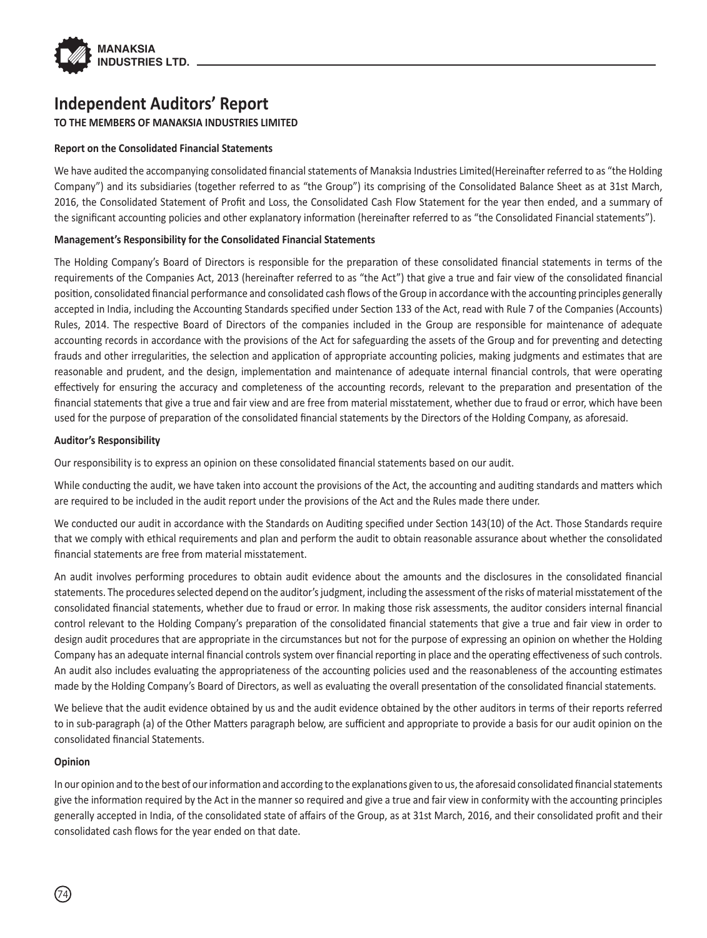

### **Independent Auditors' Report**

#### **TO THE MEMBERS OF MANAKSIA INDUSTRIES LIMITED**

#### **Report on the Consolidated Financial Statements**

We have audited the accompanying consolidated financial statements of Manaksia Industries Limited(Hereinafter referred to as "the Holding Company") and its subsidiaries (together referred to as "the Group") its comprising of the Consolidated Balance Sheet as at 31st March, 2016, the Consolidated Statement of Profit and Loss, the Consolidated Cash Flow Statement for the year then ended, and a summary of the significant accounting policies and other explanatory information (hereinafter referred to as "the Consolidated Financial statements").

#### **Management's Responsibility for the Consolidated Financial Statements**

The Holding Company's Board of Directors is responsible for the preparation of these consolidated financial statements in terms of the requirements of the Companies Act, 2013 (hereinafter referred to as "the Act") that give a true and fair view of the consolidated financial position, consolidated financial performance and consolidated cash flows of the Group in accordance with the accounting principles generally accepted in India, including the Accounting Standards specified under Section 133 of the Act, read with Rule 7 of the Companies (Accounts) Rules, 2014. The respective Board of Directors of the companies included in the Group are responsible for maintenance of adequate accounting records in accordance with the provisions of the Act for safeguarding the assets of the Group and for preventing and detecting frauds and other irregularities, the selection and application of appropriate accounting policies, making judgments and estimates that are reasonable and prudent, and the design, implementation and maintenance of adequate internal financial controls, that were operating effectively for ensuring the accuracy and completeness of the accounting records, relevant to the preparation and presentation of the financial statements that give a true and fair view and are free from material misstatement, whether due to fraud or error, which have been used for the purpose of preparation of the consolidated financial statements by the Directors of the Holding Company, as aforesaid.

#### **Auditor's Responsibility**

Our responsibility is to express an opinion on these consolidated financial statements based on our audit.

While conducting the audit, we have taken into account the provisions of the Act, the accounting and auditing standards and matters which are required to be included in the audit report under the provisions of the Act and the Rules made there under.

We conducted our audit in accordance with the Standards on Auditing specified under Section 143(10) of the Act. Those Standards require that we comply with ethical requirements and plan and perform the audit to obtain reasonable assurance about whether the consolidated financial statements are free from material misstatement.

An audit involves performing procedures to obtain audit evidence about the amounts and the disclosures in the consolidated financial statements. The procedures selected depend on the auditor's judgment, including the assessment of the risks of material misstatement of the consolidated financial statements, whether due to fraud or error. In making those risk assessments, the auditor considers internal financial control relevant to the Holding Company's preparation of the consolidated financial statements that give a true and fair view in order to design audit procedures that are appropriate in the circumstances but not for the purpose of expressing an opinion on whether the Holding Company has an adequate internal financial controls system over financial reporting in place and the operating effectiveness of such controls. An audit also includes evaluating the appropriateness of the accounting policies used and the reasonableness of the accounting estimates made by the Holding Company's Board of Directors, as well as evaluating the overall presentation of the consolidated financial statements.

We believe that the audit evidence obtained by us and the audit evidence obtained by the other auditors in terms of their reports referred to in sub-paragraph (a) of the Other Matters paragraph below, are sufficient and appropriate to provide a basis for our audit opinion on the consolidated financial Statements.

#### **Opinion**

In our opinion and to the best of our information and according to the explanations given to us, the aforesaid consolidated financial statements give the information required by the Act in the manner so required and give a true and fair view in conformity with the accounting principles generally accepted in India, of the consolidated state of affairs of the Group, as at 31st March, 2016, and their consolidated profit and their consolidated cash flows for the year ended on that date.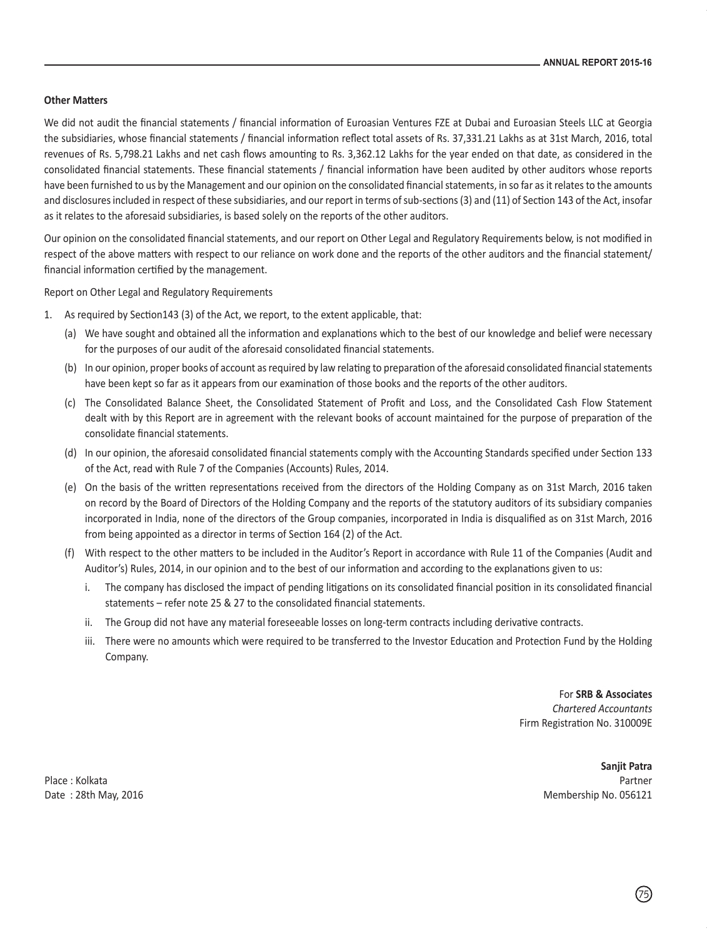#### **Other Matters**

We did not audit the financial statements / financial information of Euroasian Ventures FZE at Dubai and Euroasian Steels LLC at Georgia the subsidiaries, whose financial statements / financial information reflect total assets of Rs. 37,331.21 Lakhs as at 31st March, 2016, total revenues of Rs. 5,798.21 Lakhs and net cash flows amounting to Rs. 3,362.12 Lakhs for the year ended on that date, as considered in the consolidated financial statements. These financial statements / financial information have been audited by other auditors whose reports have been furnished to us by the Management and our opinion on the consolidated financial statements, in so far as it relates to the amounts and disclosures included in respect of these subsidiaries, and our report in terms of sub-sections (3) and (11) of Section 143 of the Act, insofar as it relates to the aforesaid subsidiaries, is based solely on the reports of the other auditors.

Our opinion on the consolidated financial statements, and our report on Other Legal and Regulatory Requirements below, is not modified in respect of the above matters with respect to our reliance on work done and the reports of the other auditors and the financial statement/ financial information certified by the management.

Report on Other Legal and Regulatory Requirements

- 1. As required by Section143 (3) of the Act, we report, to the extent applicable, that:
	- (a) We have sought and obtained all the information and explanations which to the best of our knowledge and belief were necessary for the purposes of our audit of the aforesaid consolidated financial statements.
	- (b) In our opinion, proper books of account as required by law relating to preparation of the aforesaid consolidated financial statements have been kept so far as it appears from our examination of those books and the reports of the other auditors.
	- (c) The Consolidated Balance Sheet, the Consolidated Statement of Profit and Loss, and the Consolidated Cash Flow Statement dealt with by this Report are in agreement with the relevant books of account maintained for the purpose of preparation of the consolidate financial statements.
	- (d) In our opinion, the aforesaid consolidated financial statements comply with the Accounting Standards specified under Section 133 of the Act, read with Rule 7 of the Companies (Accounts) Rules, 2014.
	- (e) On the basis of the written representations received from the directors of the Holding Company as on 31st March, 2016 taken on record by the Board of Directors of the Holding Company and the reports of the statutory auditors of its subsidiary companies incorporated in India, none of the directors of the Group companies, incorporated in India is disqualified as on 31st March, 2016 from being appointed as a director in terms of Section 164 (2) of the Act.
	- (f) With respect to the other matters to be included in the Auditor's Report in accordance with Rule 11 of the Companies (Audit and Auditor's) Rules, 2014, in our opinion and to the best of our information and according to the explanations given to us:
		- i. The company has disclosed the impact of pending litigations on its consolidated financial position in its consolidated financial statements – refer note 25 & 27 to the consolidated financial statements.
		- ii. The Group did not have any material foreseeable losses on long-term contracts including derivative contracts.
		- iii. There were no amounts which were required to be transferred to the Investor Education and Protection Fund by the Holding Company.

For **SRB & Associates** *Chartered Accountants* Firm Registration No. 310009E

**Sanjit Patra** Place : Kolkata Partner Date : 28th May, 2016 Membership No. 056121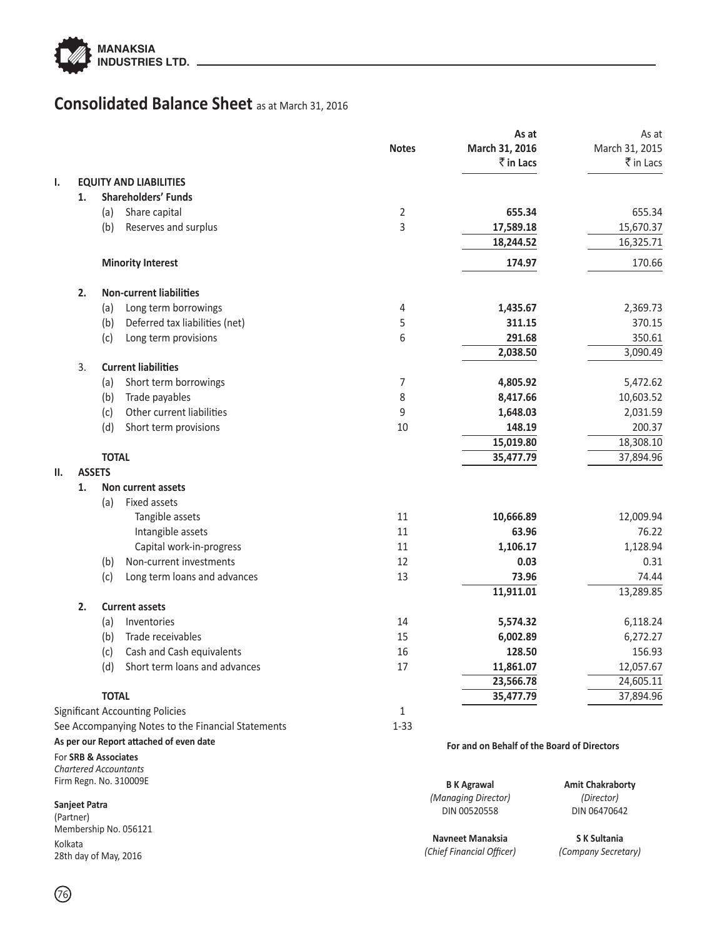

### **Consolidated Balance Sheet** as at March 31, 2016

|                                         |                      |              |                                                        |                                             | As at                               | As at                       |
|-----------------------------------------|----------------------|--------------|--------------------------------------------------------|---------------------------------------------|-------------------------------------|-----------------------------|
|                                         |                      |              |                                                        | <b>Notes</b>                                | March 31, 2016<br>₹ in Lacs         | March 31, 2015<br>₹ in Lacs |
| Ι.                                      |                      |              | <b>EQUITY AND LIABILITIES</b>                          |                                             |                                     |                             |
|                                         | 1.                   |              | <b>Shareholders' Funds</b>                             |                                             |                                     |                             |
|                                         |                      | (a)          | Share capital                                          | 2                                           | 655.34                              | 655.34                      |
|                                         |                      | (b)          | Reserves and surplus                                   | 3                                           | 17,589.18                           | 15,670.37                   |
|                                         |                      |              |                                                        |                                             | 18,244.52                           | 16,325.71                   |
|                                         |                      |              | <b>Minority Interest</b>                               |                                             | 174.97                              | 170.66                      |
|                                         | 2.                   |              | <b>Non-current liabilities</b>                         |                                             |                                     |                             |
|                                         |                      | (a)          | Long term borrowings                                   | 4                                           | 1,435.67                            | 2,369.73                    |
|                                         |                      | (b)          | Deferred tax liabilities (net)                         | 5                                           | 311.15                              | 370.15                      |
|                                         |                      | (c)          | Long term provisions                                   | 6                                           | 291.68                              | 350.61                      |
|                                         |                      |              |                                                        |                                             | 2,038.50                            | 3,090.49                    |
|                                         | 3.                   |              | <b>Current liabilities</b>                             |                                             |                                     |                             |
|                                         |                      | (a)          | Short term borrowings                                  | 7                                           | 4,805.92                            | 5,472.62                    |
|                                         |                      | (b)          | Trade payables                                         | 8                                           | 8,417.66                            | 10,603.52                   |
|                                         |                      | (c)          | Other current liabilities                              | 9                                           | 1,648.03                            | 2,031.59                    |
|                                         |                      | (d)          | Short term provisions                                  | 10                                          | 148.19                              | 200.37                      |
|                                         |                      |              |                                                        |                                             | 15,019.80                           | 18,308.10                   |
|                                         |                      | <b>TOTAL</b> |                                                        |                                             | 35,477.79                           | 37,894.96                   |
| II.                                     | <b>ASSETS</b>        |              |                                                        |                                             |                                     |                             |
|                                         | 1.                   |              | Non current assets                                     |                                             |                                     |                             |
|                                         |                      | (a)          | Fixed assets                                           |                                             |                                     |                             |
|                                         |                      |              | Tangible assets                                        | 11                                          | 10,666.89                           | 12,009.94                   |
|                                         |                      |              | Intangible assets                                      | 11                                          | 63.96                               | 76.22                       |
|                                         |                      |              | Capital work-in-progress                               | 11                                          | 1,106.17                            | 1,128.94                    |
|                                         |                      | (b)          | Non-current investments                                | 12                                          | 0.03                                | 0.31                        |
|                                         |                      | (c)          | Long term loans and advances                           | 13                                          | 73.96                               | 74.44                       |
|                                         |                      |              |                                                        |                                             | 11,911.01                           | 13,289.85                   |
|                                         | 2.                   |              | <b>Current assets</b>                                  |                                             |                                     |                             |
|                                         |                      | (a)          | Inventories                                            | 14                                          | 5,574.32                            | 6,118.24                    |
|                                         |                      | (b)          | Trade receivables                                      | 15                                          | 6,002.89                            | 6,272.27                    |
|                                         |                      | (c)          | Cash and Cash equivalents                              | 16                                          | 128.50                              | 156.93                      |
|                                         |                      | (d)          | Short term loans and advances                          | $17\,$                                      | 11,861.07                           | 12,057.67                   |
|                                         |                      |              |                                                        |                                             | 23,566.78                           | 24,605.11                   |
|                                         |                      | <b>TOTAL</b> |                                                        |                                             | 35,477.79                           | 37,894.96                   |
| <b>Significant Accounting Policies</b>  |                      |              | 1                                                      |                                             |                                     |                             |
|                                         |                      |              | See Accompanying Notes to the Financial Statements     | $1 - 33$                                    |                                     |                             |
| As per our Report attached of even date |                      |              |                                                        | For and on Behalf of the Board of Directors |                                     |                             |
|                                         | For SRB & Associates |              |                                                        |                                             |                                     |                             |
|                                         |                      |              | <b>Chartered Accountants</b><br>Firm Regn. No. 310009E |                                             |                                     |                             |
|                                         |                      |              |                                                        |                                             | <b>B</b> K Agrawal                  | <b>Amit Chakraborty</b>     |
|                                         | Sanjeet Patra        |              |                                                        |                                             | (Managing Director)<br>DIN 00520558 | (Director)<br>DIN 06470642  |
|                                         | (Partner)            |              | 0.00134                                                |                                             |                                     |                             |

**Navneet Manaksia** *(Chief Financial Officer)*

**S K Sultania** *(Company Secretary)*

Membership No. 056121 Kolkata 28th day of May, 2016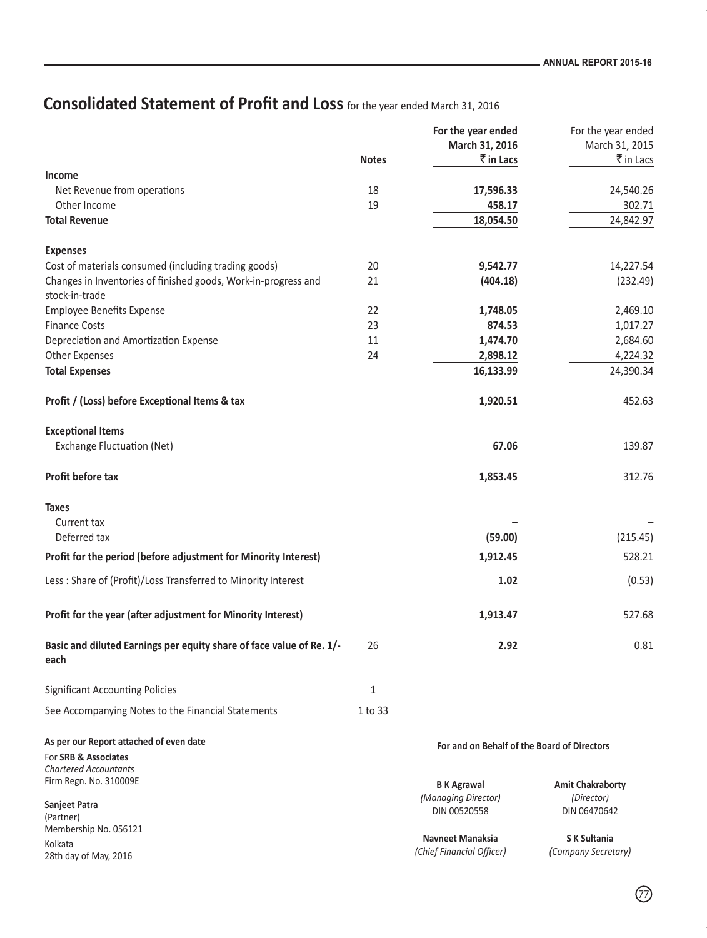## **Consolidated Statement of Profit and Loss** for the year ended March 31, 2016

|                                                                                  | <b>Notes</b> | For the year ended<br>March 31, 2016<br>₹ in Lacs | For the year ended<br>March 31, 2015<br>₹ in Lacs |
|----------------------------------------------------------------------------------|--------------|---------------------------------------------------|---------------------------------------------------|
| Income                                                                           |              |                                                   |                                                   |
| Net Revenue from operations                                                      | 18           | 17,596.33                                         | 24,540.26                                         |
| Other Income                                                                     | 19           | 458.17                                            | 302.71                                            |
| <b>Total Revenue</b>                                                             |              | 18,054.50                                         | 24,842.97                                         |
| <b>Expenses</b>                                                                  |              |                                                   |                                                   |
| Cost of materials consumed (including trading goods)                             | 20           | 9,542.77                                          | 14,227.54                                         |
| Changes in Inventories of finished goods, Work-in-progress and<br>stock-in-trade | 21           | (404.18)                                          | (232.49)                                          |
| <b>Employee Benefits Expense</b>                                                 | 22           | 1,748.05                                          | 2,469.10                                          |
| <b>Finance Costs</b>                                                             | 23           | 874.53                                            | 1,017.27                                          |
| Depreciation and Amortization Expense                                            | 11           | 1,474.70                                          | 2,684.60                                          |
| <b>Other Expenses</b>                                                            | 24           | 2,898.12                                          | 4,224.32                                          |
| <b>Total Expenses</b>                                                            |              | 16,133.99                                         | 24,390.34                                         |
| Profit / (Loss) before Exceptional Items & tax                                   |              | 1,920.51                                          | 452.63                                            |
| <b>Exceptional Items</b>                                                         |              |                                                   |                                                   |
| <b>Exchange Fluctuation (Net)</b>                                                |              | 67.06                                             | 139.87                                            |
| Profit before tax                                                                |              | 1,853.45                                          | 312.76                                            |
| <b>Taxes</b>                                                                     |              |                                                   |                                                   |
| Current tax                                                                      |              |                                                   |                                                   |
| Deferred tax                                                                     |              | (59.00)                                           | (215.45)                                          |
| Profit for the period (before adjustment for Minority Interest)                  |              | 1,912.45                                          | 528.21                                            |
| Less : Share of (Profit)/Loss Transferred to Minority Interest                   |              | 1.02                                              | (0.53)                                            |
| Profit for the year (after adjustment for Minority Interest)                     |              | 1,913.47                                          | 527.68                                            |
| Basic and diluted Earnings per equity share of face value of Re. 1/-<br>each     | 26           | 2.92                                              | 0.81                                              |
| <b>Significant Accounting Policies</b>                                           | 1            |                                                   |                                                   |
| See Accompanying Notes to the Financial Statements                               | 1 to 33      |                                                   |                                                   |
| As per our Report attached of even date                                          |              | For and on Behalf of the Board of Directors       |                                                   |
| For SRB & Associates                                                             |              |                                                   |                                                   |
| <b>Chartered Accountants</b>                                                     |              |                                                   |                                                   |
| Firm Regn. No. 310009E                                                           |              | <b>B</b> K Agrawal                                | <b>Amit Chakraborty</b>                           |
| Sanjeet Patra<br>(Partner)                                                       |              | (Managing Director)<br>DIN 00520558               | (Director)<br>DIN 06470642                        |
| Membership No. 056121                                                            |              | Navneet Manaksia                                  | <b>SK Sultania</b>                                |
| Kolkata<br>28th day of May, 2016                                                 |              | (Chief Financial Officer)                         | (Company Secretary)                               |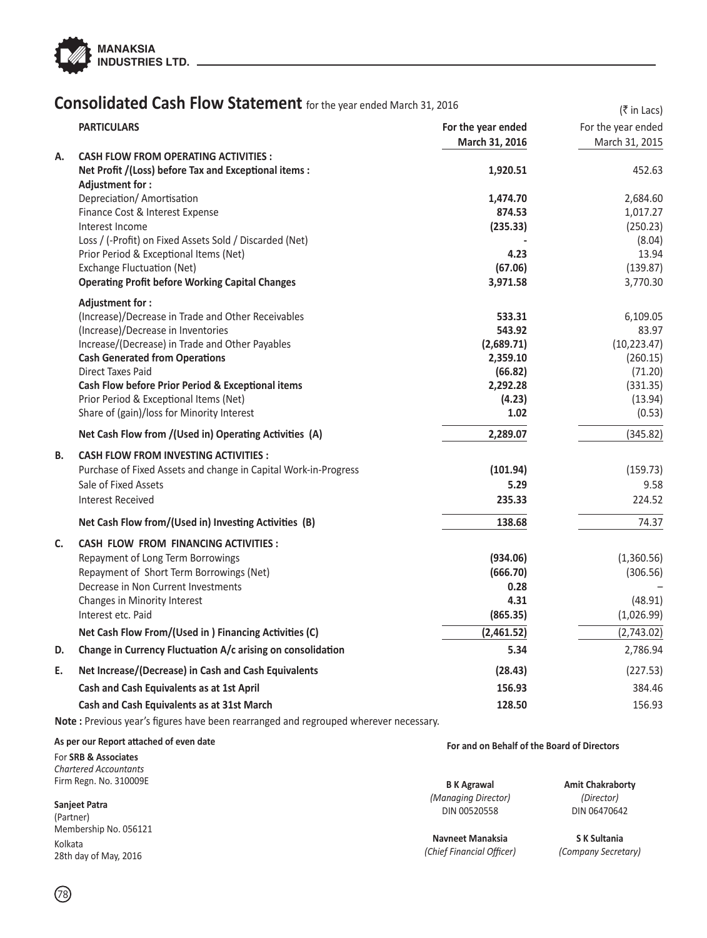

### **Consolidated Cash Flow Statement** for the year ended March 31, 2016

|    | <b>CONSONORCE CASH FIOW STATEMENT</b> for the year ended March 31, 2016                                                        |                                      | (₹ in Lacs)                          |  |
|----|--------------------------------------------------------------------------------------------------------------------------------|--------------------------------------|--------------------------------------|--|
|    | <b>PARTICULARS</b>                                                                                                             | For the year ended<br>March 31, 2016 | For the year ended<br>March 31, 2015 |  |
| А. | <b>CASH FLOW FROM OPERATING ACTIVITIES:</b><br>Net Profit /(Loss) before Tax and Exceptional items :<br><b>Adjustment for:</b> | 1,920.51                             | 452.63                               |  |
|    | Depreciation/ Amortisation                                                                                                     | 1,474.70                             | 2,684.60                             |  |
|    | Finance Cost & Interest Expense                                                                                                | 874.53                               | 1,017.27                             |  |
|    | Interest Income                                                                                                                | (235.33)                             | (250.23)                             |  |
|    | Loss / (-Profit) on Fixed Assets Sold / Discarded (Net)                                                                        |                                      | (8.04)                               |  |
|    | Prior Period & Exceptional Items (Net)                                                                                         | 4.23                                 | 13.94                                |  |
|    | <b>Exchange Fluctuation (Net)</b>                                                                                              | (67.06)                              | (139.87)                             |  |
|    | <b>Operating Profit before Working Capital Changes</b>                                                                         | 3,971.58                             | 3,770.30                             |  |
|    | Adjustment for:                                                                                                                |                                      |                                      |  |
|    | (Increase)/Decrease in Trade and Other Receivables                                                                             | 533.31                               | 6,109.05                             |  |
|    | (Increase)/Decrease in Inventories                                                                                             | 543.92                               | 83.97                                |  |
|    | Increase/(Decrease) in Trade and Other Payables                                                                                | (2,689.71)                           | (10, 223.47)                         |  |
|    | <b>Cash Generated from Operations</b><br>Direct Taxes Paid                                                                     | 2,359.10                             | (260.15)                             |  |
|    | Cash Flow before Prior Period & Exceptional items                                                                              | (66.82)<br>2,292.28                  | (71.20)<br>(331.35)                  |  |
|    | Prior Period & Exceptional Items (Net)                                                                                         | (4.23)                               | (13.94)                              |  |
|    | Share of (gain)/loss for Minority Interest                                                                                     | 1.02                                 | (0.53)                               |  |
|    | Net Cash Flow from /(Used in) Operating Activities (A)                                                                         | 2,289.07                             | (345.82)                             |  |
| В. | <b>CASH FLOW FROM INVESTING ACTIVITIES:</b>                                                                                    |                                      |                                      |  |
|    | Purchase of Fixed Assets and change in Capital Work-in-Progress                                                                | (101.94)                             | (159.73)                             |  |
|    | Sale of Fixed Assets                                                                                                           | 5.29                                 | 9.58                                 |  |
|    | <b>Interest Received</b>                                                                                                       | 235.33                               | 224.52                               |  |
|    | Net Cash Flow from/(Used in) Investing Activities (B)                                                                          | 138.68                               | 74.37                                |  |
| C. | <b>CASH FLOW FROM FINANCING ACTIVITIES:</b>                                                                                    |                                      |                                      |  |
|    | Repayment of Long Term Borrowings                                                                                              | (934.06)                             | (1,360.56)                           |  |
|    | Repayment of Short Term Borrowings (Net)                                                                                       | (666.70)                             | (306.56)                             |  |
|    | Decrease in Non Current Investments                                                                                            | 0.28                                 |                                      |  |
|    | Changes in Minority Interest                                                                                                   | 4.31                                 | (48.91)                              |  |
|    | Interest etc. Paid                                                                                                             | (865.35)                             | (1,026.99)                           |  |
|    | Net Cash Flow From/(Used in ) Financing Activities (C)                                                                         | (2,461.52)                           | (2,743.02)                           |  |
| D. | Change in Currency Fluctuation A/c arising on consolidation                                                                    | 5.34                                 | 2,786.94                             |  |
| Ε. | Net Increase/(Decrease) in Cash and Cash Equivalents                                                                           | (28.43)                              | (227.53)                             |  |
|    | Cash and Cash Equivalents as at 1st April                                                                                      | 156.93                               | 384.46                               |  |
|    | Cash and Cash Equivalents as at 31st March                                                                                     | 128.50                               | 156.93                               |  |

**Note :** Previous year's figures have been rearranged and regrouped wherever necessary.

#### **As per our Report attached of even date**

For **SRB & Associates** *Chartered Accountants* Firm Regn. No. 310009E

**Sanjeet Patra** (Partner) Membership No. 056121 Kolkata 28th day of May, 2016

**For and on Behalf of the Board of Directors**

**B K Agrawal** *(Managing Director)* DIN 00520558

**Amit Chakraborty** *(Director)* DIN 06470642

**Navneet Manaksia** *(Chief Financial Officer)*

**S K Sultania** *(Company Secretary)*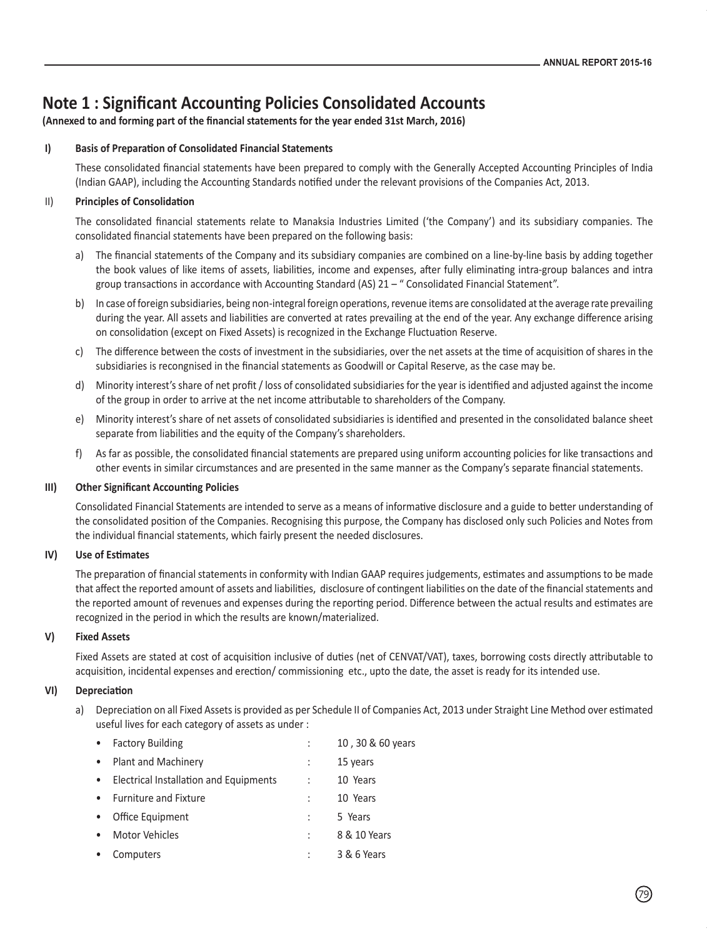### **Note 1 : Significant Accounting Policies Consolidated Accounts**

**(Annexed to and forming part of the financial statements for the year ended 31st March, 2016)**

#### **I) Basis of Preparation of Consolidated Financial Statements**

These consolidated financial statements have been prepared to comply with the Generally Accepted Accounting Principles of India (Indian GAAP), including the Accounting Standards notified under the relevant provisions of the Companies Act, 2013.

#### II) **Principles of Consolidation**

The consolidated financial statements relate to Manaksia Industries Limited ('the Company') and its subsidiary companies. The consolidated financial statements have been prepared on the following basis:

- a) The financial statements of the Company and its subsidiary companies are combined on a line-by-line basis by adding together the book values of like items of assets, liabilities, income and expenses, after fully eliminating intra-group balances and intra group transactions in accordance with Accounting Standard (AS) 21 – " Consolidated Financial Statement".
- b) In case of foreign subsidiaries, being non-integral foreign operations, revenue items are consolidated at the average rate prevailing during the year. All assets and liabilities are converted at rates prevailing at the end of the year. Any exchange difference arising on consolidation (except on Fixed Assets) is recognized in the Exchange Fluctuation Reserve.
- c) The difference between the costs of investment in the subsidiaries, over the net assets at the time of acquisition of shares in the subsidiaries is recongnised in the financial statements as Goodwill or Capital Reserve, as the case may be.
- d) Minority interest's share of net profit / loss of consolidated subsidiaries for the year is identified and adjusted against the income of the group in order to arrive at the net income attributable to shareholders of the Company.
- e) Minority interest's share of net assets of consolidated subsidiaries is identified and presented in the consolidated balance sheet separate from liabilities and the equity of the Company's shareholders.
- f) As far as possible, the consolidated financial statements are prepared using uniform accounting policies for like transactions and other events in similar circumstances and are presented in the same manner as the Company's separate financial statements.

#### **III) Other Significant Accounting Policies**

Consolidated Financial Statements are intended to serve as a means of informative disclosure and a guide to better understanding of the consolidated position of the Companies. Recognising this purpose, the Company has disclosed only such Policies and Notes from the individual financial statements, which fairly present the needed disclosures.

#### **IV) Use of Estimates**

The preparation of financial statements in conformity with Indian GAAP requires judgements, estimates and assumptions to be made that affect the reported amount of assets and liabilities, disclosure of contingent liabilities on the date of the financial statements and the reported amount of revenues and expenses during the reporting period. Difference between the actual results and estimates are recognized in the period in which the results are known/materialized.

#### **V) Fixed Assets**

Fixed Assets are stated at cost of acquisition inclusive of duties (net of CENVAT/VAT), taxes, borrowing costs directly attributable to acquisition, incidental expenses and erection/ commissioning etc., upto the date, the asset is ready for its intended use.

#### **VI) Depreciation**

a) Depreciation on all Fixed Assets is provided as per Schedule II of Companies Act, 2013 under Straight Line Method over estimated useful lives for each category of assets as under :

| $\bullet$ | <b>Factory Building</b>                |   | 10, 30 & 60 years |
|-----------|----------------------------------------|---|-------------------|
| $\bullet$ | Plant and Machinery                    |   | 15 years          |
| $\bullet$ | Electrical Installation and Equipments | ÷ | 10 Years          |
| $\bullet$ | <b>Furniture and Fixture</b>           |   | 10 Years          |
| $\bullet$ | Office Equipment                       |   | 5 Years           |
|           | <b>Motor Vehicles</b>                  |   | 8 & 10 Years      |
|           | Computers                              |   | 3 & 6 Years       |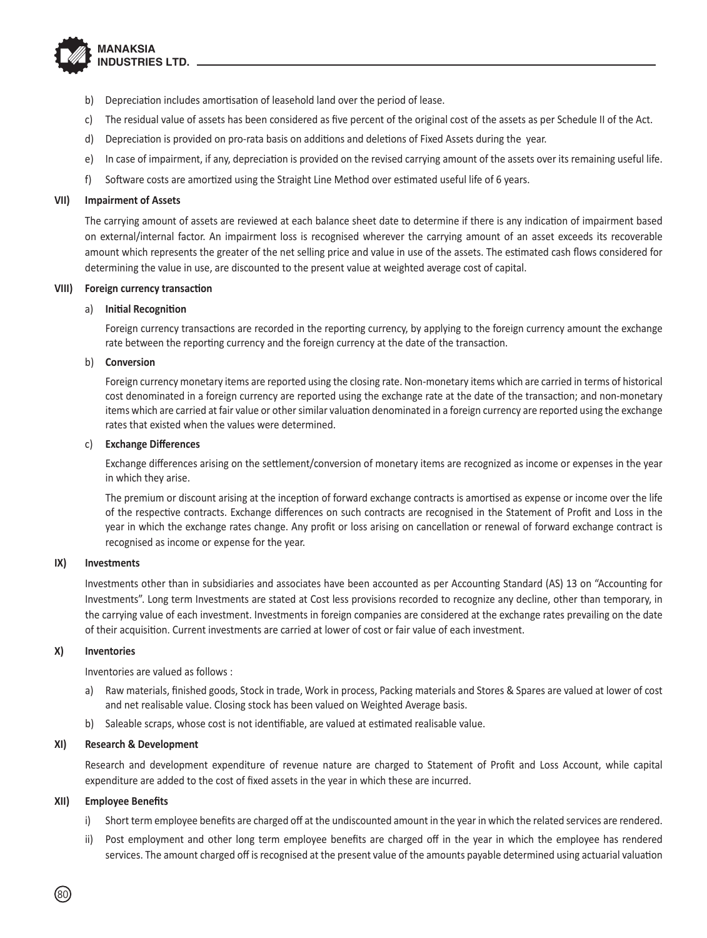

- b) Depreciation includes amortisation of leasehold land over the period of lease.
- c) The residual value of assets has been considered as five percent of the original cost of the assets as per Schedule II of the Act.
- d) Depreciation is provided on pro-rata basis on additions and deletions of Fixed Assets during the year.
- e) In case of impairment, if any, depreciation is provided on the revised carrying amount of the assets over its remaining useful life.
- f) Software costs are amortized using the Straight Line Method over estimated useful life of 6 years.

#### **VII) Impairment of Assets**

The carrying amount of assets are reviewed at each balance sheet date to determine if there is any indication of impairment based on external/internal factor. An impairment loss is recognised wherever the carrying amount of an asset exceeds its recoverable amount which represents the greater of the net selling price and value in use of the assets. The estimated cash flows considered for determining the value in use, are discounted to the present value at weighted average cost of capital.

#### **VIII) Foreign currency transaction**

#### a) **Initial Recognition**

Foreign currency transactions are recorded in the reporting currency, by applying to the foreign currency amount the exchange rate between the reporting currency and the foreign currency at the date of the transaction.

#### b) **Conversion**

Foreign currency monetary items are reported using the closing rate. Non-monetary items which are carried in terms of historical cost denominated in a foreign currency are reported using the exchange rate at the date of the transaction; and non-monetary items which are carried at fair value or other similar valuation denominated in a foreign currency are reported using the exchange rates that existed when the values were determined.

#### c) **Exchange Differences**

Exchange differences arising on the settlement/conversion of monetary items are recognized as income or expenses in the year in which they arise.

The premium or discount arising at the inception of forward exchange contracts is amortised as expense or income over the life of the respective contracts. Exchange differences on such contracts are recognised in the Statement of Profit and Loss in the year in which the exchange rates change. Any profit or loss arising on cancellation or renewal of forward exchange contract is recognised as income or expense for the year.

#### **IX) Investments**

Investments other than in subsidiaries and associates have been accounted as per Accounting Standard (AS) 13 on "Accounting for Investments". Long term Investments are stated at Cost less provisions recorded to recognize any decline, other than temporary, in the carrying value of each investment. Investments in foreign companies are considered at the exchange rates prevailing on the date of their acquisition. Current investments are carried at lower of cost or fair value of each investment.

#### **X) Inventories**

Inventories are valued as follows :

- a) Raw materials, finished goods, Stock in trade, Work in process, Packing materials and Stores & Spares are valued at lower of cost and net realisable value. Closing stock has been valued on Weighted Average basis.
- b) Saleable scraps, whose cost is not identifiable, are valued at estimated realisable value.

#### **XI) Research & Development**

Research and development expenditure of revenue nature are charged to Statement of Profit and Loss Account, while capital expenditure are added to the cost of fixed assets in the year in which these are incurred.

#### **XII) Employee Benefits**

- i) Short term employee benefits are charged off at the undiscounted amount in the year in which the related services are rendered.
- ii) Post employment and other long term employee benefits are charged off in the year in which the employee has rendered services. The amount charged off is recognised at the present value of the amounts payable determined using actuarial valuation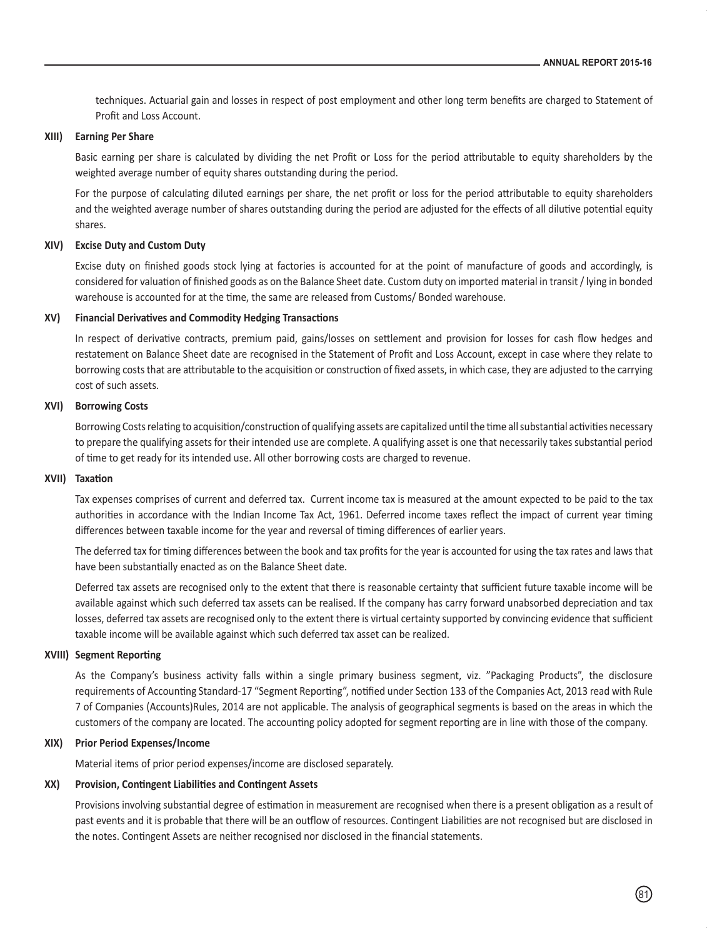techniques. Actuarial gain and losses in respect of post employment and other long term benefits are charged to Statement of Profit and Loss Account.

#### **XIII) Earning Per Share**

Basic earning per share is calculated by dividing the net Profit or Loss for the period attributable to equity shareholders by the weighted average number of equity shares outstanding during the period.

For the purpose of calculating diluted earnings per share, the net profit or loss for the period attributable to equity shareholders and the weighted average number of shares outstanding during the period are adjusted for the effects of all dilutive potential equity shares.

#### **XIV) Excise Duty and Custom Duty**

Excise duty on finished goods stock lying at factories is accounted for at the point of manufacture of goods and accordingly, is considered for valuation of finished goods as on the Balance Sheet date. Custom duty on imported material in transit / lying in bonded warehouse is accounted for at the time, the same are released from Customs/ Bonded warehouse.

#### **XV) Financial Derivatives and Commodity Hedging Transactions**

In respect of derivative contracts, premium paid, gains/losses on settlement and provision for losses for cash flow hedges and restatement on Balance Sheet date are recognised in the Statement of Profit and Loss Account, except in case where they relate to borrowing costs that are attributable to the acquisition or construction of fixed assets, in which case, they are adjusted to the carrying cost of such assets.

#### **XVI) Borrowing Costs**

Borrowing Costs relating to acquisition/construction of qualifying assets are capitalized until the time all substantial activities necessary to prepare the qualifying assets for their intended use are complete. A qualifying asset is one that necessarily takes substantial period of time to get ready for its intended use. All other borrowing costs are charged to revenue.

#### **XVII) Taxation**

Tax expenses comprises of current and deferred tax. Current income tax is measured at the amount expected to be paid to the tax authorities in accordance with the Indian Income Tax Act, 1961. Deferred income taxes reflect the impact of current year timing differences between taxable income for the year and reversal of timing differences of earlier years.

The deferred tax for timing differences between the book and tax profits for the year is accounted for using the tax rates and laws that have been substantially enacted as on the Balance Sheet date.

Deferred tax assets are recognised only to the extent that there is reasonable certainty that sufficient future taxable income will be available against which such deferred tax assets can be realised. If the company has carry forward unabsorbed depreciation and tax losses, deferred tax assets are recognised only to the extent there is virtual certainty supported by convincing evidence that sufficient taxable income will be available against which such deferred tax asset can be realized.

#### **XVIII) Segment Reporting**

As the Company's business activity falls within a single primary business segment, viz. "Packaging Products", the disclosure requirements of Accounting Standard-17 "Segment Reporting", notified under Section 133 of the Companies Act, 2013 read with Rule 7 of Companies (Accounts)Rules, 2014 are not applicable. The analysis of geographical segments is based on the areas in which the customers of the company are located. The accounting policy adopted for segment reporting are in line with those of the company.

#### **XIX) Prior Period Expenses/Income**

Material items of prior period expenses/income are disclosed separately.

#### **XX) Provision, Contingent Liabilities and Contingent Assets**

Provisions involving substantial degree of estimation in measurement are recognised when there is a present obligation as a result of past events and it is probable that there will be an outflow of resources. Contingent Liabilities are not recognised but are disclosed in the notes. Contingent Assets are neither recognised nor disclosed in the financial statements.

81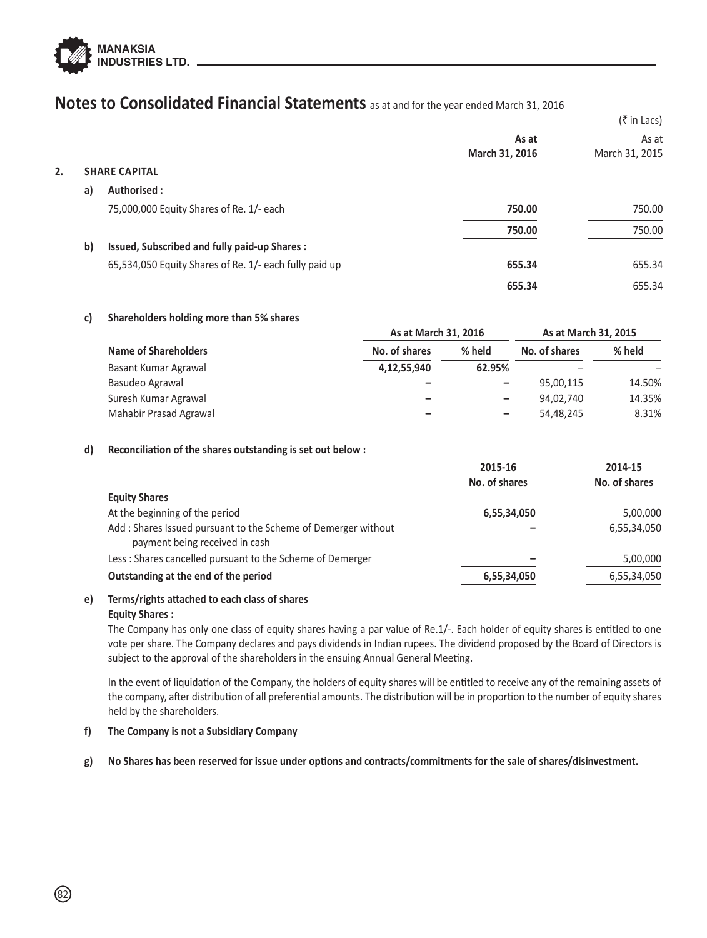

|    |    |                                                        |                | $\left\vert \right\vert$ in Lacs |
|----|----|--------------------------------------------------------|----------------|----------------------------------|
|    |    |                                                        | As at          | As at                            |
|    |    |                                                        | March 31, 2016 | March 31, 2015                   |
| 2. |    | <b>SHARE CAPITAL</b>                                   |                |                                  |
|    | a) | Authorised:                                            |                |                                  |
|    |    | 75,000,000 Equity Shares of Re. 1/- each               | 750.00         | 750.00                           |
|    |    |                                                        | 750.00         | 750.00                           |
|    | b) | Issued, Subscribed and fully paid-up Shares:           |                |                                  |
|    |    | 65,534,050 Equity Shares of Re. 1/- each fully paid up | 655.34         | 655.34                           |
|    |    |                                                        | 655.34         | 655.34                           |
|    |    |                                                        |                |                                  |

 $(\pm \cdot)$  in Lacs

#### **c) Shareholders holding more than 5% shares**

|                             | As at March 31, 2016     | As at March 31, 2015     |               |        |
|-----------------------------|--------------------------|--------------------------|---------------|--------|
| <b>Name of Shareholders</b> | No. of shares            | % held                   | No. of shares | % held |
| Basant Kumar Agrawal        | 4,12,55,940              | 62.95%                   |               |        |
| Basudeo Agrawal             |                          |                          | 95,00,115     | 14.50% |
| Suresh Kumar Agrawal        | $\overline{\phantom{0}}$ | $\overline{\phantom{0}}$ | 94,02,740     | 14.35% |
| Mahabir Prasad Agrawal      | -                        | $\overline{\phantom{0}}$ | 54,48,245     | 8.31%  |

#### **d) Reconciliation of the shares outstanding is set out below :**

| 2015-16     | 2014-15                      |
|-------------|------------------------------|
|             | No. of shares                |
|             |                              |
|             | 5,00,000                     |
|             | 6,55,34,050                  |
|             |                              |
|             | 5,00,000                     |
| 6,55,34,050 | 6,55,34,050                  |
|             | No. of shares<br>6,55,34,050 |

**e) Terms/rights attached to each class of shares Equity Shares :**

> The Company has only one class of equity shares having a par value of Re.1/-. Each holder of equity shares is entitled to one vote per share. The Company declares and pays dividends in Indian rupees. The dividend proposed by the Board of Directors is subject to the approval of the shareholders in the ensuing Annual General Meeting.

> In the event of liquidation of the Company, the holders of equity shares will be entitled to receive any of the remaining assets of the company, after distribution of all preferential amounts. The distribution will be in proportion to the number of equity shares held by the shareholders.

#### **f) The Company is not a Subsidiary Company**

**g) No Shares has been reserved for issue under options and contracts/commitments for the sale of shares/disinvestment.**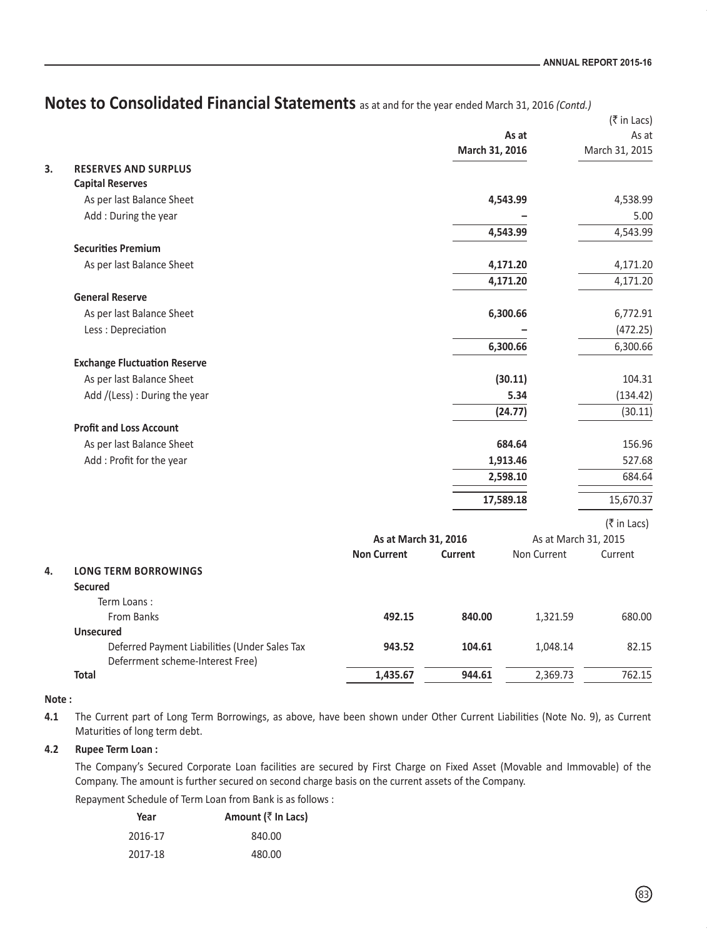|    |                                                                                   |                      |                |             | $(5 \in \mathsf{In}$ Lacs) |
|----|-----------------------------------------------------------------------------------|----------------------|----------------|-------------|----------------------------|
|    |                                                                                   |                      |                | As at       | As at                      |
|    |                                                                                   |                      | March 31, 2016 |             | March 31, 2015             |
| 3. | <b>RESERVES AND SURPLUS</b><br><b>Capital Reserves</b>                            |                      |                |             |                            |
|    | As per last Balance Sheet                                                         |                      |                | 4,543.99    | 4,538.99                   |
|    | Add: During the year                                                              |                      |                |             | 5.00                       |
|    |                                                                                   |                      |                | 4,543.99    | 4,543.99                   |
|    | <b>Securities Premium</b>                                                         |                      |                |             |                            |
|    | As per last Balance Sheet                                                         |                      |                | 4,171.20    | 4,171.20                   |
|    |                                                                                   |                      |                | 4,171.20    | 4,171.20                   |
|    | <b>General Reserve</b>                                                            |                      |                |             |                            |
|    | As per last Balance Sheet                                                         |                      |                | 6,300.66    | 6,772.91                   |
|    | Less : Depreciation                                                               |                      |                |             | (472.25)                   |
|    |                                                                                   |                      |                | 6,300.66    | 6,300.66                   |
|    | <b>Exchange Fluctuation Reserve</b>                                               |                      |                |             |                            |
|    | As per last Balance Sheet                                                         |                      |                | (30.11)     | 104.31                     |
|    | Add /(Less) : During the year                                                     |                      |                | 5.34        | (134.42)                   |
|    |                                                                                   |                      |                | (24.77)     | (30.11)                    |
|    | <b>Profit and Loss Account</b>                                                    |                      |                |             |                            |
|    | As per last Balance Sheet                                                         |                      |                | 684.64      | 156.96                     |
|    | Add : Profit for the year                                                         |                      |                | 1,913.46    | 527.68                     |
|    |                                                                                   |                      |                | 2,598.10    | 684.64                     |
|    |                                                                                   |                      |                | 17,589.18   | 15,670.37                  |
|    |                                                                                   |                      |                |             | (₹ in Lacs)                |
|    |                                                                                   | As at March 31, 2016 |                |             | As at March 31, 2015       |
|    |                                                                                   | <b>Non Current</b>   | Current        | Non Current | Current                    |
| 4. | <b>LONG TERM BORROWINGS</b>                                                       |                      |                |             |                            |
|    | Secured                                                                           |                      |                |             |                            |
|    | Term Loans:                                                                       |                      |                |             |                            |
|    | From Banks                                                                        | 492.15               | 840.00         | 1,321.59    | 680.00                     |
|    | <b>Unsecured</b>                                                                  |                      |                |             |                            |
|    | Deferred Payment Liabilities (Under Sales Tax<br>Deferrment scheme-Interest Free) | 943.52               | 104.61         | 1,048.14    | 82.15                      |
|    | <b>Total</b>                                                                      | 1,435.67             | 944.61         | 2,369.73    | 762.15                     |

#### **Note :**

**4.1** The Current part of Long Term Borrowings, as above, have been shown under Other Current Liabilities (Note No. 9), as Current Maturities of long term debt.

#### **4.2 Rupee Term Loan :**

The Company's Secured Corporate Loan facilities are secured by First Charge on Fixed Asset (Movable and Immovable) of the Company. The amount is further secured on second charge basis on the current assets of the Company.

Repayment Schedule of Term Loan from Bank is as follows :

| Year    | Amount $(\bar{z}$ In Lacs) |
|---------|----------------------------|
| 2016-17 | 840.00                     |
| 2017-18 | 480.00                     |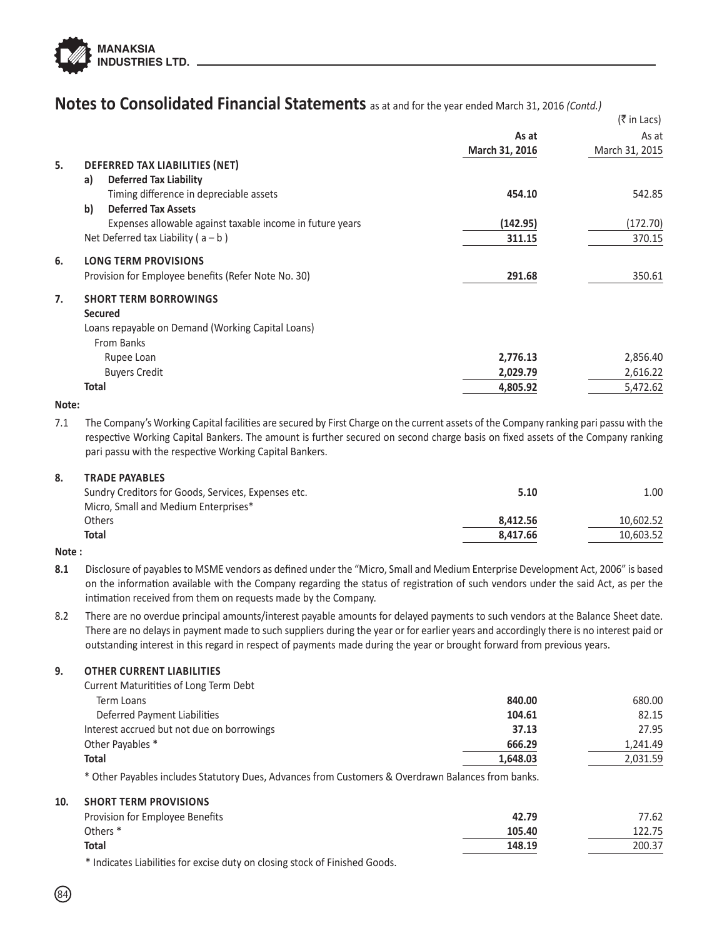

|    |                                                           |                | (₹ in Lacs)    |
|----|-----------------------------------------------------------|----------------|----------------|
|    |                                                           | As at          | As at          |
|    |                                                           | March 31, 2016 | March 31, 2015 |
| 5. | DEFERRED TAX LIABILITIES (NET)                            |                |                |
|    | <b>Deferred Tax Liability</b><br>a)                       |                |                |
|    | Timing difference in depreciable assets                   | 454.10         | 542.85         |
|    | b)<br><b>Deferred Tax Assets</b>                          |                |                |
|    | Expenses allowable against taxable income in future years | (142.95)       | (172.70)       |
|    | Net Deferred tax Liability ( $a - b$ )                    | 311.15         | 370.15         |
| 6. | <b>LONG TERM PROVISIONS</b>                               |                |                |
|    | Provision for Employee benefits (Refer Note No. 30)       | 291.68         | 350.61         |
| 7. | <b>SHORT TERM BORROWINGS</b>                              |                |                |
|    | <b>Secured</b>                                            |                |                |
|    | Loans repayable on Demand (Working Capital Loans)         |                |                |
|    | From Banks                                                |                |                |
|    | Rupee Loan                                                | 2,776.13       | 2,856.40       |
|    | <b>Buyers Credit</b>                                      | 2,029.79       | 2,616.22       |
|    | Total                                                     | 4,805.92       | 5,472.62       |

#### **Note:**

7.1 The Company's Working Capital facilities are secured by First Charge on the current assets of the Company ranking pari passu with the respective Working Capital Bankers. The amount is further secured on second charge basis on fixed assets of the Company ranking pari passu with the respective Working Capital Bankers.

#### **8. Trade Payables**

| Sundry Creditors for Goods, Services, Expenses etc. | 5.10     | 1.00      |
|-----------------------------------------------------|----------|-----------|
| Micro, Small and Medium Enterprises*                |          |           |
| Others                                              | 8.412.56 | 10.602.52 |
| Total                                               | 8.417.66 | 10,603.52 |
|                                                     |          |           |

#### **Note :**

- **8.1** Disclosure of payables to MSME vendors as defined under the "Micro, Small and Medium Enterprise Development Act, 2006" is based on the information available with the Company regarding the status of registration of such vendors under the said Act, as per the intimation received from them on requests made by the Company.
- 8.2 There are no overdue principal amounts/interest payable amounts for delayed payments to such vendors at the Balance Sheet date. There are no delays in payment made to such suppliers during the year or for earlier years and accordingly there is no interest paid or outstanding interest in this regard in respect of payments made during the year or brought forward from previous years.

#### **9. Other current liabilities**

| Current Maturitities of Long Term Debt                                                             |          |          |
|----------------------------------------------------------------------------------------------------|----------|----------|
| Term Loans                                                                                         | 840.00   | 680.00   |
| Deferred Payment Liabilities                                                                       | 104.61   | 82.15    |
| Interest accrued but not due on borrowings                                                         | 37.13    | 27.95    |
| Other Payables *                                                                                   | 666.29   | 1,241.49 |
| <b>Total</b>                                                                                       | 1.648.03 | 2.031.59 |
| * Other Payables includes Statutory Dues, Advances from Customers & Overdrawn Balances from banks. |          |          |

#### **10. Short term provisions**

| <b>JIIUINI ILINIII INUVIJIUIVJ</b>                                                                             |        |        |
|----------------------------------------------------------------------------------------------------------------|--------|--------|
| Provision for Employee Benefits                                                                                | 42.79  | 77.62  |
| Others <sup>*</sup>                                                                                            | 105.40 | 122.75 |
| <b>Total</b>                                                                                                   | 148.19 | 200.37 |
| with a set of the state of the state of the control of the state of the state of the state of the state of the |        |        |

\* Indicates Liabilities for excise duty on closing stock of Finished Goods.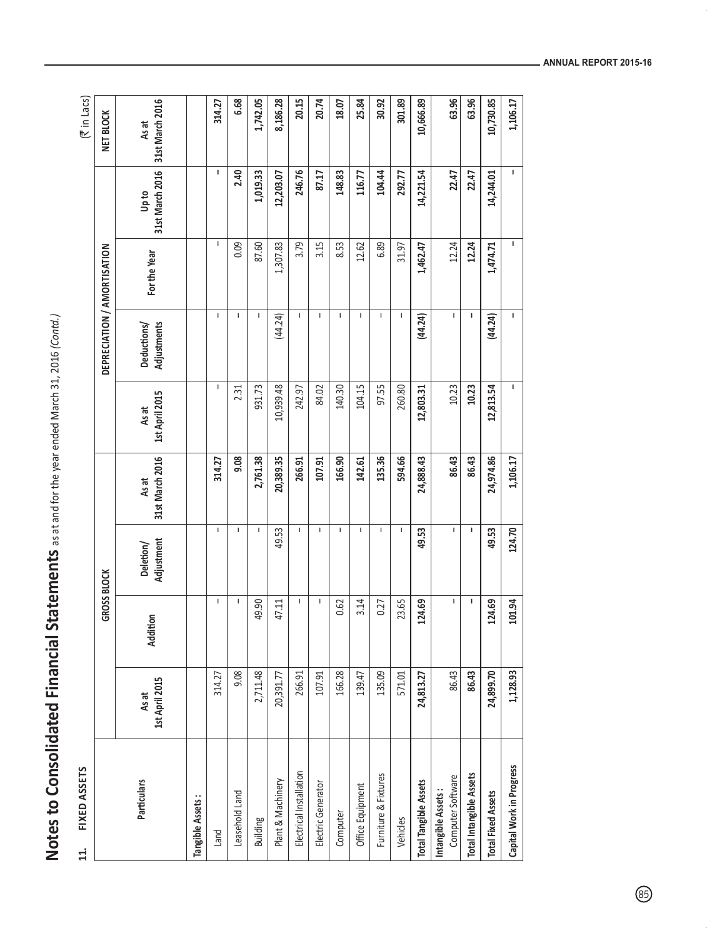| interact of the first control of the second control of the second control of the second control of the second control of the second control of the second control of the second control of the second control of the second co |
|--------------------------------------------------------------------------------------------------------------------------------------------------------------------------------------------------------------------------------|
| こうせつせい                                                                                                                                                                                                                         |
|                                                                                                                                                                                                                                |
|                                                                                                                                                                                                                                |
|                                                                                                                                                                                                                                |
|                                                                                                                                                                                                                                |
|                                                                                                                                                                                                                                |
|                                                                                                                                                                                                                                |
|                                                                                                                                                                                                                                |
|                                                                                                                                                                                                                                |
|                                                                                                                                                                                                                                |
|                                                                                                                                                                                                                                |
|                                                                                                                                                                                                                                |
|                                                                                                                                                                                                                                |
|                                                                                                                                                                                                                                |
|                                                                                                                                                                                                                                |
|                                                                                                                                                                                                                                |
| :<br>5<br>5<br>5                                                                                                                                                                                                               |
|                                                                                                                                                                                                                                |
|                                                                                                                                                                                                                                |
|                                                                                                                                                                                                                                |
|                                                                                                                                                                                                                                |
| $\ddot{\phantom{a}}$                                                                                                                                                                                                           |
|                                                                                                                                                                                                                                |
|                                                                                                                                                                                                                                |
|                                                                                                                                                                                                                                |
|                                                                                                                                                                                                                                |
|                                                                                                                                                                                                                                |
|                                                                                                                                                                                                                                |
|                                                                                                                                                                                                                                |
|                                                                                                                                                                                                                                |
| $-2 + 2 + 2 = 0$                                                                                                                                                                                                               |
| í                                                                                                                                                                                                                              |
| ֖֖֚֚֚֡֡֡֡֞                                                                                                                                                                                                                     |
|                                                                                                                                                                                                                                |
|                                                                                                                                                                                                                                |
|                                                                                                                                                                                                                                |
| Ī                                                                                                                                                                                                                              |
|                                                                                                                                                                                                                                |
|                                                                                                                                                                                                                                |
|                                                                                                                                                                                                                                |
|                                                                                                                                                                                                                                |
|                                                                                                                                                                                                                                |
|                                                                                                                                                                                                                                |
| - ^ ^ ^ icidacali te+tr                                                                                                                                                                                                        |
|                                                                                                                                                                                                                                |
|                                                                                                                                                                                                                                |
|                                                                                                                                                                                                                                |
|                                                                                                                                                                                                                                |
|                                                                                                                                                                                                                                |
| isan 1<br>1<br>1<br>1<br>)<br>2<br>2                                                                                                                                                                                           |
|                                                                                                                                                                                                                                |
| ;<br>2<br>-                                                                                                                                                                                                                    |

FIXED ASSETS **11. FIXED ASSETS**  $\ddot{\phantom{0}}$ 

| FIXED ASSETS<br>$\overline{11}$ .       |                         | <b>GROSS BLOCK</b> |                         |                          |                                | DEPRECIATION / AMORTISATION |                |                          | $(\overline{\xi}$ in Lacs)<br><b>NET BLOCK</b> |
|-----------------------------------------|-------------------------|--------------------|-------------------------|--------------------------|--------------------------------|-----------------------------|----------------|--------------------------|------------------------------------------------|
|                                         |                         |                    |                         |                          |                                |                             |                |                          |                                                |
| Particulars                             | 1st April 2015<br>As at | Addition           | Adjustment<br>Deletion/ | 31st March 2016<br>As at | 1st April 2015<br><b>As at</b> | Adjustments<br>Deductions/  | For the Year   | 31st March 2016<br>up to | 31st March 2016<br><b>As at</b>                |
| Tangible Assets:                        |                         |                    |                         |                          |                                |                             |                |                          |                                                |
| pueŋ                                    | 314.27                  | I                  | L                       | 314.27                   | I.                             | $\overline{1}$              | $\overline{1}$ | I                        | 314.27                                         |
| Leasehold Land                          | 9.08                    | I                  | I                       | 9.08                     | 2.31                           | $\mathbf{I}$                | 0.09           | 2.40                     | 6.68                                           |
| Building                                | 2,711.48                | 49.90              | ı                       | 2,761.38                 | 931.73                         | L                           | 87.60          | 1,019.33                 | 1,742.05                                       |
| Plant & Machinery                       | 20,391.77               | 47.11              | 49.53                   | 20,389.35                | 10,939.48                      | (44.24)                     | 1,307.83       | 12,203.07                | 8,186.28                                       |
| Electrical Installation                 | 266.91                  | ı                  | I.                      | 266.91                   | 242.97                         | $\mathbf{I}$                | 3.79           | 246.76                   | 20.15                                          |
| Electric Generator                      | 107.91                  | I                  | ı                       | 107.91                   | 84.02                          | $\overline{1}$              | 3.15           | 87.17                    | 20.74                                          |
| Computer                                | 166.28                  | 0.62               | L                       | 166.90                   | 140.30                         | $\mathbf{I}$                | 8.53           | 148.83                   | 18.07                                          |
| Office Equipment                        | 139.47                  | 3.14               | T                       | 142.61                   | 104.15                         | T                           | 12.62          | 116.77                   | 25.84                                          |
| Furniture & Fixtures                    | 135.09                  | 0.27               | ı                       | 135.36                   | 97.55                          | L                           | 6.89           | 104.44                   | 30.92                                          |
| Vehicles                                | 571.01                  | 23.65              | I.                      | 594.66                   | 260.80                         | I.                          | 31.97          | 292.77                   | 301.89                                         |
| <b>Total Tangible Assets</b>            | 24,813.27               | 124.69             | 49.53                   | 24,888.43                | 12,803.31                      | (44.24)                     | 1,462.47       | 14,221.54                | 10,666.89                                      |
| Computer Software<br>Intangible Assets: | 86.43                   | I                  | $\mathsf I$             | 86.43                    | 10.23                          | L                           | 12.24          | 22.47                    | 63.96                                          |
| Total Intangible Assets                 | 86.43                   | ı                  | ı                       | 86.43                    | 10.23                          | I.                          | 12.24          | 22.47                    | 63.96                                          |
| <b>Total Fixed Assets</b>               | 24,899.70               | 124.69             | 49.53                   | 24,974.86                | 12,813.54                      | (44.24)                     | 1,474.71       | 14,244.01                | 10,730.85                                      |
| Capital Work in Progress                | 1,128.93                | 101.94             | 124.70                  | 1,106.17                 | ı                              | $\mathbf{I}$                | $\mathbf{I}$   | $\mathbf{I}$             | 1,106.17                                       |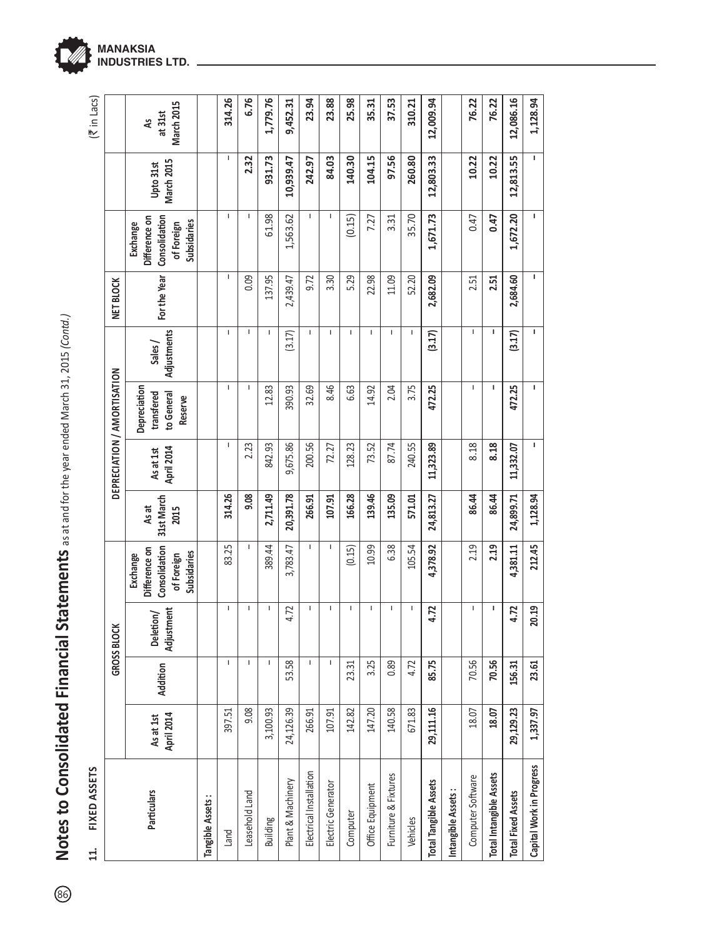Notes to Consolidated Financial Statements as at and for the year ended March 31, 2015 (Contd.) 86**Notes to Consolidated Financial Statements** as at and for the year ended March 31, 2015 *(Contd.)*

11. FIXED ASSETS **11. FIXED ASSETS**

 $\circledS$ 

| 1,128.94                   | L                       | L                                                                       | ı            | ı                     | L                                                   | I.                      | 1,128.94                           | 212.45                                                                  | 20.19                   | 23.61        | 1,337.97                | Capital Work in Progress          |
|----------------------------|-------------------------|-------------------------------------------------------------------------|--------------|-----------------------|-----------------------------------------------------|-------------------------|------------------------------------|-------------------------------------------------------------------------|-------------------------|--------------|-------------------------|-----------------------------------|
| 12,086.16                  | 12,813.55               | 1,672.20                                                                | 2,684.60     | (3.17)                | 472.25                                              | 11,332.07               | 24,899.71                          | 4,381.11                                                                | 4.72                    | 156.31       | 29,129.23               | <b>Total Fixed Assets</b>         |
| 76.22                      | 10.22                   | 0.47                                                                    | 2.51         | п                     | J.                                                  | 8.18                    | 86.44                              | 2.19                                                                    | ı                       | 70.56        | 18.07                   | Total Intangible Assets           |
| 76.22                      | 10.22                   | 0.47                                                                    | 2.51         | L                     | L                                                   | 8.18                    | 86.44                              | 2.19                                                                    | L                       | 70.56        | 18.07                   | Computer Software                 |
|                            |                         |                                                                         |              |                       |                                                     |                         |                                    |                                                                         |                         |              |                         | Intangible Assets:                |
| 12,009.94                  | 12,803.33               | 1,671.73                                                                | 2,682.09     | (3.17)                | 472.25                                              | 11,323.89               | 24,813.27                          | 4,378.92                                                                | 4.72                    | 85.75        | 29,111.16               | <b>Total Tangible Assets</b>      |
| 310.21                     | 260.80                  | 35.70                                                                   | 52.20        |                       | 3.75                                                | 240.55                  | 571.01                             | 105.54                                                                  | ı                       | 4.72         | 671.83                  | Vehicles                          |
| 37.53                      | 97.56                   | 3.31                                                                    | 11.09        | т                     | 2.04                                                | 87.74                   | 135.09                             | 6.38                                                                    | I.                      | 0.89         | 140.58                  | Furniture & Fixtures              |
| 35.31                      | 104.15                  | 7.27                                                                    | 22.98        | т                     | 14.92                                               | 73.52                   | 139.46                             | 10.99                                                                   | L                       | 3.25         | 147.20                  | Office Equipment                  |
| 25.98                      | 140.30                  | (0.15)                                                                  | 5.29         | ı                     | 6.63                                                | 128.23                  | 166.28                             | (0.15)                                                                  | I                       | 23.31        | 142.82                  | Computer                          |
| 23.88                      | 84.03                   | I.                                                                      | 3.30         | т                     | 8.46                                                | 72.27                   | 107.91                             | I.                                                                      | I                       | I.           | 107.91                  | Electric Generator                |
| 23.94                      | 242.97                  | L                                                                       | 9.72         | т                     | 32.69                                               | 200.56                  | 266.91                             | П                                                                       | ı                       | ı            | 266.91                  | Electrical Installation           |
| 9,452.31                   | 10,939.47               | 1,563.62                                                                | 2,439.47     | (3.17)                | 390.93                                              | 9,675.86                | 20,391.78                          | 3,783.47                                                                | 4.72                    | 53.58        | 24,126.39               | Plant & Machinery                 |
| 1,779.76                   | 931.73                  | 61.98                                                                   | 137.95       | т                     | 12.83                                               | 842.93                  | 2,711.49                           | 389.44                                                                  | L                       | $\mathbf I$  | 3,100.93                | <b>Building</b>                   |
| 6.76                       | 2.32                    | $\mathbf{I}$                                                            | 0.09         | T                     | $\mathbf{I}$                                        | 2.23                    | 9.08                               | L                                                                       | ı                       | $\mathbf{I}$ | 9.08                    | Leasehold Land                    |
| 314.26                     | 1                       | т                                                                       | т            | т                     | т                                                   | T                       | 314.26                             | 83.25                                                                   | I                       | J.           | 397.51                  | Land                              |
|                            |                         |                                                                         |              |                       |                                                     |                         |                                    |                                                                         |                         |              |                         | <b>Tangible Assets:</b>           |
| March 2015<br>at 31st<br>æ | March 2015<br>Upto 31st | Consolidation<br>Difference on<br>Subsidaries<br>Exchange<br>of Foreign | For the Year | Adjustments<br>Sales/ | Depreciation<br>transfered<br>to General<br>Reserve | April 2014<br>As at 1st | 31st March<br><b>As at</b><br>2015 | Consolidation<br>Difference on<br>Subsidaries<br>Exchange<br>of Foreign | Adjustment<br>Deletion/ | Addition     | April 2014<br>As at 1st | Particulars                       |
|                            |                         |                                                                         | NET BLOCK    |                       | DEPRECIATION / AMORTISATION                         |                         |                                    |                                                                         | GROSS BLOCK             |              |                         |                                   |
| $(\overline{\xi}$ in Lacs) |                         |                                                                         |              |                       |                                                     |                         |                                    |                                                                         |                         |              |                         | FIXED ASSETS<br>$\overline{11}$ . |

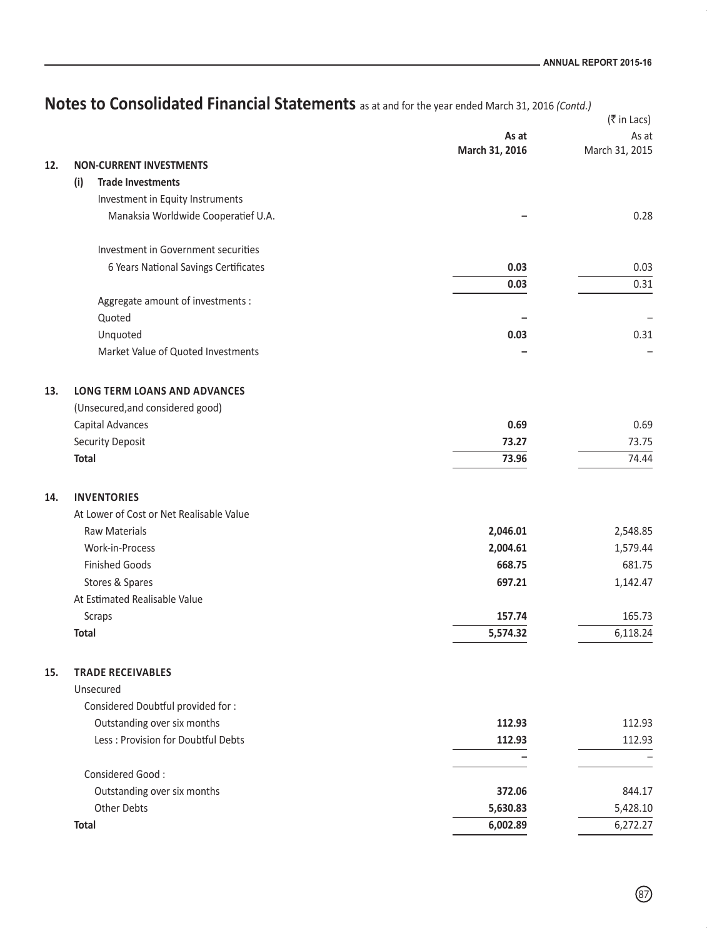|     |                                          |                | $(5 \in \mathsf{In}$ Lacs) |
|-----|------------------------------------------|----------------|----------------------------|
|     |                                          | As at          | As at                      |
|     |                                          | March 31, 2016 | March 31, 2015             |
| 12. | <b>NON-CURRENT INVESTMENTS</b>           |                |                            |
|     | (i)<br><b>Trade Investments</b>          |                |                            |
|     | Investment in Equity Instruments         |                |                            |
|     | Manaksia Worldwide Cooperatief U.A.      |                | 0.28                       |
|     | Investment in Government securities      |                |                            |
|     | 6 Years National Savings Certificates    | 0.03           | 0.03                       |
|     |                                          | 0.03           | 0.31                       |
|     | Aggregate amount of investments :        |                |                            |
|     | Quoted                                   |                |                            |
|     | Unquoted                                 | 0.03           | 0.31                       |
|     | Market Value of Quoted Investments       |                |                            |
| 13. | <b>LONG TERM LOANS AND ADVANCES</b>      |                |                            |
|     | (Unsecured, and considered good)         |                |                            |
|     | Capital Advances                         | 0.69           | 0.69                       |
|     | Security Deposit                         | 73.27          | 73.75                      |
|     | <b>Total</b>                             | 73.96          | 74.44                      |
| 14. | <b>INVENTORIES</b>                       |                |                            |
|     | At Lower of Cost or Net Realisable Value |                |                            |
|     | <b>Raw Materials</b>                     | 2,046.01       | 2,548.85                   |
|     | Work-in-Process                          | 2,004.61       | 1,579.44                   |
|     | <b>Finished Goods</b>                    | 668.75         | 681.75                     |
|     | Stores & Spares                          | 697.21         | 1,142.47                   |
|     | At Estimated Realisable Value            |                |                            |
|     | <b>Scraps</b>                            | 157.74         | 165.73                     |
|     | <b>Total</b>                             | 5,574.32       | 6,118.24                   |
| 15. | <b>TRADE RECEIVABLES</b>                 |                |                            |
|     | Unsecured                                |                |                            |
|     | Considered Doubtful provided for :       |                |                            |
|     | Outstanding over six months              | 112.93         | 112.93                     |
|     | Less : Provision for Doubtful Debts      | 112.93         | 112.93                     |
|     |                                          |                |                            |
|     | Considered Good:                         |                |                            |
|     | Outstanding over six months              | 372.06         | 844.17                     |
|     | <b>Other Debts</b>                       | 5,630.83       | 5,428.10                   |
|     | <b>Total</b>                             | 6,002.89       | 6,272.27                   |
|     |                                          |                |                            |

 $\circledS$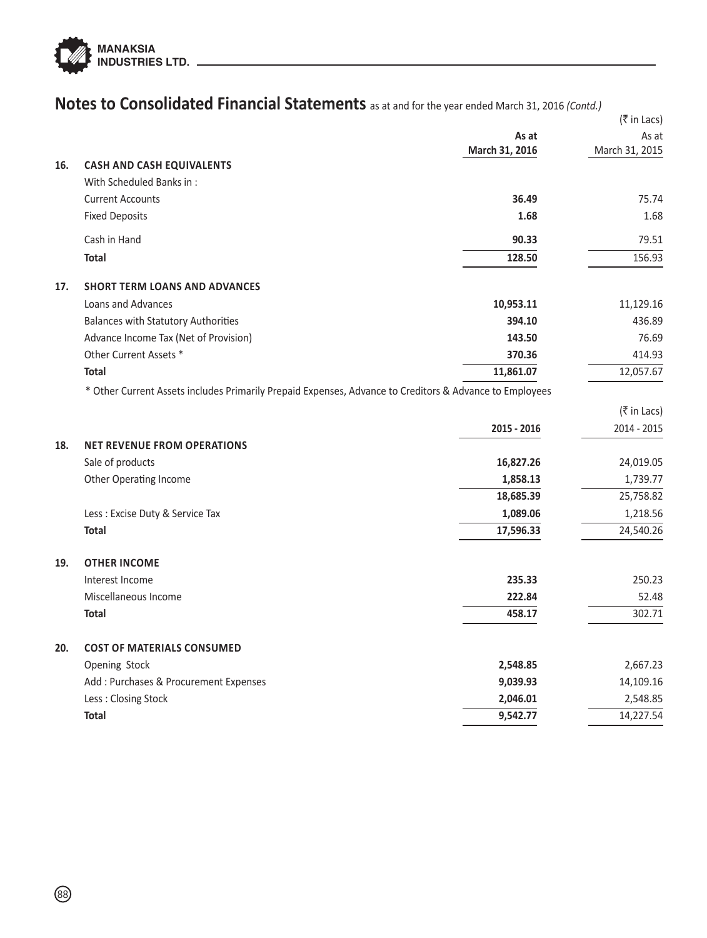

|     | <b>ULES TO CONSOMATED 1 MANUTAL STATEMENTS</b> as at and for the year ended march 31, 2016 (Conta.)     |                | (₹ in Lacs)    |
|-----|---------------------------------------------------------------------------------------------------------|----------------|----------------|
|     |                                                                                                         | As at          | As at          |
|     |                                                                                                         | March 31, 2016 | March 31, 2015 |
| 16. | <b>CASH AND CASH EQUIVALENTS</b>                                                                        |                |                |
|     | With Scheduled Banks in:                                                                                |                |                |
|     | <b>Current Accounts</b>                                                                                 | 36.49          | 75.74          |
|     | <b>Fixed Deposits</b>                                                                                   | 1.68           | 1.68           |
|     | Cash in Hand                                                                                            | 90.33          | 79.51          |
|     | <b>Total</b>                                                                                            | 128.50         | 156.93         |
| 17. | <b>SHORT TERM LOANS AND ADVANCES</b>                                                                    |                |                |
|     | Loans and Advances                                                                                      | 10,953.11      | 11,129.16      |
|     | <b>Balances with Statutory Authorities</b>                                                              | 394.10         | 436.89         |
|     | Advance Income Tax (Net of Provision)                                                                   | 143.50         | 76.69          |
|     | Other Current Assets *                                                                                  | 370.36         | 414.93         |
|     | <b>Total</b>                                                                                            | 11,861.07      | 12,057.67      |
|     | * Other Current Assets includes Primarily Prepaid Expenses, Advance to Creditors & Advance to Employees |                |                |
|     |                                                                                                         |                | (₹ in Lacs)    |
|     |                                                                                                         | 2015 - 2016    | 2014 - 2015    |
| 18. | <b>NET REVENUE FROM OPERATIONS</b>                                                                      |                |                |
|     | Sale of products                                                                                        | 16,827.26      | 24,019.05      |
|     | <b>Other Operating Income</b>                                                                           | 1,858.13       | 1,739.77       |
|     |                                                                                                         | 18,685.39      | 25,758.82      |
|     | Less : Excise Duty & Service Tax                                                                        | 1,089.06       | 1,218.56       |
|     | <b>Total</b>                                                                                            | 17,596.33      | 24,540.26      |
|     |                                                                                                         |                |                |
| 19. | <b>OTHER INCOME</b>                                                                                     |                |                |
|     | Interest Income                                                                                         | 235.33         | 250.23         |
|     | Miscellaneous Income                                                                                    | 222.84         | 52.48          |
|     | <b>Total</b>                                                                                            | 458.17         | 302.71         |
| 20. | <b>COST OF MATERIALS CONSUMED</b>                                                                       |                |                |
|     | Opening Stock                                                                                           | 2,548.85       | 2,667.23       |
|     | Add : Purchases & Procurement Expenses                                                                  | 9,039.93       | 14,109.16      |
|     | Less: Closing Stock                                                                                     | 2,046.01       | 2,548.85       |
|     | <b>Total</b>                                                                                            | 9,542.77       | 14,227.54      |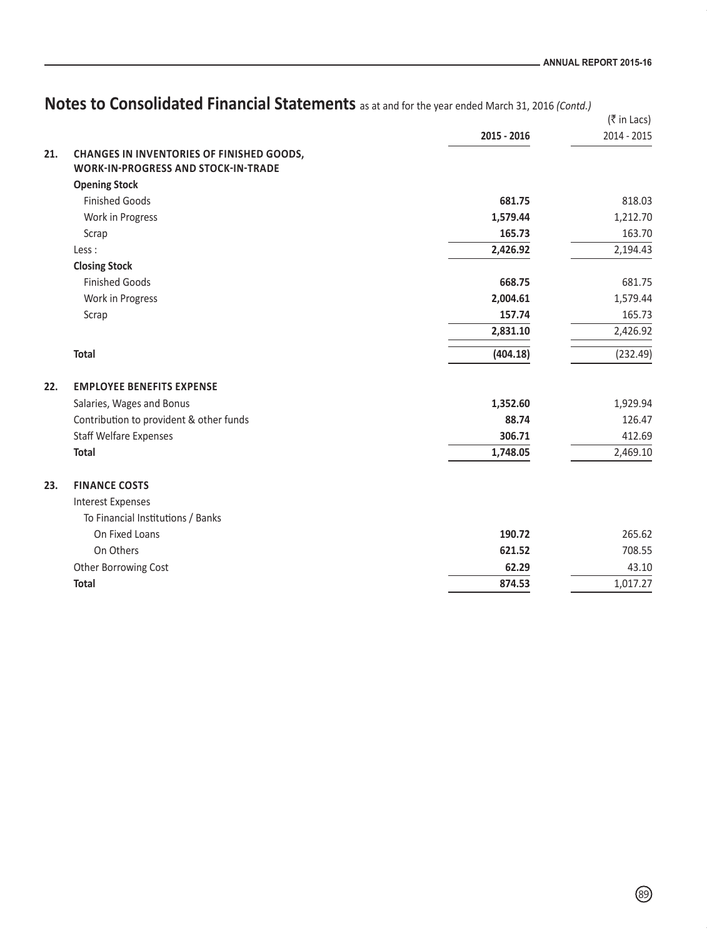|                                                  |             | $($ ₹ in Lacs)                                                                                                |
|--------------------------------------------------|-------------|---------------------------------------------------------------------------------------------------------------|
|                                                  | 2015 - 2016 | 2014 - 2015                                                                                                   |
| <b>CHANGES IN INVENTORIES OF FINISHED GOODS,</b> |             |                                                                                                               |
| <b>WORK-IN-PROGRESS AND STOCK-IN-TRADE</b>       |             |                                                                                                               |
| <b>Opening Stock</b>                             |             |                                                                                                               |
| <b>Finished Goods</b>                            | 681.75      | 818.03                                                                                                        |
| Work in Progress                                 | 1,579.44    | 1,212.70                                                                                                      |
| Scrap                                            | 165.73      | 163.70                                                                                                        |
| Less :                                           | 2,426.92    | 2,194.43                                                                                                      |
| <b>Closing Stock</b>                             |             |                                                                                                               |
| <b>Finished Goods</b>                            | 668.75      | 681.75                                                                                                        |
| Work in Progress                                 | 2,004.61    | 1,579.44                                                                                                      |
| Scrap                                            | 157.74      | 165.73                                                                                                        |
|                                                  | 2,831.10    | 2,426.92                                                                                                      |
| <b>Total</b>                                     | (404.18)    | (232.49)                                                                                                      |
| <b>EMPLOYEE BENEFITS EXPENSE</b>                 |             |                                                                                                               |
| Salaries, Wages and Bonus                        | 1,352.60    | 1,929.94                                                                                                      |
| Contribution to provident & other funds          | 88.74       | 126.47                                                                                                        |
| <b>Staff Welfare Expenses</b>                    | 306.71      | 412.69                                                                                                        |
| <b>Total</b>                                     | 1,748.05    | 2,469.10                                                                                                      |
| <b>FINANCE COSTS</b>                             |             |                                                                                                               |
| <b>Interest Expenses</b>                         |             |                                                                                                               |
| To Financial Institutions / Banks                |             |                                                                                                               |
| On Fixed Loans                                   | 190.72      | 265.62                                                                                                        |
| On Others                                        | 621.52      | 708.55                                                                                                        |
| Other Borrowing Cost                             | 62.29       | 43.10                                                                                                         |
| <b>Total</b>                                     | 874.53      | 1,017.27                                                                                                      |
|                                                  |             | <b>Notes to Consolidated Financial Statements</b> as at and for the year ended March 31, 2016 <i>(Contd.)</i> |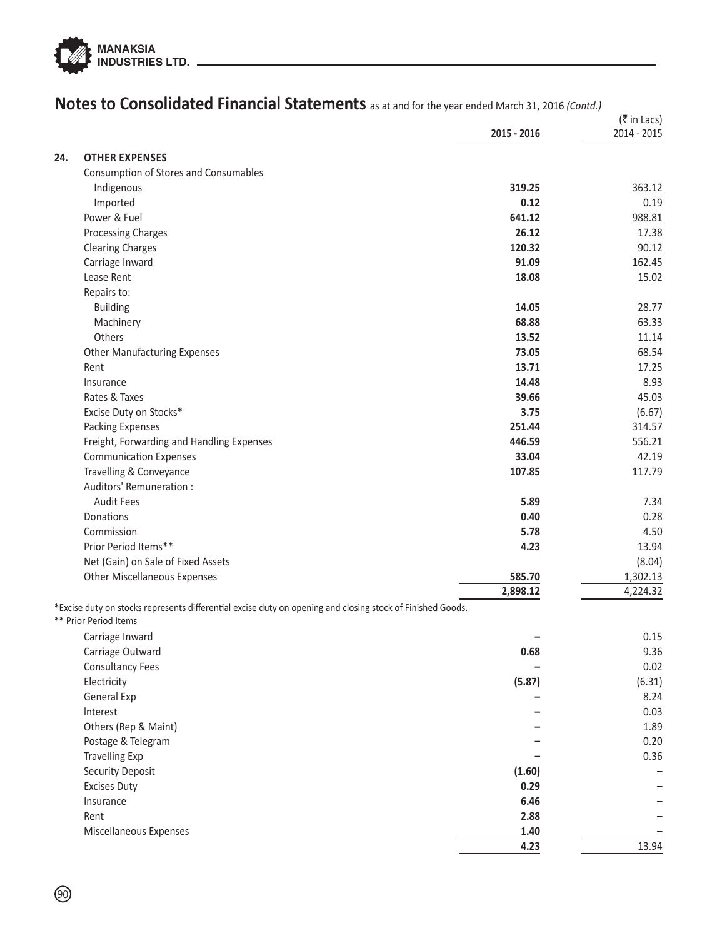

|     | <b>CONSOMMATE IN HIGH CITY CALCHIC HIGH AS AL AND TON THE YEAR ENGEL MANCHI ST, 2010 (COMM)</b>            |             | $(5 \in \mathsf{In}$ Lacs) |
|-----|------------------------------------------------------------------------------------------------------------|-------------|----------------------------|
|     |                                                                                                            | 2015 - 2016 | 2014 - 2015                |
| 24. | <b>OTHER EXPENSES</b>                                                                                      |             |                            |
|     | Consumption of Stores and Consumables                                                                      |             |                            |
|     | Indigenous                                                                                                 | 319.25      | 363.12                     |
|     | Imported                                                                                                   | 0.12        | 0.19                       |
|     | Power & Fuel                                                                                               | 641.12      | 988.81                     |
|     | <b>Processing Charges</b>                                                                                  | 26.12       | 17.38                      |
|     | <b>Clearing Charges</b>                                                                                    | 120.32      | 90.12                      |
|     | Carriage Inward                                                                                            | 91.09       | 162.45                     |
|     | Lease Rent                                                                                                 | 18.08       | 15.02                      |
|     | Repairs to:                                                                                                |             |                            |
|     | <b>Building</b>                                                                                            | 14.05       | 28.77                      |
|     | Machinery                                                                                                  | 68.88       | 63.33                      |
|     | Others                                                                                                     | 13.52       | 11.14                      |
|     | <b>Other Manufacturing Expenses</b>                                                                        | 73.05       | 68.54                      |
|     | Rent                                                                                                       | 13.71       | 17.25                      |
|     | Insurance                                                                                                  | 14.48       | 8.93                       |
|     | Rates & Taxes                                                                                              | 39.66       | 45.03                      |
|     | Excise Duty on Stocks*                                                                                     | 3.75        | (6.67)                     |
|     | Packing Expenses                                                                                           | 251.44      | 314.57                     |
|     | Freight, Forwarding and Handling Expenses                                                                  | 446.59      | 556.21                     |
|     | <b>Communication Expenses</b>                                                                              | 33.04       | 42.19                      |
|     | Travelling & Conveyance                                                                                    | 107.85      | 117.79                     |
|     | Auditors' Remuneration :                                                                                   |             |                            |
|     | <b>Audit Fees</b>                                                                                          | 5.89        | 7.34                       |
|     | Donations                                                                                                  | 0.40        | 0.28                       |
|     | Commission                                                                                                 | 5.78        | 4.50                       |
|     | Prior Period Items**                                                                                       | 4.23        | 13.94                      |
|     | Net (Gain) on Sale of Fixed Assets                                                                         |             | (8.04)                     |
|     | <b>Other Miscellaneous Expenses</b>                                                                        | 585.70      | 1,302.13                   |
|     |                                                                                                            | 2,898.12    | 4,224.32                   |
|     | *Excise duty on stocks represents differential excise duty on opening and closing stock of Finished Goods. |             |                            |
|     | ** Prior Period Items                                                                                      |             |                            |
|     | Carriage Inward                                                                                            |             | 0.15                       |
|     | Carriage Outward                                                                                           | 0.68        | 9.36                       |
|     | <b>Consultancy Fees</b>                                                                                    |             | 0.02                       |
|     | Electricity                                                                                                | (5.87)      | (6.31)                     |
|     | <b>General Exp</b>                                                                                         |             | 8.24                       |
|     | Interest                                                                                                   |             | 0.03                       |

Others (Rep & Maint) **–** 1.89 Postage & Telegram **–** 0.20 Travelling Exp **–** 0.36 Security Deposit **(1.60)** – Excises Duty **0.29** – Insurance **6.46** – Rent **2.88** – Miscellaneous Expenses **1.40** –

 **4.23** 13.94

### **Notes to Consolidated Financial Statements** as at and for the year ended March 31, 2016 *(Contd.)*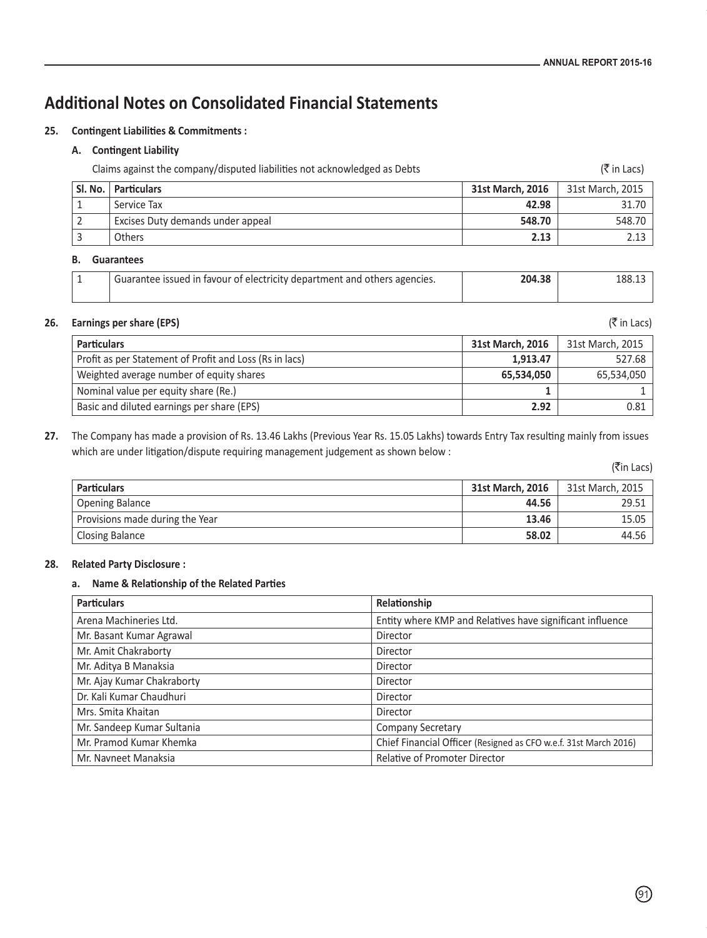### **Additional Notes on Consolidated Financial Statements**

#### **25. Contingent Liabilities & Commitments :**

#### **A. Contingent Liability**

|           | Claims against the company/disputed liabilities not acknowledged as Debts |                  | $(\bar{\bar{\zeta}})$ in Lacs) |
|-----------|---------------------------------------------------------------------------|------------------|--------------------------------|
| Sl. No. I | <b>Particulars</b>                                                        | 31st March. 2016 | 31st March, 2015               |
|           | Service Tax                                                               | 42.98            | 31.70                          |
|           | Excises Duty demands under appeal                                         | 548.70           | 548.70                         |
|           | <b>Others</b>                                                             | 2.13             | 2.13                           |

#### **B. Guarantees**

#### **26. Earnings per share (EPS)** (` in Lacs)

| <b>CALLINIES ACT SHALL (FLA)</b>                        |                  | $\frac{1}{2}$ $\frac{1}{2}$ $\frac{1}{2}$ $\frac{1}{2}$ $\frac{1}{2}$ $\frac{1}{2}$ $\frac{1}{2}$ $\frac{1}{2}$ $\frac{1}{2}$ $\frac{1}{2}$ |
|---------------------------------------------------------|------------------|---------------------------------------------------------------------------------------------------------------------------------------------|
| <b>Particulars</b>                                      | 31st March, 2016 | 31st March, 2015                                                                                                                            |
| Profit as per Statement of Profit and Loss (Rs in lacs) | 1.913.47         | 527.68                                                                                                                                      |
| Weighted average number of equity shares                | 65,534,050       | 65,534,050                                                                                                                                  |
| Nominal value per equity share (Re.)                    |                  |                                                                                                                                             |
| Basic and diluted earnings per share (EPS)              | 2.92             | 0.81                                                                                                                                        |

**27.** The Company has made a provision of Rs. 13.46 Lakhs (Previous Year Rs. 15.05 Lakhs) towards Entry Tax resulting mainly from issues which are under litigation/dispute requiring management judgement as shown below :

(रैin Lacs)

| <b>Particulars</b>              | 31st March, 2016 | 31st March, 2015 |
|---------------------------------|------------------|------------------|
| <b>Opening Balance</b>          | 44.56            | 29.51            |
| Provisions made during the Year | 13.46            | 15.05            |
| <b>Closing Balance</b>          | 58.02            | 44.56            |

#### **28. Related Party Disclosure :**

#### **a. Name & Relationship of the Related Parties**

| <b>Particulars</b>         | Relationship                                                     |
|----------------------------|------------------------------------------------------------------|
| Arena Machineries Ltd.     | Entity where KMP and Relatives have significant influence        |
| Mr. Basant Kumar Agrawal   | Director                                                         |
| Mr. Amit Chakraborty       | Director                                                         |
| Mr. Aditya B Manaksia      | Director                                                         |
| Mr. Ajay Kumar Chakraborty | Director                                                         |
| Dr. Kali Kumar Chaudhuri   | Director                                                         |
| Mrs. Smita Khaitan         | Director                                                         |
| Mr. Sandeep Kumar Sultania | <b>Company Secretary</b>                                         |
| Mr. Pramod Kumar Khemka    | Chief Financial Officer (Resigned as CFO w.e.f. 31st March 2016) |
| Mr. Navneet Manaksia       | Relative of Promoter Director                                    |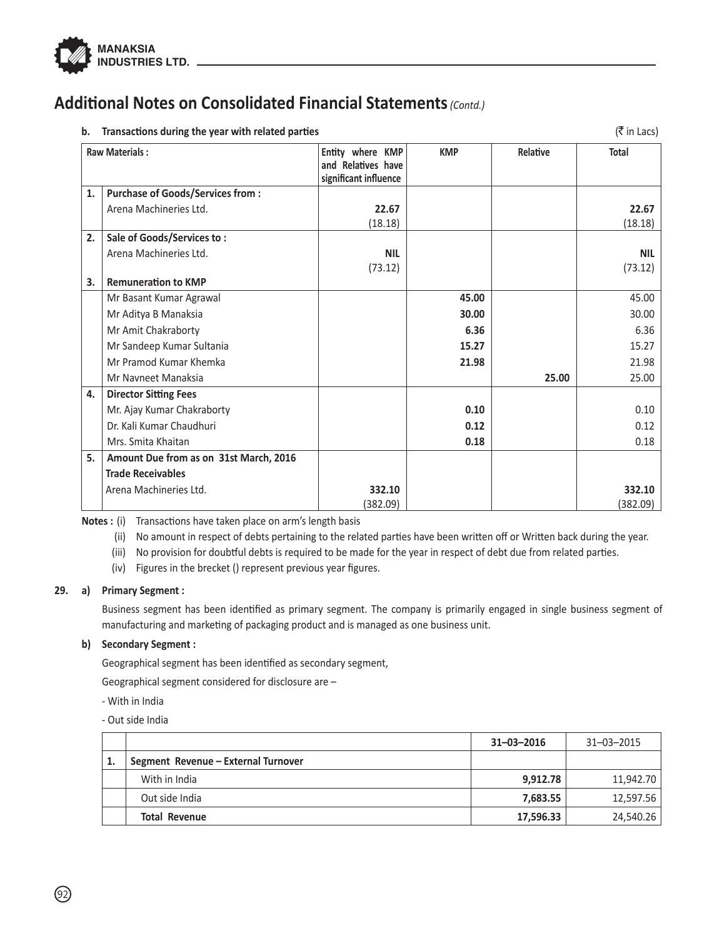

### **Additional Notes on Consolidated Financial Statements***(Contd.)*

| <b>Raw Materials:</b> |                                         | Entity where KMP<br>and Relatives have<br>significant influence | <b>KMP</b> | Relative | <b>Total</b> |
|-----------------------|-----------------------------------------|-----------------------------------------------------------------|------------|----------|--------------|
| 1.                    | <b>Purchase of Goods/Services from:</b> |                                                                 |            |          |              |
|                       | Arena Machineries Ltd.                  | 22.67                                                           |            |          | 22.67        |
|                       |                                         | (18.18)                                                         |            |          | (18.18)      |
| 2.                    | Sale of Goods/Services to:              |                                                                 |            |          |              |
|                       | Arena Machineries Ltd.                  | <b>NIL</b>                                                      |            |          | <b>NIL</b>   |
|                       |                                         | (73.12)                                                         |            |          | (73.12)      |
| 3.                    | <b>Remuneration to KMP</b>              |                                                                 |            |          |              |
|                       | Mr Basant Kumar Agrawal                 |                                                                 | 45.00      |          | 45.00        |
|                       | Mr Aditya B Manaksia                    |                                                                 | 30.00      |          | 30.00        |
|                       | Mr Amit Chakraborty                     |                                                                 | 6.36       |          | 6.36         |
|                       | Mr Sandeep Kumar Sultania               |                                                                 | 15.27      |          | 15.27        |
|                       | Mr Pramod Kumar Khemka                  |                                                                 | 21.98      |          | 21.98        |
|                       | Mr Navneet Manaksia                     |                                                                 |            | 25.00    | 25.00        |
| 4.                    | <b>Director Sitting Fees</b>            |                                                                 |            |          |              |
|                       | Mr. Ajay Kumar Chakraborty              |                                                                 | 0.10       |          | 0.10         |
|                       | Dr. Kali Kumar Chaudhuri                |                                                                 | 0.12       |          | 0.12         |
|                       | Mrs. Smita Khaitan                      |                                                                 | 0.18       |          | 0.18         |
| 5.                    | Amount Due from as on 31st March, 2016  |                                                                 |            |          |              |
|                       | <b>Trade Receivables</b>                |                                                                 |            |          |              |
|                       | Arena Machineries Ltd.                  | 332.10                                                          |            |          | 332.10       |
|                       |                                         | (382.09)                                                        |            |          | (382.09)     |

**b.** Transactions during the year with related parties **in Lack and Security Constanting (** $\bar{z}$  in Lacs)

**Notes :** (i) Transactions have taken place on arm's length basis

(ii) No amount in respect of debts pertaining to the related parties have been written off or Written back during the year.

- (iii) No provision for doubtful debts is required to be made for the year in respect of debt due from related parties.
- (iv) Figures in the brecket () represent previous year figures.

#### **29. a) Primary Segment :**

Business segment has been identified as primary segment. The company is primarily engaged in single business segment of manufacturing and marketing of packaging product and is managed as one business unit.

#### **b) Secondary Segment :**

Geographical segment has been identified as secondary segment,

Geographical segment considered for disclosure are –

- With in India
- Out side India

|    |                                     | $31 - 03 - 2016$ | $31 - 03 - 2015$ |
|----|-------------------------------------|------------------|------------------|
| ı. | Segment Revenue - External Turnover |                  |                  |
|    | With in India                       | 9,912.78         | 11,942.70        |
|    | Out side India                      | 7,683.55         | 12,597.56        |
|    | <b>Total Revenue</b>                | 17,596.33        | 24,540.26        |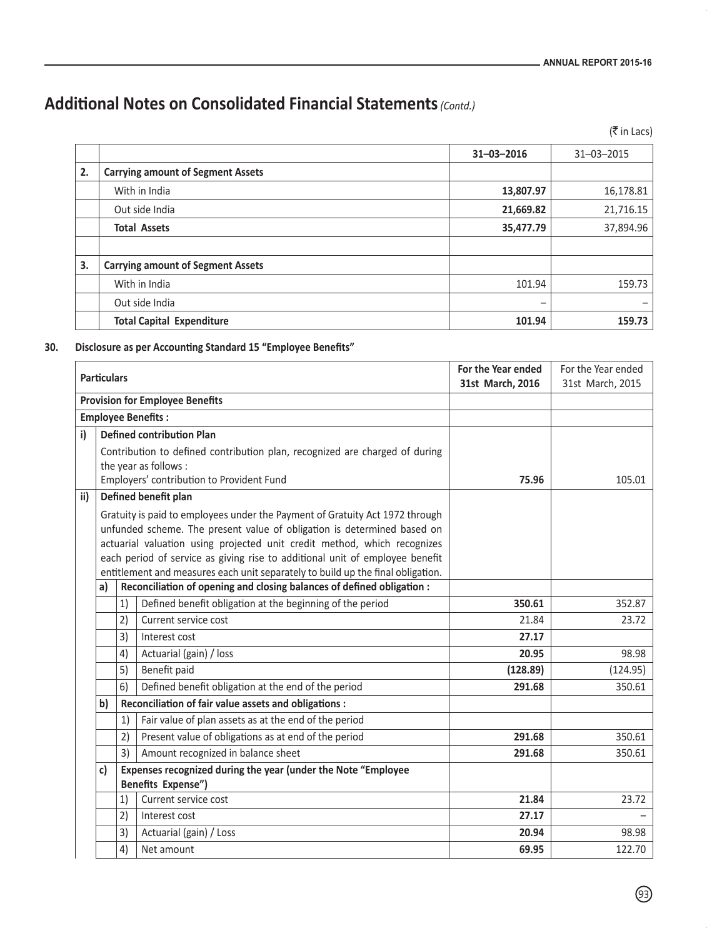### **Additional Notes on Consolidated Financial Statements***(Contd.)*

|    |                                          |                  | (₹ in Lacs)      |
|----|------------------------------------------|------------------|------------------|
|    |                                          | $31 - 03 - 2016$ | $31 - 03 - 2015$ |
| 2. | <b>Carrying amount of Segment Assets</b> |                  |                  |
|    | With in India                            | 13,807.97        | 16,178.81        |
|    | Out side India                           | 21,669.82        | 21,716.15        |
|    | <b>Total Assets</b>                      | 35,477.79        | 37,894.96        |
|    |                                          |                  |                  |
| 3. | <b>Carrying amount of Segment Assets</b> |                  |                  |
|    | With in India                            | 101.94           | 159.73           |
|    | Out side India                           | -                |                  |
|    | <b>Total Capital Expenditure</b>         | 101.94           | 159.73           |

#### **30. Disclosure as per Accounting Standard 15 "Employee Benefits"**

|     | <b>Particulars</b>                                                  |    | For the Year ended                                                                                                                                              | For the Year ended |                  |
|-----|---------------------------------------------------------------------|----|-----------------------------------------------------------------------------------------------------------------------------------------------------------------|--------------------|------------------|
|     |                                                                     |    |                                                                                                                                                                 | 31st March, 2016   | 31st March, 2015 |
|     |                                                                     |    | <b>Provision for Employee Benefits</b>                                                                                                                          |                    |                  |
|     |                                                                     |    | <b>Employee Benefits:</b>                                                                                                                                       |                    |                  |
| i)  |                                                                     |    | <b>Defined contribution Plan</b>                                                                                                                                |                    |                  |
|     |                                                                     |    | Contribution to defined contribution plan, recognized are charged of during                                                                                     |                    |                  |
|     |                                                                     |    | the year as follows :                                                                                                                                           |                    |                  |
|     |                                                                     |    | Employers' contribution to Provident Fund                                                                                                                       | 75.96              | 105.01           |
| ii) |                                                                     |    | Defined benefit plan                                                                                                                                            |                    |                  |
|     |                                                                     |    | Gratuity is paid to employees under the Payment of Gratuity Act 1972 through                                                                                    |                    |                  |
|     |                                                                     |    | unfunded scheme. The present value of obligation is determined based on                                                                                         |                    |                  |
|     |                                                                     |    | actuarial valuation using projected unit credit method, which recognizes                                                                                        |                    |                  |
|     |                                                                     |    | each period of service as giving rise to additional unit of employee benefit<br>entitlement and measures each unit separately to build up the final obligation. |                    |                  |
|     | a)                                                                  |    | Reconciliation of opening and closing balances of defined obligation :                                                                                          |                    |                  |
|     |                                                                     | 1) | Defined benefit obligation at the beginning of the period                                                                                                       | 350.61             | 352.87           |
|     |                                                                     | 2) | Current service cost                                                                                                                                            | 21.84              | 23.72            |
|     |                                                                     | 3) | Interest cost                                                                                                                                                   | 27.17              |                  |
|     |                                                                     |    |                                                                                                                                                                 | 20.95              | 98.98            |
|     |                                                                     | 4) | Actuarial (gain) / loss                                                                                                                                         |                    |                  |
|     |                                                                     | 5) | Benefit paid                                                                                                                                                    | (128.89)           | (124.95)         |
|     |                                                                     | 6) | Defined benefit obligation at the end of the period                                                                                                             | 291.68             | 350.61           |
|     | b)                                                                  |    | Reconciliation of fair value assets and obligations :                                                                                                           |                    |                  |
|     |                                                                     | 1) | Fair value of plan assets as at the end of the period                                                                                                           |                    |                  |
|     |                                                                     | 2) | Present value of obligations as at end of the period                                                                                                            | 291.68             | 350.61           |
|     |                                                                     | 3) | Amount recognized in balance sheet                                                                                                                              | 291.68             | 350.61           |
|     | Expenses recognized during the year (under the Note "Employee<br>c) |    |                                                                                                                                                                 |                    |                  |
|     | <b>Benefits Expense")</b>                                           |    |                                                                                                                                                                 |                    |                  |
|     | 1)<br>Current service cost                                          |    | 21.84                                                                                                                                                           | 23.72              |                  |
|     |                                                                     | 2) | Interest cost                                                                                                                                                   | 27.17              |                  |
|     |                                                                     | 3) | Actuarial (gain) / Loss                                                                                                                                         | 20.94              | 98.98            |
|     |                                                                     | 4) | Net amount                                                                                                                                                      | 69.95              | 122.70           |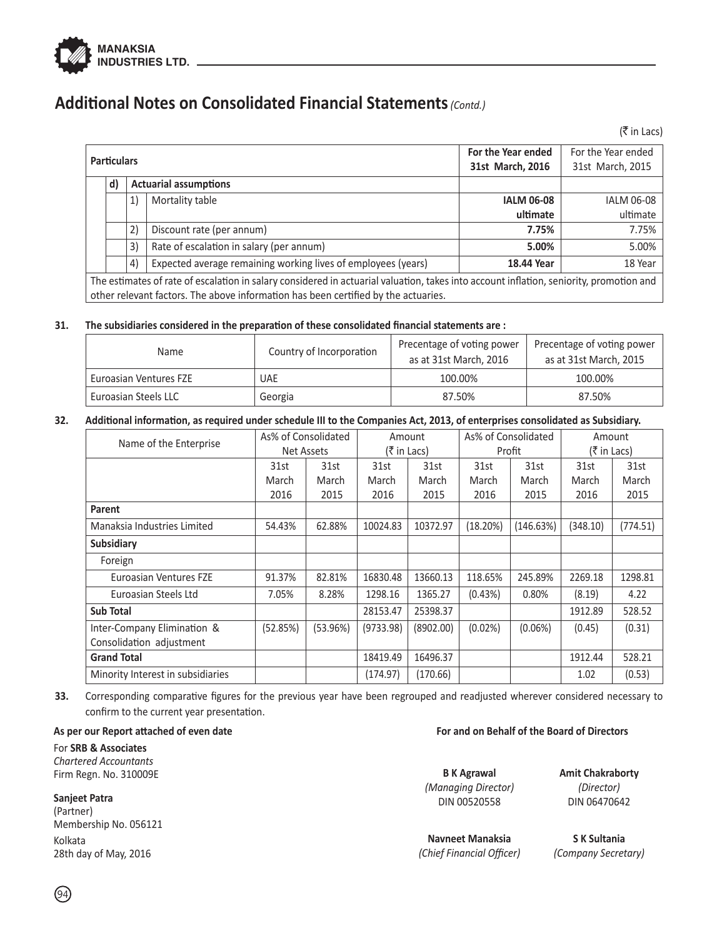

### **Additional Notes on Consolidated Financial Statements***(Contd.)*

 $($ ₹ in Lacs)

|                                                                                                                                         | <b>Particulars</b>                                                                 |    |                                                               | For the Year ended<br>31st March, 2016 | For the Year ended<br>31st March, 2015 |  |
|-----------------------------------------------------------------------------------------------------------------------------------------|------------------------------------------------------------------------------------|----|---------------------------------------------------------------|----------------------------------------|----------------------------------------|--|
|                                                                                                                                         | d)                                                                                 |    | <b>Actuarial assumptions</b>                                  |                                        |                                        |  |
|                                                                                                                                         |                                                                                    | 1) | Mortality table                                               | <b>IALM 06-08</b>                      | <b>IALM 06-08</b>                      |  |
|                                                                                                                                         |                                                                                    |    | ultimate                                                      | ultimate                               |                                        |  |
|                                                                                                                                         | 2)<br>Discount rate (per annum)                                                    |    | 7.75%                                                         | 7.75%                                  |                                        |  |
|                                                                                                                                         | 3)<br>Rate of escalation in salary (per annum)                                     |    | 5.00%                                                         | 5.00%                                  |                                        |  |
|                                                                                                                                         |                                                                                    | 4) | Expected average remaining working lives of employees (years) | 18.44 Year                             | 18 Year                                |  |
| The estimates of rate of escalation in salary considered in actuarial valuation, takes into account inflation, seniority, promotion and |                                                                                    |    |                                                               |                                        |                                        |  |
|                                                                                                                                         | other relevant factors. The above information has been certified by the actuaries. |    |                                                               |                                        |                                        |  |

#### **31. The subsidiaries considered in the preparation of these consolidated financial statements are :**

| Name                   | Country of Incorporation | Precentage of voting power<br>as at 31st March, 2016 | Precentage of voting power<br>as at 31st March, 2015 |  |
|------------------------|--------------------------|------------------------------------------------------|------------------------------------------------------|--|
| Euroasian Ventures FZE | UAE                      | 100.00%                                              | 100.00%                                              |  |
| Euroasian Steels LLC   | Georgia                  | 87.50%                                               | 87.50%                                               |  |

#### **32. Additional information, as required under schedule III to the Companies Act, 2013, of enterprises consolidated as Subsidiary.**

| Name of the Enterprise            | As% of Consolidated |          | Amount                     |           | As% of Consolidated |           | Amount      |          |
|-----------------------------------|---------------------|----------|----------------------------|-----------|---------------------|-----------|-------------|----------|
|                                   | <b>Net Assets</b>   |          | $(5 \in \mathsf{In}$ Lacs) |           | Profit              |           | (₹ in Lacs) |          |
|                                   | 31st                | 31st     | 31st                       | 31st      | 31st                | 31st      | 31st        | 31st     |
|                                   | March               | March    | March                      | March     | March               | March     | March       | March    |
|                                   | 2016                | 2015     | 2016                       | 2015      | 2016                | 2015      | 2016        | 2015     |
| Parent                            |                     |          |                            |           |                     |           |             |          |
| Manaksia Industries Limited       | 54.43%              | 62.88%   | 10024.83                   | 10372.97  | (18.20%)            | (146.63%) | (348.10)    | (774.51) |
| Subsidiary                        |                     |          |                            |           |                     |           |             |          |
| Foreign                           |                     |          |                            |           |                     |           |             |          |
| Euroasian Ventures FZE            | 91.37%              | 82.81%   | 16830.48                   | 13660.13  | 118.65%             | 245.89%   | 2269.18     | 1298.81  |
| Euroasian Steels Ltd              | 7.05%               | 8.28%    | 1298.16                    | 1365.27   | (0.43%)             | 0.80%     | (8.19)      | 4.22     |
| <b>Sub Total</b>                  |                     |          | 28153.47                   | 25398.37  |                     |           | 1912.89     | 528.52   |
| Inter-Company Elimination &       | (52.85%)            | (53.96%) | (9733.98)                  | (8902.00) | (0.02%)             | (0.06%)   | (0.45)      | (0.31)   |
| Consolidation adjustment          |                     |          |                            |           |                     |           |             |          |
| <b>Grand Total</b>                |                     |          | 18419.49                   | 16496.37  |                     |           | 1912.44     | 528.21   |
| Minority Interest in subsidiaries |                     |          | (174.97)                   | (170.66)  |                     |           | 1.02        | (0.53)   |

**33.** Corresponding comparative figures for the previous year have been regrouped and readjusted wherever considered necessary to confirm to the current year presentation.

#### **As per our Report attached of even date**

For **SRB & Associates** *Chartered Accountants* Firm Regn. No. 310009E

**Sanjeet Patra** (Partner) Membership No. 056121 Kolkata 28th day of May, 2016

#### **For and on Behalf of the Board of Directors**

**B K Agrawal** *(Managing Director)* DIN 00520558

**Amit Chakraborty** *(Director)* DIN 06470642

**Navneet Manaksia** *(Chief Financial Officer)* **S K Sultania**

*(Company Secretary)*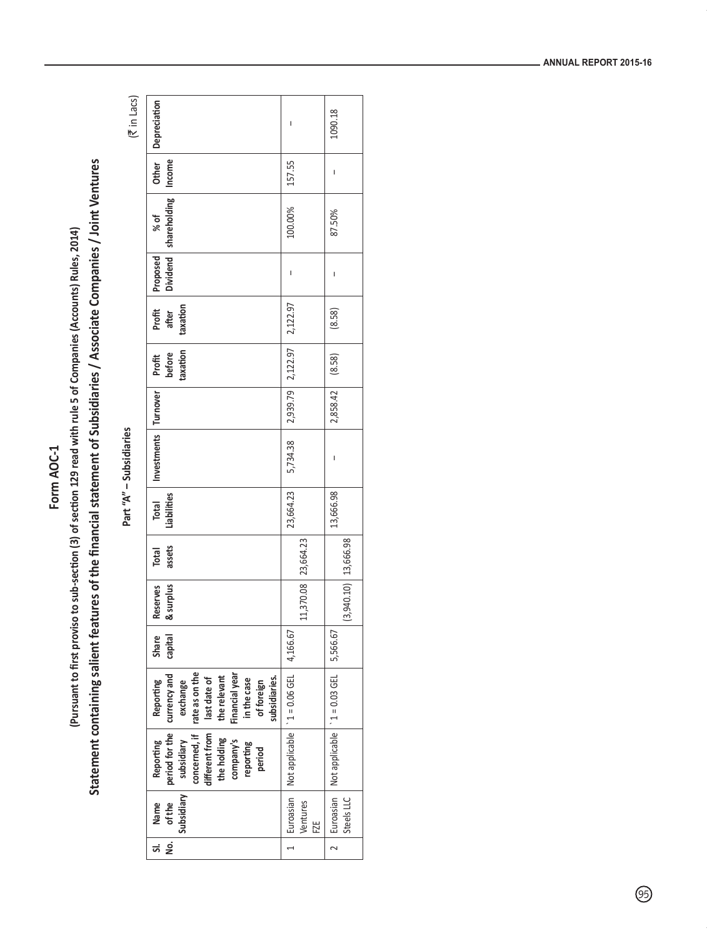(Pursuant to first proviso to sub-section (3) of section 129 read with rule 5 of Companies (Accounts) Rules, 2014) **(Pursuant to first proviso to sub-section (3) of section 129 read with rule 5 of Companies (Accounts) Rules, 2014)**

Statement containing salient features of the financial statement of Subsidiaries / Associate Companies / Joint Ventures **Statement containing salient features of the financial statement of Subsidiaries / Associate Companies / Joint Ventures**

Part "A" - Subsidiaries **Part "A" – Subsidiaries**

| (₹in Lacs)    | <b>Depreciation</b>                                                                                                                                                     |                                                             | 1090.18                                                |
|---------------|-------------------------------------------------------------------------------------------------------------------------------------------------------------------------|-------------------------------------------------------------|--------------------------------------------------------|
|               | <b>Other</b>                                                                                                                                                            | 157.55                                                      | I                                                      |
|               | shareholding   Income<br>% of                                                                                                                                           | 100.00%                                                     | 87.50%                                                 |
|               | Dividend  <br><b>Proposed</b>                                                                                                                                           | ı                                                           | I                                                      |
|               | taxation<br>Profit<br>after                                                                                                                                             | 2,122.97                                                    | (8.58)                                                 |
|               | taxation<br>before<br>Profit                                                                                                                                            | 2,939.79 2,122.97                                           | (8.58)                                                 |
|               |                                                                                                                                                                         |                                                             | 2,858.42                                               |
| shimmane are  | Investments Turnover                                                                                                                                                    | 5,734.38                                                    | I                                                      |
| $\frac{1}{3}$ | Liabilities<br><b>Total</b>                                                                                                                                             | 23,664.23                                                   | 13,666.98                                              |
|               | assets<br><b>Total</b>                                                                                                                                                  | 11,370.08 23,664.23                                         |                                                        |
|               | & surplus<br><b>Reserves</b>                                                                                                                                            |                                                             | $(3,940.10)$ 13,666.98                                 |
|               | capital<br>Share                                                                                                                                                        |                                                             |                                                        |
|               | concerned, if   rate as on the<br>Financial year<br>currency and<br>the relevant<br>last date of<br>subsidiaries.<br>exchange<br>in the case<br>Reporting<br>of foreign |                                                             |                                                        |
|               | different from<br>period for the<br>subsidiary<br>the holding<br>company's<br>Reporting<br>reporting<br>period                                                          | Euroasian   Not applicable   $\mid$ 1 = 0.06 GEL   4,166.67 | Euroasian   Not applicable   $1 = 0.03$ GEL   5,566.67 |
|               | Subsidiary<br>of the<br>Name                                                                                                                                            | Ventures<br>FZE                                             | Steels LLC                                             |
|               | ۔<br>§                                                                                                                                                                  |                                                             | $\overline{\mathbf{c}}$                                |